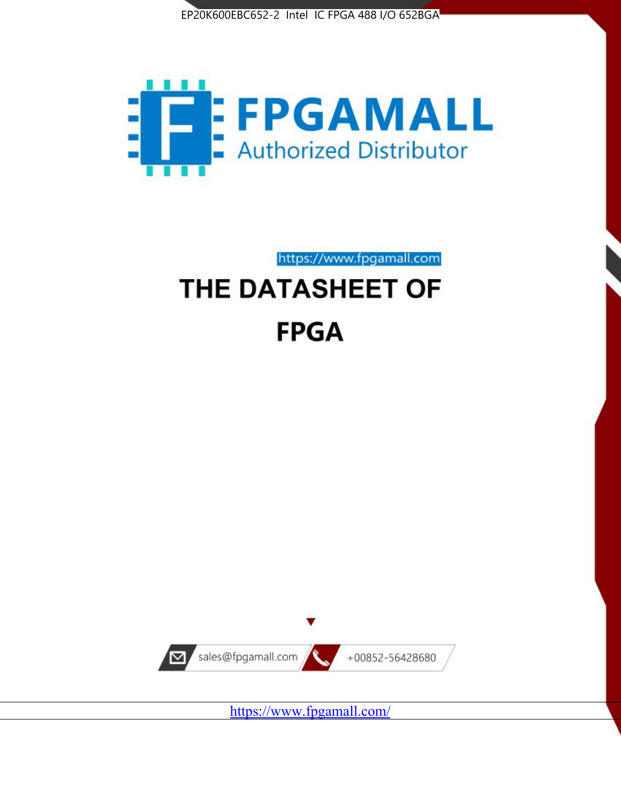



https://www.fpgamall.com

# THE DATASHEET OF **FPGA**



<https://www.fpgamall.com/>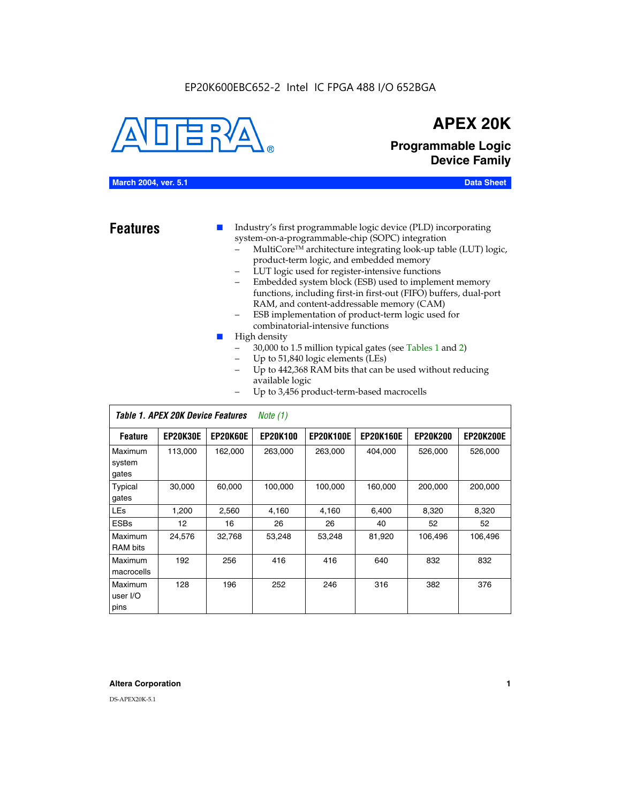#### EP20K600EBC652-2 Intel IC FPGA 488 I/O 652BGA



## **APEX 20K**

**Programmable Logic Device Family**

#### **March 2004, ver. 5.1 Data Sheet**

- **Features ■** Industry's first programmable logic device (PLD) incorporating system-on-a-programmable-chip (SOPC) integration
	- MultiCore™ architecture integrating look-up table (LUT) logic, product-term logic, and embedded memory
	- LUT logic used for register-intensive functions
	- Embedded system block (ESB) used to implement memory functions, including first-in first-out (FIFO) buffers, dual-port RAM, and content-addressable memory (CAM)
	- ESB implementation of product-term logic used for combinatorial-intensive functions
	- High density
		- 30,000 to 1.5 million typical gates (see Tables 1 and 2)
		- Up to 51,840 logic elements (LEs)
		- Up to 442,368 RAM bits that can be used without reducing available logic
		- Up to 3,456 product-term-based macrocells

|                             | Table 1. APEX 20K Device Features<br>Note $(1)$ |                 |                 |                  |                  |                 |                  |  |  |
|-----------------------------|-------------------------------------------------|-----------------|-----------------|------------------|------------------|-----------------|------------------|--|--|
| <b>Feature</b>              | <b>EP20K30E</b>                                 | <b>EP20K60E</b> | <b>EP20K100</b> | <b>EP20K100E</b> | <b>EP20K160E</b> | <b>EP20K200</b> | <b>EP20K200E</b> |  |  |
| Maximum<br>system<br>gates  | 113,000                                         | 162,000         | 263.000         | 263,000          | 404.000          | 526,000         | 526,000          |  |  |
| Typical<br>gates            | 30,000                                          | 60,000          | 100,000         | 100,000          | 160,000          | 200,000         | 200,000          |  |  |
| <b>LEs</b>                  | 1,200                                           | 2,560           | 4,160           | 4,160            | 6.400            | 8,320           | 8,320            |  |  |
| <b>ESBs</b>                 | 12                                              | 16              | 26              | 26               | 40               | 52              | 52               |  |  |
| Maximum<br><b>RAM</b> bits  | 24,576                                          | 32,768          | 53,248          | 53,248           | 81,920           | 106,496         | 106,496          |  |  |
| Maximum<br>macrocells       | 192                                             | 256             | 416             | 416              | 640              | 832             | 832              |  |  |
| Maximum<br>user I/O<br>pins | 128                                             | 196             | 252             | 246              | 316              | 382             | 376              |  |  |

#### **Altera Corporation 1**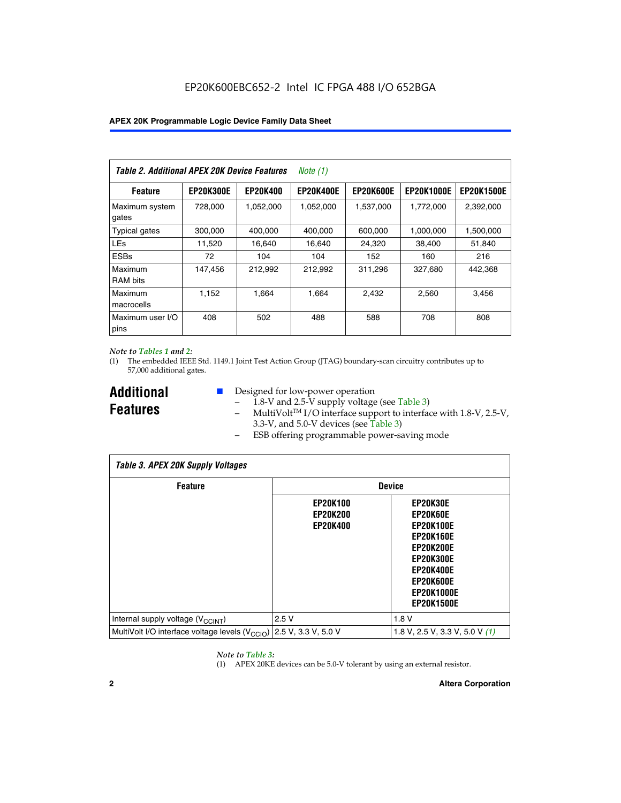| Table 2. Additional APEX 20K Device Features |                  |                 | <i>Note</i> $(1)$ |                  |                   |                   |
|----------------------------------------------|------------------|-----------------|-------------------|------------------|-------------------|-------------------|
| <b>Feature</b>                               | <b>EP20K300E</b> | <b>EP20K400</b> | <b>EP20K400E</b>  | <b>EP20K600E</b> | <b>EP20K1000E</b> | <b>EP20K1500E</b> |
| Maximum system<br>gates                      | 728,000          | 1,052,000       | 1,052,000         | 1,537,000        | 1,772,000         | 2,392,000         |
| <b>Typical gates</b>                         | 300,000          | 400,000         | 400,000           | 600,000          | 1,000,000         | 1,500,000         |
| <b>LEs</b>                                   | 11,520           | 16.640          | 16,640            | 24,320           | 38,400            | 51,840            |
| <b>ESBs</b>                                  | 72               | 104             | 104               | 152              | 160               | 216               |
| Maximum<br><b>RAM bits</b>                   | 147,456          | 212,992         | 212.992           | 311,296          | 327,680           | 442.368           |
| Maximum<br>macrocells                        | 1,152            | 1,664           | 1,664             | 2.432            | 2,560             | 3,456             |
| Maximum user I/O<br>pins                     | 408              | 502             | 488               | 588              | 708               | 808               |

#### *Note to Tables 1 and 2:*

(1) The embedded IEEE Std. 1149.1 Joint Test Action Group (JTAG) boundary-scan circuitry contributes up to 57,000 additional gates.

**Additional Features**

- Designed for low-power operation
	- 1.8-V and 2.5-V supply voltage (see Table 3)
	- $-$  MultiVolt<sup>TM</sup> I/O interface support to interface with 1.8-V, 2.5-V, 3.3-V, and 5.0-V devices (see Table 3)
	- ESB offering programmable power-saving mode

| <b>Table 3. APEX 20K Supply Voltages</b>                                       |                                                       |                                                                                                                                                                          |  |  |  |  |  |
|--------------------------------------------------------------------------------|-------------------------------------------------------|--------------------------------------------------------------------------------------------------------------------------------------------------------------------------|--|--|--|--|--|
| <b>Feature</b>                                                                 | <b>Device</b>                                         |                                                                                                                                                                          |  |  |  |  |  |
|                                                                                | <b>EP20K100</b><br><b>EP20K200</b><br><b>EP20K400</b> | EP20K30E<br>EP20K60E<br><b>EP20K100E</b><br><b>EP20K160E</b><br>EP20K200E<br><b>EP20K300E</b><br><b>EP20K400E</b><br>EP20K600E<br><b>EP20K1000E</b><br><b>EP20K1500E</b> |  |  |  |  |  |
| Internal supply voltage (V <sub>CCINT</sub> )                                  | 2.5V                                                  | 1.8V                                                                                                                                                                     |  |  |  |  |  |
| MultiVolt I/O interface voltage levels $(V_{\text{CCIO}})$ 2.5 V, 3.3 V, 5.0 V |                                                       | 1.8 V, 2.5 V, 3.3 V, 5.0 V $(1)$                                                                                                                                         |  |  |  |  |  |

#### *Note to Table 3:*

(1) APEX 20KE devices can be 5.0-V tolerant by using an external resistor.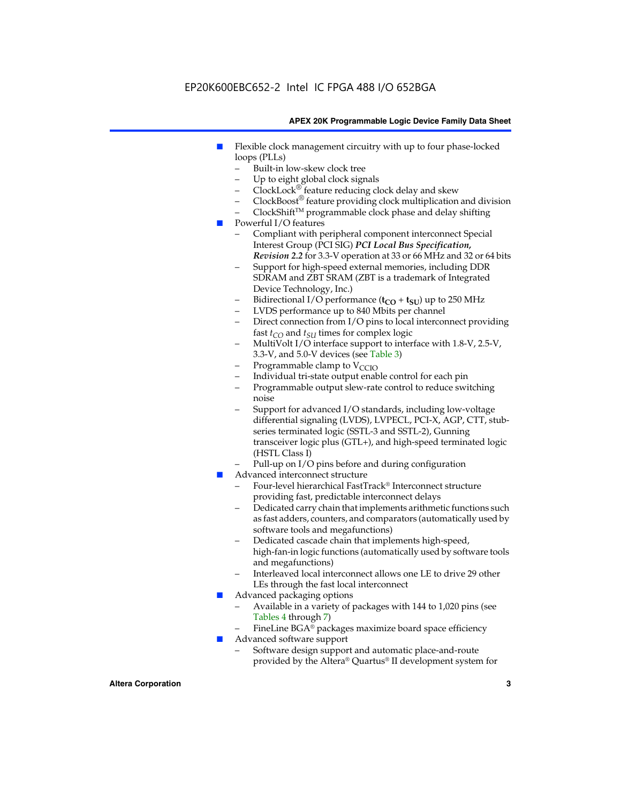### EP20K600EBC652-2 Intel IC FPGA 488 I/O 652BGA

#### **APEX 20K Programmable Logic Device Family Data Sheet**

- Flexible clock management circuitry with up to four phase-locked loops (PLLs)
	- Built-in low-skew clock tree
	- Up to eight global clock signals
	- $ClockLock^{\circledR}$  feature reducing clock delay and skew
	- $ClockBoost^{\circledR}$  feature providing clock multiplication and division
	- ClockShiftTM programmable clock phase and delay shifting
- Powerful I/O features
	- Compliant with peripheral component interconnect Special Interest Group (PCI SIG) *PCI Local Bus Specification, Revision 2.2* for 3.3-V operation at 33 or 66 MHz and 32 or 64 bits
	- Support for high-speed external memories, including DDR SDRAM and ZBT SRAM (ZBT is a trademark of Integrated Device Technology, Inc.)
	- Bidirectional I/O performance  $(t_{CO} + t_{SU})$  up to 250 MHz
	- LVDS performance up to 840 Mbits per channel
	- Direct connection from I/O pins to local interconnect providing fast  $t_{CO}$  and  $t_{SU}$  times for complex logic
	- MultiVolt I/O interface support to interface with 1.8-V, 2.5-V, 3.3-V, and 5.0-V devices (see Table 3)
	- Programmable clamp to  $V_{\text{C}CD}$
	- Individual tri-state output enable control for each pin
	- Programmable output slew-rate control to reduce switching noise
	- Support for advanced I/O standards, including low-voltage differential signaling (LVDS), LVPECL, PCI-X, AGP, CTT, stubseries terminated logic (SSTL-3 and SSTL-2), Gunning transceiver logic plus (GTL+), and high-speed terminated logic (HSTL Class I)
	- Pull-up on I/O pins before and during configuration
- Advanced interconnect structure
	- Four-level hierarchical FastTrack® Interconnect structure providing fast, predictable interconnect delays
	- Dedicated carry chain that implements arithmetic functions such as fast adders, counters, and comparators (automatically used by software tools and megafunctions)
	- Dedicated cascade chain that implements high-speed, high-fan-in logic functions (automatically used by software tools and megafunctions)
	- Interleaved local interconnect allows one LE to drive 29 other LEs through the fast local interconnect
- Advanced packaging options
	- Available in a variety of packages with 144 to 1,020 pins (see Tables 4 through 7)
	- FineLine BGA® packages maximize board space efficiency
- Advanced software support
	- Software design support and automatic place-and-route provided by the Altera® Quartus® II development system for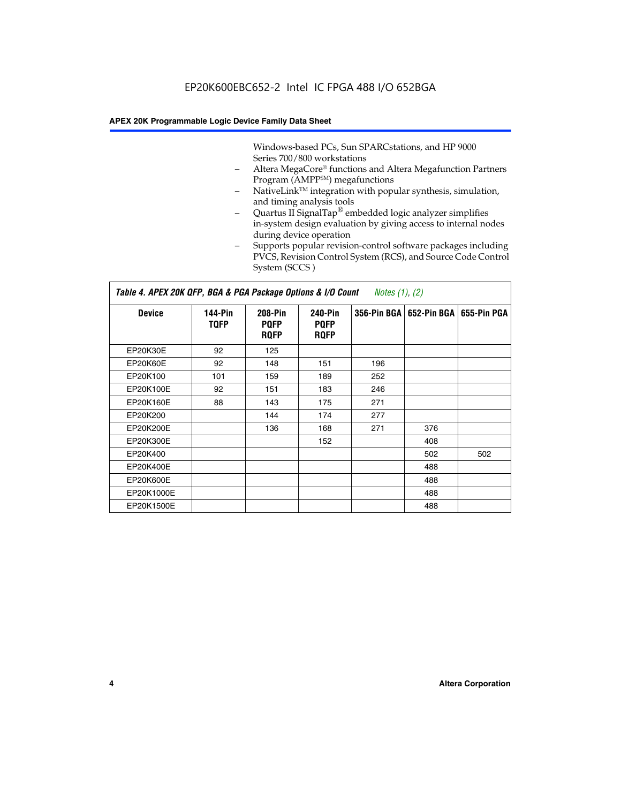Windows-based PCs, Sun SPARCstations, and HP 9000 Series 700/800 workstations

- Altera MegaCore® functions and Altera Megafunction Partners Program (AMPP<sup>SM</sup>) megafunctions
- NativeLink™ integration with popular synthesis, simulation, and timing analysis tools
- Quartus II SignalTap® embedded logic analyzer simplifies in-system design evaluation by giving access to internal nodes during device operation
- Supports popular revision-control software packages including PVCS, Revision Control System (RCS), and Source Code Control System (SCCS )

#### *Table 4. APEX 20K QFP, BGA & PGA Package Options & I/O Count Notes (1), (2)*

| <b>Device</b>   | 144-Pin<br><b>TQFP</b> | 208-Pin<br><b>PQFP</b><br><b>ROFP</b> | 240-Pin<br><b>PQFP</b><br><b>ROFP</b> |     | 356-Pin BGA   652-Pin BGA | 655-Pin PGA |
|-----------------|------------------------|---------------------------------------|---------------------------------------|-----|---------------------------|-------------|
| EP20K30E        | 92                     | 125                                   |                                       |     |                           |             |
| <b>EP20K60E</b> | 92                     | 148                                   | 151                                   | 196 |                           |             |
| EP20K100        | 101                    | 159                                   | 189                                   | 252 |                           |             |
| EP20K100E       | 92                     | 151                                   | 183                                   | 246 |                           |             |
| EP20K160E       | 88                     | 143                                   | 175                                   | 271 |                           |             |
| EP20K200        |                        | 144                                   | 174                                   | 277 |                           |             |
| EP20K200E       |                        | 136                                   | 168                                   | 271 | 376                       |             |
| EP20K300E       |                        |                                       | 152                                   |     | 408                       |             |
| EP20K400        |                        |                                       |                                       |     | 502                       | 502         |
| EP20K400E       |                        |                                       |                                       |     | 488                       |             |
| EP20K600E       |                        |                                       |                                       |     | 488                       |             |
| EP20K1000E      |                        |                                       |                                       |     | 488                       |             |
| EP20K1500E      |                        |                                       |                                       |     | 488                       |             |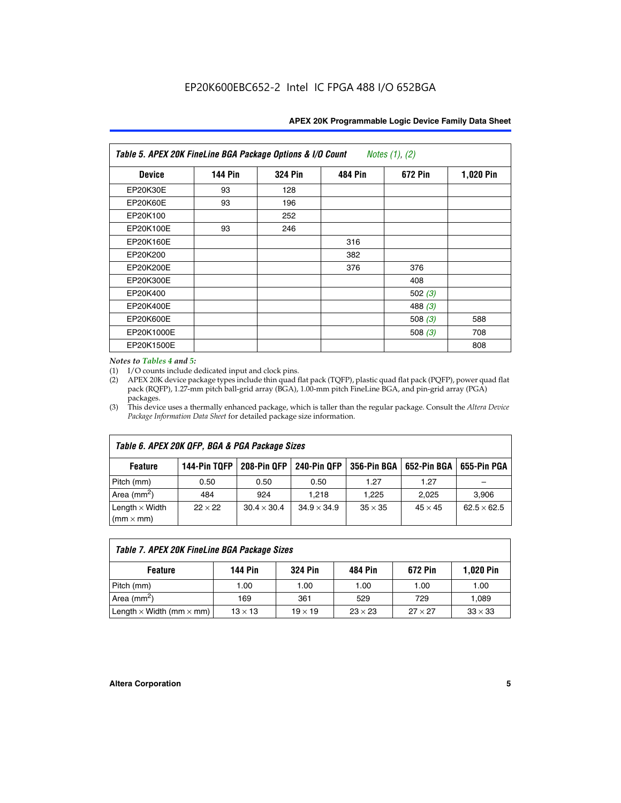|  | APEX 20K Programmable Logic Device Family Data Sheet |
|--|------------------------------------------------------|
|--|------------------------------------------------------|

| Table 5. APEX 20K FineLine BGA Package Options & I/O Count<br>Notes $(1)$ , $(2)$ |                |                |                |           |           |  |  |
|-----------------------------------------------------------------------------------|----------------|----------------|----------------|-----------|-----------|--|--|
| <b>Device</b>                                                                     | <b>144 Pin</b> | <b>324 Pin</b> | <b>484 Pin</b> | 672 Pin   | 1,020 Pin |  |  |
| EP20K30E                                                                          | 93             | 128            |                |           |           |  |  |
| <b>EP20K60E</b>                                                                   | 93             | 196            |                |           |           |  |  |
| EP20K100                                                                          |                | 252            |                |           |           |  |  |
| EP20K100E                                                                         | 93             | 246            |                |           |           |  |  |
| EP20K160E                                                                         |                |                | 316            |           |           |  |  |
| EP20K200                                                                          |                |                | 382            |           |           |  |  |
| EP20K200E                                                                         |                |                | 376            | 376       |           |  |  |
| EP20K300E                                                                         |                |                |                | 408       |           |  |  |
| EP20K400                                                                          |                |                |                | 502(3)    |           |  |  |
| EP20K400E                                                                         |                |                |                | 488 $(3)$ |           |  |  |
| EP20K600E                                                                         |                |                |                | 508 $(3)$ | 588       |  |  |
| EP20K1000E                                                                        |                |                |                | 508 $(3)$ | 708       |  |  |
| EP20K1500E                                                                        |                |                |                |           | 808       |  |  |

#### *Notes to Tables 4 and 5:*

(1) I/O counts include dedicated input and clock pins.

(2) APEX 20K device package types include thin quad flat pack (TQFP), plastic quad flat pack (PQFP), power quad flat pack (RQFP), 1.27-mm pitch ball-grid array (BGA), 1.00-mm pitch FineLine BGA, and pin-grid array (PGA) packages.

(3) This device uses a thermally enhanced package, which is taller than the regular package. Consult the *Altera Device Package Information Data Sheet* for detailed package size information.

| Table 6. APEX 20K QFP, BGA & PGA Package Sizes |                |                    |                    |                |                |                    |  |  |  |
|------------------------------------------------|----------------|--------------------|--------------------|----------------|----------------|--------------------|--|--|--|
| <b>Feature</b>                                 | 144-Pin TQFP   | 208-Pin QFP        | 240-Pin QFP        | 356-Pin BGA    | 652-Pin BGA    | 655-Pin PGA        |  |  |  |
| Pitch (mm)                                     | 0.50           | 0.50               | 0.50               | 1.27           | 1.27           |                    |  |  |  |
| Area ( $mm2$ )                                 | 484            | 924                | 1.218              | 1.225          | 2.025          | 3,906              |  |  |  |
| Length $\times$ Width<br>$(mm \times mm)$      | $22 \times 22$ | $30.4 \times 30.4$ | $34.9 \times 34.9$ | $35 \times 35$ | $45 \times 45$ | $62.5 \times 62.5$ |  |  |  |

| Table 7. APEX 20K FineLine BGA Package Sizes |                |                |                |                |                  |  |  |  |
|----------------------------------------------|----------------|----------------|----------------|----------------|------------------|--|--|--|
| <b>Feature</b>                               | 144 Pin        | <b>324 Pin</b> | 484 Pin        | 672 Pin        | <b>1,020 Pin</b> |  |  |  |
| Pitch (mm)                                   | 1.00           | 1.00           | 1.00           | 1.00           | 1.00             |  |  |  |
| Area ( $mm2$ )                               | 169            | 361            | 529            | 729            | 1,089            |  |  |  |
| Length $\times$ Width (mm $\times$ mm)       | $13 \times 13$ | $19 \times 19$ | $23 \times 23$ | $27 \times 27$ | $33 \times 33$   |  |  |  |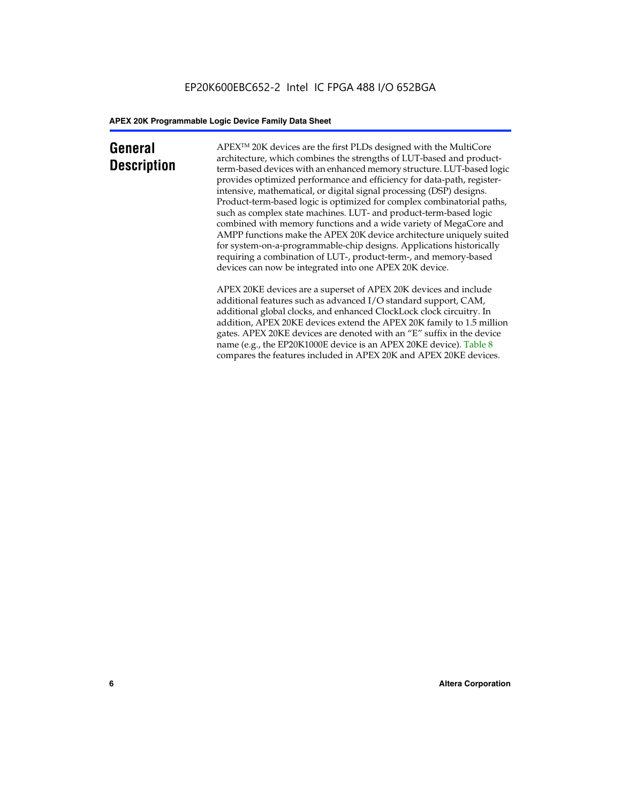### **General Description**

APEXTM 20K devices are the first PLDs designed with the MultiCore architecture, which combines the strengths of LUT-based and productterm-based devices with an enhanced memory structure. LUT-based logic provides optimized performance and efficiency for data-path, registerintensive, mathematical, or digital signal processing (DSP) designs. Product-term-based logic is optimized for complex combinatorial paths, such as complex state machines. LUT- and product-term-based logic combined with memory functions and a wide variety of MegaCore and AMPP functions make the APEX 20K device architecture uniquely suited for system-on-a-programmable-chip designs. Applications historically requiring a combination of LUT-, product-term-, and memory-based devices can now be integrated into one APEX 20K device.

APEX 20KE devices are a superset of APEX 20K devices and include additional features such as advanced I/O standard support, CAM, additional global clocks, and enhanced ClockLock clock circuitry. In addition, APEX 20KE devices extend the APEX 20K family to 1.5 million gates. APEX 20KE devices are denoted with an "E" suffix in the device name (e.g., the EP20K1000E device is an APEX 20KE device). Table 8 compares the features included in APEX 20K and APEX 20KE devices.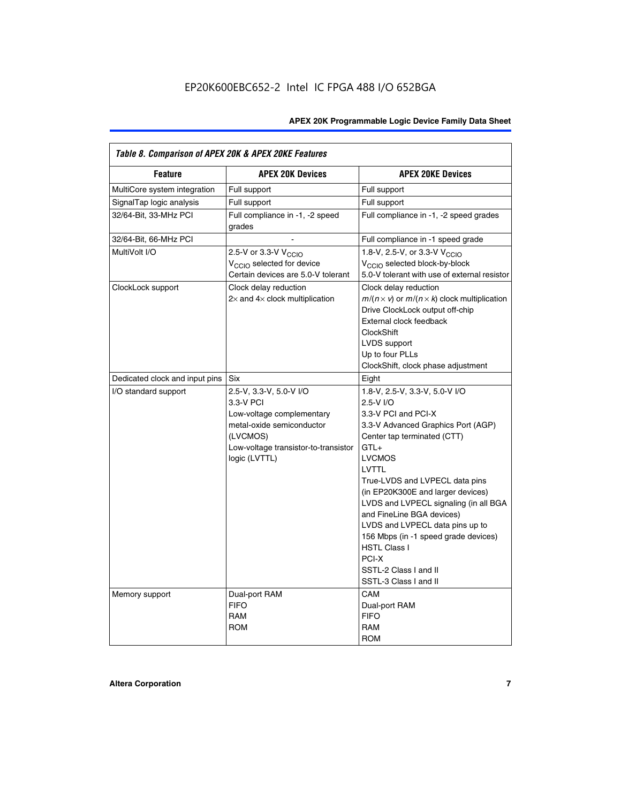| Table 8. Comparison of APEX 20K & APEX 20KE Features |                                                                                                                                                                     |                                                                                                                                                                                                                                                                                                                                                                                                                                                                                       |
|------------------------------------------------------|---------------------------------------------------------------------------------------------------------------------------------------------------------------------|---------------------------------------------------------------------------------------------------------------------------------------------------------------------------------------------------------------------------------------------------------------------------------------------------------------------------------------------------------------------------------------------------------------------------------------------------------------------------------------|
| <b>Feature</b>                                       | <b>APEX 20K Devices</b>                                                                                                                                             | <b>APEX 20KE Devices</b>                                                                                                                                                                                                                                                                                                                                                                                                                                                              |
| MultiCore system integration                         | Full support                                                                                                                                                        | Full support                                                                                                                                                                                                                                                                                                                                                                                                                                                                          |
| SignalTap logic analysis                             | Full support                                                                                                                                                        | Full support                                                                                                                                                                                                                                                                                                                                                                                                                                                                          |
| 32/64-Bit, 33-MHz PCI                                | Full compliance in -1, -2 speed<br>grades                                                                                                                           | Full compliance in -1, -2 speed grades                                                                                                                                                                                                                                                                                                                                                                                                                                                |
| 32/64-Bit, 66-MHz PCI                                |                                                                                                                                                                     | Full compliance in -1 speed grade                                                                                                                                                                                                                                                                                                                                                                                                                                                     |
| MultiVolt I/O                                        | 2.5-V or 3.3-V V <sub>CCIO</sub><br>V <sub>CCIO</sub> selected for device<br>Certain devices are 5.0-V tolerant                                                     | 1.8-V, 2.5-V, or 3.3-V V <sub>CCIO</sub><br>V <sub>CCIO</sub> selected block-by-block<br>5.0-V tolerant with use of external resistor                                                                                                                                                                                                                                                                                                                                                 |
| ClockLock support                                    | Clock delay reduction<br>$2\times$ and $4\times$ clock multiplication                                                                                               | Clock delay reduction<br>$m/(n \times v)$ or $m/(n \times k)$ clock multiplication<br>Drive ClockLock output off-chip<br>External clock feedback<br>ClockShift<br>LVDS support<br>Up to four PLLs<br>ClockShift, clock phase adjustment                                                                                                                                                                                                                                               |
| Dedicated clock and input pins                       | Six                                                                                                                                                                 | Eight                                                                                                                                                                                                                                                                                                                                                                                                                                                                                 |
| I/O standard support                                 | 2.5-V, 3.3-V, 5.0-V I/O<br>3.3-V PCI<br>Low-voltage complementary<br>metal-oxide semiconductor<br>(LVCMOS)<br>Low-voltage transistor-to-transistor<br>logic (LVTTL) | 1.8-V, 2.5-V, 3.3-V, 5.0-V I/O<br>2.5-V I/O<br>3.3-V PCI and PCI-X<br>3.3-V Advanced Graphics Port (AGP)<br>Center tap terminated (CTT)<br>$GTL+$<br><b>LVCMOS</b><br>LVTTL<br>True-LVDS and LVPECL data pins<br>(in EP20K300E and larger devices)<br>LVDS and LVPECL signaling (in all BGA<br>and FineLine BGA devices)<br>LVDS and LVPECL data pins up to<br>156 Mbps (in -1 speed grade devices)<br><b>HSTL Class I</b><br>PCI-X<br>SSTL-2 Class I and II<br>SSTL-3 Class I and II |
| Memory support                                       | Dual-port RAM<br><b>FIFO</b><br><b>RAM</b><br><b>ROM</b>                                                                                                            | CAM<br>Dual-port RAM<br><b>FIFO</b><br><b>RAM</b><br><b>ROM</b>                                                                                                                                                                                                                                                                                                                                                                                                                       |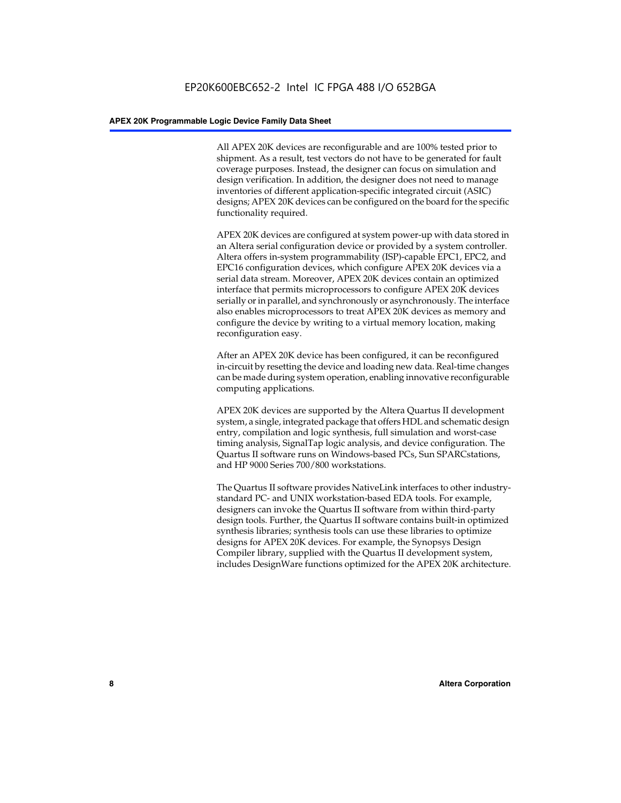All APEX 20K devices are reconfigurable and are 100% tested prior to shipment. As a result, test vectors do not have to be generated for fault coverage purposes. Instead, the designer can focus on simulation and design verification. In addition, the designer does not need to manage inventories of different application-specific integrated circuit (ASIC) designs; APEX 20K devices can be configured on the board for the specific functionality required.

APEX 20K devices are configured at system power-up with data stored in an Altera serial configuration device or provided by a system controller. Altera offers in-system programmability (ISP)-capable EPC1, EPC2, and EPC16 configuration devices, which configure APEX 20K devices via a serial data stream. Moreover, APEX 20K devices contain an optimized interface that permits microprocessors to configure APEX 20K devices serially or in parallel, and synchronously or asynchronously. The interface also enables microprocessors to treat APEX 20K devices as memory and configure the device by writing to a virtual memory location, making reconfiguration easy.

After an APEX 20K device has been configured, it can be reconfigured in-circuit by resetting the device and loading new data. Real-time changes can be made during system operation, enabling innovative reconfigurable computing applications.

APEX 20K devices are supported by the Altera Quartus II development system, a single, integrated package that offers HDL and schematic design entry, compilation and logic synthesis, full simulation and worst-case timing analysis, SignalTap logic analysis, and device configuration. The Quartus II software runs on Windows-based PCs, Sun SPARCstations, and HP 9000 Series 700/800 workstations.

The Quartus II software provides NativeLink interfaces to other industrystandard PC- and UNIX workstation-based EDA tools. For example, designers can invoke the Quartus II software from within third-party design tools. Further, the Quartus II software contains built-in optimized synthesis libraries; synthesis tools can use these libraries to optimize designs for APEX 20K devices. For example, the Synopsys Design Compiler library, supplied with the Quartus II development system, includes DesignWare functions optimized for the APEX 20K architecture.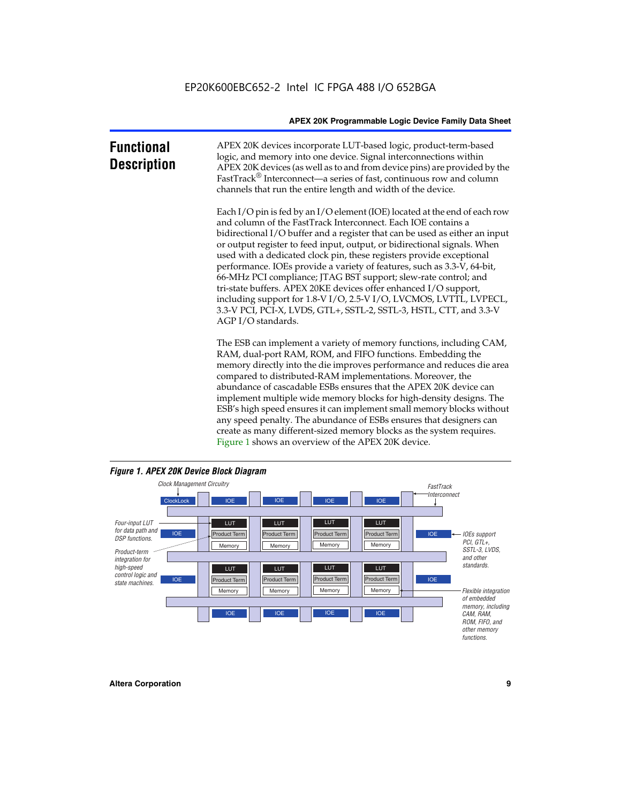| <b>Functional</b><br><b>Description</b> | APEX 20K devices incorporate LUT-based logic, product-term-based<br>logic, and memory into one device. Signal interconnections within<br>APEX 20K devices (as well as to and from device pins) are provided by the<br>FastTrack <sup>®</sup> Interconnect—a series of fast, continuous row and column<br>channels that run the entire length and width of the device.                                                                                                                                                                                                                                                                                                                                                                                              |
|-----------------------------------------|--------------------------------------------------------------------------------------------------------------------------------------------------------------------------------------------------------------------------------------------------------------------------------------------------------------------------------------------------------------------------------------------------------------------------------------------------------------------------------------------------------------------------------------------------------------------------------------------------------------------------------------------------------------------------------------------------------------------------------------------------------------------|
|                                         | Each I/O pin is fed by an I/O element (IOE) located at the end of each row<br>and column of the FastTrack Interconnect. Each IOE contains a<br>bidirectional I/O buffer and a register that can be used as either an input<br>or output register to feed input, output, or bidirectional signals. When<br>used with a dedicated clock pin, these registers provide exceptional<br>performance. IOEs provide a variety of features, such as 3.3-V, 64-bit,<br>66-MHz PCI compliance; JTAG BST support; slew-rate control; and<br>tri-state buffers. APEX 20KE devices offer enhanced I/O support,<br>including support for 1.8-V I/O, 2.5-V I/O, LVCMOS, LVTTL, LVPECL,<br>3.3-V PCI, PCI-X, LVDS, GTL+, SSTL-2, SSTL-3, HSTL, CTT, and 3.3-V<br>AGP I/O standards. |
|                                         | The ESB can implement a variety of memory functions, including CAM,<br>RAM, dual-port RAM, ROM, and FIFO functions. Embedding the<br>memory directly into the die improves performance and reduces die area<br>compared to distributed-RAM implementations. Moreover, the<br>abundance of cascadable ESBs ensures that the APEX 20K device can<br>implement multiple wide memory blocks for high-density designs. The<br>ESB's high speed ensures it can implement small memory blocks without<br>any speed penalty. The abundance of ESBs ensures that designers can<br>create as many different-sized memory blocks as the system requires.                                                                                                                      |



Figure 1 shows an overview of the APEX 20K device.

#### *Figure 1. APEX 20K Device Block Diagram*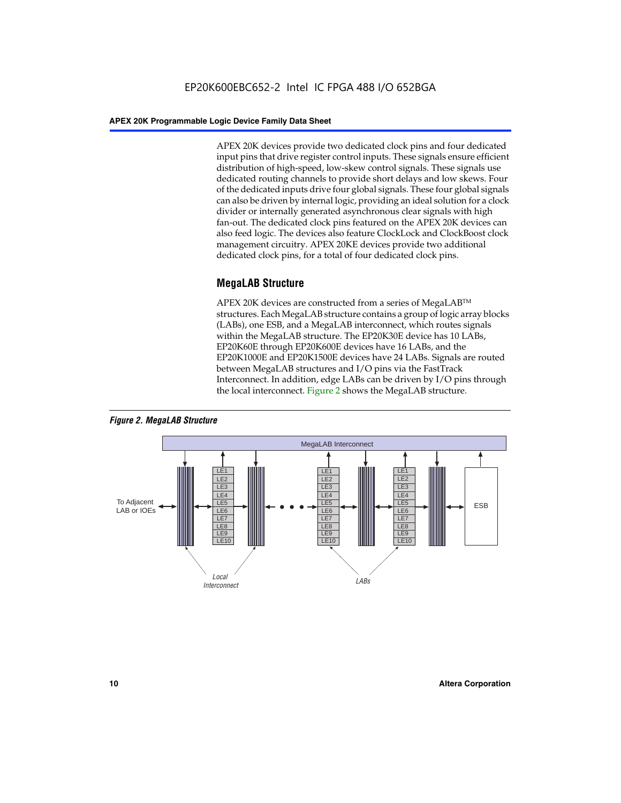APEX 20K devices provide two dedicated clock pins and four dedicated input pins that drive register control inputs. These signals ensure efficient distribution of high-speed, low-skew control signals. These signals use dedicated routing channels to provide short delays and low skews. Four of the dedicated inputs drive four global signals. These four global signals can also be driven by internal logic, providing an ideal solution for a clock divider or internally generated asynchronous clear signals with high fan-out. The dedicated clock pins featured on the APEX 20K devices can also feed logic. The devices also feature ClockLock and ClockBoost clock management circuitry. APEX 20KE devices provide two additional dedicated clock pins, for a total of four dedicated clock pins.

#### **MegaLAB Structure**

APEX 20K devices are constructed from a series of MegaLAB<sup>™</sup> structures. Each MegaLAB structure contains a group of logic array blocks (LABs), one ESB, and a MegaLAB interconnect, which routes signals within the MegaLAB structure. The EP20K30E device has 10 LABs, EP20K60E through EP20K600E devices have 16 LABs, and the EP20K1000E and EP20K1500E devices have 24 LABs. Signals are routed between MegaLAB structures and I/O pins via the FastTrack Interconnect. In addition, edge LABs can be driven by I/O pins through the local interconnect. Figure 2 shows the MegaLAB structure.



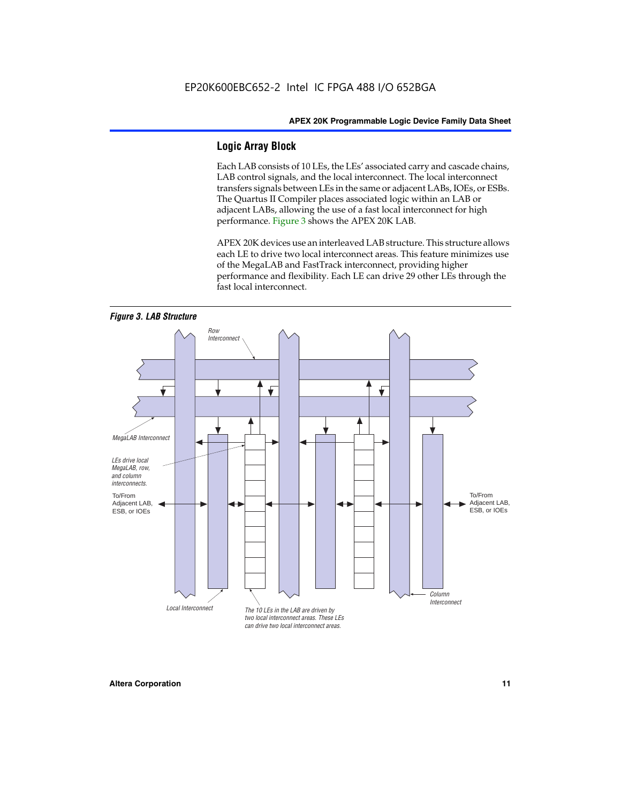#### **Logic Array Block**

Each LAB consists of 10 LEs, the LEs' associated carry and cascade chains, LAB control signals, and the local interconnect. The local interconnect transfers signals between LEs in the same or adjacent LABs, IOEs, or ESBs. The Quartus II Compiler places associated logic within an LAB or adjacent LABs, allowing the use of a fast local interconnect for high performance. Figure 3 shows the APEX 20K LAB.

APEX 20K devices use an interleaved LAB structure. This structure allows each LE to drive two local interconnect areas. This feature minimizes use of the MegaLAB and FastTrack interconnect, providing higher performance and flexibility. Each LE can drive 29 other LEs through the fast local interconnect.

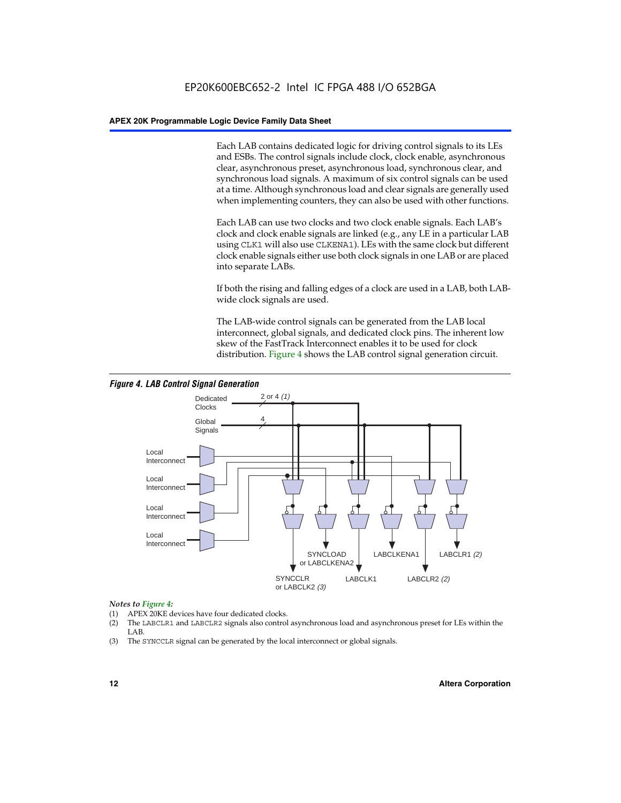Each LAB contains dedicated logic for driving control signals to its LEs and ESBs. The control signals include clock, clock enable, asynchronous clear, asynchronous preset, asynchronous load, synchronous clear, and synchronous load signals. A maximum of six control signals can be used at a time. Although synchronous load and clear signals are generally used when implementing counters, they can also be used with other functions.

Each LAB can use two clocks and two clock enable signals. Each LAB's clock and clock enable signals are linked (e.g., any LE in a particular LAB using CLK1 will also use CLKENA1). LEs with the same clock but different clock enable signals either use both clock signals in one LAB or are placed into separate LABs.

If both the rising and falling edges of a clock are used in a LAB, both LABwide clock signals are used.

The LAB-wide control signals can be generated from the LAB local interconnect, global signals, and dedicated clock pins. The inherent low skew of the FastTrack Interconnect enables it to be used for clock distribution. Figure 4 shows the LAB control signal generation circuit.



#### *Figure 4. LAB Control Signal Generation*

#### *Notes to Figure 4:*

- (1) APEX 20KE devices have four dedicated clocks.
- (2) The LABCLR1 and LABCLR2 signals also control asynchronous load and asynchronous preset for LEs within the LAB.
- (3) The SYNCCLR signal can be generated by the local interconnect or global signals.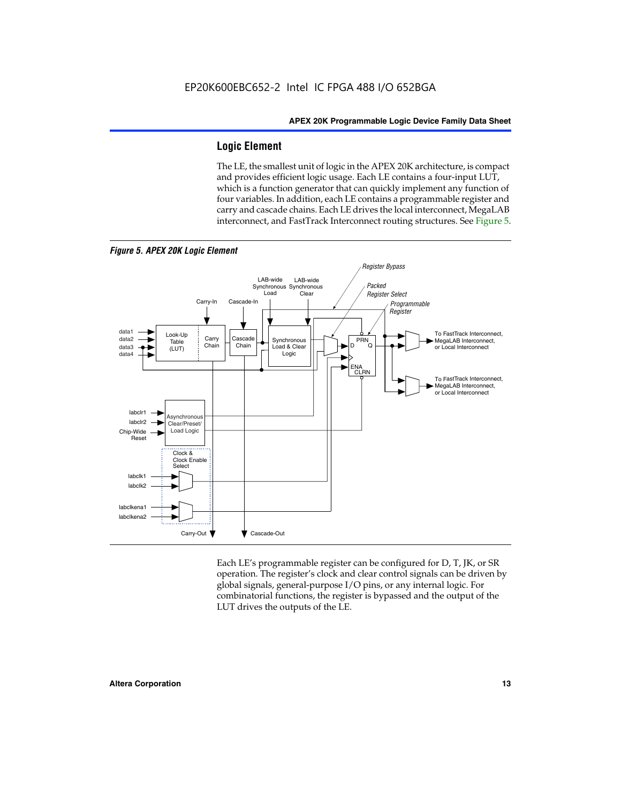#### **Logic Element**

The LE, the smallest unit of logic in the APEX 20K architecture, is compact and provides efficient logic usage. Each LE contains a four-input LUT, which is a function generator that can quickly implement any function of four variables. In addition, each LE contains a programmable register and carry and cascade chains. Each LE drives the local interconnect, MegaLAB interconnect, and FastTrack Interconnect routing structures. See Figure 5.



*Figure 5. APEX 20K Logic Element*

Each LE's programmable register can be configured for D, T, JK, or SR operation. The register's clock and clear control signals can be driven by global signals, general-purpose I/O pins, or any internal logic. For combinatorial functions, the register is bypassed and the output of the LUT drives the outputs of the LE.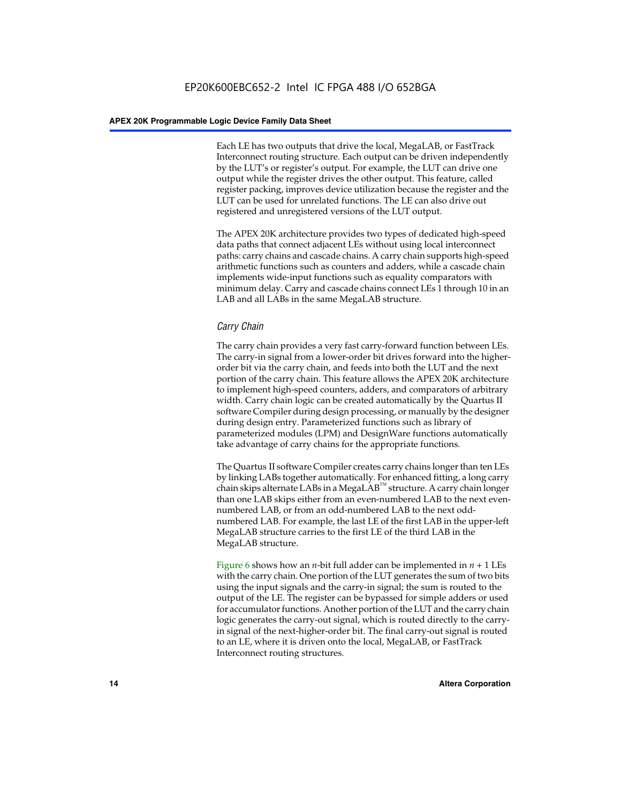Each LE has two outputs that drive the local, MegaLAB, or FastTrack Interconnect routing structure. Each output can be driven independently by the LUT's or register's output. For example, the LUT can drive one output while the register drives the other output. This feature, called register packing, improves device utilization because the register and the LUT can be used for unrelated functions. The LE can also drive out registered and unregistered versions of the LUT output.

The APEX 20K architecture provides two types of dedicated high-speed data paths that connect adjacent LEs without using local interconnect paths: carry chains and cascade chains. A carry chain supports high-speed arithmetic functions such as counters and adders, while a cascade chain implements wide-input functions such as equality comparators with minimum delay. Carry and cascade chains connect LEs 1 through 10 in an LAB and all LABs in the same MegaLAB structure.

#### *Carry Chain*

The carry chain provides a very fast carry-forward function between LEs. The carry-in signal from a lower-order bit drives forward into the higherorder bit via the carry chain, and feeds into both the LUT and the next portion of the carry chain. This feature allows the APEX 20K architecture to implement high-speed counters, adders, and comparators of arbitrary width. Carry chain logic can be created automatically by the Quartus II software Compiler during design processing, or manually by the designer during design entry. Parameterized functions such as library of parameterized modules (LPM) and DesignWare functions automatically take advantage of carry chains for the appropriate functions.

The Quartus II software Compiler creates carry chains longer than ten LEs by linking LABs together automatically. For enhanced fitting, a long carry chain skips alternate LABs in a MegaLAB<sup>™</sup> structure. A carry chain longer than one LAB skips either from an even-numbered LAB to the next evennumbered LAB, or from an odd-numbered LAB to the next oddnumbered LAB. For example, the last LE of the first LAB in the upper-left MegaLAB structure carries to the first LE of the third LAB in the MegaLAB structure.

Figure 6 shows how an *n*-bit full adder can be implemented in *n* + 1 LEs with the carry chain. One portion of the LUT generates the sum of two bits using the input signals and the carry-in signal; the sum is routed to the output of the LE. The register can be bypassed for simple adders or used for accumulator functions. Another portion of the LUT and the carry chain logic generates the carry-out signal, which is routed directly to the carryin signal of the next-higher-order bit. The final carry-out signal is routed to an LE, where it is driven onto the local, MegaLAB, or FastTrack Interconnect routing structures.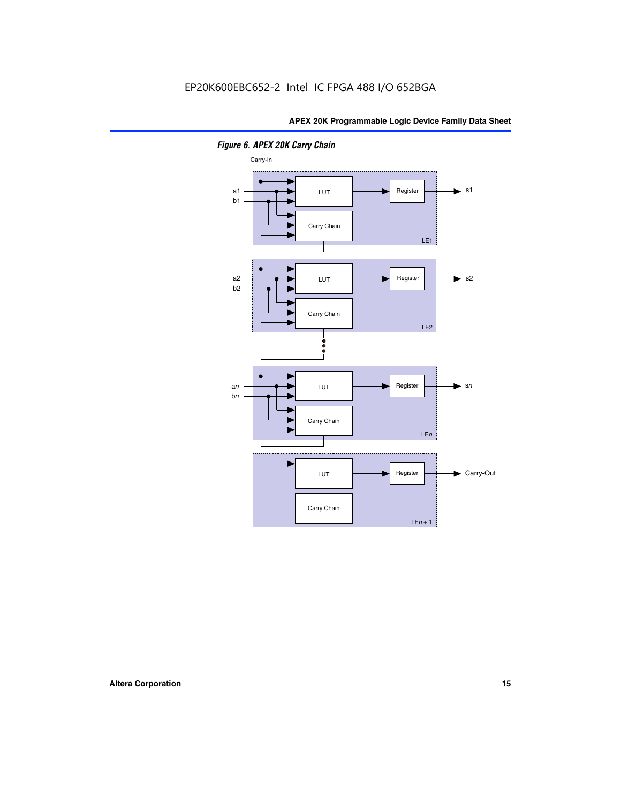

*Figure 6. APEX 20K Carry Chain*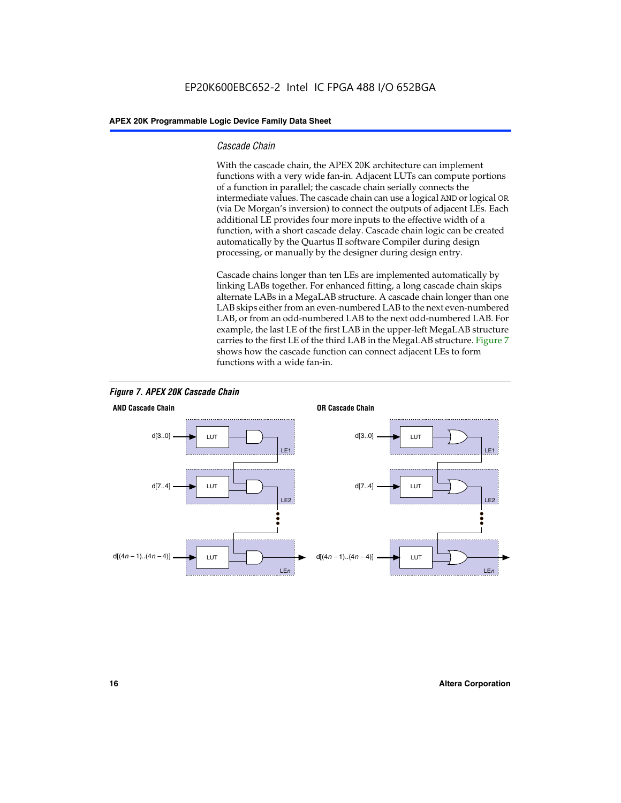#### *Cascade Chain*

With the cascade chain, the APEX 20K architecture can implement functions with a very wide fan-in. Adjacent LUTs can compute portions of a function in parallel; the cascade chain serially connects the intermediate values. The cascade chain can use a logical AND or logical OR (via De Morgan's inversion) to connect the outputs of adjacent LEs. Each additional LE provides four more inputs to the effective width of a function, with a short cascade delay. Cascade chain logic can be created automatically by the Quartus II software Compiler during design processing, or manually by the designer during design entry.

Cascade chains longer than ten LEs are implemented automatically by linking LABs together. For enhanced fitting, a long cascade chain skips alternate LABs in a MegaLAB structure. A cascade chain longer than one LAB skips either from an even-numbered LAB to the next even-numbered LAB, or from an odd-numbered LAB to the next odd-numbered LAB. For example, the last LE of the first LAB in the upper-left MegaLAB structure carries to the first LE of the third LAB in the MegaLAB structure. Figure 7 shows how the cascade function can connect adjacent LEs to form functions with a wide fan-in.



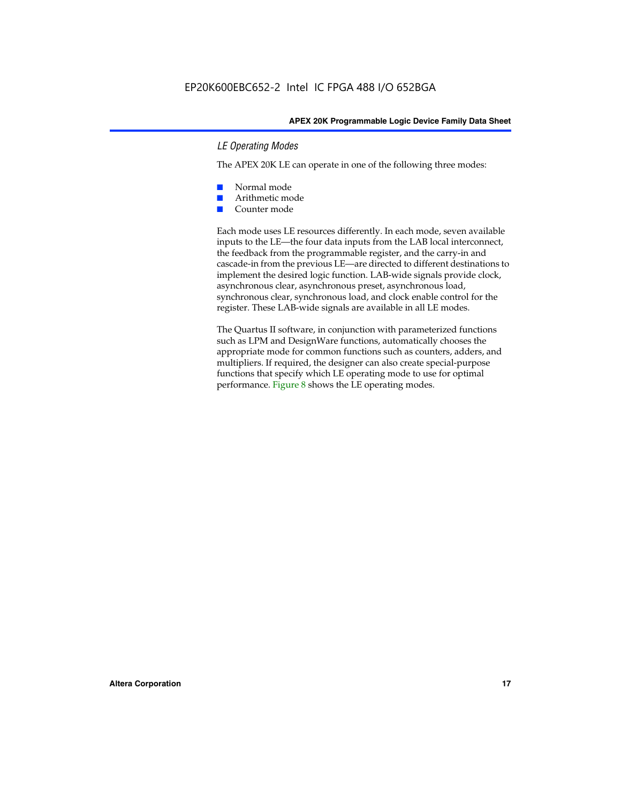#### *LE Operating Modes*

The APEX 20K LE can operate in one of the following three modes:

- Normal mode
- Arithmetic mode
- Counter mode

Each mode uses LE resources differently. In each mode, seven available inputs to the LE—the four data inputs from the LAB local interconnect, the feedback from the programmable register, and the carry-in and cascade-in from the previous LE—are directed to different destinations to implement the desired logic function. LAB-wide signals provide clock, asynchronous clear, asynchronous preset, asynchronous load, synchronous clear, synchronous load, and clock enable control for the register. These LAB-wide signals are available in all LE modes.

The Quartus II software, in conjunction with parameterized functions such as LPM and DesignWare functions, automatically chooses the appropriate mode for common functions such as counters, adders, and multipliers. If required, the designer can also create special-purpose functions that specify which LE operating mode to use for optimal performance. Figure 8 shows the LE operating modes.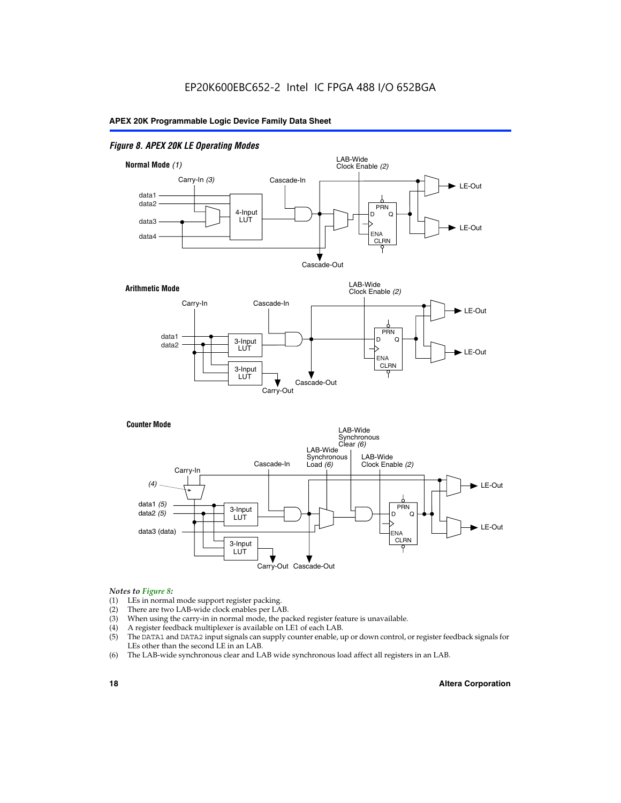#### *Figure 8. APEX 20K LE Operating Modes*



#### *Notes to Figure 8:*

- (1) LEs in normal mode support register packing.
- (2) There are two LAB-wide clock enables per LAB.
- (3) When using the carry-in in normal mode, the packed register feature is unavailable.
- (4) A register feedback multiplexer is available on LE1 of each LAB.
- (5) The DATA1 and DATA2 input signals can supply counter enable, up or down control, or register feedback signals for LEs other than the second LE in an LAB.
- (6) The LAB-wide synchronous clear and LAB wide synchronous load affect all registers in an LAB.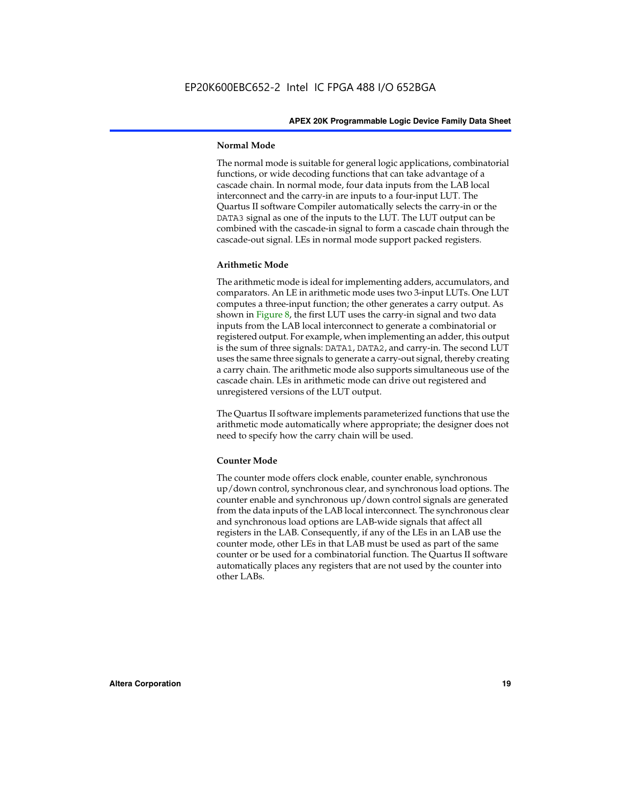#### **Normal Mode**

The normal mode is suitable for general logic applications, combinatorial functions, or wide decoding functions that can take advantage of a cascade chain. In normal mode, four data inputs from the LAB local interconnect and the carry-in are inputs to a four-input LUT. The Quartus II software Compiler automatically selects the carry-in or the DATA3 signal as one of the inputs to the LUT. The LUT output can be combined with the cascade-in signal to form a cascade chain through the cascade-out signal. LEs in normal mode support packed registers.

#### **Arithmetic Mode**

The arithmetic mode is ideal for implementing adders, accumulators, and comparators. An LE in arithmetic mode uses two 3-input LUTs. One LUT computes a three-input function; the other generates a carry output. As shown in Figure 8, the first LUT uses the carry-in signal and two data inputs from the LAB local interconnect to generate a combinatorial or registered output. For example, when implementing an adder, this output is the sum of three signals: DATA1, DATA2, and carry-in. The second LUT uses the same three signals to generate a carry-out signal, thereby creating a carry chain. The arithmetic mode also supports simultaneous use of the cascade chain. LEs in arithmetic mode can drive out registered and unregistered versions of the LUT output.

The Quartus II software implements parameterized functions that use the arithmetic mode automatically where appropriate; the designer does not need to specify how the carry chain will be used.

#### **Counter Mode**

The counter mode offers clock enable, counter enable, synchronous up/down control, synchronous clear, and synchronous load options. The counter enable and synchronous up/down control signals are generated from the data inputs of the LAB local interconnect. The synchronous clear and synchronous load options are LAB-wide signals that affect all registers in the LAB. Consequently, if any of the LEs in an LAB use the counter mode, other LEs in that LAB must be used as part of the same counter or be used for a combinatorial function. The Quartus II software automatically places any registers that are not used by the counter into other LABs.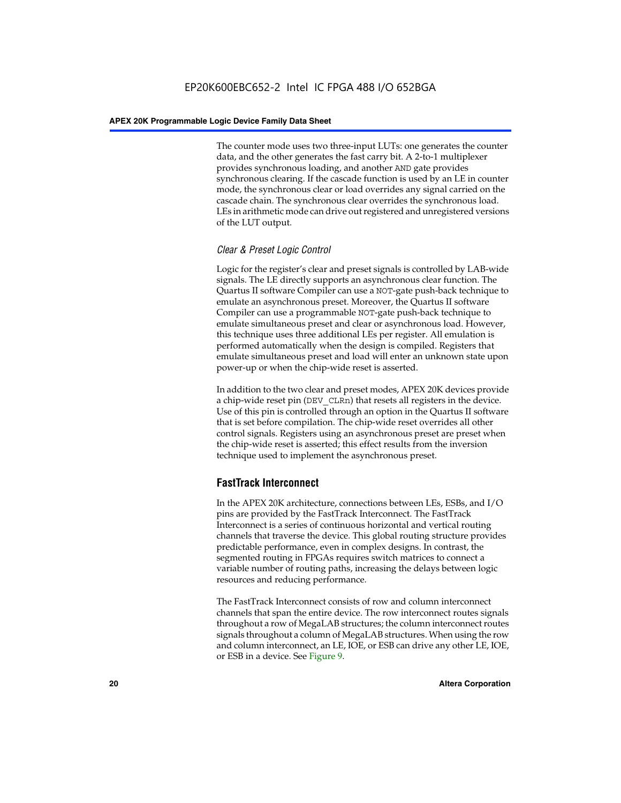The counter mode uses two three-input LUTs: one generates the counter data, and the other generates the fast carry bit. A 2-to-1 multiplexer provides synchronous loading, and another AND gate provides synchronous clearing. If the cascade function is used by an LE in counter mode, the synchronous clear or load overrides any signal carried on the cascade chain. The synchronous clear overrides the synchronous load. LEs in arithmetic mode can drive out registered and unregistered versions of the LUT output.

#### *Clear & Preset Logic Control*

Logic for the register's clear and preset signals is controlled by LAB-wide signals. The LE directly supports an asynchronous clear function. The Quartus II software Compiler can use a NOT-gate push-back technique to emulate an asynchronous preset. Moreover, the Quartus II software Compiler can use a programmable NOT-gate push-back technique to emulate simultaneous preset and clear or asynchronous load. However, this technique uses three additional LEs per register. All emulation is performed automatically when the design is compiled. Registers that emulate simultaneous preset and load will enter an unknown state upon power-up or when the chip-wide reset is asserted.

In addition to the two clear and preset modes, APEX 20K devices provide a chip-wide reset pin (DEV\_CLRn) that resets all registers in the device. Use of this pin is controlled through an option in the Quartus II software that is set before compilation. The chip-wide reset overrides all other control signals. Registers using an asynchronous preset are preset when the chip-wide reset is asserted; this effect results from the inversion technique used to implement the asynchronous preset.

#### **FastTrack Interconnect**

In the APEX 20K architecture, connections between LEs, ESBs, and I/O pins are provided by the FastTrack Interconnect. The FastTrack Interconnect is a series of continuous horizontal and vertical routing channels that traverse the device. This global routing structure provides predictable performance, even in complex designs. In contrast, the segmented routing in FPGAs requires switch matrices to connect a variable number of routing paths, increasing the delays between logic resources and reducing performance.

The FastTrack Interconnect consists of row and column interconnect channels that span the entire device. The row interconnect routes signals throughout a row of MegaLAB structures; the column interconnect routes signals throughout a column of MegaLAB structures. When using the row and column interconnect, an LE, IOE, or ESB can drive any other LE, IOE, or ESB in a device. See Figure 9.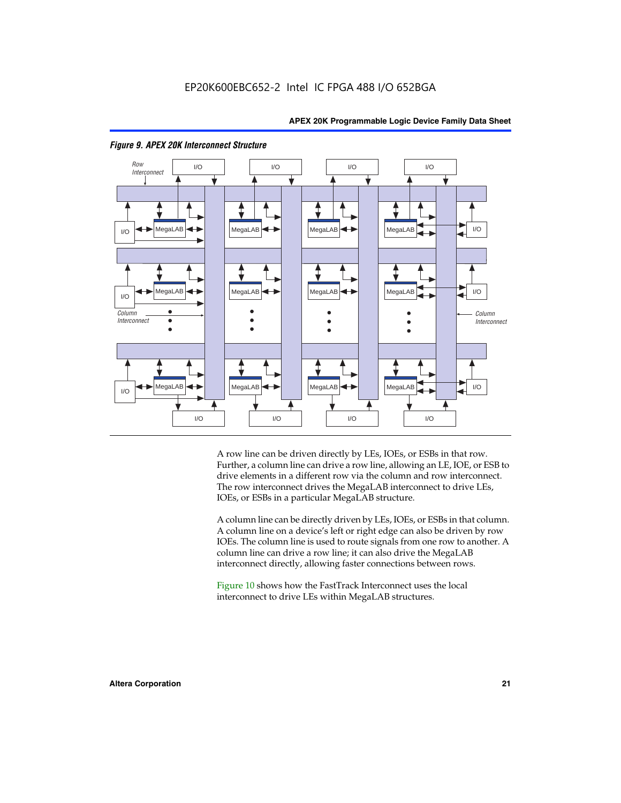



#### *Figure 9. APEX 20K Interconnect Structure*

A row line can be driven directly by LEs, IOEs, or ESBs in that row. Further, a column line can drive a row line, allowing an LE, IOE, or ESB to drive elements in a different row via the column and row interconnect. The row interconnect drives the MegaLAB interconnect to drive LEs, IOEs, or ESBs in a particular MegaLAB structure.

A column line can be directly driven by LEs, IOEs, or ESBs in that column. A column line on a device's left or right edge can also be driven by row IOEs. The column line is used to route signals from one row to another. A column line can drive a row line; it can also drive the MegaLAB interconnect directly, allowing faster connections between rows.

Figure 10 shows how the FastTrack Interconnect uses the local interconnect to drive LEs within MegaLAB structures.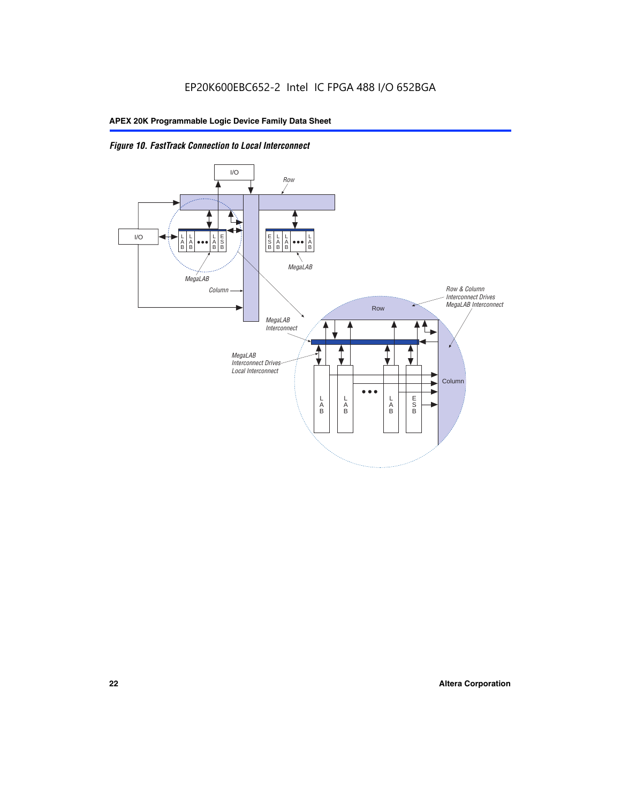

*Figure 10. FastTrack Connection to Local Interconnect*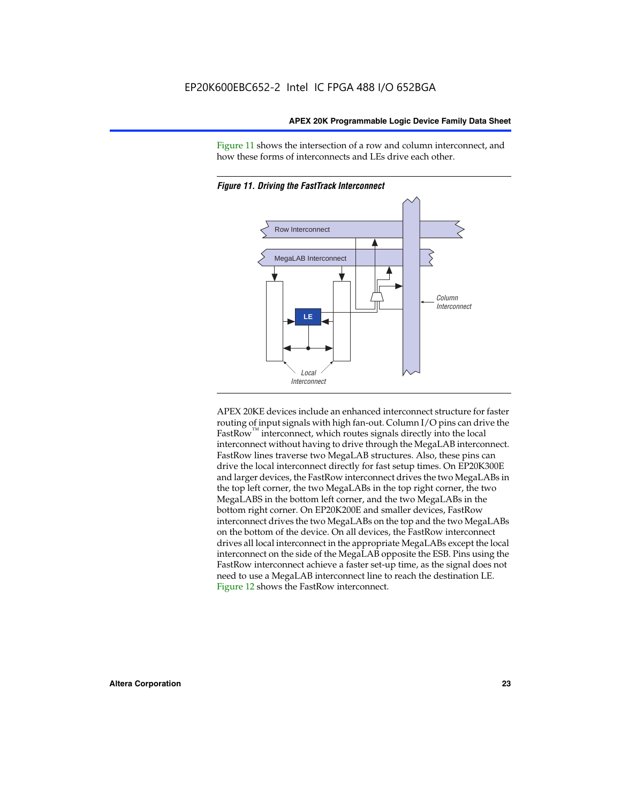Figure 11 shows the intersection of a row and column interconnect, and how these forms of interconnects and LEs drive each other.



*Figure 11. Driving the FastTrack Interconnect*

APEX 20KE devices include an enhanced interconnect structure for faster routing of input signals with high fan-out. Column I/O pins can drive the FastRow<sup>™</sup> interconnect, which routes signals directly into the local interconnect without having to drive through the MegaLAB interconnect. FastRow lines traverse two MegaLAB structures. Also, these pins can drive the local interconnect directly for fast setup times. On EP20K300E and larger devices, the FastRow interconnect drives the two MegaLABs in the top left corner, the two MegaLABs in the top right corner, the two MegaLABS in the bottom left corner, and the two MegaLABs in the bottom right corner. On EP20K200E and smaller devices, FastRow interconnect drives the two MegaLABs on the top and the two MegaLABs on the bottom of the device. On all devices, the FastRow interconnect drives all local interconnect in the appropriate MegaLABs except the local interconnect on the side of the MegaLAB opposite the ESB. Pins using the FastRow interconnect achieve a faster set-up time, as the signal does not need to use a MegaLAB interconnect line to reach the destination LE. Figure 12 shows the FastRow interconnect.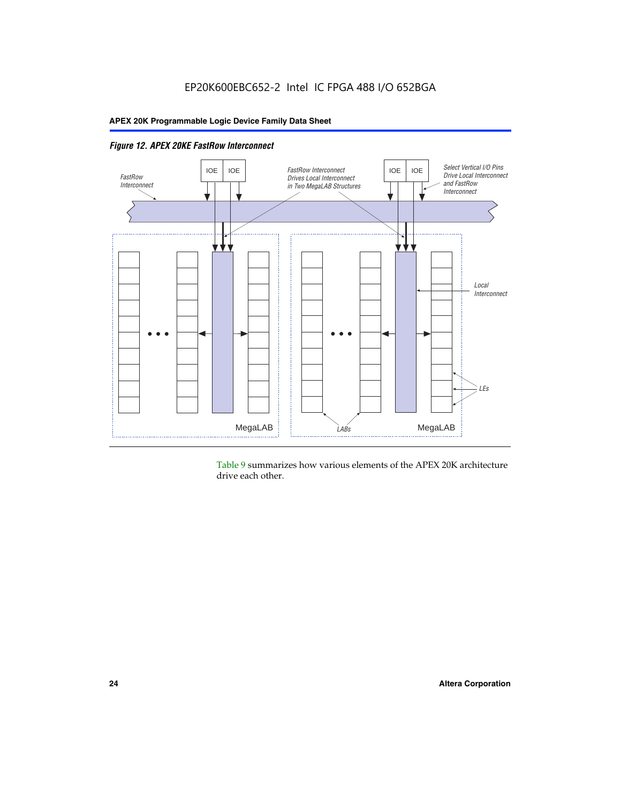

*Figure 12. APEX 20KE FastRow Interconnect*

Table 9 summarizes how various elements of the APEX 20K architecture drive each other.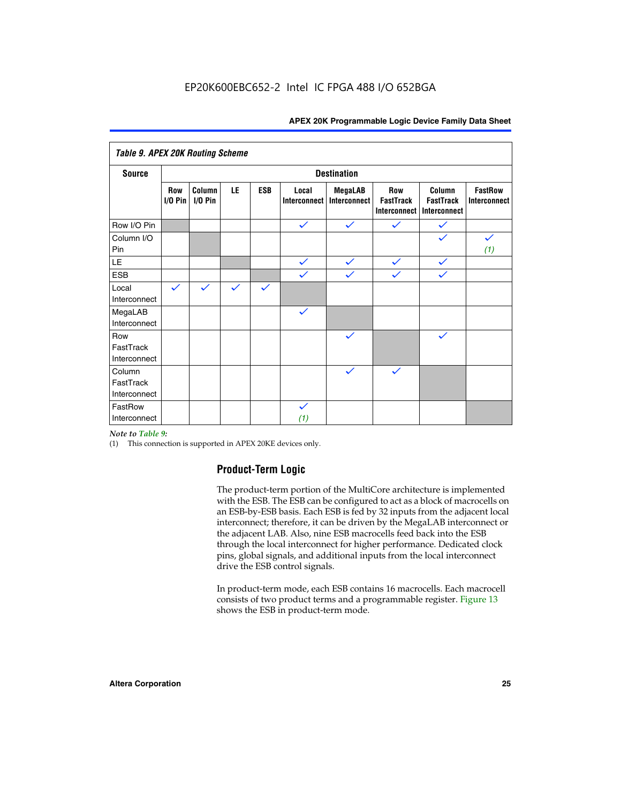| <b>Table 9. APEX 20K Routing Scheme</b> |                         |                      |              |              |                              |                                |                                                |                                            |                                |  |
|-----------------------------------------|-------------------------|----------------------|--------------|--------------|------------------------------|--------------------------------|------------------------------------------------|--------------------------------------------|--------------------------------|--|
| <b>Source</b>                           | <b>Destination</b>      |                      |              |              |                              |                                |                                                |                                            |                                |  |
|                                         | <b>Row</b><br>$1/0$ Pin | Column<br>$I/O P$ in | LE           | <b>ESB</b>   | Local<br><b>Interconnect</b> | <b>MegaLAB</b><br>Interconnect | Row<br><b>FastTrack</b><br><b>Interconnect</b> | Column<br><b>FastTrack</b><br>Interconnect | <b>FastRow</b><br>Interconnect |  |
| Row I/O Pin                             |                         |                      |              |              | $\checkmark$                 | $\checkmark$                   | $\checkmark$                                   | $\checkmark$                               |                                |  |
| Column I/O<br>Pin                       |                         |                      |              |              |                              |                                |                                                | $\checkmark$                               | $\checkmark$<br>(1)            |  |
| LE                                      |                         |                      |              |              | $\checkmark$                 | $\checkmark$                   | $\checkmark$                                   | $\checkmark$                               |                                |  |
| <b>ESB</b>                              |                         |                      |              |              | $\checkmark$                 | $\checkmark$                   | $\checkmark$                                   | $\checkmark$                               |                                |  |
| Local<br>Interconnect                   | $\checkmark$            | $\checkmark$         | $\checkmark$ | $\checkmark$ |                              |                                |                                                |                                            |                                |  |
| MegaLAB<br>Interconnect                 |                         |                      |              |              | $\checkmark$                 |                                |                                                |                                            |                                |  |
| Row<br>FastTrack<br>Interconnect        |                         |                      |              |              |                              | $\checkmark$                   |                                                | $\checkmark$                               |                                |  |
| Column<br>FastTrack<br>Interconnect     |                         |                      |              |              |                              | $\checkmark$                   | $\checkmark$                                   |                                            |                                |  |
| FastRow<br>Interconnect                 |                         |                      |              |              | $\checkmark$<br>(1)          |                                |                                                |                                            |                                |  |

#### *Note to Table 9:*

(1) This connection is supported in APEX 20KE devices only.

#### **Product-Term Logic**

The product-term portion of the MultiCore architecture is implemented with the ESB. The ESB can be configured to act as a block of macrocells on an ESB-by-ESB basis. Each ESB is fed by 32 inputs from the adjacent local interconnect; therefore, it can be driven by the MegaLAB interconnect or the adjacent LAB. Also, nine ESB macrocells feed back into the ESB through the local interconnect for higher performance. Dedicated clock pins, global signals, and additional inputs from the local interconnect drive the ESB control signals.

In product-term mode, each ESB contains 16 macrocells. Each macrocell consists of two product terms and a programmable register. Figure 13 shows the ESB in product-term mode.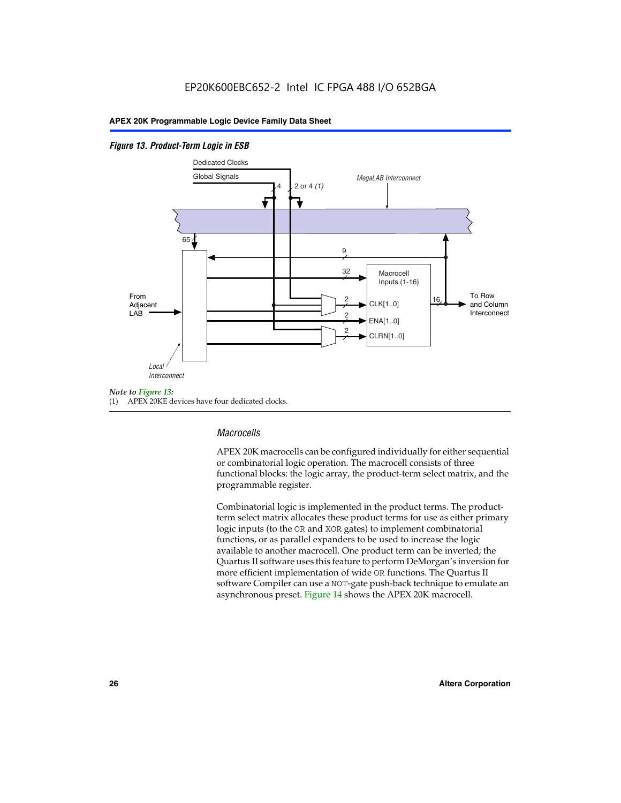#### *Figure 13. Product-Term Logic in ESB*



(1) APEX 20KE devices have four dedicated clocks.

#### *Macrocells*

APEX 20K macrocells can be configured individually for either sequential or combinatorial logic operation. The macrocell consists of three functional blocks: the logic array, the product-term select matrix, and the programmable register.

Combinatorial logic is implemented in the product terms. The productterm select matrix allocates these product terms for use as either primary logic inputs (to the OR and XOR gates) to implement combinatorial functions, or as parallel expanders to be used to increase the logic available to another macrocell. One product term can be inverted; the Quartus II software uses this feature to perform DeMorgan's inversion for more efficient implementation of wide OR functions. The Quartus II software Compiler can use a NOT-gate push-back technique to emulate an asynchronous preset. Figure 14 shows the APEX 20K macrocell.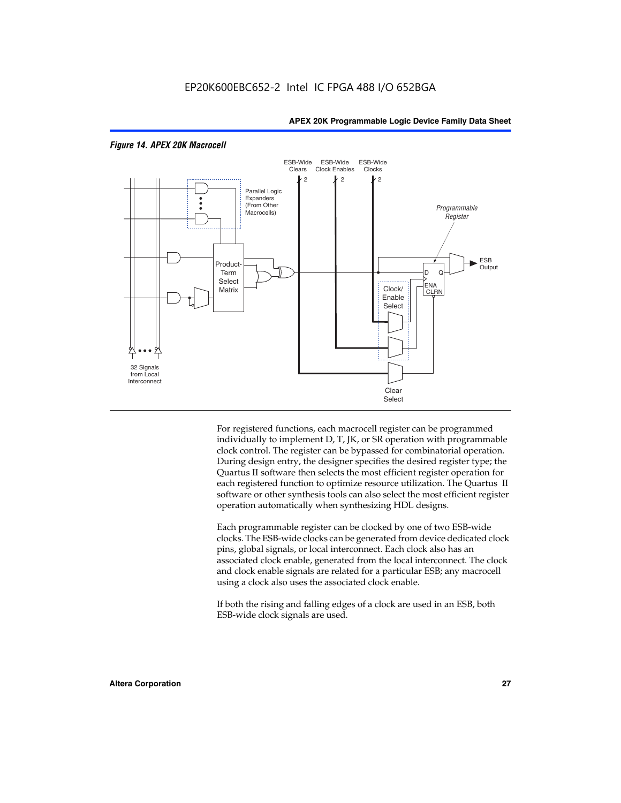

#### *Figure 14. APEX 20K Macrocell*

For registered functions, each macrocell register can be programmed individually to implement D, T, JK, or SR operation with programmable clock control. The register can be bypassed for combinatorial operation. During design entry, the designer specifies the desired register type; the Quartus II software then selects the most efficient register operation for each registered function to optimize resource utilization. The Quartus II software or other synthesis tools can also select the most efficient register operation automatically when synthesizing HDL designs.

Each programmable register can be clocked by one of two ESB-wide clocks. The ESB-wide clocks can be generated from device dedicated clock pins, global signals, or local interconnect. Each clock also has an associated clock enable, generated from the local interconnect. The clock and clock enable signals are related for a particular ESB; any macrocell using a clock also uses the associated clock enable.

If both the rising and falling edges of a clock are used in an ESB, both ESB-wide clock signals are used.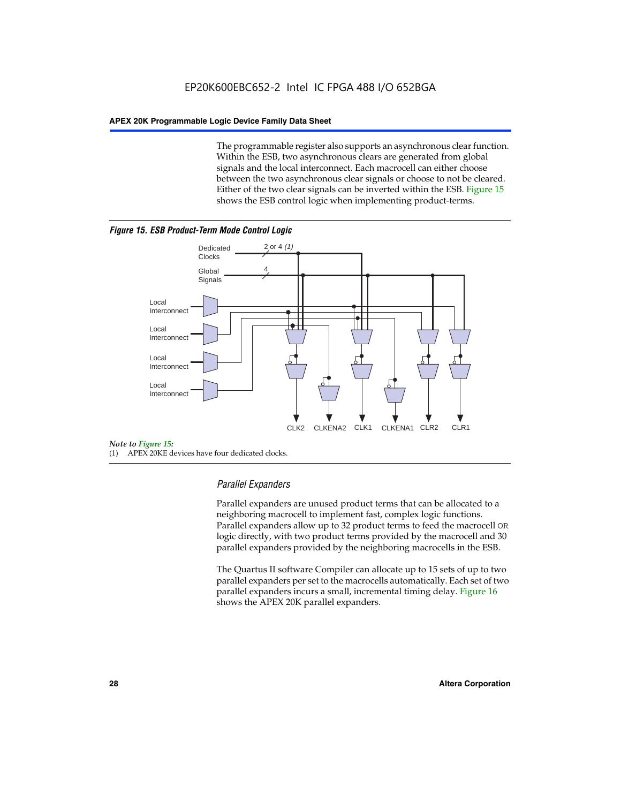The programmable register also supports an asynchronous clear function. Within the ESB, two asynchronous clears are generated from global signals and the local interconnect. Each macrocell can either choose between the two asynchronous clear signals or choose to not be cleared. Either of the two clear signals can be inverted within the ESB. Figure 15 shows the ESB control logic when implementing product-terms.





(1) APEX 20KE devices have four dedicated clocks.

#### *Parallel Expanders*

Parallel expanders are unused product terms that can be allocated to a neighboring macrocell to implement fast, complex logic functions. Parallel expanders allow up to 32 product terms to feed the macrocell OR logic directly, with two product terms provided by the macrocell and 30 parallel expanders provided by the neighboring macrocells in the ESB.

The Quartus II software Compiler can allocate up to 15 sets of up to two parallel expanders per set to the macrocells automatically. Each set of two parallel expanders incurs a small, incremental timing delay. Figure 16 shows the APEX 20K parallel expanders.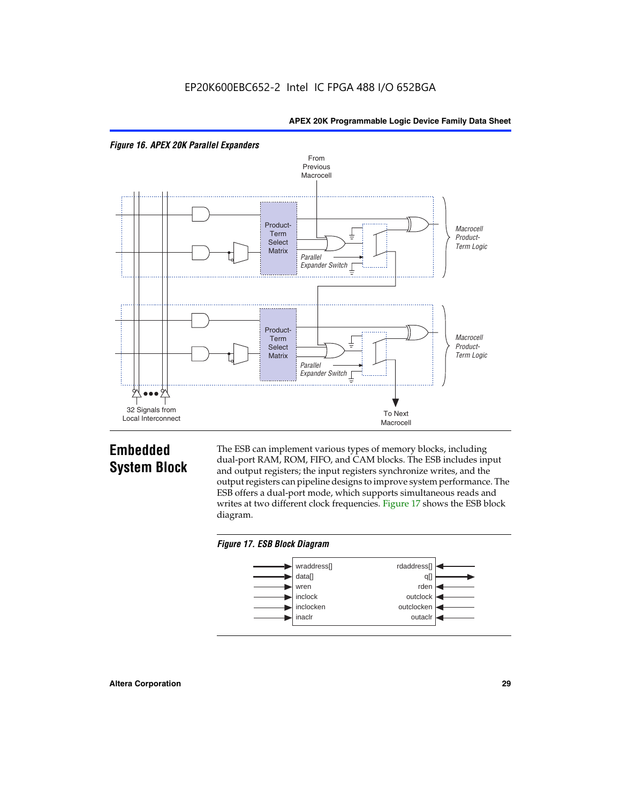



## **Embedded System Block**

The ESB can implement various types of memory blocks, including dual-port RAM, ROM, FIFO, and CAM blocks. The ESB includes input and output registers; the input registers synchronize writes, and the output registers can pipeline designs to improve system performance. The ESB offers a dual-port mode, which supports simultaneous reads and writes at two different clock frequencies. Figure 17 shows the ESB block diagram.



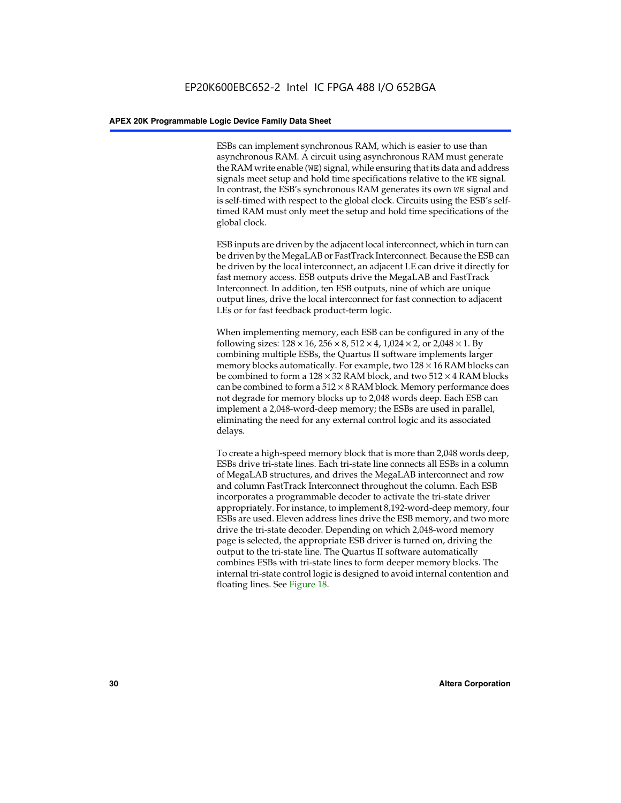ESBs can implement synchronous RAM, which is easier to use than asynchronous RAM. A circuit using asynchronous RAM must generate the RAM write enable (WE) signal, while ensuring that its data and address signals meet setup and hold time specifications relative to the WE signal. In contrast, the ESB's synchronous RAM generates its own WE signal and is self-timed with respect to the global clock. Circuits using the ESB's selftimed RAM must only meet the setup and hold time specifications of the global clock.

ESB inputs are driven by the adjacent local interconnect, which in turn can be driven by the MegaLAB or FastTrack Interconnect. Because the ESB can be driven by the local interconnect, an adjacent LE can drive it directly for fast memory access. ESB outputs drive the MegaLAB and FastTrack Interconnect. In addition, ten ESB outputs, nine of which are unique output lines, drive the local interconnect for fast connection to adjacent LEs or for fast feedback product-term logic.

When implementing memory, each ESB can be configured in any of the following sizes:  $128 \times 16$ ,  $256 \times 8$ ,  $512 \times 4$ ,  $1,024 \times 2$ , or  $2,048 \times 1$ . By combining multiple ESBs, the Quartus II software implements larger memory blocks automatically. For example, two  $128 \times 16$  RAM blocks can be combined to form a  $128 \times 32$  RAM block, and two  $512 \times 4$  RAM blocks can be combined to form a  $512 \times 8$  RAM block. Memory performance does not degrade for memory blocks up to 2,048 words deep. Each ESB can implement a 2,048-word-deep memory; the ESBs are used in parallel, eliminating the need for any external control logic and its associated delays.

To create a high-speed memory block that is more than 2,048 words deep, ESBs drive tri-state lines. Each tri-state line connects all ESBs in a column of MegaLAB structures, and drives the MegaLAB interconnect and row and column FastTrack Interconnect throughout the column. Each ESB incorporates a programmable decoder to activate the tri-state driver appropriately. For instance, to implement 8,192-word-deep memory, four ESBs are used. Eleven address lines drive the ESB memory, and two more drive the tri-state decoder. Depending on which 2,048-word memory page is selected, the appropriate ESB driver is turned on, driving the output to the tri-state line. The Quartus II software automatically combines ESBs with tri-state lines to form deeper memory blocks. The internal tri-state control logic is designed to avoid internal contention and floating lines. See Figure 18.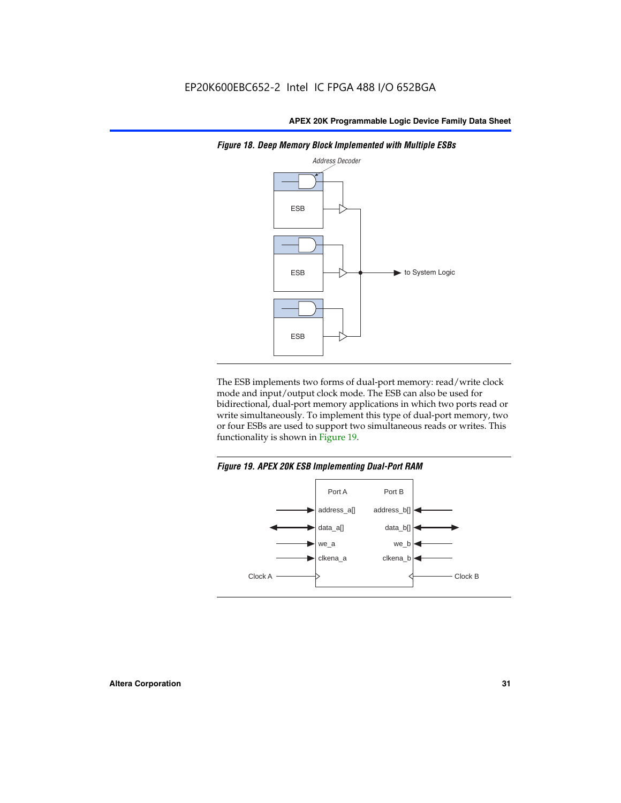

*Figure 18. Deep Memory Block Implemented with Multiple ESBs*

The ESB implements two forms of dual-port memory: read/write clock mode and input/output clock mode. The ESB can also be used for bidirectional, dual-port memory applications in which two ports read or write simultaneously. To implement this type of dual-port memory, two or four ESBs are used to support two simultaneous reads or writes. This functionality is shown in Figure 19.

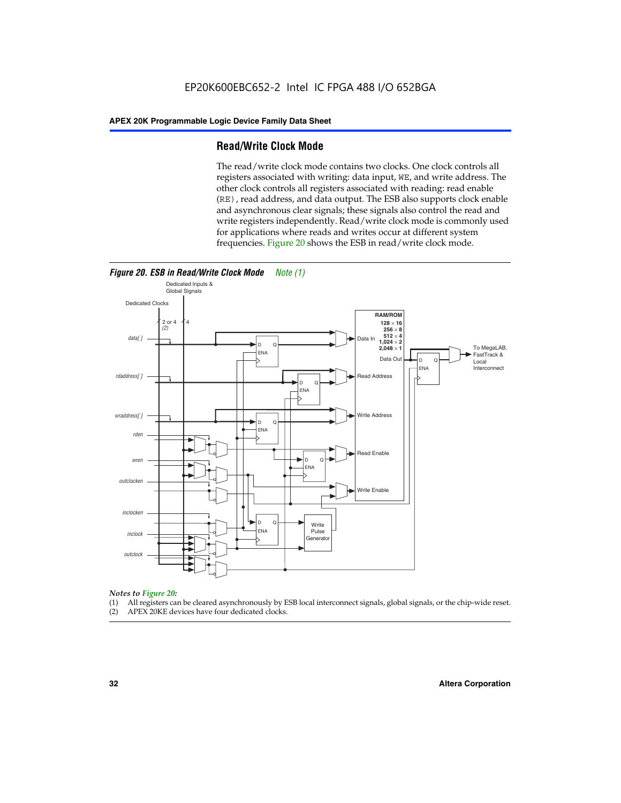#### **Read/Write Clock Mode**

The read/write clock mode contains two clocks. One clock controls all registers associated with writing: data input, WE, and write address. The other clock controls all registers associated with reading: read enable (RE), read address, and data output. The ESB also supports clock enable and asynchronous clear signals; these signals also control the read and write registers independently. Read/write clock mode is commonly used for applications where reads and writes occur at different system frequencies. Figure 20 shows the ESB in read/write clock mode.



### *Notes to Figure 20:*

- (1) All registers can be cleared asynchronously by ESB local interconnect signals, global signals, or the chip-wide reset.
- (2) APEX 20KE devices have four dedicated clocks.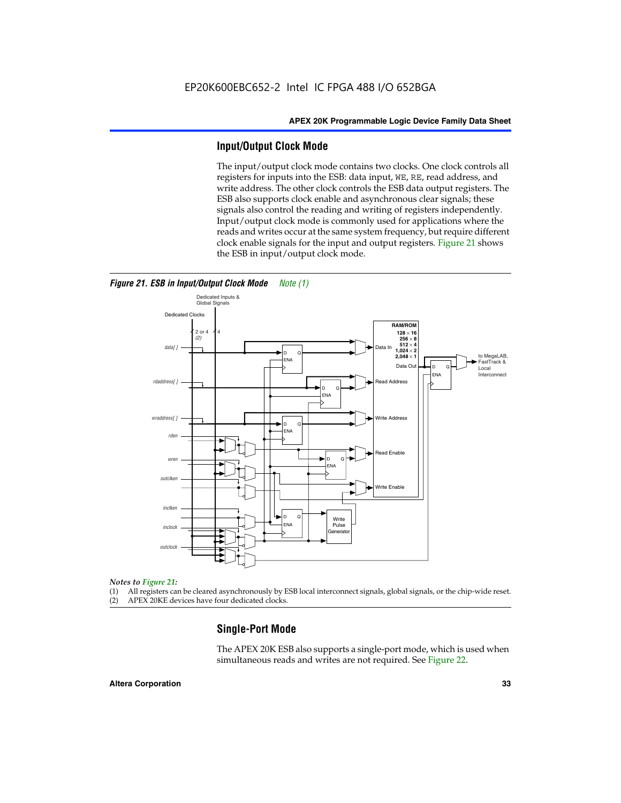#### **Input/Output Clock Mode**

The input/output clock mode contains two clocks. One clock controls all registers for inputs into the ESB: data input, WE, RE, read address, and write address. The other clock controls the ESB data output registers. The ESB also supports clock enable and asynchronous clear signals; these signals also control the reading and writing of registers independently. Input/output clock mode is commonly used for applications where the reads and writes occur at the same system frequency, but require different clock enable signals for the input and output registers. Figure 21 shows the ESB in input/output clock mode.



#### *Figure 21. ESB in Input/Output Clock Mode Note (1)*

#### *Notes to Figure 21:*

(1) All registers can be cleared asynchronously by ESB local interconnect signals, global signals, or the chip-wide reset.

(2) APEX 20KE devices have four dedicated clocks.

#### **Single-Port Mode**

The APEX 20K ESB also supports a single-port mode, which is used when simultaneous reads and writes are not required. See Figure 22.

#### **Altera Corporation 33**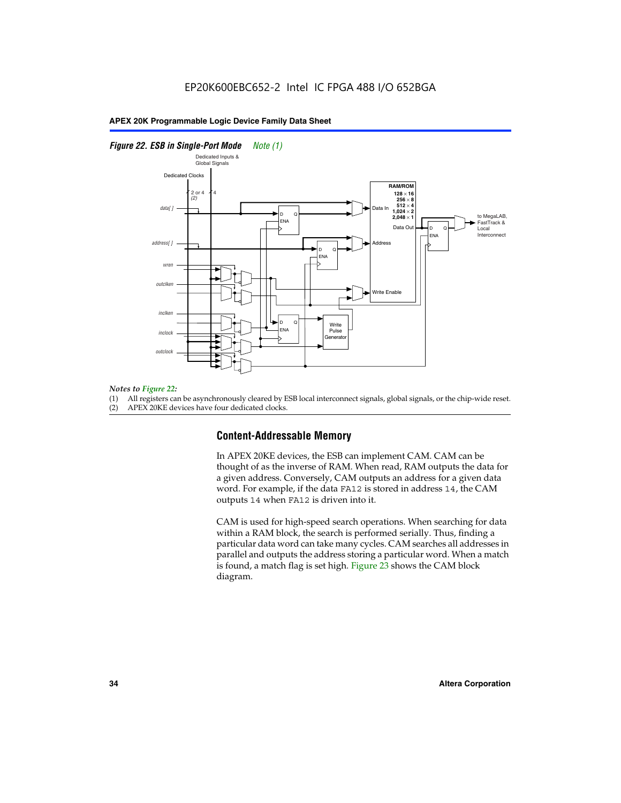#### *Figure 22. ESB in Single-Port Mode Note (1)*



#### *Notes to Figure 22:*

(1) All registers can be asynchronously cleared by ESB local interconnect signals, global signals, or the chip-wide reset.

(2) APEX 20KE devices have four dedicated clocks.

#### **Content-Addressable Memory**

In APEX 20KE devices, the ESB can implement CAM. CAM can be thought of as the inverse of RAM. When read, RAM outputs the data for a given address. Conversely, CAM outputs an address for a given data word. For example, if the data FA12 is stored in address 14, the CAM outputs 14 when FA12 is driven into it.

CAM is used for high-speed search operations. When searching for data within a RAM block, the search is performed serially. Thus, finding a particular data word can take many cycles. CAM searches all addresses in parallel and outputs the address storing a particular word. When a match is found, a match flag is set high. Figure 23 shows the CAM block diagram.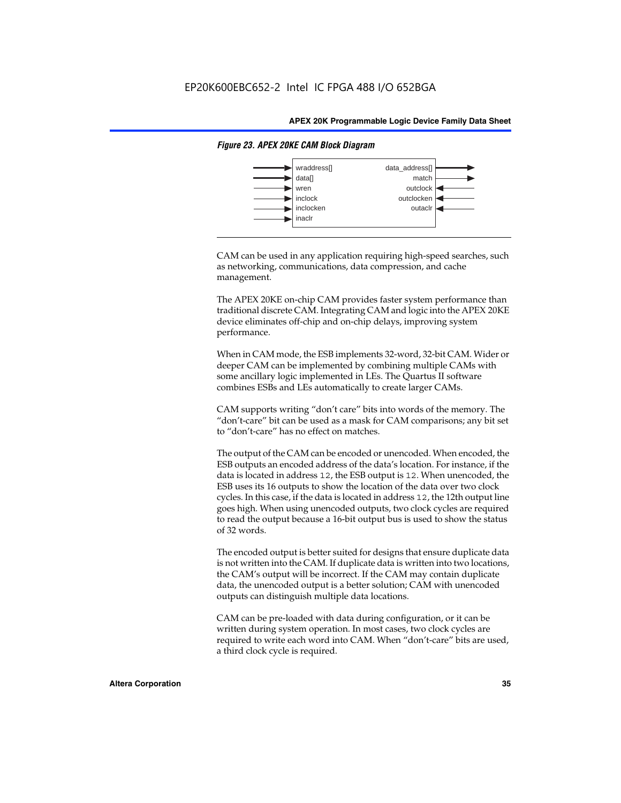

#### *Figure 23. APEX 20KE CAM Block Diagram*

CAM can be used in any application requiring high-speed searches, such as networking, communications, data compression, and cache management.

The APEX 20KE on-chip CAM provides faster system performance than traditional discrete CAM. Integrating CAM and logic into the APEX 20KE device eliminates off-chip and on-chip delays, improving system performance.

When in CAM mode, the ESB implements 32-word, 32-bit CAM. Wider or deeper CAM can be implemented by combining multiple CAMs with some ancillary logic implemented in LEs. The Quartus II software combines ESBs and LEs automatically to create larger CAMs.

CAM supports writing "don't care" bits into words of the memory. The "don't-care" bit can be used as a mask for CAM comparisons; any bit set to "don't-care" has no effect on matches.

The output of the CAM can be encoded or unencoded. When encoded, the ESB outputs an encoded address of the data's location. For instance, if the data is located in address 12, the ESB output is 12. When unencoded, the ESB uses its 16 outputs to show the location of the data over two clock cycles. In this case, if the data is located in address 12, the 12th output line goes high. When using unencoded outputs, two clock cycles are required to read the output because a 16-bit output bus is used to show the status of 32 words.

The encoded output is better suited for designs that ensure duplicate data is not written into the CAM. If duplicate data is written into two locations, the CAM's output will be incorrect. If the CAM may contain duplicate data, the unencoded output is a better solution; CAM with unencoded outputs can distinguish multiple data locations.

CAM can be pre-loaded with data during configuration, or it can be written during system operation. In most cases, two clock cycles are required to write each word into CAM. When "don't-care" bits are used, a third clock cycle is required.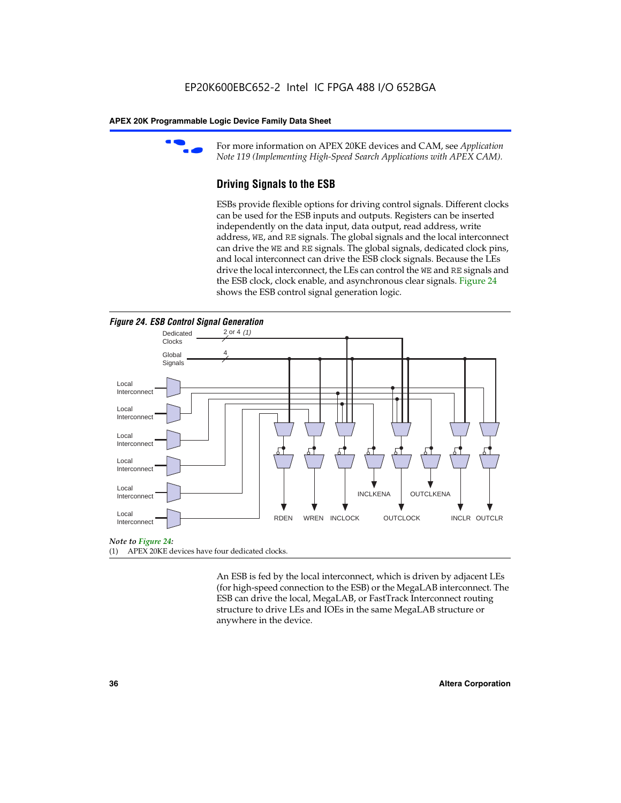

For more information on APEX 20KE devices and CAM, see *Application Note 119 (Implementing High-Speed Search Applications with APEX CAM).*

# **Driving Signals to the ESB**

ESBs provide flexible options for driving control signals. Different clocks can be used for the ESB inputs and outputs. Registers can be inserted independently on the data input, data output, read address, write address, WE, and RE signals. The global signals and the local interconnect can drive the WE and RE signals. The global signals, dedicated clock pins, and local interconnect can drive the ESB clock signals. Because the LEs drive the local interconnect, the LEs can control the WE and RE signals and the ESB clock, clock enable, and asynchronous clear signals. Figure 24 shows the ESB control signal generation logic.





#### *Note to Figure 24:*

(1) APEX 20KE devices have four dedicated clocks.

An ESB is fed by the local interconnect, which is driven by adjacent LEs (for high-speed connection to the ESB) or the MegaLAB interconnect. The ESB can drive the local, MegaLAB, or FastTrack Interconnect routing structure to drive LEs and IOEs in the same MegaLAB structure or anywhere in the device.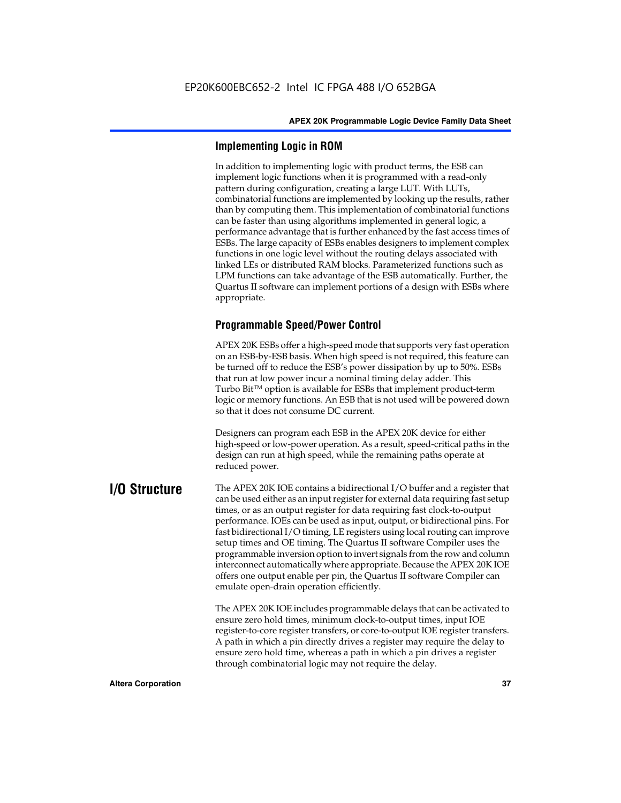# **Implementing Logic in ROM**

In addition to implementing logic with product terms, the ESB can implement logic functions when it is programmed with a read-only pattern during configuration, creating a large LUT. With LUTs, combinatorial functions are implemented by looking up the results, rather than by computing them. This implementation of combinatorial functions can be faster than using algorithms implemented in general logic, a performance advantage that is further enhanced by the fast access times of ESBs. The large capacity of ESBs enables designers to implement complex functions in one logic level without the routing delays associated with linked LEs or distributed RAM blocks. Parameterized functions such as LPM functions can take advantage of the ESB automatically. Further, the Quartus II software can implement portions of a design with ESBs where appropriate.

# **Programmable Speed/Power Control**

APEX 20K ESBs offer a high-speed mode that supports very fast operation on an ESB-by-ESB basis. When high speed is not required, this feature can be turned off to reduce the ESB's power dissipation by up to 50%. ESBs that run at low power incur a nominal timing delay adder. This Turbo  $Bit^{TM}$  option is available for ESBs that implement product-term logic or memory functions. An ESB that is not used will be powered down so that it does not consume DC current.

Designers can program each ESB in the APEX 20K device for either high-speed or low-power operation. As a result, speed-critical paths in the design can run at high speed, while the remaining paths operate at reduced power.

**I/O Structure** The APEX 20K IOE contains a bidirectional I/O buffer and a register that can be used either as an input register for external data requiring fast setup times, or as an output register for data requiring fast clock-to-output performance. IOEs can be used as input, output, or bidirectional pins. For fast bidirectional I/O timing, LE registers using local routing can improve setup times and OE timing. The Quartus II software Compiler uses the programmable inversion option to invert signals from the row and column interconnect automatically where appropriate. Because the APEX 20K IOE offers one output enable per pin, the Quartus II software Compiler can emulate open-drain operation efficiently.

> The APEX 20K IOE includes programmable delays that can be activated to ensure zero hold times, minimum clock-to-output times, input IOE register-to-core register transfers, or core-to-output IOE register transfers. A path in which a pin directly drives a register may require the delay to ensure zero hold time, whereas a path in which a pin drives a register through combinatorial logic may not require the delay.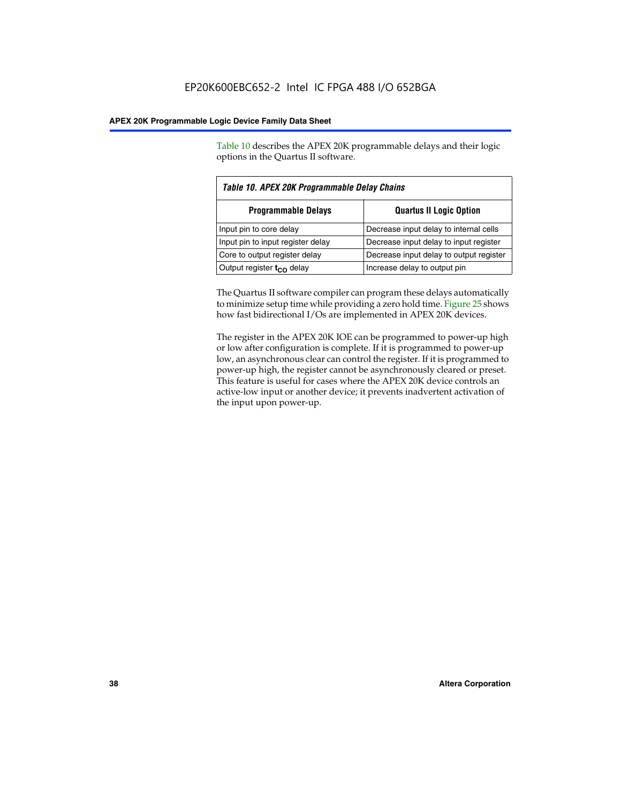Table 10 describes the APEX 20K programmable delays and their logic options in the Quartus II software.

| Table 10. APEX 20K Programmable Delay Chains |                                         |  |  |  |
|----------------------------------------------|-----------------------------------------|--|--|--|
| <b>Programmable Delays</b>                   | <b>Quartus II Logic Option</b>          |  |  |  |
| Input pin to core delay                      | Decrease input delay to internal cells  |  |  |  |
| Input pin to input register delay            | Decrease input delay to input register  |  |  |  |
| Core to output register delay                | Decrease input delay to output register |  |  |  |
| Output register $t_{\rm CO}$ delay           | Increase delay to output pin            |  |  |  |

The Quartus II software compiler can program these delays automatically to minimize setup time while providing a zero hold time. Figure 25 shows how fast bidirectional I/Os are implemented in APEX 20K devices.

The register in the APEX 20K IOE can be programmed to power-up high or low after configuration is complete. If it is programmed to power-up low, an asynchronous clear can control the register. If it is programmed to power-up high, the register cannot be asynchronously cleared or preset. This feature is useful for cases where the APEX 20K device controls an active-low input or another device; it prevents inadvertent activation of the input upon power-up.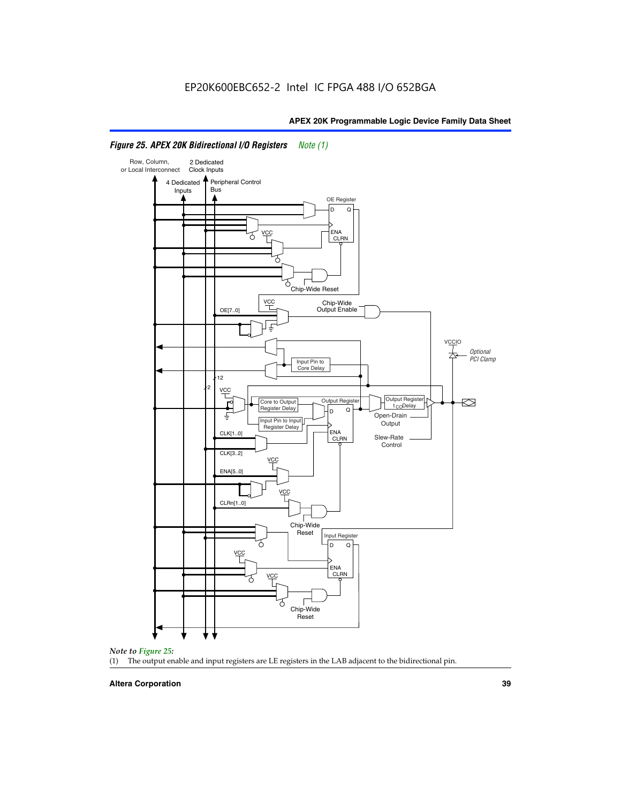

# *Figure 25. APEX 20K Bidirectional I/O Registers Note (1)*



#### **Altera Corporation 39**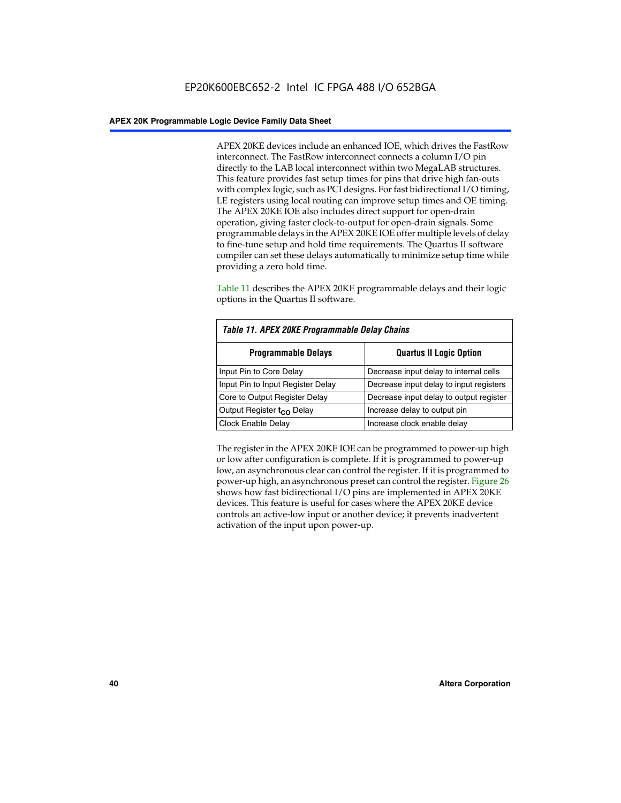APEX 20KE devices include an enhanced IOE, which drives the FastRow interconnect. The FastRow interconnect connects a column I/O pin directly to the LAB local interconnect within two MegaLAB structures. This feature provides fast setup times for pins that drive high fan-outs with complex logic, such as PCI designs. For fast bidirectional I/O timing, LE registers using local routing can improve setup times and OE timing. The APEX 20KE IOE also includes direct support for open-drain operation, giving faster clock-to-output for open-drain signals. Some programmable delays in the APEX 20KE IOE offer multiple levels of delay to fine-tune setup and hold time requirements. The Quartus II software compiler can set these delays automatically to minimize setup time while providing a zero hold time.

Table 11 describes the APEX 20KE programmable delays and their logic options in the Quartus II software.

| Table 11. APEX 20KE Programmable Delay Chains |                                         |  |  |  |
|-----------------------------------------------|-----------------------------------------|--|--|--|
| <b>Programmable Delays</b>                    | <b>Quartus II Logic Option</b>          |  |  |  |
| Input Pin to Core Delay                       | Decrease input delay to internal cells  |  |  |  |
| Input Pin to Input Register Delay             | Decrease input delay to input registers |  |  |  |
| Core to Output Register Delay                 | Decrease input delay to output register |  |  |  |
| Output Register t <sub>CO</sub> Delay         | Increase delay to output pin            |  |  |  |
| <b>Clock Enable Delay</b>                     | Increase clock enable delay             |  |  |  |

The register in the APEX 20KE IOE can be programmed to power-up high or low after configuration is complete. If it is programmed to power-up low, an asynchronous clear can control the register. If it is programmed to power-up high, an asynchronous preset can control the register. Figure 26 shows how fast bidirectional I/O pins are implemented in APEX 20KE devices. This feature is useful for cases where the APEX 20KE device controls an active-low input or another device; it prevents inadvertent activation of the input upon power-up.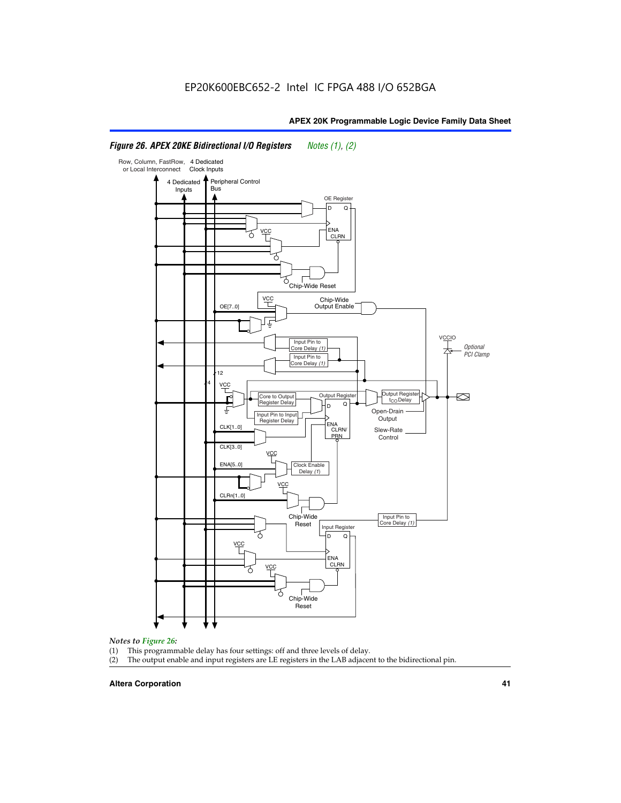#### Row, Column, FastRow, 4 Dedicated or Local Interconnect Clock Inputs Peripheral Control 4 Dedicated **Bus** Inputs OE Register D Q ENA VCC CLRN 7 Chip-Wide Reset YCC Chip-Wide Output Enable OE[7..0] VC Input Pin to **Optional** Core Delay (1) PCI Clamp Input Pin to Core Delay (1) 12 4 **VCC** Output Register **Output Registe**  $\approx$ Core to Output | Output Hegister | Durbut Tropieding | Contput Tropieding | Durbut Tropieding | Output Tropied<br>Register Delay | Durbut Tropieding | Contput Tropieding | Contput Tropieding | O t<sub>CO</sub>Delay  $D$  Q ŧ Open-Drain Input Pin to Input **Output** Register Delay ENA CLK[1..0] CLRN/ Slew-Rate PR<sub>N</sub> Control CLK[3..0] VCC ENA[5..0] Clock Enable Delay (1) VCC CLRn[1..0] Chip-Wide Input Pin to Core Delay (1) Reset Input Register D Q <u>vcc</u> .<br>ENA CLRN **VCC** Chip-Wide Reset

# *Figure 26. APEX 20KE Bidirectional I/O Registers Notes (1), (2)*

#### *Notes to Figure 26:*

- 
- (1) This programmable delay has four settings: off and three levels of delay.<br>(2) The output enable and input registers are LE registers in the LAB adjacer The output enable and input registers are LE registers in the LAB adjacent to the bidirectional pin.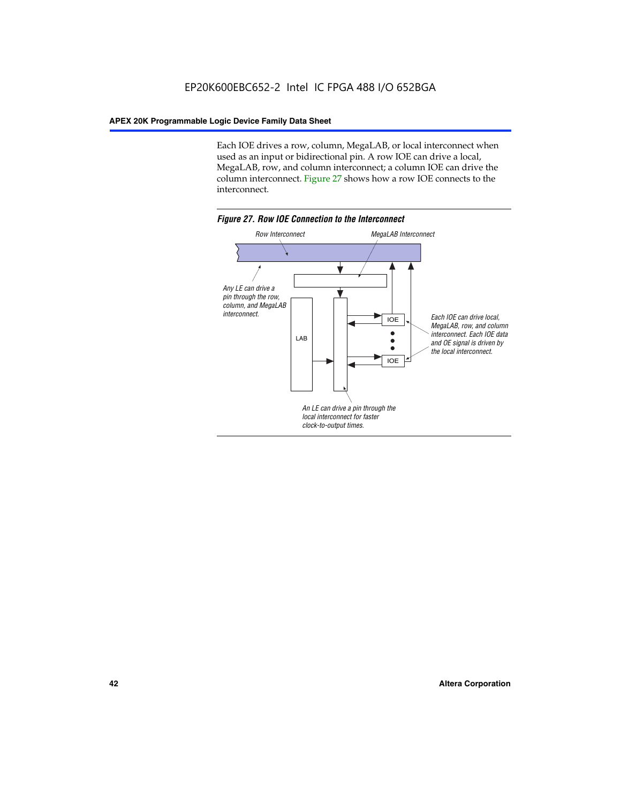Each IOE drives a row, column, MegaLAB, or local interconnect when used as an input or bidirectional pin. A row IOE can drive a local, MegaLAB, row, and column interconnect; a column IOE can drive the column interconnect. Figure 27 shows how a row IOE connects to the interconnect.

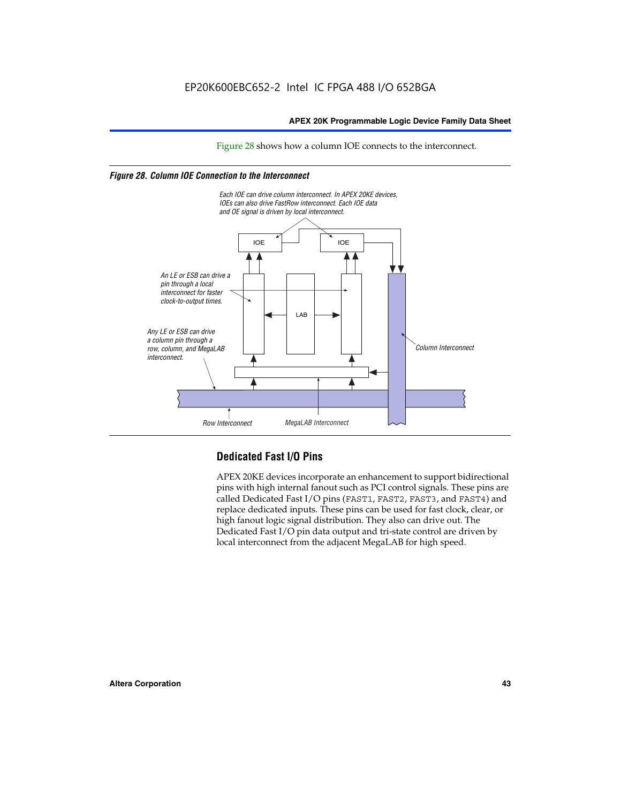Figure 28 shows how a column IOE connects to the interconnect.

# *Figure 28. Column IOE Connection to the Interconnect*



# **Dedicated Fast I/O Pins**

APEX 20KE devices incorporate an enhancement to support bidirectional pins with high internal fanout such as PCI control signals. These pins are called Dedicated Fast I/O pins (FAST1, FAST2, FAST3, and FAST4) and replace dedicated inputs. These pins can be used for fast clock, clear, or high fanout logic signal distribution. They also can drive out. The Dedicated Fast I/O pin data output and tri-state control are driven by local interconnect from the adjacent MegaLAB for high speed.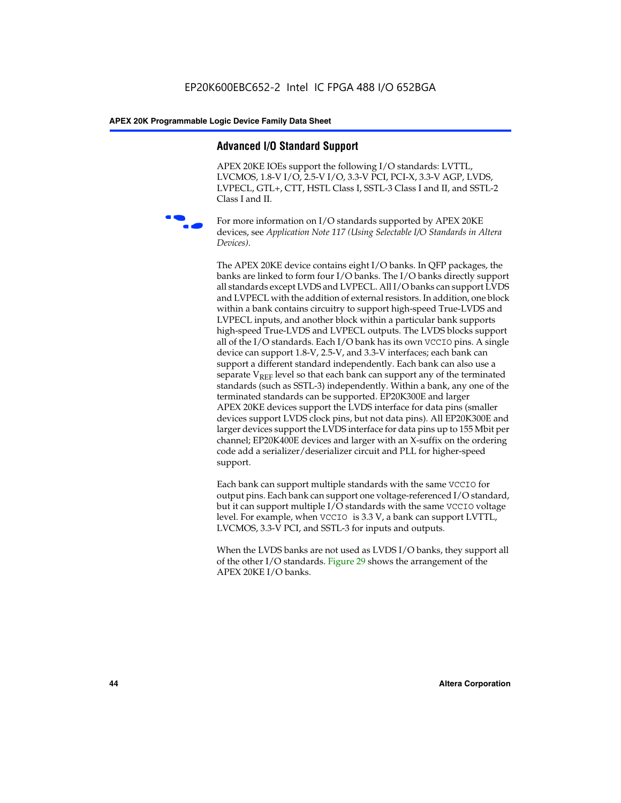# **Advanced I/O Standard Support**

APEX 20KE IOEs support the following I/O standards: LVTTL, LVCMOS, 1.8-V I/O, 2.5-V I/O, 3.3-V PCI, PCI-X, 3.3-V AGP, LVDS, LVPECL, GTL+, CTT, HSTL Class I, SSTL-3 Class I and II, and SSTL-2 Class I and II.



For more information on I/O standards supported by APEX 20KE devices, see *Application Note 117 (Using Selectable I/O Standards in Altera Devices)*.

The APEX 20KE device contains eight I/O banks. In QFP packages, the banks are linked to form four I/O banks. The I/O banks directly support all standards except LVDS and LVPECL. All I/O banks can support LVDS and LVPECL with the addition of external resistors. In addition, one block within a bank contains circuitry to support high-speed True-LVDS and LVPECL inputs, and another block within a particular bank supports high-speed True-LVDS and LVPECL outputs. The LVDS blocks support all of the I/O standards. Each I/O bank has its own VCCIO pins. A single device can support 1.8-V, 2.5-V, and 3.3-V interfaces; each bank can support a different standard independently. Each bank can also use a separate  $V_{\text{REF}}$  level so that each bank can support any of the terminated standards (such as SSTL-3) independently. Within a bank, any one of the terminated standards can be supported. EP20K300E and larger APEX 20KE devices support the LVDS interface for data pins (smaller devices support LVDS clock pins, but not data pins). All EP20K300E and larger devices support the LVDS interface for data pins up to 155 Mbit per channel; EP20K400E devices and larger with an X-suffix on the ordering code add a serializer/deserializer circuit and PLL for higher-speed support.

Each bank can support multiple standards with the same VCCIO for output pins. Each bank can support one voltage-referenced I/O standard, but it can support multiple I/O standards with the same VCCIO voltage level. For example, when VCCIO is 3.3 V, a bank can support LVTTL, LVCMOS, 3.3-V PCI, and SSTL-3 for inputs and outputs.

When the LVDS banks are not used as LVDS I/O banks, they support all of the other I/O standards. Figure 29 shows the arrangement of the APEX 20KE I/O banks.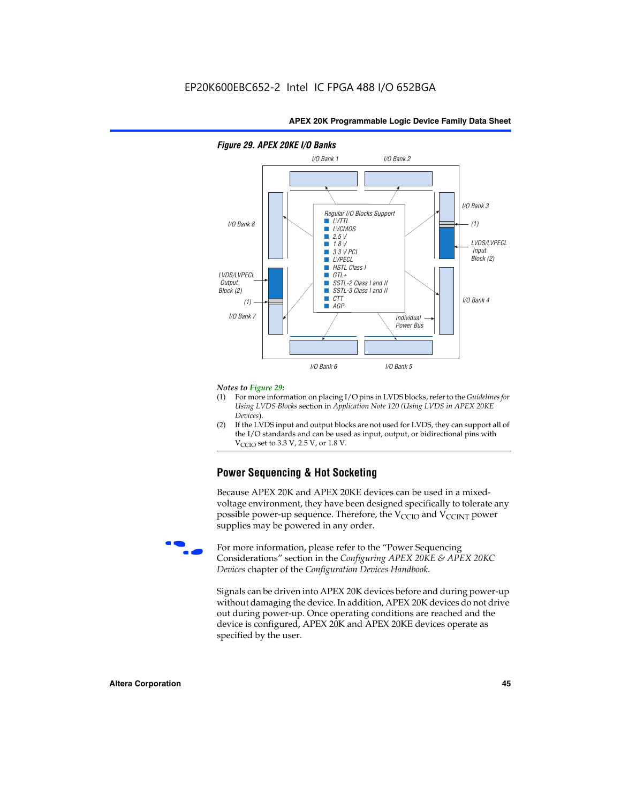

## *Figure 29. APEX 20KE I/O Banks*

#### *Notes to Figure 29:*

- (1) For more information on placing I/O pins in LVDS blocks, refer to the *Guidelines for Using LVDS Blocks* section in *Application Note 120 (Using LVDS in APEX 20KE Devices*).
- (2) If the LVDS input and output blocks are not used for LVDS, they can support all of the I/O standards and can be used as input, output, or bidirectional pins with  $V_{\text{C} \cap \text{O}}$  set to 3.3 V, 2.5 V, or 1.8 V.

# **Power Sequencing & Hot Socketing**

Because APEX 20K and APEX 20KE devices can be used in a mixedvoltage environment, they have been designed specifically to tolerate any possible power-up sequence. Therefore, the  $V_{\text{CCIO}}$  and  $V_{\text{CCINT}}$  power supplies may be powered in any order.

For more information, please refer to the "Power Sequencing Considerations" section in the *Configuring APEX 20KE & APEX 20KC Devices* chapter of the *Configuration Devices Handbook*.

Signals can be driven into APEX 20K devices before and during power-up without damaging the device. In addition, APEX 20K devices do not drive out during power-up. Once operating conditions are reached and the device is configured, APEX 20K and APEX 20KE devices operate as specified by the user.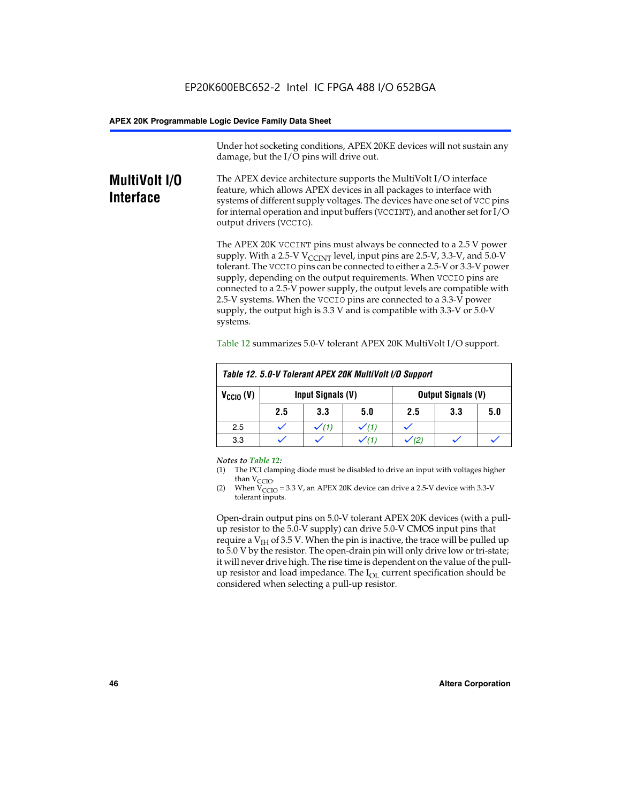Under hot socketing conditions, APEX 20KE devices will not sustain any damage, but the I/O pins will drive out.

# **MultiVolt I/O Interface**

The APEX device architecture supports the MultiVolt I/O interface feature, which allows APEX devices in all packages to interface with systems of different supply voltages. The devices have one set of VCC pins for internal operation and input buffers (VCCINT), and another set for I/O output drivers (VCCIO).

The APEX 20K VCCINT pins must always be connected to a 2.5 V power supply. With a 2.5-V  $V_{\text{CCMT}}$  level, input pins are 2.5-V, 3.3-V, and 5.0-V tolerant. The VCCIO pins can be connected to either a 2.5-V or 3.3-V power supply, depending on the output requirements. When VCCIO pins are connected to a 2.5-V power supply, the output levels are compatible with 2.5-V systems. When the VCCIO pins are connected to a 3.3-V power supply, the output high is 3.3 V and is compatible with 3.3-V or 5.0-V systems.

| Table 12. 5.0-V Tolerant APEX 20K MultiVolt I/O Support |                                                |     |     |     |     |     |
|---------------------------------------------------------|------------------------------------------------|-----|-----|-----|-----|-----|
| $V_{\text{CCIO}}(V)$                                    | Input Signals (V)<br><b>Output Signals (V)</b> |     |     |     |     |     |
|                                                         | 2.5                                            | 3.3 | 5.0 | 2.5 | 3.3 | 5.0 |
| 2.5                                                     |                                                |     |     |     |     |     |
| 3.3                                                     |                                                |     |     |     |     |     |

Table 12 summarizes 5.0-V tolerant APEX 20K MultiVolt I/O support.

#### *Notes to Table 12:*

- (1) The PCI clamping diode must be disabled to drive an input with voltages higher than  $V_{CCIO}$ .
- (2) When  $V_{CCIO} = 3.3 V$ , an APEX 20K device can drive a 2.5-V device with 3.3-V tolerant inputs.

Open-drain output pins on 5.0-V tolerant APEX 20K devices (with a pullup resistor to the 5.0-V supply) can drive 5.0-V CMOS input pins that require a  $V_{IH}$  of 3.5 V. When the pin is inactive, the trace will be pulled up to 5.0 V by the resistor. The open-drain pin will only drive low or tri-state; it will never drive high. The rise time is dependent on the value of the pullup resistor and load impedance. The  $I_{OI}$  current specification should be considered when selecting a pull-up resistor.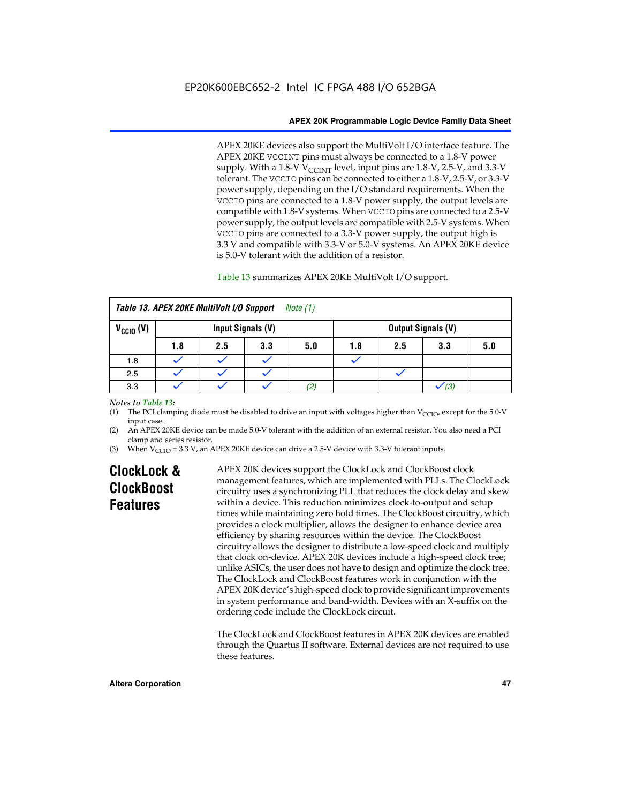APEX 20KE devices also support the MultiVolt I/O interface feature. The APEX 20KE VCCINT pins must always be connected to a 1.8-V power supply. With a 1.8-V  $V_{\text{CCINT}}$  level, input pins are 1.8-V, 2.5-V, and 3.3-V tolerant. The VCCIO pins can be connected to either a 1.8-V, 2.5-V, or 3.3-V power supply, depending on the I/O standard requirements. When the VCCIO pins are connected to a 1.8-V power supply, the output levels are compatible with 1.8-V systems. When VCCIO pins are connected to a 2.5-V power supply, the output levels are compatible with 2.5-V systems. When VCCIO pins are connected to a 3.3-V power supply, the output high is 3.3 V and compatible with 3.3-V or 5.0-V systems. An APEX 20KE device is 5.0-V tolerant with the addition of a resistor.

# Table 13 summarizes APEX 20KE MultiVolt I/O support.

|                                                  | Table 13. APEX 20KE MultiVolt I/O Support<br><i>Note</i> $(1)$ |     |     |     |     |                           |     |     |
|--------------------------------------------------|----------------------------------------------------------------|-----|-----|-----|-----|---------------------------|-----|-----|
| $V_{\text{CCIO}}(V)$<br><b>Input Signals (V)</b> |                                                                |     |     |     |     | <b>Output Signals (V)</b> |     |     |
|                                                  | 1.8                                                            | 2.5 | 3.3 | 5.0 | 1.8 | 2.5                       | 3.3 | 5.0 |
| 1.8                                              |                                                                |     |     |     |     |                           |     |     |
| 2.5                                              |                                                                |     |     |     |     |                           |     |     |
| 3.3                                              |                                                                |     |     | (2, |     |                           | (3) |     |

## *Notes to Table 13:*

(1) The PCI clamping diode must be disabled to drive an input with voltages higher than  $V_{CCIO}$ , except for the 5.0-V input case.

(2) An APEX 20KE device can be made 5.0-V tolerant with the addition of an external resistor. You also need a PCI clamp and series resistor.

(3) When  $V_{\text{CCIO}} = 3.3$  V, an APEX 20KE device can drive a 2.5-V device with 3.3-V tolerant inputs.

# **ClockLock & ClockBoost Features**

APEX 20K devices support the ClockLock and ClockBoost clock management features, which are implemented with PLLs. The ClockLock circuitry uses a synchronizing PLL that reduces the clock delay and skew within a device. This reduction minimizes clock-to-output and setup times while maintaining zero hold times. The ClockBoost circuitry, which provides a clock multiplier, allows the designer to enhance device area efficiency by sharing resources within the device. The ClockBoost circuitry allows the designer to distribute a low-speed clock and multiply that clock on-device. APEX 20K devices include a high-speed clock tree; unlike ASICs, the user does not have to design and optimize the clock tree. The ClockLock and ClockBoost features work in conjunction with the APEX 20K device's high-speed clock to provide significant improvements in system performance and band-width. Devices with an X-suffix on the ordering code include the ClockLock circuit.

The ClockLock and ClockBoost features in APEX 20K devices are enabled through the Quartus II software. External devices are not required to use these features.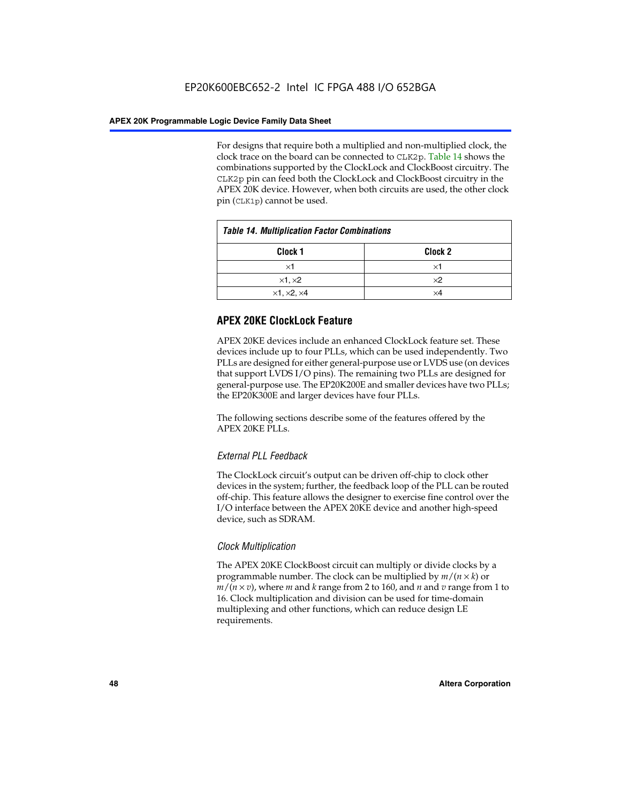For designs that require both a multiplied and non-multiplied clock, the clock trace on the board can be connected to CLK2p. Table 14 shows the combinations supported by the ClockLock and ClockBoost circuitry. The CLK2p pin can feed both the ClockLock and ClockBoost circuitry in the APEX 20K device. However, when both circuits are used, the other clock pin (CLK1p) cannot be used.

| <b>Table 14. Multiplication Factor Combinations</b> |                    |  |
|-----------------------------------------------------|--------------------|--|
| Clock 1                                             | Clock <sub>2</sub> |  |
| ×1                                                  | ×1                 |  |
| $\times$ 1, $\times$ 2                              | $\times 2$         |  |
| $\times$ 1, $\times$ 2, $\times$ 4                  | ×4                 |  |

# **APEX 20KE ClockLock Feature**

APEX 20KE devices include an enhanced ClockLock feature set. These devices include up to four PLLs, which can be used independently. Two PLLs are designed for either general-purpose use or LVDS use (on devices that support LVDS I/O pins). The remaining two PLLs are designed for general-purpose use. The EP20K200E and smaller devices have two PLLs; the EP20K300E and larger devices have four PLLs.

The following sections describe some of the features offered by the APEX 20KE PLLs.

# *External PLL Feedback*

The ClockLock circuit's output can be driven off-chip to clock other devices in the system; further, the feedback loop of the PLL can be routed off-chip. This feature allows the designer to exercise fine control over the I/O interface between the APEX 20KE device and another high-speed device, such as SDRAM.

# *Clock Multiplication*

The APEX 20KE ClockBoost circuit can multiply or divide clocks by a programmable number. The clock can be multiplied by *m*/(*n* × *k*) or  $m/(n \times v)$ , where *m* and *k* range from 2 to 160, and *n* and *v* range from 1 to 16. Clock multiplication and division can be used for time-domain multiplexing and other functions, which can reduce design LE requirements.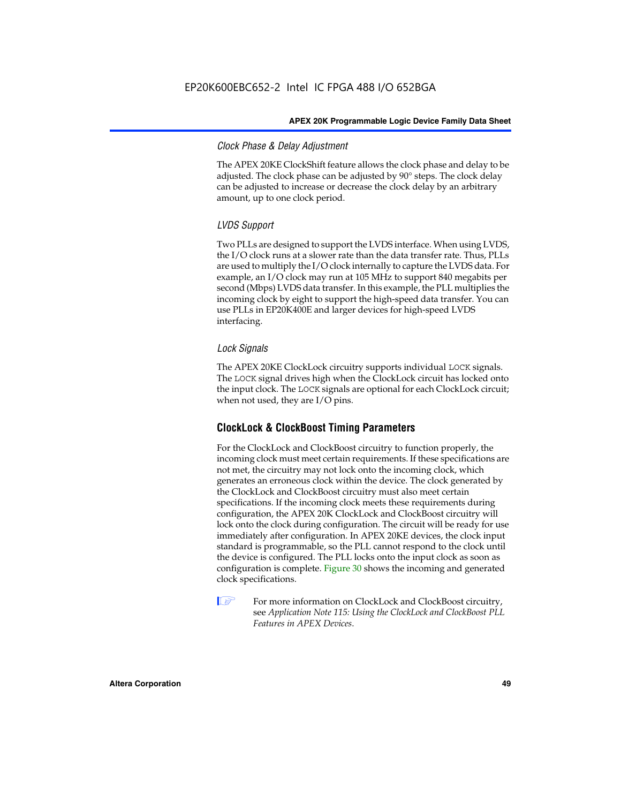# *Clock Phase & Delay Adjustment*

The APEX 20KE ClockShift feature allows the clock phase and delay to be adjusted. The clock phase can be adjusted by 90° steps. The clock delay can be adjusted to increase or decrease the clock delay by an arbitrary amount, up to one clock period.

# *LVDS Support*

Two PLLs are designed to support the LVDS interface. When using LVDS, the I/O clock runs at a slower rate than the data transfer rate. Thus, PLLs are used to multiply the I/O clock internally to capture the LVDS data. For example, an I/O clock may run at 105 MHz to support 840 megabits per second (Mbps) LVDS data transfer. In this example, the PLL multiplies the incoming clock by eight to support the high-speed data transfer. You can use PLLs in EP20K400E and larger devices for high-speed LVDS interfacing.

# *Lock Signals*

The APEX 20KE ClockLock circuitry supports individual LOCK signals. The LOCK signal drives high when the ClockLock circuit has locked onto the input clock. The LOCK signals are optional for each ClockLock circuit; when not used, they are I/O pins.

# **ClockLock & ClockBoost Timing Parameters**

For the ClockLock and ClockBoost circuitry to function properly, the incoming clock must meet certain requirements. If these specifications are not met, the circuitry may not lock onto the incoming clock, which generates an erroneous clock within the device. The clock generated by the ClockLock and ClockBoost circuitry must also meet certain specifications. If the incoming clock meets these requirements during configuration, the APEX 20K ClockLock and ClockBoost circuitry will lock onto the clock during configuration. The circuit will be ready for use immediately after configuration. In APEX 20KE devices, the clock input standard is programmable, so the PLL cannot respond to the clock until the device is configured. The PLL locks onto the input clock as soon as configuration is complete. Figure 30 shows the incoming and generated clock specifications.

 $\mathbb{I} \mathcal{F}$  For more information on ClockLock and ClockBoost circuitry, see *Application Note 115: Using the ClockLock and ClockBoost PLL Features in APEX Devices*.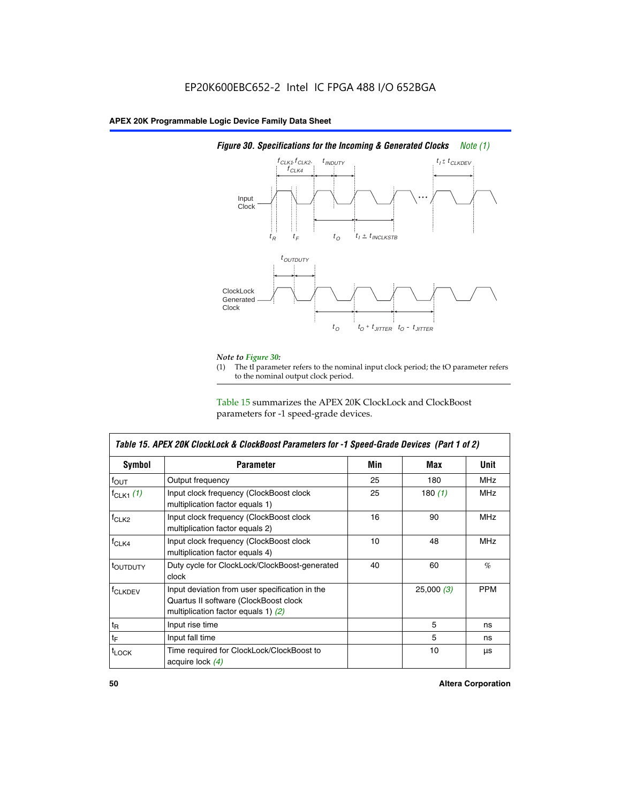

# *Figure 30. Specifications for the Incoming & Generated Clocks Note (1)*

# *Note to Figure 30:*

The tI parameter refers to the nominal input clock period; the tO parameter refers to the nominal output clock period.

Table 15 summarizes the APEX 20K ClockLock and ClockBoost parameters for -1 speed-grade devices.

| <b>Symbol</b>                                                                                                                                       | <b>Parameter</b>                                                           | Min | Max       | <b>Unit</b> |
|-----------------------------------------------------------------------------------------------------------------------------------------------------|----------------------------------------------------------------------------|-----|-----------|-------------|
| $f_{OUT}$                                                                                                                                           | Output frequency                                                           | 25  | 180       | MHz         |
| $f_{CLK1}$ $(1)$                                                                                                                                    | Input clock frequency (ClockBoost clock<br>multiplication factor equals 1) | 25  | 180 $(1)$ | <b>MHz</b>  |
| $f_{CLK2}$                                                                                                                                          | Input clock frequency (ClockBoost clock<br>multiplication factor equals 2) | 16  | 90        | <b>MHz</b>  |
| $f_{CLK4}$                                                                                                                                          | Input clock frequency (ClockBoost clock<br>multiplication factor equals 4) | 10  | 48        | <b>MHz</b>  |
| toutputy                                                                                                                                            | Duty cycle for ClockLock/ClockBoost-generated<br>clock                     | 40  | 60        | %           |
| Input deviation from user specification in the<br><b>f</b> CLKDEV<br>Quartus II software (ClockBoost clock<br>multiplication factor equals 1) $(2)$ |                                                                            |     | 25,000(3) | <b>PPM</b>  |
| $t_{\mathsf{R}}$                                                                                                                                    | Input rise time                                                            |     | 5         | ns          |
| $t_{\mathsf{F}}$                                                                                                                                    | Input fall time                                                            |     | 5         | ns          |
| <sup>t</sup> LOCK                                                                                                                                   | Time required for ClockLock/ClockBoost to<br>acquire lock (4)              |     | 10        | μs          |

 $\mathsf I$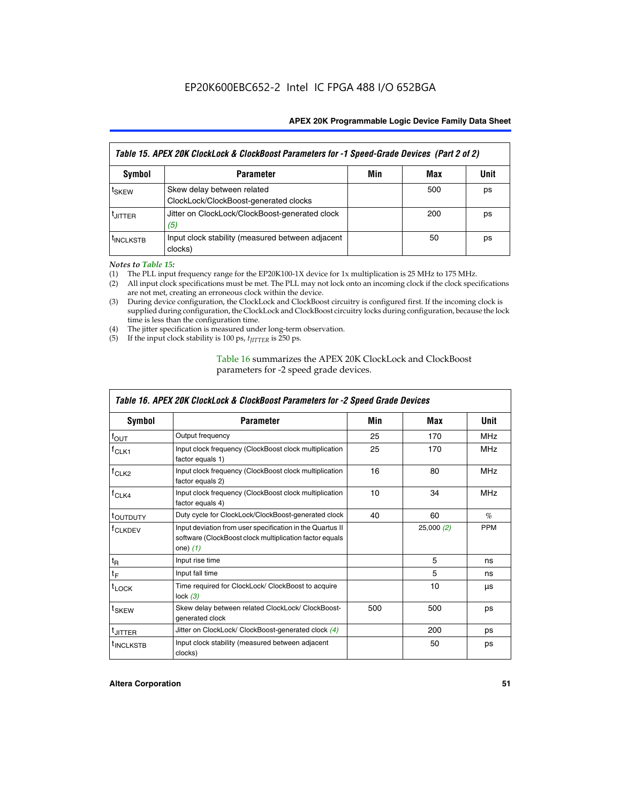| Table 15. APEX 20K ClockLock & ClockBoost Parameters for -1 Speed-Grade Devices (Part 2 of 2) |                                                                     |     |     |      |
|-----------------------------------------------------------------------------------------------|---------------------------------------------------------------------|-----|-----|------|
| <b>Symbol</b>                                                                                 | <b>Parameter</b>                                                    | Min | Max | Unit |
| t <sub>SKEW</sub>                                                                             | Skew delay between related<br>ClockLock/ClockBoost-generated clocks |     | 500 | ps   |
| <b>UITTER</b>                                                                                 | Jitter on ClockLock/ClockBoost-generated clock<br>(5)               |     | 200 | ps   |
| <b>INCLKSTB</b>                                                                               | Input clock stability (measured between adjacent<br>clocks)         |     | 50  | ps   |

*Notes to Table 15:*

- (1) The PLL input frequency range for the EP20K100-1X device for 1x multiplication is 25 MHz to 175 MHz.
- (2) All input clock specifications must be met. The PLL may not lock onto an incoming clock if the clock specifications are not met, creating an erroneous clock within the device.
- (3) During device configuration, the ClockLock and ClockBoost circuitry is configured first. If the incoming clock is supplied during configuration, the ClockLock and ClockBoost circuitry locks during configuration, because the lock time is less than the configuration time.
- (4) The jitter specification is measured under long-term observation.
- (5) If the input clock stability is 100 ps,  $t_{\text{JITTER}}$  is 250 ps.

# Table 16 summarizes the APEX 20K ClockLock and ClockBoost parameters for -2 speed grade devices.

| Symbol                                                                                          | <b>Parameter</b>                                                                                                                   | Min | Max       | Unit       |
|-------------------------------------------------------------------------------------------------|------------------------------------------------------------------------------------------------------------------------------------|-----|-----------|------------|
| $f_{\text{OUT}}$                                                                                | Output frequency                                                                                                                   | 25  | 170       | <b>MHz</b> |
| <sup>T</sup> CLK1                                                                               | Input clock frequency (ClockBoost clock multiplication<br>factor equals 1)                                                         | 25  | 170       | <b>MHz</b> |
| Input clock frequency (ClockBoost clock multiplication<br>f <sub>CLK2</sub><br>factor equals 2) |                                                                                                                                    | 16  | 80        | <b>MHz</b> |
| $f_{CLK4}$<br>Input clock frequency (ClockBoost clock multiplication<br>factor equals 4)        |                                                                                                                                    | 10  | 34        | <b>MHz</b> |
| <sup>τ</sup> ουτρυτγ                                                                            | Duty cycle for ClockLock/ClockBoost-generated clock                                                                                | 40  | 60        | $\%$       |
| <sup>T</sup> CLKDEV                                                                             | Input deviation from user specification in the Quartus II<br>software (ClockBoost clock multiplication factor equals<br>one) $(1)$ |     | 25,000(2) | <b>PPM</b> |
| $t_{\mathsf{R}}$                                                                                | Input rise time                                                                                                                    |     | 5         | ns         |
| $t_F$                                                                                           | Input fall time                                                                                                                    |     | 5         | ns         |
| $t_{\text{LOCK}}$                                                                               | Time required for ClockLock/ ClockBoost to acquire<br>lock $(3)$                                                                   |     | 10        | μs         |
| t <sub>SKEW</sub>                                                                               | Skew delay between related ClockLock/ ClockBoost-<br>generated clock                                                               | 500 | 500       | ps         |
| t <sub>JITTER</sub>                                                                             | Jitter on ClockLock/ ClockBoost-generated clock (4)                                                                                |     | 200       | ps         |
| <sup>I</sup> INCLKSTB                                                                           | Input clock stability (measured between adjacent<br>clocks)                                                                        |     | 50        | ps         |

# *Table 16. APEX 20K ClockLock & ClockBoost Parameters for -2 Speed Grade Devices*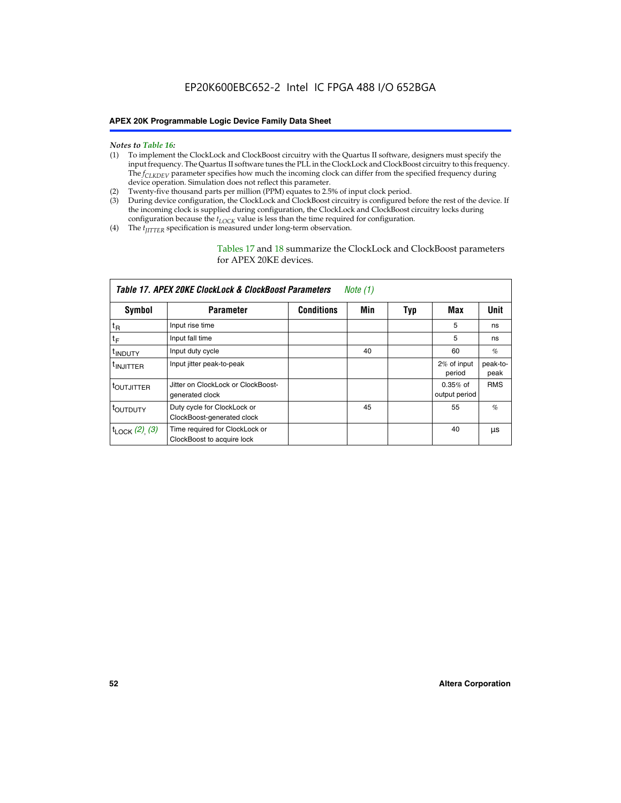- *Notes to Table 16:* (1) To implement the ClockLock and ClockBoost circuitry with the Quartus II software, designers must specify the input frequency. The Quartus II software tunes the PLL in the ClockLock and ClockBoost circuitry to this frequency. The *f<sub>CLKDEV</sub>* parameter specifies how much the incoming clock can differ from the specified frequency during device operation. Simulation does not reflect this parameter.
- (2) Twenty-five thousand parts per million (PPM) equates to 2.5% of input clock period.
- (3) During device configuration, the ClockLock and ClockBoost circuitry is configured before the rest of the device. If the incoming clock is supplied during configuration, the ClockLock and ClockBoost circuitry locks during configuration because the  $t_{LOCK}$  value is less than the time required for configuration.
- (4) The  $t_{\text{ITTTER}}$  specification is measured under long-term observation.

Tables 17 and 18 summarize the ClockLock and ClockBoost parameters for APEX 20KE devices.

|                            | Table 17. APEX 20KE ClockLock & ClockBoost Parameters        |                   | Note (1) |     |                             |                  |
|----------------------------|--------------------------------------------------------------|-------------------|----------|-----|-----------------------------|------------------|
| Symbol                     | <b>Parameter</b>                                             | <b>Conditions</b> | Min      | Typ | Max                         | <b>Unit</b>      |
| $t_{R}$                    | Input rise time                                              |                   |          |     | 5                           | ns               |
| tF                         | Input fall time                                              |                   |          |     | 5                           | ns               |
| <sup>t</sup> INDUTY        | Input duty cycle                                             |                   | 40       |     | 60                          | %                |
| <sup>t</sup> INJITTER      | Input jitter peak-to-peak                                    |                   |          |     | 2% of input<br>period       | peak-to-<br>peak |
| <sup>t</sup> OUTJITTER     | Jitter on ClockLock or ClockBoost-<br>generated clock        |                   |          |     | $0.35%$ of<br>output period | <b>RMS</b>       |
| toutbuty                   | Duty cycle for ClockLock or<br>ClockBoost-generated clock    |                   | 45       |     | 55                          | $\%$             |
| $t_{\text{LOCK}}$ (2), (3) | Time required for ClockLock or<br>ClockBoost to acquire lock |                   |          |     | 40                          | μs               |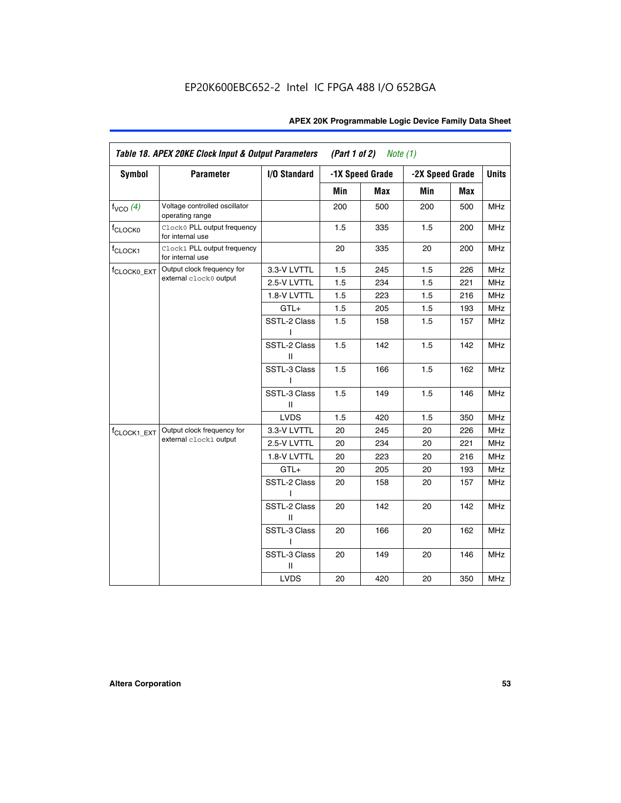| <b>Symbol</b>           | <b>Parameter</b>                                 | I/O Standard      |     | -1X Speed Grade |                 |     | <b>Units</b> |
|-------------------------|--------------------------------------------------|-------------------|-----|-----------------|-----------------|-----|--------------|
|                         |                                                  |                   |     |                 | -2X Speed Grade |     |              |
|                         |                                                  |                   | Min | Max             | Min             | Max |              |
| $f_{VCO}$ $(4)$         | Voltage controlled oscillator<br>operating range |                   | 200 | 500             | 200             | 500 | <b>MHz</b>   |
| f <sub>CLOCK0</sub>     | Clock0 PLL output frequency<br>for internal use  |                   | 1.5 | 335             | 1.5             | 200 | MHz          |
| f <sub>CLOCK1</sub>     | Clock1 PLL output frequency<br>for internal use  |                   | 20  | 335             | 20              | 200 | MHz          |
| f <sub>CLOCK0_EXT</sub> | Output clock frequency for                       | 3.3-V LVTTL       | 1.5 | 245             | 1.5             | 226 | <b>MHz</b>   |
|                         | external clock0 output                           | 2.5-V LVTTL       | 1.5 | 234             | 1.5             | 221 | <b>MHz</b>   |
|                         |                                                  | 1.8-V LVTTL       | 1.5 | 223             | 1.5             | 216 | <b>MHz</b>   |
|                         |                                                  | $GTL+$            | 1.5 | 205             | 1.5             | 193 | <b>MHz</b>   |
|                         |                                                  | SSTL-2 Class<br>L | 1.5 | 158             | 1.5             | 157 | <b>MHz</b>   |
|                         |                                                  | SSTL-2 Class<br>Ш | 1.5 | 142             | 1.5             | 142 | <b>MHz</b>   |
|                         |                                                  | SSTL-3 Class<br>I | 1.5 | 166             | 1.5             | 162 | <b>MHz</b>   |
|                         |                                                  | SSTL-3 Class<br>Ш | 1.5 | 149             | 1.5             | 146 | <b>MHz</b>   |
|                         |                                                  | <b>LVDS</b>       | 1.5 | 420             | 1.5             | 350 | <b>MHz</b>   |
| f <sub>CLOCK1_EXT</sub> | Output clock frequency for                       | 3.3-V LVTTL       | 20  | 245             | 20              | 226 | <b>MHz</b>   |
|                         | external clock1 output                           | 2.5-V LVTTL       | 20  | 234             | 20              | 221 | <b>MHz</b>   |
|                         |                                                  | 1.8-V LVTTL       | 20  | 223             | 20              | 216 | <b>MHz</b>   |
|                         |                                                  | $GTL+$            | 20  | 205             | 20              | 193 | MHz          |
|                         |                                                  | SSTL-2 Class      | 20  | 158             | 20              | 157 | <b>MHz</b>   |
|                         |                                                  | SSTL-2 Class<br>Ш | 20  | 142             | 20              | 142 | <b>MHz</b>   |
|                         |                                                  | SSTL-3 Class      | 20  | 166             | 20              | 162 | <b>MHz</b>   |
|                         |                                                  | SSTL-3 Class<br>Ш | 20  | 149             | 20              | 146 | <b>MHz</b>   |
|                         |                                                  | <b>LVDS</b>       | 20  | 420             | 20              | 350 | MHz          |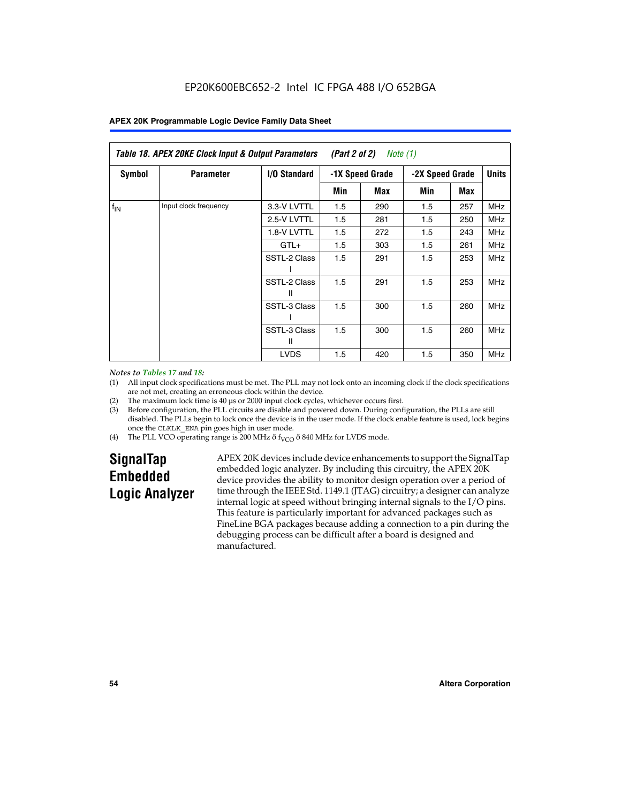| Table 18. APEX 20KE Clock Input & Output Parameters<br>(Part 2 of 2)<br>Note (1) |                       |                     |                                    |     |     |              |            |
|----------------------------------------------------------------------------------|-----------------------|---------------------|------------------------------------|-----|-----|--------------|------------|
| <b>Symbol</b>                                                                    | <b>Parameter</b>      | <b>I/O Standard</b> | -1X Speed Grade<br>-2X Speed Grade |     |     | <b>Units</b> |            |
|                                                                                  |                       |                     | Min                                | Max | Min | Max          |            |
| $f_{IN}$                                                                         | Input clock frequency | 3.3-V LVTTL         | 1.5                                | 290 | 1.5 | 257          | <b>MHz</b> |
|                                                                                  |                       | 2.5-V LVTTL         | 1.5                                | 281 | 1.5 | 250          | MHz        |
|                                                                                  |                       | 1.8-V LVTTL         | 1.5                                | 272 | 1.5 | 243          | <b>MHz</b> |
|                                                                                  |                       | $GTL+$              | 1.5                                | 303 | 1.5 | 261          | <b>MHz</b> |
|                                                                                  |                       | SSTL-2 Class        | 1.5                                | 291 | 1.5 | 253          | <b>MHz</b> |
|                                                                                  |                       | SSTL-2 Class<br>Ш   | 1.5                                | 291 | 1.5 | 253          | <b>MHz</b> |
|                                                                                  |                       | SSTL-3 Class        | 1.5                                | 300 | 1.5 | 260          | <b>MHz</b> |
|                                                                                  |                       | SSTL-3 Class<br>Ш   | 1.5                                | 300 | 1.5 | 260          | <b>MHz</b> |
|                                                                                  |                       | <b>LVDS</b>         | 1.5                                | 420 | 1.5 | 350          | <b>MHz</b> |

#### *Notes to Tables 17 and 18:*

(1) All input clock specifications must be met. The PLL may not lock onto an incoming clock if the clock specifications are not met, creating an erroneous clock within the device.

- (2) The maximum lock time is 40 µs or 2000 input clock cycles, whichever occurs first.
- (3) Before configuration, the PLL circuits are disable and powered down. During configuration, the PLLs are still disabled. The PLLs begin to lock once the device is in the user mode. If the clock enable feature is used, lock begins once the CLKLK\_ENA pin goes high in user mode.
- (4) The PLL VCO operating range is 200 MHz  $\eth$  f<sub>VCO</sub>  $\eth$  840 MHz for LVDS mode.

# **SignalTap Embedded Logic Analyzer**

APEX 20K devices include device enhancements to support the SignalTap embedded logic analyzer. By including this circuitry, the APEX 20K device provides the ability to monitor design operation over a period of time through the IEEE Std. 1149.1 (JTAG) circuitry; a designer can analyze internal logic at speed without bringing internal signals to the I/O pins. This feature is particularly important for advanced packages such as FineLine BGA packages because adding a connection to a pin during the debugging process can be difficult after a board is designed and manufactured.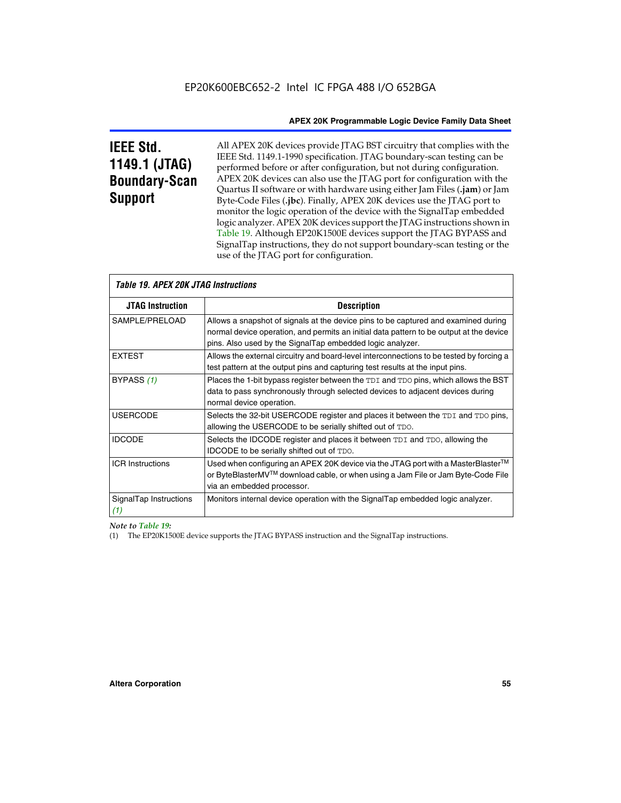# **IEEE Std. 1149.1 (JTAG) Boundary-Scan Support**

All APEX 20K devices provide JTAG BST circuitry that complies with the IEEE Std. 1149.1-1990 specification. JTAG boundary-scan testing can be performed before or after configuration, but not during configuration. APEX 20K devices can also use the JTAG port for configuration with the Quartus II software or with hardware using either Jam Files (**.jam**) or Jam Byte-Code Files (**.jbc**). Finally, APEX 20K devices use the JTAG port to monitor the logic operation of the device with the SignalTap embedded logic analyzer. APEX 20K devices support the JTAG instructions shown in Table 19. Although EP20K1500E devices support the JTAG BYPASS and SignalTap instructions, they do not support boundary-scan testing or the use of the JTAG port for configuration.

| <i><b>Table 19. APEX 20K JTAG Instructions</b></i> |                                                                                                                                                                                                                                            |
|----------------------------------------------------|--------------------------------------------------------------------------------------------------------------------------------------------------------------------------------------------------------------------------------------------|
| <b>JTAG Instruction</b>                            | <b>Description</b>                                                                                                                                                                                                                         |
| SAMPLE/PRELOAD                                     | Allows a snapshot of signals at the device pins to be captured and examined during<br>normal device operation, and permits an initial data pattern to be output at the device<br>pins. Also used by the SignalTap embedded logic analyzer. |
| <b>EXTEST</b>                                      | Allows the external circuitry and board-level interconnections to be tested by forcing a<br>test pattern at the output pins and capturing test results at the input pins.                                                                  |
| BYPASS (1)                                         | Places the 1-bit bypass register between the TDI and TDO pins, which allows the BST<br>data to pass synchronously through selected devices to adjacent devices during<br>normal device operation.                                          |
| <b>USERCODE</b>                                    | Selects the 32-bit USERCODE register and places it between the TDI and TDO pins,<br>allowing the USERCODE to be serially shifted out of TDO.                                                                                               |
| <b>IDCODE</b>                                      | Selects the IDCODE register and places it between TDI and TDO, allowing the<br>IDCODE to be serially shifted out of TDO.                                                                                                                   |
| <b>ICR Instructions</b>                            | Used when configuring an APEX 20K device via the JTAG port with a MasterBlaster™<br>or ByteBlasterMV™ download cable, or when using a Jam File or Jam Byte-Code File<br>via an embedded processor.                                         |
| SignalTap Instructions<br>(1)                      | Monitors internal device operation with the SignalTap embedded logic analyzer.                                                                                                                                                             |

 $\overline{\phantom{a}}$ 

# *Note to Table 19:*

(1) The EP20K1500E device supports the JTAG BYPASS instruction and the SignalTap instructions.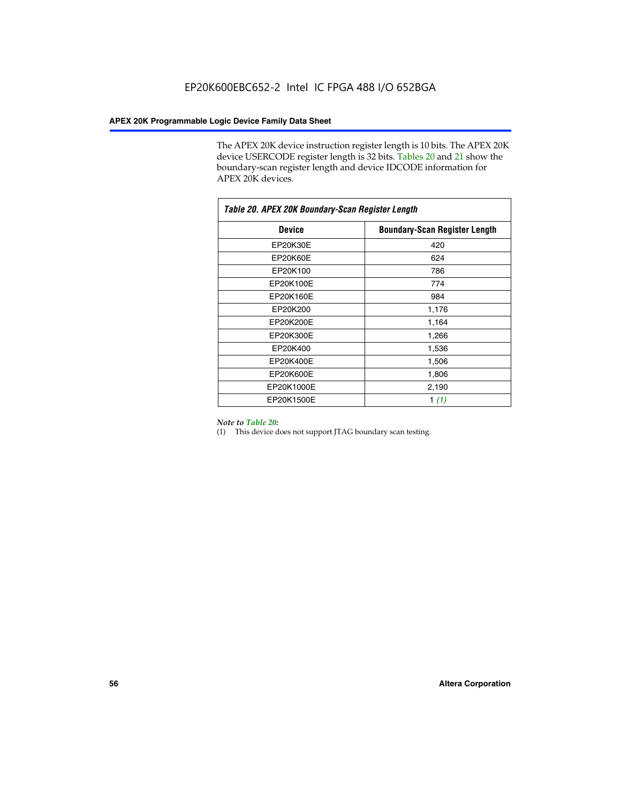The APEX 20K device instruction register length is 10 bits. The APEX 20K device USERCODE register length is 32 bits. Tables 20 and 21 show the boundary-scan register length and device IDCODE information for APEX 20K devices.

| Table 20. APEX 20K Boundary-Scan Register Length |                                      |  |  |  |
|--------------------------------------------------|--------------------------------------|--|--|--|
| <b>Device</b>                                    | <b>Boundary-Scan Register Length</b> |  |  |  |
| EP20K30E                                         | 420                                  |  |  |  |
| <b>EP20K60E</b>                                  | 624                                  |  |  |  |
| EP20K100                                         | 786                                  |  |  |  |
| EP20K100E                                        | 774                                  |  |  |  |
| EP20K160E                                        | 984                                  |  |  |  |
| EP20K200                                         | 1,176                                |  |  |  |
| EP20K200E                                        | 1,164                                |  |  |  |
| EP20K300E                                        | 1,266                                |  |  |  |
| EP20K400                                         | 1,536                                |  |  |  |
| EP20K400E                                        | 1,506                                |  |  |  |
| EP20K600E                                        | 1,806                                |  |  |  |
| EP20K1000E                                       | 2,190                                |  |  |  |
| EP20K1500E                                       | 1 $(1)$                              |  |  |  |

#### *Note to Table 20:*

(1) This device does not support JTAG boundary scan testing.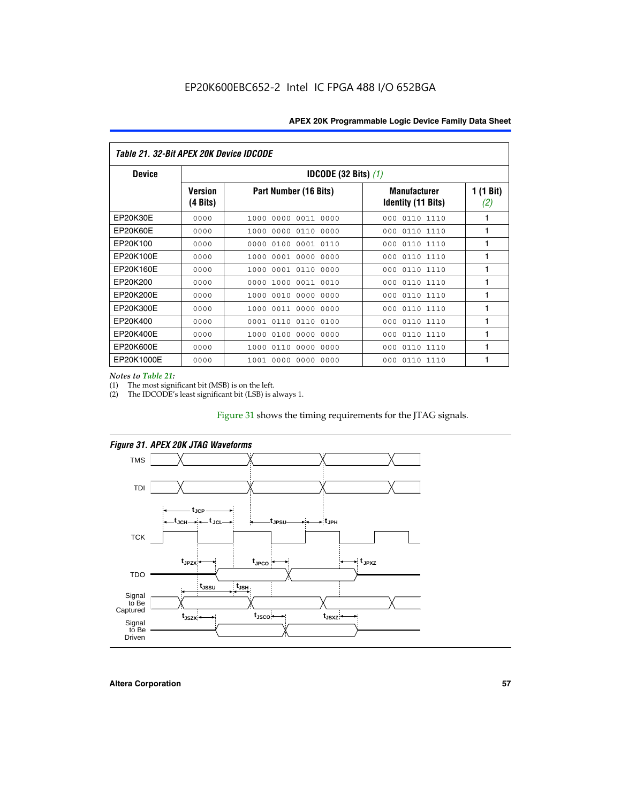| Table 21. 32-Bit APEX 20K Device IDCODE |                                          |                              |                                                  |                  |  |  |
|-----------------------------------------|------------------------------------------|------------------------------|--------------------------------------------------|------------------|--|--|
| <b>Device</b>                           | <b>IDCODE (32 Bits) <math>(1)</math></b> |                              |                                                  |                  |  |  |
|                                         | <b>Version</b><br>(4 Bits)               | Part Number (16 Bits)        | <b>Manufacturer</b><br><b>Identity (11 Bits)</b> | 1 (1 Bit)<br>(2) |  |  |
| EP20K30E                                | 0000                                     | 0000 0011 0000<br>1000       | 0110 1110<br>000                                 | 1                |  |  |
| EP20K60E                                | 0000                                     | 1000<br>0000 0110<br>0000    | 0110 1110<br>000                                 | 1                |  |  |
| EP20K100                                | 0000                                     | 0000<br>0100<br>0001 0110    | 000<br>0110 1110                                 | 1                |  |  |
| EP20K100E                               | 0000                                     | 1000<br>0001 0000<br>0000    | 0110 1110<br>000                                 | 1                |  |  |
| EP20K160E                               | 0000                                     | 0001 0110<br>0000<br>1000    | 000<br>0110 1110                                 | 1                |  |  |
| EP20K200                                | 0000                                     | 1000<br>0011 0010<br>0000    | 0110 1110<br>000                                 | 1                |  |  |
| EP20K200E                               | 0000                                     | 0010<br>0000<br>0000<br>1000 | 0110 1110<br>000                                 | 1                |  |  |
| EP20K300E                               | 0000                                     | 0011 0000<br>0000<br>1000    | 0110 1110<br>000                                 | 1                |  |  |
| EP20K400                                | 0000                                     | 0001<br>0110<br>0110<br>0100 | 0110 1110<br>000                                 | 1                |  |  |
| EP20K400E                               | 0000                                     | 0100<br>0000<br>0000<br>1000 | 0110 1110<br>000                                 | 1                |  |  |
| EP20K600E                               | 0000                                     | 1000<br>0110<br>0000<br>0000 | 0110 1110<br>000                                 | 1                |  |  |
| EP20K1000E                              | 0000                                     | 0000<br>0000<br>0000<br>1001 | 000<br>0110 1110                                 | 1                |  |  |

*Notes to Table 21:*

The most significant bit (MSB) is on the left.

(2) The IDCODE's least significant bit (LSB) is always 1.

# Figure 31 shows the timing requirements for the JTAG signals.



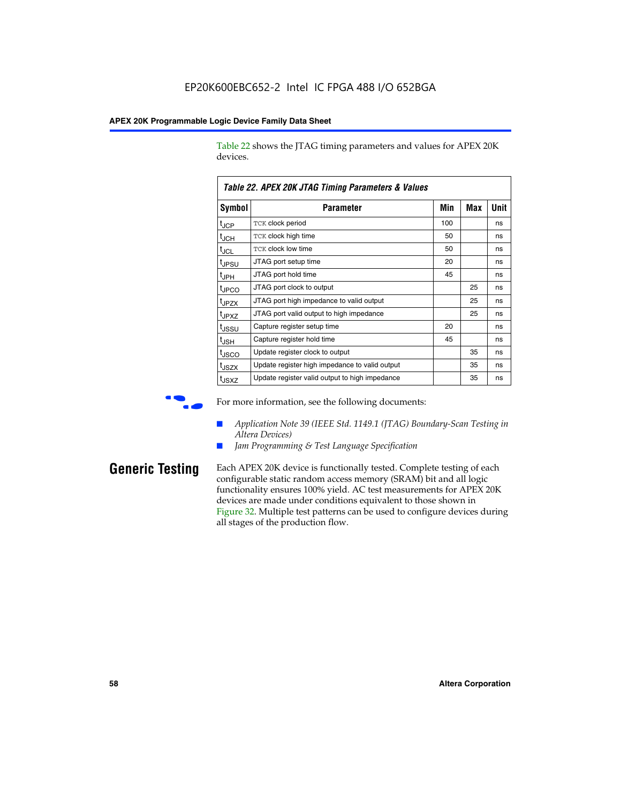Table 22 shows the JTAG timing parameters and values for APEX 20K devices.

|                   | TADIE ZZ. AFEA ZUN JTAU TIIIIIIU FAIAIIIEIEIS & VAIUES |     |     |      |  |  |
|-------------------|--------------------------------------------------------|-----|-----|------|--|--|
| Symbol            | Parameter                                              | Min | Max | Unit |  |  |
| $t_{\text{JCP}}$  | TCK clock period                                       | 100 |     | ns   |  |  |
| $t_{\rm JCH}$     | TCK clock high time                                    | 50  |     | ns   |  |  |
| $t_{\sf JCL}$     | <b>TCK clock low time</b>                              | 50  |     | ns   |  |  |
| tjpsu             | JTAG port setup time                                   | 20  |     | ns   |  |  |
| t <sub>JPH</sub>  | JTAG port hold time                                    | 45  |     | ns   |  |  |
| tjpco             | JTAG port clock to output                              |     | 25  | ns   |  |  |
| t <sub>JPZX</sub> | JTAG port high impedance to valid output               |     | 25  | ns   |  |  |
| t <sub>JPXZ</sub> | JTAG port valid output to high impedance               |     | 25  | ns   |  |  |
| tjssu             | Capture register setup time                            | 20  |     | ns   |  |  |
| t <sub>JSH</sub>  | Capture register hold time                             | 45  |     | ns   |  |  |
| tjsco             | Update register clock to output                        |     | 35  | ns   |  |  |
| t <sub>JSZX</sub> | Update register high impedance to valid output         |     | 35  | ns   |  |  |
| t <sub>JSXZ</sub> | Update register valid output to high impedance         |     | 35  | ns   |  |  |

*Table 22. APEX 20K JTAG Timing Parameters & Values*

For more information, see the following documents:

- *Application Note 39 (IEEE Std. 1149.1 (JTAG) Boundary-Scan Testing in Altera Devices)*
- Jam Programming & Test Language Specification

**Generic Testing** Each APEX 20K device is functionally tested. Complete testing of each configurable static random access memory (SRAM) bit and all logic functionality ensures 100% yield. AC test measurements for APEX 20K devices are made under conditions equivalent to those shown in Figure 32. Multiple test patterns can be used to configure devices during all stages of the production flow.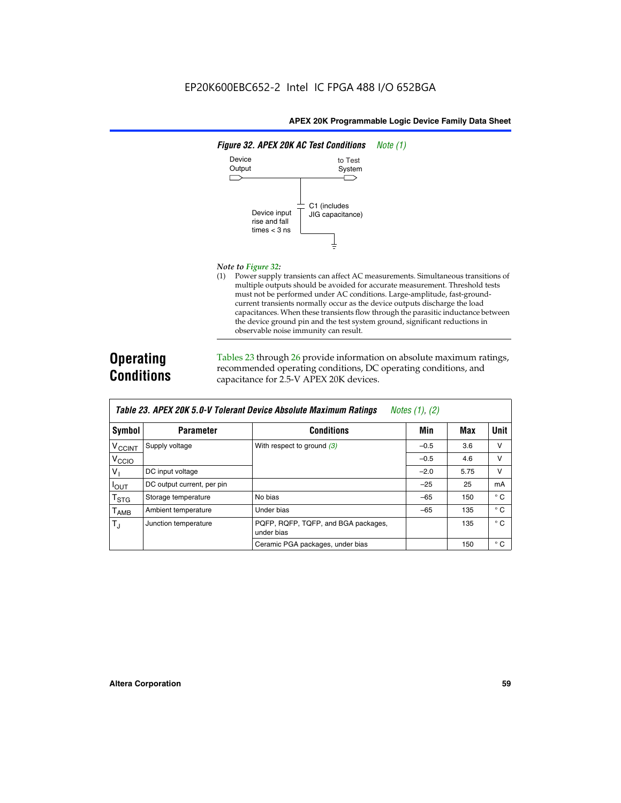

#### *Note to Figure 32:*

(1) Power supply transients can affect AC measurements. Simultaneous transitions of multiple outputs should be avoided for accurate measurement. Threshold tests must not be performed under AC conditions. Large-amplitude, fast-groundcurrent transients normally occur as the device outputs discharge the load capacitances. When these transients flow through the parasitic inductance between the device ground pin and the test system ground, significant reductions in observable noise immunity can result.

# **Operating Conditions**

Tables 23 through 26 provide information on absolute maximum ratings, recommended operating conditions, DC operating conditions, and capacitance for 2.5-V APEX 20K devices.

|                    | TADIG LU. MI LA LUN U.U-V TUIGIAIN DGVIUG MUSUNUG MAANNUNI NAMNUS<br>$100103$ $11, 121$ |                                                   |        |      |              |  |
|--------------------|-----------------------------------------------------------------------------------------|---------------------------------------------------|--------|------|--------------|--|
| Symbol             | <b>Parameter</b>                                                                        | <b>Conditions</b>                                 | Min    | Max  | Unit         |  |
| V <sub>CCINT</sub> | Supply voltage                                                                          | With respect to ground $(3)$                      | $-0.5$ | 3.6  | v            |  |
| V <sub>CCIO</sub>  |                                                                                         |                                                   | $-0.5$ | 4.6  | v            |  |
| V                  | DC input voltage                                                                        |                                                   | $-2.0$ | 5.75 | v            |  |
| $I_{OUT}$          | DC output current, per pin                                                              |                                                   | $-25$  | 25   | mA           |  |
| $T_{\text{STG}}$   | Storage temperature                                                                     | No bias                                           | $-65$  | 150  | $^{\circ}$ C |  |
| $T_{\sf AMB}$      | Ambient temperature                                                                     | Under bias                                        | $-65$  | 135  | $^{\circ}$ C |  |
| $T_J$              | Junction temperature                                                                    | PQFP, RQFP, TQFP, and BGA packages,<br>under bias |        | 135  | $^{\circ}$ C |  |
|                    |                                                                                         | Ceramic PGA packages, under bias                  |        | 150  | $^{\circ}$ C |  |

| <b>Table 23. APEX 20K 5.0-V Tolerant Device Absolute Maximum Ratings</b> Notes (1), (2) |  |
|-----------------------------------------------------------------------------------------|--|
|-----------------------------------------------------------------------------------------|--|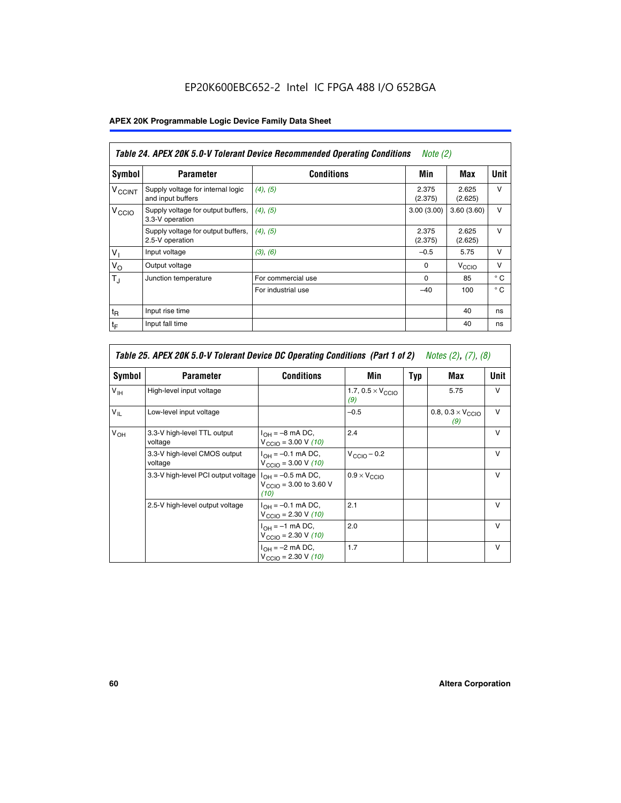# EP20K600EBC652-2 Intel IC FPGA 488 I/O 652BGA

# **APEX 20K Programmable Logic Device Family Data Sheet**

|                          | Table 24. APEX 20K 5.0-V Tolerant Device Recommended Operating Conditions<br><i>Note</i> $(2)$ |                    |                  |                   |              |  |
|--------------------------|------------------------------------------------------------------------------------------------|--------------------|------------------|-------------------|--------------|--|
| <b>Symbol</b>            | <b>Parameter</b>                                                                               | <b>Conditions</b>  | Min              | Max               | <b>Unit</b>  |  |
| <b>V<sub>CCINT</sub></b> | Supply voltage for internal logic<br>and input buffers                                         | $(4)$ , $(5)$      | 2.375<br>(2.375) | 2.625<br>(2.625)  | $\vee$       |  |
| V <sub>CCIO</sub>        | Supply voltage for output buffers,<br>3.3-V operation                                          | (4), (5)           | 3.00(3.00)       | 3.60(3.60)        | $\vee$       |  |
|                          | Supply voltage for output buffers,<br>2.5-V operation                                          | (4), (5)           | 2.375<br>(2.375) | 2.625<br>(2.625)  | $\vee$       |  |
| $V_{1}$                  | Input voltage                                                                                  | (3), (6)           | $-0.5$           | 5.75              | $\vee$       |  |
| $V_{\rm O}$              | Output voltage                                                                                 |                    | $\Omega$         | V <sub>CCIO</sub> | $\vee$       |  |
| $T_{\rm J}$              | Junction temperature                                                                           | For commercial use | $\Omega$         | 85                | $^{\circ}$ C |  |
|                          |                                                                                                | For industrial use | $-40$            | 100               | $^{\circ}$ C |  |
| $t_{R}$                  | Input rise time                                                                                |                    |                  | 40                | ns           |  |
| $t_{\mathsf{F}}$         | Input fall time                                                                                |                    |                  | 40                | ns           |  |

| Table 25. APEX 20K 5.0-V Tolerant Device DC Operating Conditions (Part 1 of 2) Notes (2), (7), (8) |                                         |                                                                                       |                                          |     |                                          |              |
|----------------------------------------------------------------------------------------------------|-----------------------------------------|---------------------------------------------------------------------------------------|------------------------------------------|-----|------------------------------------------|--------------|
| Symbol                                                                                             | <b>Parameter</b>                        | <b>Conditions</b>                                                                     | Min                                      | Typ | Max                                      | Unit         |
| $V_{\text{IH}}$                                                                                    | High-level input voltage                |                                                                                       | 1.7, $0.5 \times V_{\text{CCIO}}$<br>(9) |     | 5.75                                     | v            |
| $V_{\parallel}$                                                                                    | Low-level input voltage                 |                                                                                       | $-0.5$                                   |     | 0.8, $0.3 \times V_{\text{CCIO}}$<br>(9) | $\vee$       |
| $V_{OH}$                                                                                           | 3.3-V high-level TTL output<br>voltage  | $I_{OH} = -8$ mA DC,<br>$V_{\text{CCIO}} = 3.00 \text{ V} (10)$                       | 2.4                                      |     |                                          | $\vee$       |
|                                                                                                    | 3.3-V high-level CMOS output<br>voltage | $I_{\text{OH}} = -0.1 \text{ mA DC},$<br>$V_{\text{CCIO}} = 3.00 \text{ V} (10)$      | $V_{\text{CCIO}} - 0.2$                  |     |                                          | $\mathsf{V}$ |
|                                                                                                    | 3.3-V high-level PCI output voltage     | $I_{OH} = -0.5$ mA DC,<br>$V_{\text{CClO}} = 3.00 \text{ to } 3.60 \text{ V}$<br>(10) | $0.9 \times V_{\text{CCIO}}$             |     |                                          | $\mathsf{V}$ |
|                                                                                                    | 2.5-V high-level output voltage         | $I_{OH} = -0.1$ mA DC,<br>$V_{\text{CCIO}} = 2.30 \text{ V} (10)$                     | 2.1                                      |     |                                          | $\mathsf{V}$ |
|                                                                                                    |                                         | $I_{\text{OH}} = -1 \text{ mA DC},$<br>$V_{\text{CCIO}} = 2.30 V (10)$                | 2.0                                      |     |                                          | $\vee$       |
|                                                                                                    |                                         | $I_{OH} = -2$ mA DC,<br>$V_{\text{CCIO}} = 2.30 V (10)$                               | 1.7                                      |     |                                          | v            |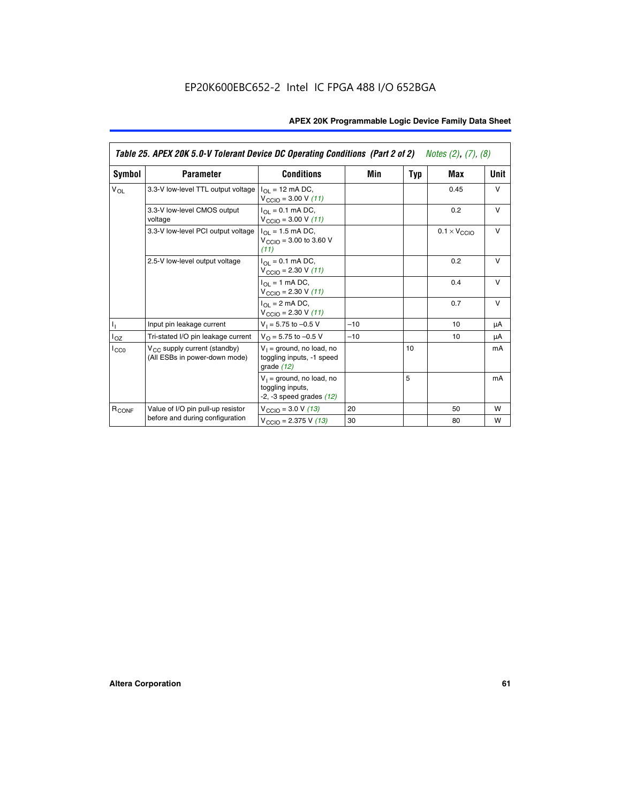|                   | Table 25. APEX 20K 5.0-V Tolerant Device DC Operating Conditions (Part 2 of 2) Notes (2), (7), (8) |                                                                                    |       |     |                              |        |  |
|-------------------|----------------------------------------------------------------------------------------------------|------------------------------------------------------------------------------------|-------|-----|------------------------------|--------|--|
| Symbol            | <b>Parameter</b>                                                                                   | <b>Conditions</b>                                                                  | Min   | Typ | Max                          | Unit   |  |
| $V_{OL}$          | 3.3-V low-level TTL output voltage                                                                 | $I_{\Omega}$ = 12 mA DC,<br>$V_{\text{CCIO}} = 3.00 V (11)$                        |       |     | 0.45                         | $\vee$ |  |
|                   | 3.3-V low-level CMOS output<br>voltage                                                             | $I_{\Omega} = 0.1$ mA DC,<br>$V_{\text{CCIO}} = 3.00 V (11)$                       |       |     | 0.2                          | $\vee$ |  |
|                   | 3.3-V low-level PCI output voltage                                                                 | $I_{\Omega}$ = 1.5 mA DC,<br>$V_{CClO}$ = 3.00 to 3.60 V<br>(11)                   |       |     | $0.1 \times V_{\text{CCIO}}$ | $\vee$ |  |
|                   | 2.5-V low-level output voltage                                                                     | $I_{\Omega} = 0.1$ mA DC,<br>$V_{\text{CCIO}} = 2.30 V (11)$                       |       |     | 0.2                          | $\vee$ |  |
|                   |                                                                                                    | $I_{\Omega}$ = 1 mA DC,<br>$V_{\text{CCIO}} = 2.30 V (11)$                         |       |     | 0.4                          | $\vee$ |  |
|                   |                                                                                                    | $I_{\Omega}$ = 2 mA DC,<br>$V_{\text{CCIO}} = 2.30 V (11)$                         |       |     | 0.7                          | $\vee$ |  |
| T,                | Input pin leakage current                                                                          | $V_1 = 5.75$ to $-0.5$ V                                                           | $-10$ |     | 10                           | μA     |  |
| $I_{OZ}$          | Tri-stated I/O pin leakage current                                                                 | $V_{\Omega}$ = 5.75 to -0.5 V                                                      | $-10$ |     | 10                           | μA     |  |
| $I_{CC0}$         | $V_{CC}$ supply current (standby)<br>(All ESBs in power-down mode)                                 | $V_1$ = ground, no load, no<br>toggling inputs, -1 speed<br>grade $(12)$           |       | 10  |                              | mA     |  |
|                   |                                                                                                    | $V_1$ = ground, no load, no<br>toggling inputs,<br>$-2$ , $-3$ speed grades $(12)$ |       | 5   |                              | mA     |  |
| R <sub>CONF</sub> | Value of I/O pin pull-up resistor                                                                  | $V_{\text{CCIO}} = 3.0 V (13)$                                                     | 20    |     | 50                           | W      |  |
|                   | before and during configuration                                                                    | $V_{\text{CCIO}} = 2.375 \text{ V} (13)$                                           | 30    |     | 80                           | W      |  |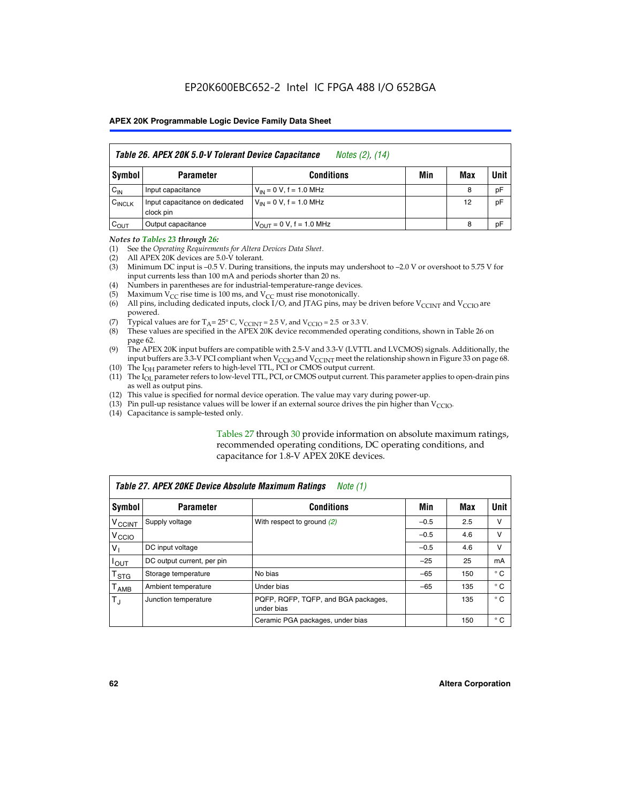|                    | Table 26. APEX 20K 5.0-V Tolerant Device Capacitance<br>Notes (2), (14) |                               |     |     |      |  |  |
|--------------------|-------------------------------------------------------------------------|-------------------------------|-----|-----|------|--|--|
| Symbol             | <b>Parameter</b>                                                        | <b>Conditions</b>             | Min | Max | Unit |  |  |
| $C_{IN}$           | Input capacitance                                                       | $V_{IN} = 0 V$ , f = 1.0 MHz  |     | 8   | pF   |  |  |
| C <sub>INCLK</sub> | Input capacitance on dedicated<br>clock pin                             | $V_{IN} = 0 V$ , f = 1.0 MHz  |     | 12  | pF   |  |  |
| $C_{OUT}$          | Output capacitance                                                      | $V_{OUIT} = 0 V, f = 1.0 MHz$ |     | 8   | pF   |  |  |

#### *Notes to Tables 23 through 26:*

- (1) See the *Operating Requirements for Altera Devices Data Sheet*.
- (2) All APEX 20K devices are 5.0-V tolerant.
- (3) Minimum DC input is –0.5 V. During transitions, the inputs may undershoot to –2.0 V or overshoot to 5.75 V for input currents less than 100 mA and periods shorter than 20 ns.
- (4) Numbers in parentheses are for industrial-temperature-range devices.
- (5) Maximum  $V_{CC}$  rise time is 100 ms, and  $V_{CC}$  must rise monotonically.<br>(6) All pins, including dedicated inputs, clock I/O, and JTAG pins, may b
- All pins, including dedicated inputs, clock I/O, and JTAG pins, may be driven before  $V_{\text{CCINT}}$  and  $V_{\text{CCIO}}$  are powered.
- (7) Typical values are for  $T_A = 25^\circ$  C, V<sub>CCINT</sub> = 2.5 V, and V<sub>CCIO</sub> = 2.5 or 3.3 V.<br>(8) These values are specified in the APEX 20K device recommended operat
- These values are specified in the APEX 20K device recommended operating conditions, shown in Table 26 on page 62.
- (9) The APEX 20K input buffers are compatible with 2.5-V and 3.3-V (LVTTL and LVCMOS) signals. Additionally, the input buffers are 3.3-V PCI compliant when  $V_{\text{CCIO}}$  and  $V_{\text{CCINI}}$  meet the relationship shown in Figure 33 on page 68.
- (10) The  $I<sub>OH</sub>$  parameter refers to high-level TTL, PCI or CMOS output current.
- (11) The I<sub>OL</sub> parameter refers to low-level TTL, PCI, or CMOS output current. This parameter applies to open-drain pins as well as output pins.
- (12) This value is specified for normal device operation. The value may vary during power-up.
- (13) Pin pull-up resistance values will be lower if an external source drives the pin higher than  $V_{\text{CCIO}}$ .
- (14) Capacitance is sample-tested only.

Tables 27 through 30 provide information on absolute maximum ratings, recommended operating conditions, DC operating conditions, and capacitance for 1.8-V APEX 20KE devices.

| Table 27. APEX 20KE Device Absolute Maximum Ratings<br>Note (1) |                            |                                                   |        |     |              |  |
|-----------------------------------------------------------------|----------------------------|---------------------------------------------------|--------|-----|--------------|--|
| Symbol                                                          | <b>Parameter</b>           | <b>Conditions</b>                                 | Min    | Max | Unit         |  |
| $V_{\text{CCINT}}$                                              | Supply voltage             | With respect to ground (2)                        | $-0.5$ | 2.5 | v            |  |
| V <sub>CCIO</sub>                                               |                            |                                                   | $-0.5$ | 4.6 | v            |  |
| $V_{1}$                                                         | DC input voltage           |                                                   | $-0.5$ | 4.6 | $\vee$       |  |
| $I_{OUT}$                                                       | DC output current, per pin |                                                   | $-25$  | 25  | mA           |  |
| $\mathsf{T}_{\texttt{STG}}$                                     | Storage temperature        | No bias                                           | $-65$  | 150 | $^{\circ}$ C |  |
| Т <sub>АМВ</sub>                                                | Ambient temperature        | Under bias                                        | $-65$  | 135 | $^{\circ}$ C |  |
| $\mathsf{T}_{\text{d}}$                                         | Junction temperature       | PQFP, RQFP, TQFP, and BGA packages,<br>under bias |        | 135 | $^{\circ}$ C |  |
|                                                                 |                            | Ceramic PGA packages, under bias                  |        | 150 | $^{\circ}$ C |  |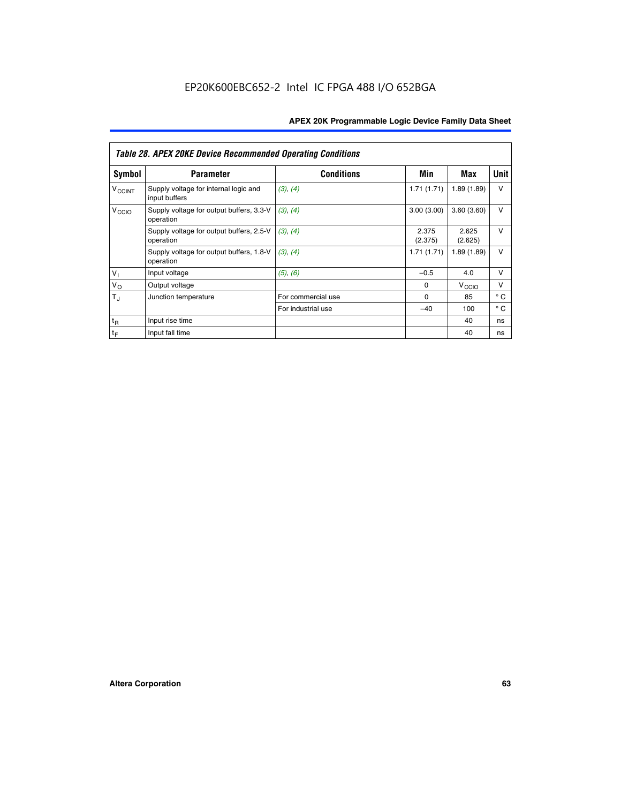|                          | <b>Table 28. APEX 20KE Device Recommended Operating Conditions</b> |                    |                  |                   |              |  |  |
|--------------------------|--------------------------------------------------------------------|--------------------|------------------|-------------------|--------------|--|--|
| <b>Symbol</b>            | <b>Parameter</b>                                                   | <b>Conditions</b>  | Min              | Max               | <b>Unit</b>  |  |  |
| <b>V<sub>CCINT</sub></b> | Supply voltage for internal logic and<br>input buffers             | (3), (4)           | 1.71(1.71)       | 1.89(1.89)        | $\vee$       |  |  |
| V <sub>CCIO</sub>        | Supply voltage for output buffers, 3.3-V<br>operation              | (3), (4)           | 3.00(3.00)       | 3.60(3.60)        | V            |  |  |
|                          | Supply voltage for output buffers, 2.5-V<br>operation              | (3), (4)           | 2.375<br>(2.375) | 2.625<br>(2.625)  | $\vee$       |  |  |
|                          | Supply voltage for output buffers, 1.8-V<br>operation              | (3), (4)           | 1.71(1.71)       | 1.89(1.89)        | V            |  |  |
| $V_1$                    | Input voltage                                                      | (5), (6)           | $-0.5$           | 4.0               | $\vee$       |  |  |
| $V_{\rm O}$              | Output voltage                                                     |                    | $\Omega$         | V <sub>CCIO</sub> | v            |  |  |
| $T_{\rm J}$              | Junction temperature                                               | For commercial use | $\Omega$         | 85                | $^{\circ}$ C |  |  |
|                          |                                                                    | For industrial use | $-40$            | 100               | $^{\circ}$ C |  |  |
| $t_{R}$                  | Input rise time                                                    |                    |                  | 40                | ns           |  |  |
| $t_{\mathsf{F}}$         | Input fall time                                                    |                    |                  | 40                | ns           |  |  |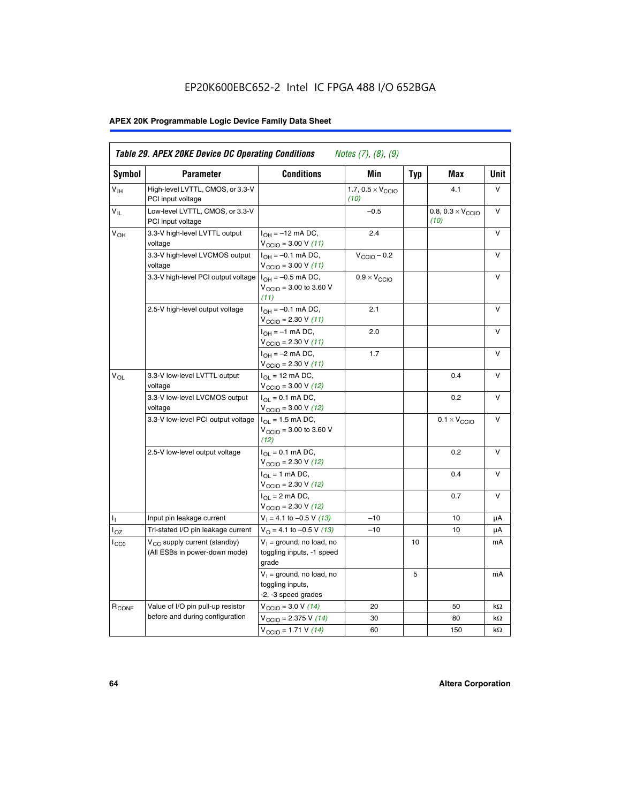# EP20K600EBC652-2 Intel IC FPGA 488 I/O 652BGA

# **APEX 20K Programmable Logic Device Family Data Sheet**

| Symbol            | <b>Parameter</b>                                                   | <b>Conditions</b>                                                                    | Min                                       | Typ | Max                                       | Unit   |
|-------------------|--------------------------------------------------------------------|--------------------------------------------------------------------------------------|-------------------------------------------|-----|-------------------------------------------|--------|
| $V_{\text{H}}$    | High-level LVTTL, CMOS, or 3.3-V<br>PCI input voltage              |                                                                                      | 1.7, $0.5 \times V_{\text{CCIO}}$<br>(10) |     | 4.1                                       | V      |
| $V_{IL}$          | Low-level LVTTL, CMOS, or 3.3-V<br>PCI input voltage               |                                                                                      | $-0.5$                                    |     | 0.8, $0.3 \times V_{\text{CCIO}}$<br>(10) | v      |
| V <sub>OH</sub>   | 3.3-V high-level LVTTL output<br>voltage                           | $I_{OH} = -12$ mA DC,<br>$V_{\text{CCIO}} = 3.00 V (11)$                             | 2.4                                       |     |                                           | $\vee$ |
|                   | 3.3-V high-level LVCMOS output<br>voltage                          | $I_{OH} = -0.1$ mA DC,<br>$V_{\text{CCIO}} = 3.00 V (11)$                            | $V_{\text{CCIO}} - 0.2$                   |     |                                           | v      |
|                   | 3.3-V high-level PCI output voltage $ I_{OH} = -0.5$ mA DC,        | $V_{CGIO} = 3.00$ to 3.60 V<br>(11)                                                  | $0.9 \times V_{\text{CCIO}}$              |     |                                           | $\vee$ |
|                   | 2.5-V high-level output voltage                                    | $I_{OH} = -0.1$ mA DC,<br>$V_{\text{CCIO}} = 2.30 V (11)$                            | 2.1                                       |     |                                           | V      |
|                   |                                                                    | $I_{OH} = -1$ mA DC,<br>$V_{\text{CCIO}} = 2.30 V (11)$                              | 2.0                                       |     |                                           | $\vee$ |
|                   |                                                                    | $I_{OH} = -2$ mA DC,<br>$V_{\text{CCIO}}$ = 2.30 V (11)                              | 1.7                                       |     |                                           | $\vee$ |
| $V_{OL}$          | 3.3-V low-level LVTTL output<br>voltage                            | $I_{\Omega I}$ = 12 mA DC,<br>$V_{\text{CCIO}} = 3.00 V (12)$                        |                                           |     | 0.4                                       | v      |
|                   | 3.3-V low-level LVCMOS output<br>voltage                           | $I_{\text{OL}} = 0.1 \text{ mA DC}$ ,<br>$V_{\text{CCIO}} = 3.00 V (12)$             |                                           |     | 0.2                                       | $\vee$ |
|                   | 3.3-V low-level PCI output voltage                                 | $I_{OL}$ = 1.5 mA DC,<br>$V_{\text{CCIO}} = 3.00 \text{ to } 3.60 \text{ V}$<br>(12) |                                           |     | $0.1 \times V_{\text{CCIO}}$              | v      |
|                   | 2.5-V low-level output voltage                                     | $I_{\Omega} = 0.1$ mA DC,<br>$V_{\text{CCIO}}$ = 2.30 V (12)                         |                                           |     | 0.2                                       | $\vee$ |
|                   |                                                                    | $I_{\Omega I}$ = 1 mA DC,<br>$V_{\text{CCIO}} = 2.30 V (12)$                         |                                           |     | 0.4                                       | $\vee$ |
|                   |                                                                    | $I_{OL}$ = 2 mA DC,<br>$V_{\text{CCIO}} = 2.30 V (12)$                               |                                           |     | 0.7                                       | $\vee$ |
| Τ,                | Input pin leakage current                                          | $V_1 = 4.1$ to -0.5 V (13)                                                           | $-10$                                     |     | 10                                        | μA     |
| l <sub>OZ</sub>   | Tri-stated I/O pin leakage current                                 | $V_{\Omega}$ = 4.1 to -0.5 V (13)                                                    | $-10$                                     |     | 10                                        | μA     |
| $_{\rm l_{CC0}}$  | $V_{CC}$ supply current (standby)<br>(All ESBs in power-down mode) | $V_1$ = ground, no load, no<br>toggling inputs, -1 speed<br>grade                    |                                           | 10  |                                           | mA     |
|                   |                                                                    | $V_1$ = ground, no load, no<br>toggling inputs,<br>-2, -3 speed grades               |                                           | 5   |                                           | mA     |
| R <sub>CONF</sub> | Value of I/O pin pull-up resistor                                  | $V_{\text{CCIO}} = 3.0 V (14)$                                                       | 20                                        |     | 50                                        | kΩ     |
|                   | before and during configuration                                    | $V_{\text{CCIO}} = 2.375 V (14)$                                                     | 30                                        |     | 80                                        | kΩ     |
|                   |                                                                    | $V_{\text{CCIO}} = 1.71 V (14)$                                                      | 60                                        |     | 150                                       | kΩ     |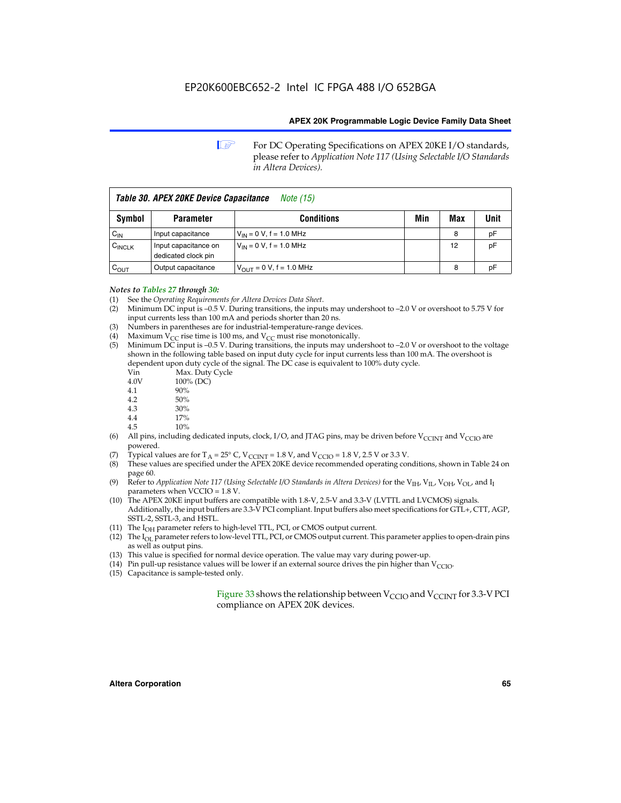**1 For DC Operating Specifications on APEX 20KE I/O standards,** please refer to *Application Note 117 (Using Selectable I/O Standards in Altera Devices).*

| Table 30. APEX 20KE Device Capacitance<br><i>Note</i> (15) |                                             |                               |     |     |      |
|------------------------------------------------------------|---------------------------------------------|-------------------------------|-----|-----|------|
| Symbol                                                     | <b>Parameter</b>                            | <b>Conditions</b>             | Min | Max | Unit |
| $C_{IN}$                                                   | Input capacitance                           | $V_{IN} = 0 V$ , f = 1.0 MHz  |     | 8   | pF   |
| $C_{\text{INCLK}}$                                         | Input capacitance on<br>dedicated clock pin | $V_{IN} = 0 V$ , f = 1.0 MHz  |     | 12  | pF   |
| $C_{\text{OUT}}$                                           | Output capacitance                          | $V_{OUT} = 0 V$ , f = 1.0 MHz |     | 8   | рF   |

# *Notes to Tables 27 through 30:*

- (1) See the *Operating Requirements for Altera Devices Data Sheet*.
- (2) Minimum DC input is –0.5 V. During transitions, the inputs may undershoot to –2.0 V or overshoot to 5.75 V for input currents less than 100 mA and periods shorter than 20 ns.
- (3) Numbers in parentheses are for industrial-temperature-range devices.
- (4) Maximum  $V_{CC}$  rise time is 100 ms, and  $V_{CC}$  must rise monotonically.<br>(5) Minimum DC input is -0.5 V. During transitions, the inputs may und
- Minimum DC input is  $-0.5$  V. During transitions, the inputs may undershoot to  $-2.0$  V or overshoot to the voltage shown in the following table based on input duty cycle for input currents less than 100 mA. The overshoot is dependent upon duty cycle of the signal. The DC case is equivalent to 100% duty cycle.

| Vin  | Max. Duty Cycle |
|------|-----------------|
| 4.0V | 100% (DC)       |
| 4.1  | 90%             |
| 4.2  | 50%             |
| 4.3  | 30%             |
| . .  |                 |

- 4.4  $17\%$ <br>4.5  $10\%$
- 10%
- (6) All pins, including dedicated inputs, clock, I/O, and JTAG pins, may be driven before  $V_{\text{CCINT}}$  and  $V_{\text{CCIO}}$  are powered.
- (7) Typical values are for  $T_A = 25^\circ$  C, V<sub>CCINT</sub> = 1.8 V, and V<sub>CCIO</sub> = 1.8 V, 2.5 V or 3.3 V.
- (8) These values are specified under the APEX 20KE device recommended operating conditions, shown in Table 24 on page 60.
- (9) Refer to *Application Note 117 (Using Selectable I/O Standards in Altera Devices)* for the V<sub>IH</sub>, V<sub>IL</sub>, V<sub>OH</sub>, V<sub>OL</sub>, and I<sub>I</sub> parameters when VCCIO = 1.8 V.
- (10) The APEX 20KE input buffers are compatible with 1.8-V, 2.5-V and 3.3-V (LVTTL and LVCMOS) signals. Additionally, the input buffers are 3.3-V PCI compliant. Input buffers also meet specifications for GTL+, CTT, AGP, SSTL-2, SSTL-3, and HSTL.
- (11) The  $I_{OH}$  parameter refers to high-level TTL, PCI, or CMOS output current.
- (12) The I<sub>OL</sub> parameter refers to low-level TTL, PCI, or CMOS output current. This parameter applies to open-drain pins as well as output pins.
- (13) This value is specified for normal device operation. The value may vary during power-up.
- (14) Pin pull-up resistance values will be lower if an external source drives the pin higher than  $V_{CCIO}$ .
- (15) Capacitance is sample-tested only.

Figure 33 shows the relationship between  $V_{\text{CCIO}}$  and  $V_{\text{CCINT}}$  for 3.3-V PCI compliance on APEX 20K devices.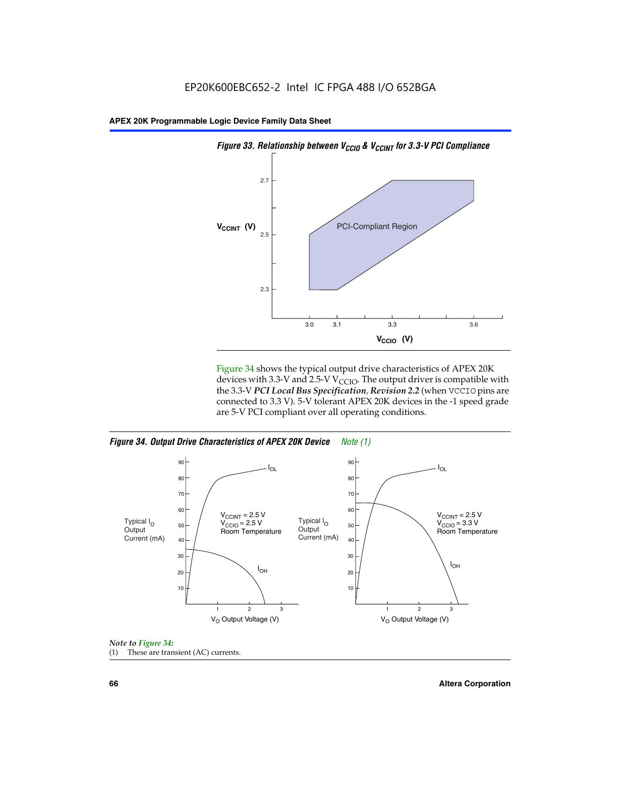

Figure 34 shows the typical output drive characteristics of APEX 20K devices with 3.3-V and 2.5-V V<sub>CCIO</sub>. The output driver is compatible with the 3.3-V *PCI Local Bus Specification, Revision 2.2* (when VCCIO pins are connected to 3.3 V). 5-V tolerant APEX 20K devices in the -1 speed grade are 5-V PCI compliant over all operating conditions.







**66 Altera Corporation**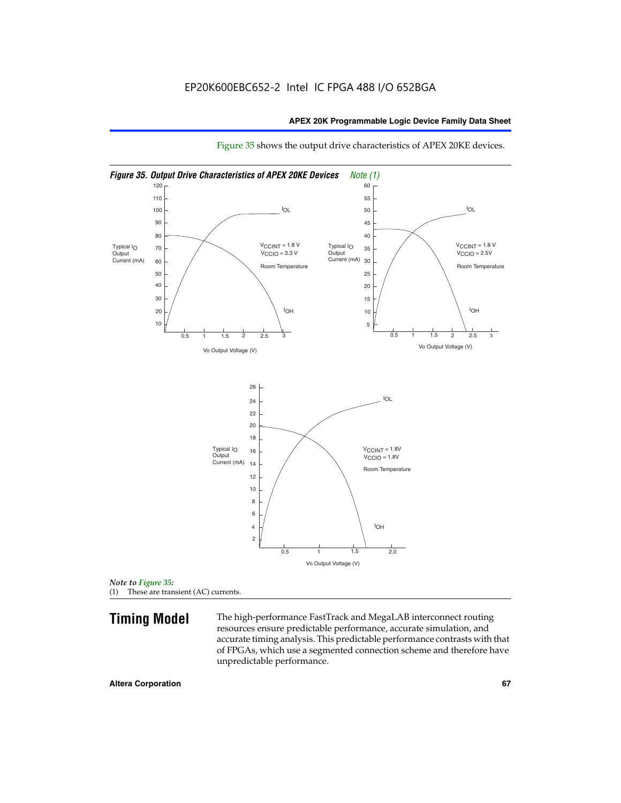

Figure 35 shows the output drive characteristics of APEX 20KE devices.

*Note to Figure 35:* (1) These are transient (AC) currents.

**Timing Model** The high-performance FastTrack and MegaLAB interconnect routing resources ensure predictable performance, accurate simulation, and accurate timing analysis. This predictable performance contrasts with that of FPGAs, which use a segmented connection scheme and therefore have unpredictable performance.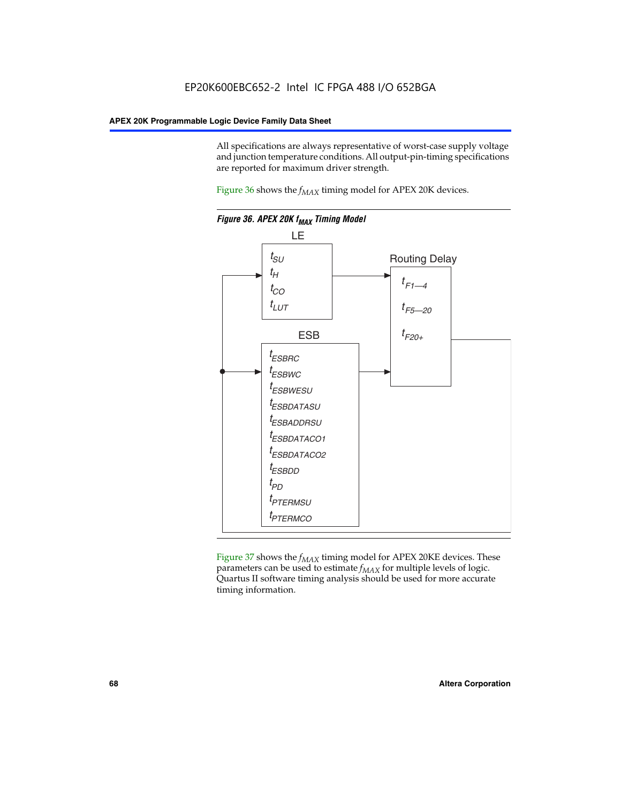All specifications are always representative of worst-case supply voltage and junction temperature conditions. All output-pin-timing specifications are reported for maximum driver strength.

Figure  $36$  shows the  $f_{MAX}$  timing model for APEX 20K devices.



Figure 37 shows the  $f_{MAX}$  timing model for APEX 20KE devices. These parameters can be used to estimate  $f_{MAX}$  for multiple levels of logic. Quartus II software timing analysis should be used for more accurate timing information.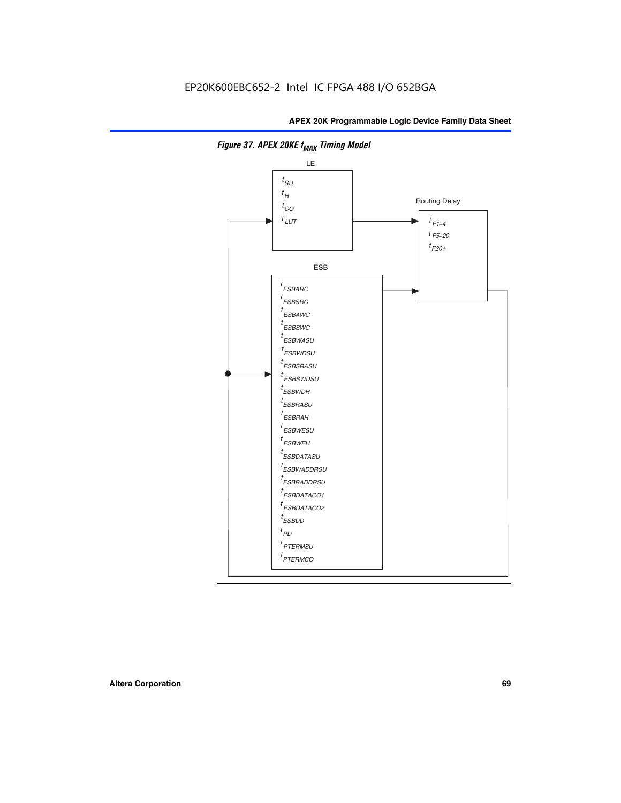

**Figure 37. APEX 20KE f<sub>MAX</sub> Timing Model**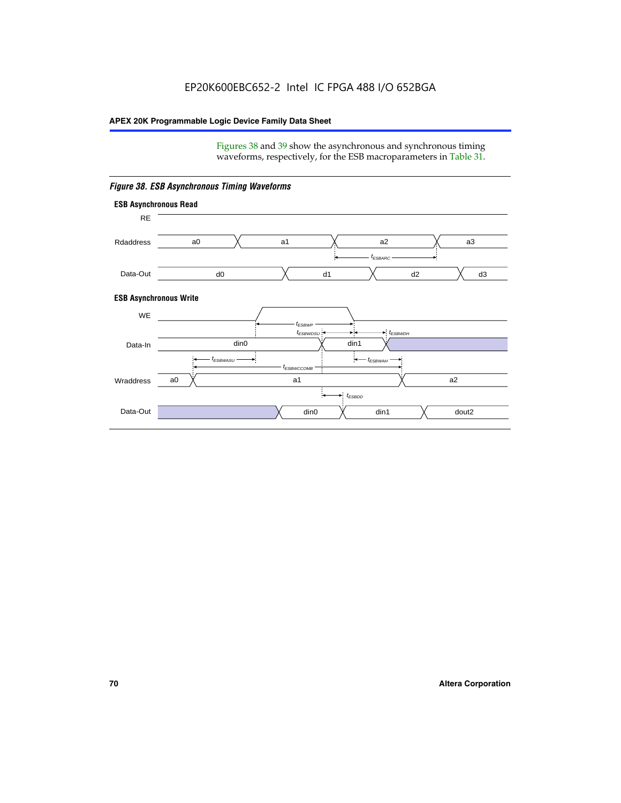Figures 38 and 39 show the asynchronous and synchronous timing waveforms, respectively, for the ESB macroparameters in Table 31.



*Figure 38. ESB Asynchronous Timing Waveforms*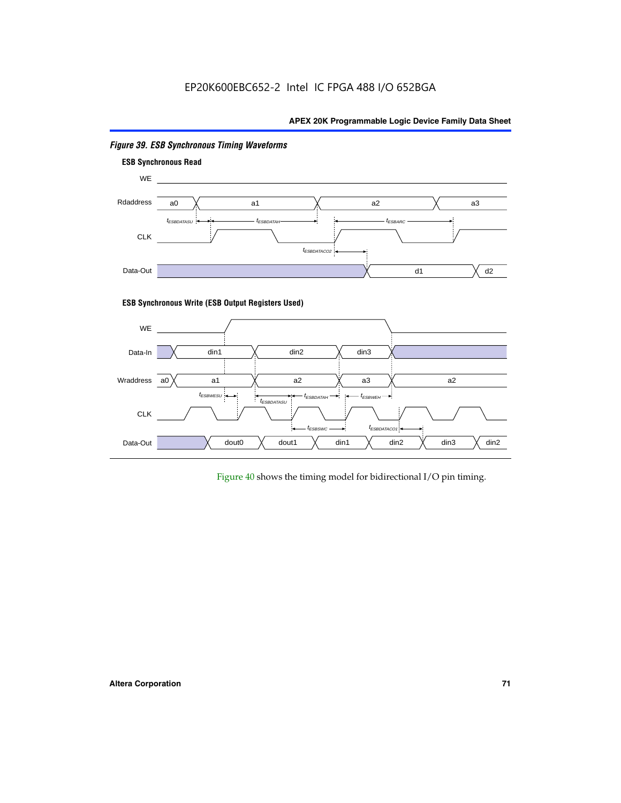# EP20K600EBC652-2 Intel IC FPGA 488 I/O 652BGA

# **APEX 20K Programmable Logic Device Family Data Sheet**



# *Figure 39. ESB Synchronous Timing Waveforms*

# **ESB Synchronous Write (ESB Output Registers Used)**



Figure 40 shows the timing model for bidirectional I/O pin timing.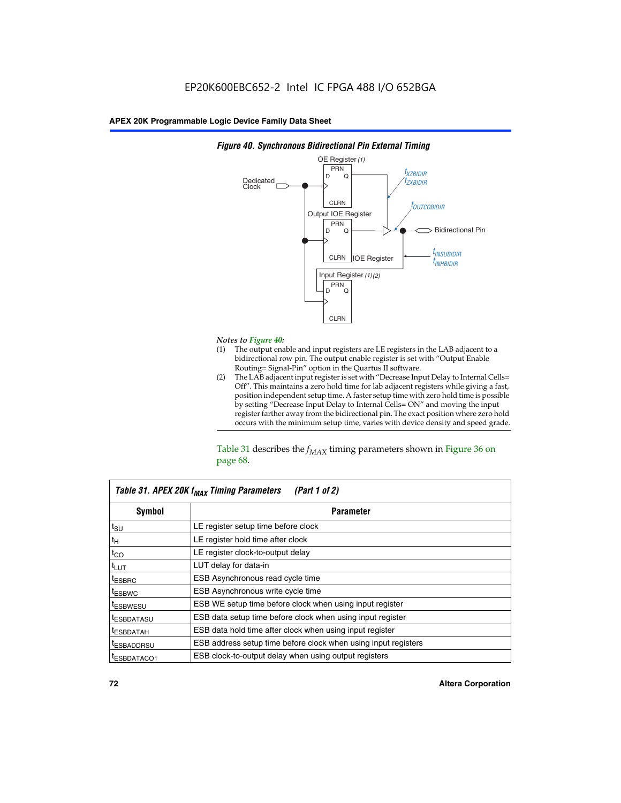

## *Figure 40. Synchronous Bidirectional Pin External Timing*

# *Notes to Figure 40:*

- The output enable and input registers are LE registers in the LAB adjacent to a bidirectional row pin. The output enable register is set with "Output Enable Routing= Signal-Pin" option in the Quartus II software.
- (2) The LAB adjacent input register is set with "Decrease Input Delay to Internal Cells= Off". This maintains a zero hold time for lab adjacent registers while giving a fast, position independent setup time. A faster setup time with zero hold time is possible by setting "Decrease Input Delay to Internal Cells= ON" and moving the input register farther away from the bidirectional pin. The exact position where zero hold occurs with the minimum setup time, varies with device density and speed grade.

Table 31 describes the  $f_{MAX}$  timing parameters shown in Figure 36 on page 68.

| Table 31. APEX 20K f <sub>MAX</sub> Timing Parameters<br>(Part 1 of 2) |                                                                |  |  |  |  |
|------------------------------------------------------------------------|----------------------------------------------------------------|--|--|--|--|
| Symbol                                                                 | <b>Parameter</b>                                               |  |  |  |  |
| $t_{\text{SU}}$                                                        | LE register setup time before clock                            |  |  |  |  |
| $t_H$                                                                  | LE register hold time after clock                              |  |  |  |  |
| $t_{CO}$                                                               | LE register clock-to-output delay                              |  |  |  |  |
| t <sub>LUT</sub>                                                       | LUT delay for data-in                                          |  |  |  |  |
| <sup>t</sup> ESBRC                                                     | ESB Asynchronous read cycle time                               |  |  |  |  |
| <sup>t</sup> ESBWC                                                     | ESB Asynchronous write cycle time                              |  |  |  |  |
| <sup>t</sup> ESBWESU                                                   | ESB WE setup time before clock when using input register       |  |  |  |  |
| <sup>t</sup> ESBDATASU                                                 | ESB data setup time before clock when using input register     |  |  |  |  |
| <sup>t</sup> ESBDATAH                                                  | ESB data hold time after clock when using input register       |  |  |  |  |
| <sup>t</sup> ESBADDRSU                                                 | ESB address setup time before clock when using input registers |  |  |  |  |
| ESBDATACO1                                                             | ESB clock-to-output delay when using output registers          |  |  |  |  |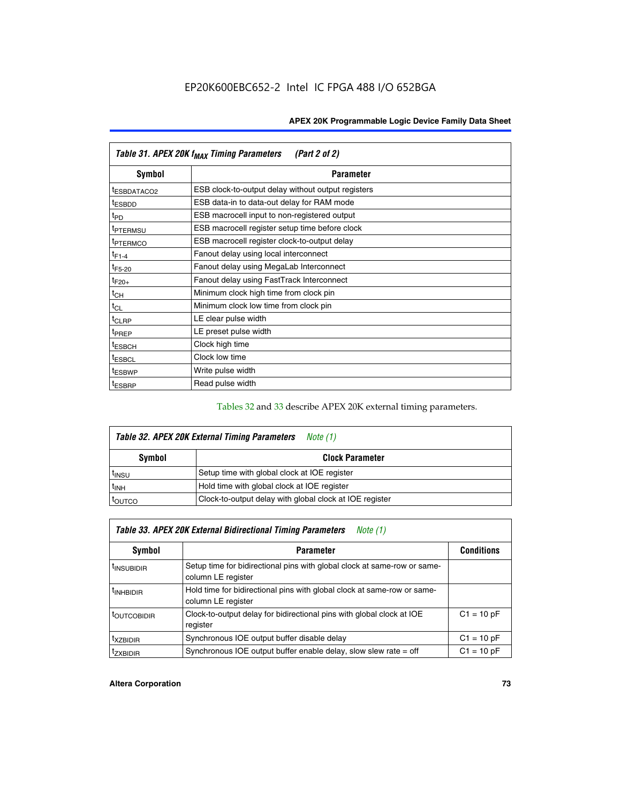| Table 31. APEX 20K f <sub>MAX</sub> Timing Parameters<br>(Part 2 of 2) |                                                    |  |  |  |  |
|------------------------------------------------------------------------|----------------------------------------------------|--|--|--|--|
| Symbol                                                                 | <b>Parameter</b>                                   |  |  |  |  |
| t <sub>ESBDATACO2</sub>                                                | ESB clock-to-output delay without output registers |  |  |  |  |
| <sup>t</sup> ESBDD                                                     | ESB data-in to data-out delay for RAM mode         |  |  |  |  |
| t <sub>PD</sub>                                                        | ESB macrocell input to non-registered output       |  |  |  |  |
| <sup>t</sup> PTERMSU                                                   | ESB macrocell register setup time before clock     |  |  |  |  |
| <sup>t</sup> PTERMCO                                                   | ESB macrocell register clock-to-output delay       |  |  |  |  |
| $t_{F1-4}$                                                             | Fanout delay using local interconnect              |  |  |  |  |
| $t_{F5-20}$                                                            | Fanout delay using MegaLab Interconnect            |  |  |  |  |
| $t_{F20+}$                                                             | Fanout delay using FastTrack Interconnect          |  |  |  |  |
| $t_{CH}$                                                               | Minimum clock high time from clock pin             |  |  |  |  |
| $t_{CL}$                                                               | Minimum clock low time from clock pin              |  |  |  |  |
| t <sub>CLRP</sub>                                                      | LE clear pulse width                               |  |  |  |  |
| t <sub>PREP</sub>                                                      | LE preset pulse width                              |  |  |  |  |
| <sup>t</sup> ESBCH                                                     | Clock high time                                    |  |  |  |  |
| <sup>t</sup> ESBCL                                                     | Clock low time                                     |  |  |  |  |
| <sup>t</sup> ESBWP                                                     | Write pulse width                                  |  |  |  |  |
| <sup>t</sup> ESBRP                                                     | Read pulse width                                   |  |  |  |  |

## Tables 32 and 33 describe APEX 20K external timing parameters.

| Table 32. APEX 20K External Timing Parameters<br>Note (1) |                                                         |  |  |  |
|-----------------------------------------------------------|---------------------------------------------------------|--|--|--|
| Symbol                                                    | <b>Clock Parameter</b>                                  |  |  |  |
| <sup>t</sup> insu                                         | Setup time with global clock at IOE register            |  |  |  |
| $t_{\mathsf{INH}}$                                        | Hold time with global clock at IOE register             |  |  |  |
| toutco                                                    | Clock-to-output delay with global clock at IOE register |  |  |  |

| Table 33. APEX 20K External Bidirectional Timing Parameters<br>Note (1) |                                                                                                |              |  |  |  |  |
|-------------------------------------------------------------------------|------------------------------------------------------------------------------------------------|--------------|--|--|--|--|
| Symbol                                                                  | <b>Conditions</b><br><b>Parameter</b>                                                          |              |  |  |  |  |
| <sup>I</sup> INSUBIDIR                                                  | Setup time for bidirectional pins with global clock at same-row or same-<br>column LE register |              |  |  |  |  |
| <sup>t</sup> INHBIDIR                                                   | Hold time for bidirectional pins with global clock at same-row or same-<br>column LE register  |              |  |  |  |  |
| <sup>t</sup> OUTCOBIDIR                                                 | Clock-to-output delay for bidirectional pins with global clock at IOE<br>register              | $C1 = 10 pF$ |  |  |  |  |
| <sup>T</sup> XZBIDIR                                                    | Synchronous IOE output buffer disable delay                                                    | $C1 = 10 pF$ |  |  |  |  |
| <sup>I</sup> ZXBIDIR                                                    | Synchronous IOE output buffer enable delay, slow slew rate $=$ off                             | $C1 = 10 pF$ |  |  |  |  |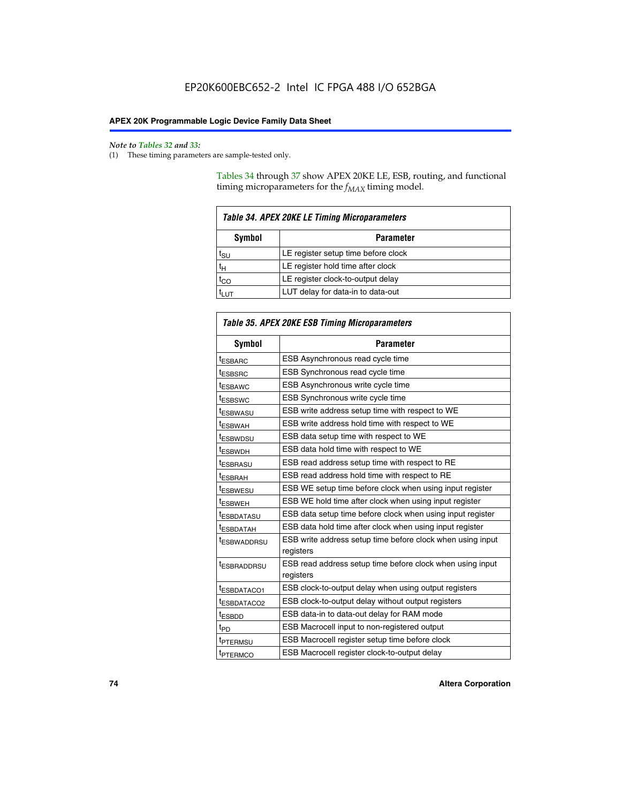$\mathbf{r}$ 

#### *Note to Tables 32 and 33:*

(1) These timing parameters are sample-tested only.

Tables 34 through 37 show APEX 20KE LE, ESB, routing, and functional timing microparameters for the  $f_{MAX}$  timing model.

| <b>Table 34. APEX 20KE LE Timing Microparameters</b> |                                     |  |  |  |  |
|------------------------------------------------------|-------------------------------------|--|--|--|--|
| Symbol<br><b>Parameter</b>                           |                                     |  |  |  |  |
| t <sub>SU</sub>                                      | LE register setup time before clock |  |  |  |  |
| $t_H$                                                | LE register hold time after clock   |  |  |  |  |
| $t_{CO}$                                             | LE register clock-to-output delay   |  |  |  |  |
| <b>LUT</b>                                           | LUT delay for data-in to data-out   |  |  |  |  |

| <b>Table 35. APEX 20KE ESB Timing Microparameters</b> |                                                            |  |  |  |
|-------------------------------------------------------|------------------------------------------------------------|--|--|--|
| Symbol                                                | <b>Parameter</b>                                           |  |  |  |
| <sup>t</sup> ESBARC                                   | ESB Asynchronous read cycle time                           |  |  |  |
| <sup>t</sup> ESBSRC                                   | ESB Synchronous read cycle time                            |  |  |  |
| <b><i>ESBAWC</i></b>                                  | ESB Asynchronous write cycle time                          |  |  |  |
| t <sub>ESBSWC</sub>                                   | ESB Synchronous write cycle time                           |  |  |  |
| t <sub>ESBWASU</sub>                                  | ESB write address setup time with respect to WE            |  |  |  |
| <sup>t</sup> ESBWAH                                   | ESB write address hold time with respect to WE             |  |  |  |
| t <sub>ESBWDSU</sub>                                  | ESB data setup time with respect to WE                     |  |  |  |
| <sup>t</sup> ESBWDH                                   | ESB data hold time with respect to WE                      |  |  |  |
| tESBRASU                                              | ESB read address setup time with respect to RE             |  |  |  |
| <sup>t</sup> ESBRAH                                   | ESB read address hold time with respect to RE              |  |  |  |
| <i><b>ESBWESU</b></i>                                 | ESB WE setup time before clock when using input register   |  |  |  |
| t <sub>ESBWEH</sub>                                   | ESB WE hold time after clock when using input register     |  |  |  |
| <b><i>t</i>ESBDATASU</b>                              | ESB data setup time before clock when using input register |  |  |  |
| t <sub>ESBDATAH</sub>                                 | ESB data hold time after clock when using input register   |  |  |  |
| t <sub>ESBWADDRSU</sub>                               | ESB write address setup time before clock when using input |  |  |  |
|                                                       | registers                                                  |  |  |  |
| <i><b>LESBRADDRSU</b></i>                             | ESB read address setup time before clock when using input  |  |  |  |
|                                                       | registers                                                  |  |  |  |
| t <sub>ESBDATACO1</sub>                               | ESB clock-to-output delay when using output registers      |  |  |  |
| t <sub>ESBDATACO2</sub>                               | ESB clock-to-output delay without output registers         |  |  |  |
| $t_{ESBDD}$                                           | ESB data-in to data-out delay for RAM mode                 |  |  |  |
| $t_{\mathsf{PD}}$                                     | ESB Macrocell input to non-registered output               |  |  |  |
| t <sub>PTERMSU</sub>                                  | ESB Macrocell register setup time before clock             |  |  |  |
| t <sub>PTERMCO</sub>                                  | ESB Macrocell register clock-to-output delay               |  |  |  |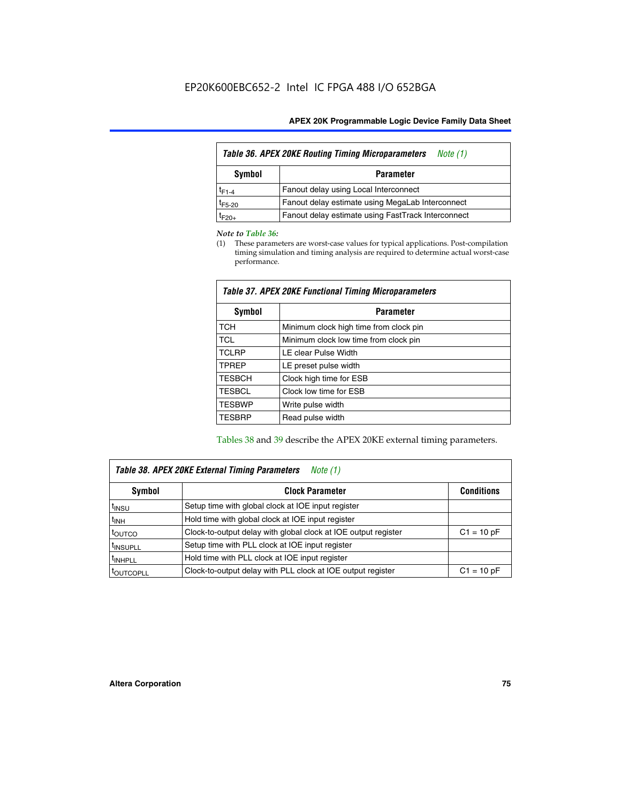| <b>Table 36. APEX 20KE Routing Timing Microparameters</b><br>Note (1) |                                                    |  |  |  |  |  |
|-----------------------------------------------------------------------|----------------------------------------------------|--|--|--|--|--|
| Symbol                                                                | <b>Parameter</b>                                   |  |  |  |  |  |
| $t_{F1-4}$                                                            | Fanout delay using Local Interconnect              |  |  |  |  |  |
| $t_{F5-20}$                                                           | Fanout delay estimate using MegaLab Interconnect   |  |  |  |  |  |
| $t_{F20+}$                                                            | Fanout delay estimate using FastTrack Interconnect |  |  |  |  |  |

#### *Note to Table 36:*

(1) These parameters are worst-case values for typical applications. Post-compilation timing simulation and timing analysis are required to determine actual worst-case performance.

| Symbol        | <b>Parameter</b>                       |  |  |  |  |  |
|---------------|----------------------------------------|--|--|--|--|--|
| <b>TCH</b>    | Minimum clock high time from clock pin |  |  |  |  |  |
| <b>TCL</b>    | Minimum clock low time from clock pin  |  |  |  |  |  |
| <b>TCLRP</b>  | LE clear Pulse Width                   |  |  |  |  |  |
| <b>TPREP</b>  | LE preset pulse width                  |  |  |  |  |  |
| <b>TESBCH</b> | Clock high time for ESB                |  |  |  |  |  |
| <b>TESBCL</b> | Clock low time for ESB                 |  |  |  |  |  |
| <b>TESBWP</b> | Write pulse width                      |  |  |  |  |  |
| <b>TESBRP</b> | Read pulse width                       |  |  |  |  |  |

## *Table 37. APEX 20KE Functional Timing Microparameters*

Tables 38 and 39 describe the APEX 20KE external timing parameters.

| Table 38. APEX 20KE External Timing Parameters<br>Note (1) |                                                                |              |  |  |  |
|------------------------------------------------------------|----------------------------------------------------------------|--------------|--|--|--|
| <b>Clock Parameter</b><br>Symbol<br><b>Conditions</b>      |                                                                |              |  |  |  |
| <sup>t</sup> insu                                          | Setup time with global clock at IOE input register             |              |  |  |  |
| $t_{\text{INH}}$                                           | Hold time with global clock at IOE input register              |              |  |  |  |
| toutco                                                     | Clock-to-output delay with global clock at IOE output register | $C1 = 10 pF$ |  |  |  |
| <sup>t</sup> INSUPLL                                       | Setup time with PLL clock at IOE input register                |              |  |  |  |
| <sup>t</sup> INHPLL                                        | Hold time with PLL clock at IOE input register                 |              |  |  |  |
| <sup>I</sup> OUTCOPLL                                      | Clock-to-output delay with PLL clock at IOE output register    | $C1 = 10 pF$ |  |  |  |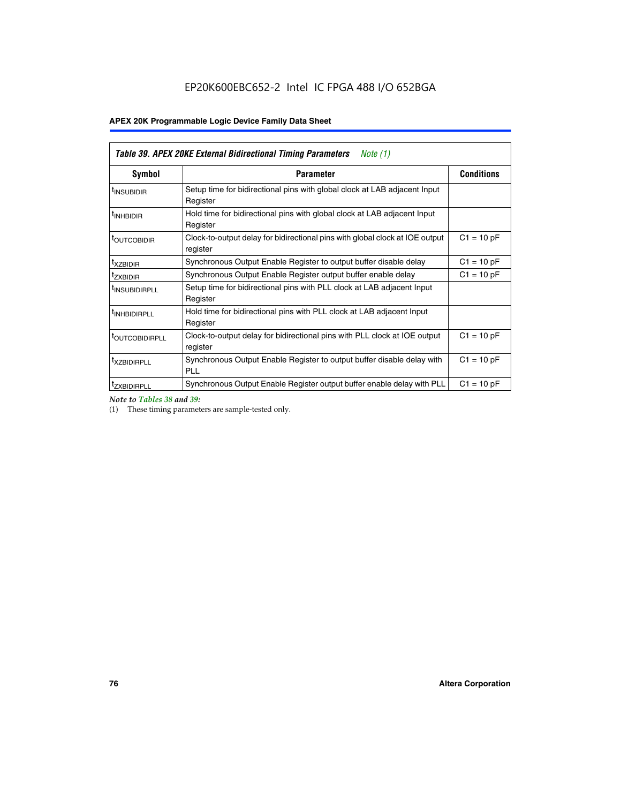| Table 39. APEX 20KE External Bidirectional Timing Parameters<br>Note $(1)$ |                                                                                                          |              |  |  |  |  |  |
|----------------------------------------------------------------------------|----------------------------------------------------------------------------------------------------------|--------------|--|--|--|--|--|
| Symbol                                                                     | <b>Conditions</b><br><b>Parameter</b>                                                                    |              |  |  |  |  |  |
| <sup>t</sup> INSUBIDIR                                                     | Setup time for bidirectional pins with global clock at LAB adjacent Input<br>Register                    |              |  |  |  |  |  |
| <sup>t</sup> INHBIDIR                                                      | Hold time for bidirectional pins with global clock at LAB adjacent Input<br>Register                     |              |  |  |  |  |  |
| <b><i>LOUTCOBIDIR</i></b>                                                  | $C1 = 10 pF$<br>Clock-to-output delay for bidirectional pins with global clock at IOE output<br>register |              |  |  |  |  |  |
| t <sub>XZBIDIR</sub>                                                       | Synchronous Output Enable Register to output buffer disable delay                                        | $C1 = 10 pF$ |  |  |  |  |  |
| <sup>t</sup> zxbidir                                                       | Synchronous Output Enable Register output buffer enable delay                                            | $C1 = 10 pF$ |  |  |  |  |  |
| <sup>I</sup> INSUBIDIRPLL                                                  | Setup time for bidirectional pins with PLL clock at LAB adjacent Input<br>Register                       |              |  |  |  |  |  |
| <sup>t</sup> INHBIDIRPLL                                                   | Hold time for bidirectional pins with PLL clock at LAB adjacent Input<br>Register                        |              |  |  |  |  |  |
| <b><i>LOUTCOBIDIRPLL</i></b>                                               | Clock-to-output delay for bidirectional pins with PLL clock at IOE output<br>register                    | $C1 = 10 pF$ |  |  |  |  |  |
| <sup>t</sup> XZBIDIRPLL                                                    | Synchronous Output Enable Register to output buffer disable delay with<br><b>PLL</b>                     | $C1 = 10 pF$ |  |  |  |  |  |
| <sup>I</sup> ZXBIDIRPLL                                                    | Synchronous Output Enable Register output buffer enable delay with PLL                                   | $C1 = 10 pF$ |  |  |  |  |  |

*Note to Tables 38 and 39:*

(1) These timing parameters are sample-tested only.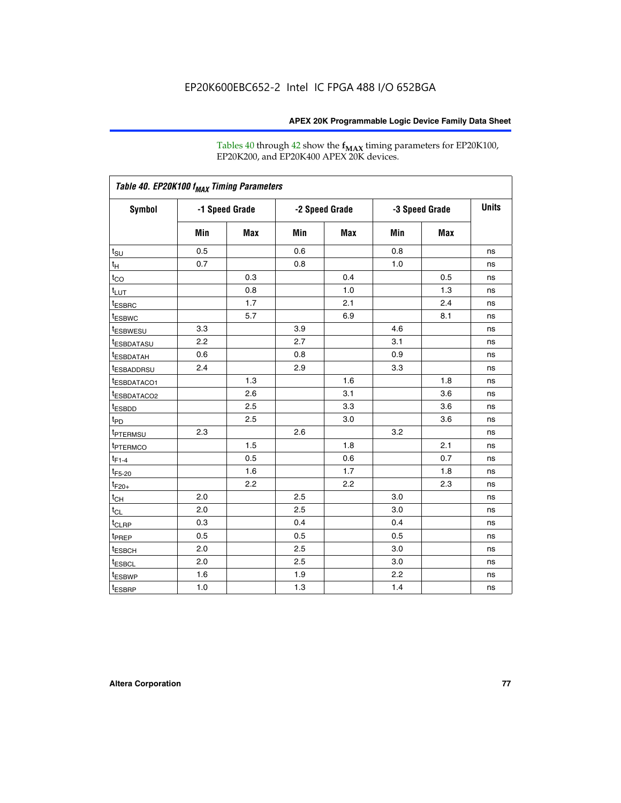Tables 40 through 42 show the **f<sub>MAX</sub>** timing parameters for EP20K100, EP20K200, and EP20K400 APEX 20K devices.

| Table 40. EP20K100 f <sub>MAX</sub> Timing Parameters |                |     |                |     |                |            |              |
|-------------------------------------------------------|----------------|-----|----------------|-----|----------------|------------|--------------|
| <b>Symbol</b>                                         | -1 Speed Grade |     | -2 Speed Grade |     | -3 Speed Grade |            | <b>Units</b> |
|                                                       | Min            | Max | Min            | Max | Min            | <b>Max</b> |              |
| $t_{\text{SU}}$                                       | 0.5            |     | 0.6            |     | 0.8            |            | ns           |
| $t_H$                                                 | 0.7            |     | 0.8            |     | 1.0            |            | ns           |
| $t_{CO}$                                              |                | 0.3 |                | 0.4 |                | 0.5        | ns           |
| $t_{LUT}$                                             |                | 0.8 |                | 1.0 |                | 1.3        | ns           |
| <sup>t</sup> ESBRC                                    |                | 1.7 |                | 2.1 |                | 2.4        | ns           |
| t <sub>ESBWC</sub>                                    |                | 5.7 |                | 6.9 |                | 8.1        | ns           |
| t <sub>ESBWESU</sub>                                  | 3.3            |     | 3.9            |     | 4.6            |            | ns           |
| <sup>t</sup> ESBDATASU                                | 2.2            |     | 2.7            |     | 3.1            |            | ns           |
| <sup>t</sup> ESBDATAH                                 | 0.6            |     | 0.8            |     | 0.9            |            | ns           |
| <sup>t</sup> ESBADDRSU                                | 2.4            |     | 2.9            |     | 3.3            |            | ns           |
| <sup>t</sup> ESBDATACO1                               |                | 1.3 |                | 1.6 |                | 1.8        | ns           |
| t <sub>ESBDATACO2</sub>                               |                | 2.6 |                | 3.1 |                | 3.6        | ns           |
| t <sub>ESBDD</sub>                                    |                | 2.5 |                | 3.3 |                | 3.6        | ns           |
| $t_{PD}$                                              |                | 2.5 |                | 3.0 |                | 3.6        | ns           |
| t <sub>PTERMSU</sub>                                  | 2.3            |     | 2.6            |     | 3.2            |            | ns           |
| t <sub>PTERMCO</sub>                                  |                | 1.5 |                | 1.8 |                | 2.1        | ns           |
| $t_{F1-4}$                                            |                | 0.5 |                | 0.6 |                | 0.7        | ns           |
| $t_{F5-20}$                                           |                | 1.6 |                | 1.7 |                | 1.8        | ns           |
| $t_{F20+}$                                            |                | 2.2 |                | 2.2 |                | 2.3        | ns           |
| $t_{\mathsf{CH}}$                                     | 2.0            |     | 2.5            |     | 3.0            |            | ns           |
| $t_{CL}$                                              | 2.0            |     | 2.5            |     | 3.0            |            | ns           |
| t <sub>CLRP</sub>                                     | 0.3            |     | 0.4            |     | 0.4            |            | ns           |
| t <sub>PREP</sub>                                     | 0.5            |     | 0.5            |     | 0.5            |            | ns           |
| <sup>t</sup> ESBCH                                    | 2.0            |     | 2.5            |     | 3.0            |            | ns           |
| <b>t</b> ESBCL                                        | 2.0            |     | 2.5            |     | 3.0            |            | ns           |
| t <sub>ESBWP</sub>                                    | 1.6            |     | 1.9            |     | 2.2            |            | ns           |
| $t_{ESBRP}$                                           | 1.0            |     | 1.3            |     | 1.4            |            | ns           |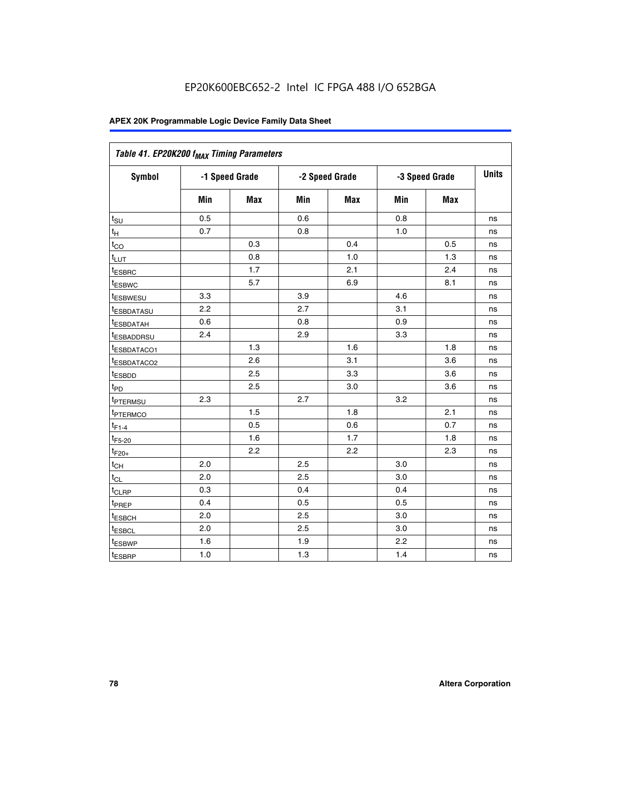| Table 41. EP20K200 f <sub>MAX</sub> Timing Parameters |                |            |     |                |     |                |    |
|-------------------------------------------------------|----------------|------------|-----|----------------|-----|----------------|----|
| Symbol                                                | -1 Speed Grade |            |     | -2 Speed Grade |     | -3 Speed Grade |    |
|                                                       | Min            | <b>Max</b> | Min | Max            | Min | <b>Max</b>     |    |
| $t_{\text{SU}}$                                       | 0.5            |            | 0.6 |                | 0.8 |                | ns |
| t <sub>Η</sub>                                        | 0.7            |            | 0.8 |                | 1.0 |                | ns |
| $t_{\rm CO}$                                          |                | 0.3        |     | 0.4            |     | 0.5            | ns |
| $t_{LUT}$                                             |                | 0.8        |     | 1.0            |     | 1.3            | ns |
| <sup>t</sup> ESBRC                                    |                | 1.7        |     | 2.1            |     | 2.4            | ns |
| t <sub>ESBWC</sub>                                    |                | 5.7        |     | 6.9            |     | 8.1            | ns |
| t <sub>ESBWESU</sub>                                  | 3.3            |            | 3.9 |                | 4.6 |                | ns |
| t <sub>esbdatasu</sub>                                | 2.2            |            | 2.7 |                | 3.1 |                | ns |
| t <sub>ESBDATAH</sub>                                 | 0.6            |            | 0.8 |                | 0.9 |                | ns |
| t <sub>ESBADDRSU</sub>                                | 2.4            |            | 2.9 |                | 3.3 |                | ns |
| <u>t<sub>ESBDATACO1</sub></u>                         |                | 1.3        |     | 1.6            |     | 1.8            | ns |
| t <sub>ESBDATACO2</sub>                               |                | 2.6        |     | 3.1            |     | 3.6            | ns |
| t <sub>ESBDD</sub>                                    |                | 2.5        |     | 3.3            |     | 3.6            | ns |
| $t_{\mathsf{PD}}$                                     |                | 2.5        |     | 3.0            |     | 3.6            | ns |
| t <sub>PTERMSU</sub>                                  | 2.3            |            | 2.7 |                | 3.2 |                | ns |
| t <sub>ptermco</sub>                                  |                | 1.5        |     | 1.8            |     | 2.1            | ns |
| $t_{F1-4}$                                            |                | 0.5        |     | 0.6            |     | 0.7            | ns |
| $t_{F5-20}$                                           |                | 1.6        |     | 1.7            |     | 1.8            | ns |
| $t_{F20+}$                                            |                | 2.2        |     | 2.2            |     | 2.3            | ns |
| $\textnormal{t}_{\textnormal{CH}}$                    | 2.0            |            | 2.5 |                | 3.0 |                | ns |
| $t_{CL}$                                              | 2.0            |            | 2.5 |                | 3.0 |                | ns |
| t <sub>CLRP</sub>                                     | 0.3            |            | 0.4 |                | 0.4 |                | ns |
| t <sub>PREP</sub>                                     | 0.4            |            | 0.5 |                | 0.5 |                | ns |
| t <sub>ESBCH</sub>                                    | 2.0            |            | 2.5 |                | 3.0 |                | ns |
| t <sub>ESBCL</sub>                                    | 2.0            |            | 2.5 |                | 3.0 |                | ns |
| t <sub>ESBWP</sub>                                    | 1.6            |            | 1.9 |                | 2.2 |                | ns |
| t <sub>ESBRP</sub>                                    | 1.0            |            | 1.3 |                | 1.4 |                | ns |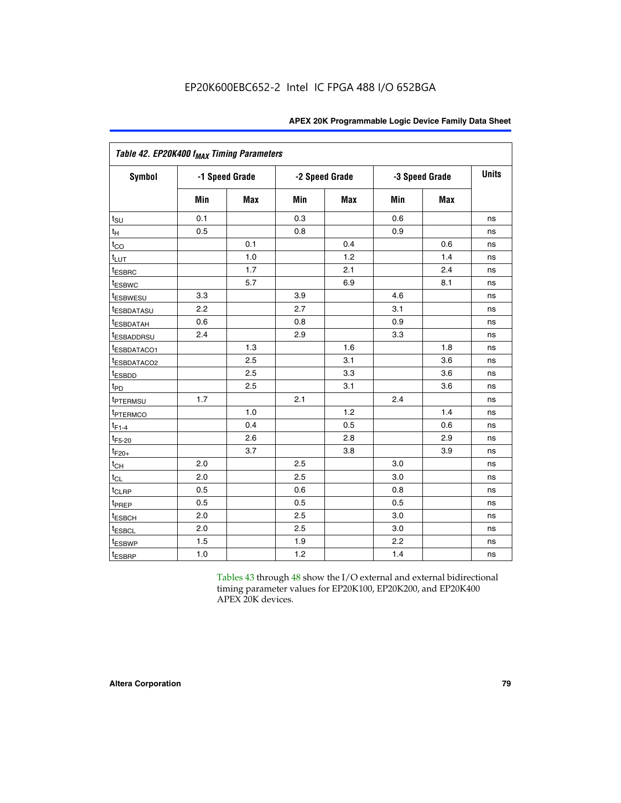|                         | Table 42. EP20K400 f <sub>MAX</sub> Timing Parameters |                |                |     |     |                |              |  |  |  |  |  |
|-------------------------|-------------------------------------------------------|----------------|----------------|-----|-----|----------------|--------------|--|--|--|--|--|
| <b>Symbol</b>           |                                                       | -1 Speed Grade | -2 Speed Grade |     |     | -3 Speed Grade | <b>Units</b> |  |  |  |  |  |
|                         | Min                                                   | Max            | Min            | Max | Min | <b>Max</b>     |              |  |  |  |  |  |
| $t_{\text{SU}}$         | 0.1                                                   |                | 0.3            |     | 0.6 |                | ns           |  |  |  |  |  |
| $t_H$                   | 0.5                                                   |                | 0.8            |     | 0.9 |                | ns           |  |  |  |  |  |
| $t_{CQ}$                |                                                       | 0.1            |                | 0.4 |     | 0.6            | ns           |  |  |  |  |  |
| $t_{LUT}$               |                                                       | 1.0            |                | 1.2 |     | 1.4            | ns           |  |  |  |  |  |
| t <sub>ESBRC</sub>      |                                                       | 1.7            |                | 2.1 |     | 2.4            | ns           |  |  |  |  |  |
| <sup>t</sup> ESBWC      |                                                       | 5.7            |                | 6.9 |     | 8.1            | ns           |  |  |  |  |  |
| <sup>t</sup> ESBWESU    | 3.3                                                   |                | 3.9            |     | 4.6 |                | ns           |  |  |  |  |  |
| t <sub>ESBDATASU</sub>  | 2.2                                                   |                | 2.7            |     | 3.1 |                | ns           |  |  |  |  |  |
| <sup>t</sup> ESBDATAH   | 0.6                                                   |                | 0.8            |     | 0.9 |                | ns           |  |  |  |  |  |
| <sup>t</sup> ESBADDRSU  | 2.4                                                   |                | 2.9            |     | 3.3 |                | ns           |  |  |  |  |  |
| t <sub>ESBDATACO1</sub> |                                                       | 1.3            |                | 1.6 |     | 1.8            | ns           |  |  |  |  |  |
| <sup>t</sup> ESBDATACO2 |                                                       | 2.5            |                | 3.1 |     | 3.6            | ns           |  |  |  |  |  |
| t <sub>ESBDD</sub>      |                                                       | 2.5            |                | 3.3 |     | 3.6            | ns           |  |  |  |  |  |
| $t_{PD}$                |                                                       | 2.5            |                | 3.1 |     | 3.6            | ns           |  |  |  |  |  |
| t <sub>PTERMSU</sub>    | 1.7                                                   |                | 2.1            |     | 2.4 |                | ns           |  |  |  |  |  |
| t <sub>PTERMCO</sub>    |                                                       | 1.0            |                | 1.2 |     | 1.4            | ns           |  |  |  |  |  |
| $t_{F1-4}$              |                                                       | 0.4            |                | 0.5 |     | 0.6            | ns           |  |  |  |  |  |
| $t_{F5-20}$             |                                                       | 2.6            |                | 2.8 |     | 2.9            | ns           |  |  |  |  |  |
| $t_{F20+}$              |                                                       | 3.7            |                | 3.8 |     | 3.9            | ns           |  |  |  |  |  |
| $t_{CH}$                | 2.0                                                   |                | 2.5            |     | 3.0 |                | ns           |  |  |  |  |  |
| $t_{CL}$                | 2.0                                                   |                | 2.5            |     | 3.0 |                | ns           |  |  |  |  |  |
| t <sub>CLRP</sub>       | 0.5                                                   |                | 0.6            |     | 0.8 |                | ns           |  |  |  |  |  |
| t <sub>PREP</sub>       | 0.5                                                   |                | 0.5            |     | 0.5 |                | ns           |  |  |  |  |  |
| t <sub>ESBCH</sub>      | 2.0                                                   |                | 2.5            |     | 3.0 |                | ns           |  |  |  |  |  |
| <sup>t</sup> ESBCL      | 2.0                                                   |                | 2.5            |     | 3.0 |                | ns           |  |  |  |  |  |
| <sup>t</sup> ESBWP      | 1.5                                                   |                | 1.9            |     | 2.2 |                | ns           |  |  |  |  |  |
| t <sub>ESBRP</sub>      | 1.0                                                   |                | 1.2            |     | 1.4 |                | ns           |  |  |  |  |  |

Tables 43 through 48 show the I/O external and external bidirectional timing parameter values for EP20K100, EP20K200, and EP20K400 APEX 20K devices.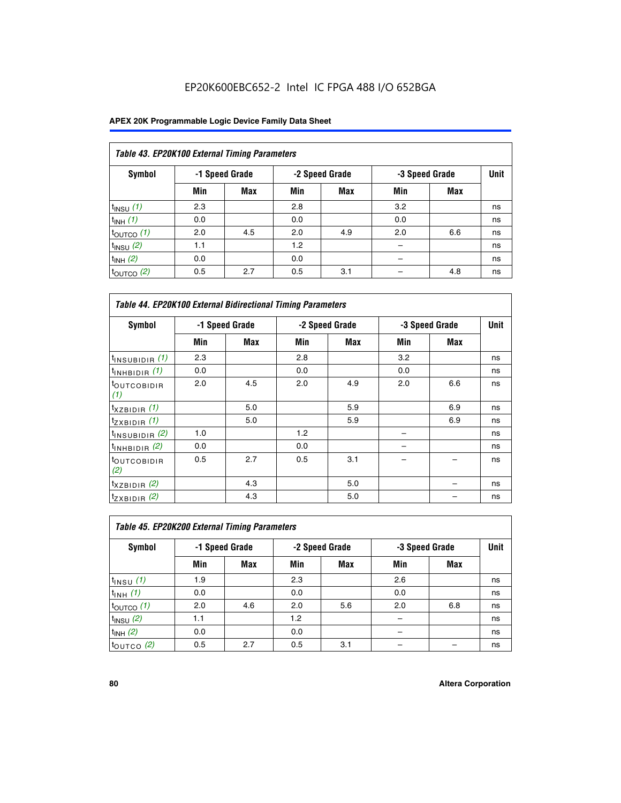| Table 43. EP20K100 External Timing Parameters |     |                |     |                |     |                |    |  |  |  |
|-----------------------------------------------|-----|----------------|-----|----------------|-----|----------------|----|--|--|--|
| Symbol                                        |     | -1 Speed Grade |     | -2 Speed Grade |     | -3 Speed Grade |    |  |  |  |
|                                               | Min | <b>Max</b>     | Min | <b>Max</b>     | Min | <b>Max</b>     |    |  |  |  |
| $t_{INSU}$ (1)                                | 2.3 |                | 2.8 |                | 3.2 |                | ns |  |  |  |
| $t_{INH}$ (1)                                 | 0.0 |                | 0.0 |                | 0.0 |                | ns |  |  |  |
| $t_{\text{OUTCO}}(1)$                         | 2.0 | 4.5            | 2.0 | 4.9            | 2.0 | 6.6            | ns |  |  |  |
| $t_{INSU}$ (2)                                | 1.1 |                | 1.2 |                |     |                | ns |  |  |  |
| $t_{INH}$ (2)                                 | 0.0 |                | 0.0 |                |     |                | ns |  |  |  |
| $t_{\text{OUTCO}}(2)$                         | 0.5 | 2.7            | 0.5 | 3.1            |     | 4.8            | ns |  |  |  |

| <b>Table 44. EP20K100 External Bidirectional Timing Parameters</b> |                |     |     |                |     |                |             |
|--------------------------------------------------------------------|----------------|-----|-----|----------------|-----|----------------|-------------|
| <b>Symbol</b>                                                      | -1 Speed Grade |     |     | -2 Speed Grade |     | -3 Speed Grade | <b>Unit</b> |
|                                                                    | Min            | Max | Min | Max            | Min | Max            |             |
| $t_{\text{INSUBIDIR}}(1)$                                          | 2.3            |     | 2.8 |                | 3.2 |                | ns          |
| $t_{INHBIDIR}$ (1)                                                 | 0.0            |     | 0.0 |                | 0.0 |                | ns          |
| <sup>t</sup> OUTCOBIDIR<br>(1)                                     | 2.0            | 4.5 | 2.0 | 4.9            | 2.0 | 6.6            | ns          |
| $t_{XZBIDIR}$ (1)                                                  |                | 5.0 |     | 5.9            |     | 6.9            | ns          |
| $t_{ZXBIDIR}$ (1)                                                  |                | 5.0 |     | 5.9            |     | 6.9            | ns          |
| $t_{INSUBIDIR}$ (2)                                                | 1.0            |     | 1.2 |                |     |                | ns          |
| $t_{INHBIDIR}$ (2)                                                 | 0.0            |     | 0.0 |                |     |                | ns          |
| <sup>t</sup> OUTCOBIDIR<br>(2)                                     | 0.5            | 2.7 | 0.5 | 3.1            |     |                | ns          |
| $t_{XZBIDIR}$ (2)                                                  |                | 4.3 |     | 5.0            |     |                | ns          |
| $t_{ZXBIDIR}$ (2)                                                  |                | 4.3 |     | 5.0            |     |                | ns          |

| Table 45. EP20K200 External Timing Parameters |                |     |     |                |     |                |             |  |  |  |  |
|-----------------------------------------------|----------------|-----|-----|----------------|-----|----------------|-------------|--|--|--|--|
| Symbol                                        | -1 Speed Grade |     |     | -2 Speed Grade |     | -3 Speed Grade | <b>Unit</b> |  |  |  |  |
|                                               | Min            | Max | Min | <b>Max</b>     | Min | <b>Max</b>     |             |  |  |  |  |
| $t$ <sub>INSU</sub> $(1)$                     | 1.9            |     | 2.3 |                | 2.6 |                | ns          |  |  |  |  |
| $t_{INH}$ (1)                                 | 0.0            |     | 0.0 |                | 0.0 |                | ns          |  |  |  |  |
| $t_{\text{OUTCO}}(1)$                         | 2.0            | 4.6 | 2.0 | 5.6            | 2.0 | 6.8            | ns          |  |  |  |  |
| $t_{INSU}$ (2)                                | 1.1            |     | 1.2 |                |     |                | ns          |  |  |  |  |
| $t_{INH}$ (2)                                 | 0.0            |     | 0.0 |                |     |                | ns          |  |  |  |  |
| $t_{\text{OUTCO}}$ (2)                        | 0.5            | 2.7 | 0.5 | 3.1            |     |                | ns          |  |  |  |  |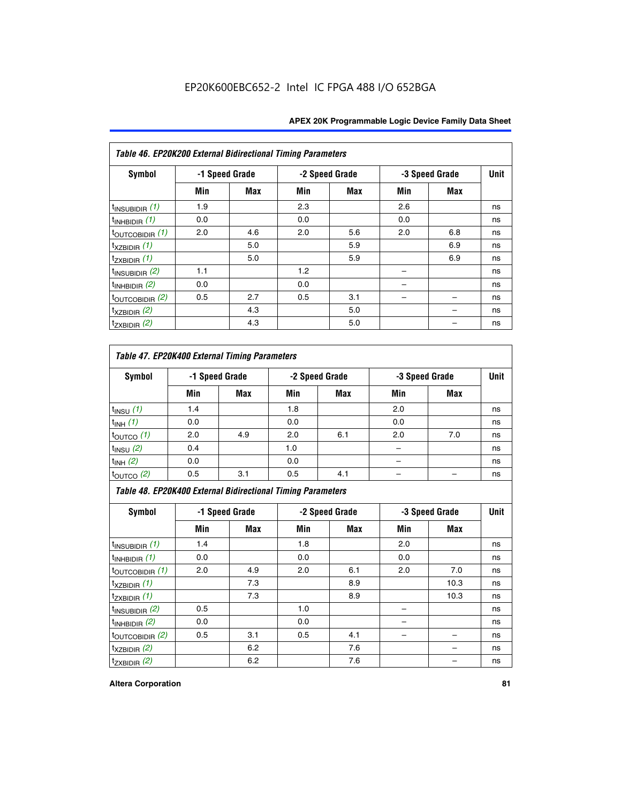| Table 46. EP20K200 External Bidirectional Timing Parameters |                |     |     |                |     |                |             |
|-------------------------------------------------------------|----------------|-----|-----|----------------|-----|----------------|-------------|
| Symbol                                                      | -1 Speed Grade |     |     | -2 Speed Grade |     | -3 Speed Grade | <b>Unit</b> |
|                                                             | Min            | Max | Min | Max            | Min | <b>Max</b>     |             |
| $t_{\text{INSUBIDIR}}(1)$                                   | 1.9            |     | 2.3 |                | 2.6 |                | ns          |
| $t_{INHBIDIR}$ (1)                                          | 0.0            |     | 0.0 |                | 0.0 |                | ns          |
| $t_{\text{OUTCOBIDIR}}(1)$                                  | 2.0            | 4.6 | 2.0 | 5.6            | 2.0 | 6.8            | ns          |
| $t_{XZBIDIR}$ (1)                                           |                | 5.0 |     | 5.9            |     | 6.9            | ns          |
| $t_{ZXBIDIR}$ (1)                                           |                | 5.0 |     | 5.9            |     | 6.9            | ns          |
| $t_{INSUBIDIR}$ (2)                                         | 1.1            |     | 1.2 |                |     |                | ns          |
| $t_{INHBIDIR}$ (2)                                          | 0.0            |     | 0.0 |                |     |                | ns          |
| $t_{\text{OUTCOBIDIR}}$ (2)                                 | 0.5            | 2.7 | 0.5 | 3.1            |     |                | ns          |
| $t_{XZBIDIR}$ (2)                                           |                | 4.3 |     | 5.0            |     |                | ns          |
| $t_{ZXBIDIR}$ (2)                                           |                | 4.3 |     | 5.0            |     |                | ns          |

## *Table 47. EP20K400 External Timing Parameters*

| Symbol                |     | -1 Speed Grade |     | -2 Speed Grade |     | -3 Speed Grade |    |  |
|-----------------------|-----|----------------|-----|----------------|-----|----------------|----|--|
|                       | Min | <b>Max</b>     | Min | <b>Max</b>     | Min | <b>Max</b>     |    |  |
| $t_{INSU}$ (1)        | 1.4 |                | 1.8 |                | 2.0 |                | ns |  |
| $t_{INH}$ (1)         | 0.0 |                | 0.0 |                | 0.0 |                | ns |  |
| $t_{\text{OUTCO}}(1)$ | 2.0 | 4.9            | 2.0 | 6.1            | 2.0 | 7.0            | ns |  |
| $t_{INSU}$ (2)        | 0.4 |                | 1.0 |                |     |                | ns |  |
| $t_{INH}$ (2)         | 0.0 |                | 0.0 |                |     |                | ns |  |
| $t_{\text{OUTCO}}(2)$ | 0.5 | 3.1            | 0.5 | 4.1            |     |                | ns |  |

*Table 48. EP20K400 External Bidirectional Timing Parameters*

| Symbol                      | -1 Speed Grade |     | -2 Speed Grade |     |     | -3 Speed Grade | <b>Unit</b> |
|-----------------------------|----------------|-----|----------------|-----|-----|----------------|-------------|
|                             | Min            | Max | Min            | Max | Min | <b>Max</b>     |             |
| $t_{\text{INSUBIDIR}}(1)$   | 1.4            |     | 1.8            |     | 2.0 |                | ns          |
| $t_{INHBIDIR}$ (1)          | 0.0            |     | 0.0            |     | 0.0 |                | ns          |
| $t_{\text{OUTCOBIDIR}}(1)$  | 2.0            | 4.9 | 2.0            | 6.1 | 2.0 | 7.0            | ns          |
| $t_{XZBIDIR}$ (1)           |                | 7.3 |                | 8.9 |     | 10.3           | ns          |
| $t_{ZXBIDIR}$ (1)           |                | 7.3 |                | 8.9 |     | 10.3           | ns          |
| $t_{\text{INSUBIDIR}}(2)$   | 0.5            |     | 1.0            |     |     |                | ns          |
| $t_{INHBIDIR}$ (2)          | 0.0            |     | 0.0            |     |     |                | ns          |
| $t_{\text{OUTCOBIDIR}}$ (2) | 0.5            | 3.1 | 0.5            | 4.1 |     |                | ns          |
| $t_{XZBIDIR}$ (2)           |                | 6.2 |                | 7.6 |     |                | ns          |
| $t_{ZXBIDIR}$ $(2)$         |                | 6.2 |                | 7.6 |     |                | ns          |

#### **Altera Corporation 81**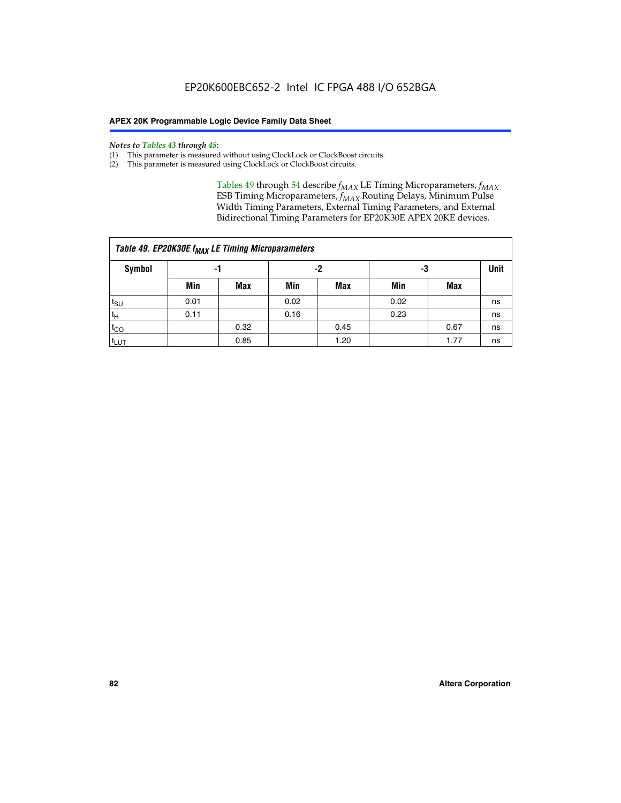#### *Notes to Tables 43 through 48:*

- (1) This parameter is measured without using ClockLock or ClockBoost circuits.
- (2) This parameter is measured using ClockLock or ClockBoost circuits.

Tables 49 through 54 describe  $f_{MAX}$  LE Timing Microparameters,  $f_{MAX}$ ESB Timing Microparameters, *f<sub>MAX</sub>* Routing Delays, Minimum Pulse Width Timing Parameters, External Timing Parameters, and External Bidirectional Timing Parameters for EP20K30E APEX 20KE devices.

| Table 49. EP20K30E f <sub>MAX</sub> LE Timing Microparameters |                |      |      |            |      |             |    |  |  |  |  |
|---------------------------------------------------------------|----------------|------|------|------------|------|-------------|----|--|--|--|--|
| <b>Symbol</b>                                                 | -2<br>-3<br>-1 |      |      |            |      | <b>Unit</b> |    |  |  |  |  |
|                                                               | Min            | Max  | Min  | <b>Max</b> | Min  | Max         |    |  |  |  |  |
| t <sub>SU</sub>                                               | 0.01           |      | 0.02 |            | 0.02 |             | ns |  |  |  |  |
| $t_H$                                                         | 0.11           |      | 0.16 |            | 0.23 |             | ns |  |  |  |  |
| $t_{CO}$                                                      |                | 0.32 |      | 0.45       |      | 0.67        | ns |  |  |  |  |
| t <sub>LUT</sub>                                              |                | 0.85 |      | 1.20       |      | 1.77        | ns |  |  |  |  |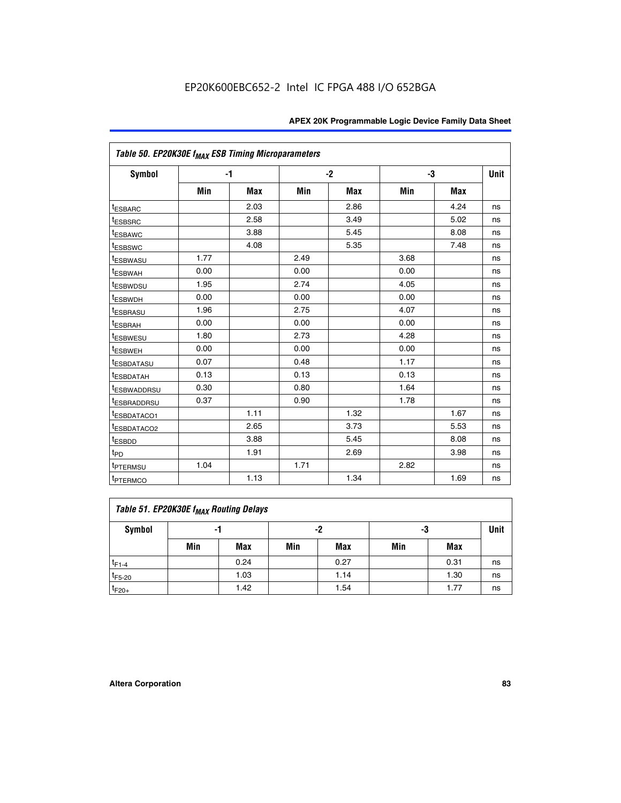| Table 50. EP20K30E f <sub>MAX</sub> ESB Timing Microparameters |      |      |      |      |      |            |             |
|----------------------------------------------------------------|------|------|------|------|------|------------|-------------|
| Symbol                                                         |      | $-1$ | $-2$ |      | -3   |            | <b>Unit</b> |
|                                                                | Min  | Max  | Min  | Max  | Min  | <b>Max</b> |             |
| <sup>t</sup> ESBARC                                            |      | 2.03 |      | 2.86 |      | 4.24       | ns          |
| <sup>t</sup> ESBSRC                                            |      | 2.58 |      | 3.49 |      | 5.02       | ns          |
| <sup>t</sup> ESBAWC                                            |      | 3.88 |      | 5.45 |      | 8.08       | ns          |
| t <sub>ESBSWC</sub>                                            |      | 4.08 |      | 5.35 |      | 7.48       | ns          |
| <sup>t</sup> ESBWASU                                           | 1.77 |      | 2.49 |      | 3.68 |            | ns          |
| <sup>t</sup> ESBWAH                                            | 0.00 |      | 0.00 |      | 0.00 |            | ns          |
| <sup>t</sup> ESBWDSU                                           | 1.95 |      | 2.74 |      | 4.05 |            | ns          |
| <sup>t</sup> ESBWDH                                            | 0.00 |      | 0.00 |      | 0.00 |            | ns          |
| <sup>t</sup> ESBRASU                                           | 1.96 |      | 2.75 |      | 4.07 |            | ns          |
| <sup>t</sup> ESBRAH                                            | 0.00 |      | 0.00 |      | 0.00 |            | ns          |
| <i>t</i> <sub>ESBWESU</sub>                                    | 1.80 |      | 2.73 |      | 4.28 |            | ns          |
| <sup>t</sup> ESBWEH                                            | 0.00 |      | 0.00 |      | 0.00 |            | ns          |
| t <sub>ESBDATASU</sub>                                         | 0.07 |      | 0.48 |      | 1.17 |            | ns          |
| <sup>t</sup> ESBDATAH                                          | 0.13 |      | 0.13 |      | 0.13 |            | ns          |
| <sup>I</sup> ESBWADDRSU                                        | 0.30 |      | 0.80 |      | 1.64 |            | ns          |
| t <sub>ESBRADDRSU</sub>                                        | 0.37 |      | 0.90 |      | 1.78 |            | ns          |
| ESBDATACO1                                                     |      | 1.11 |      | 1.32 |      | 1.67       | ns          |
| <sup>t</sup> ESBDATACO2                                        |      | 2.65 |      | 3.73 |      | 5.53       | ns          |
| t <sub>ESBDD</sub>                                             |      | 3.88 |      | 5.45 |      | 8.08       | ns          |
| $t_{PD}$                                                       |      | 1.91 |      | 2.69 |      | 3.98       | ns          |
| <sup>t</sup> PTERMSU                                           | 1.04 |      | 1.71 |      | 2.82 |            | ns          |
| t <sub>PTERMCO</sub>                                           |      | 1.13 |      | 1.34 |      | 1.69       | ns          |

## **Table 51. EP20K30E f<sub>MAX</sub> Routing Delays**

| Symbol      | - 1 |            | -2  |            | -3  |      | Unit |
|-------------|-----|------------|-----|------------|-----|------|------|
|             | Min | <b>Max</b> | Min | <b>Max</b> | Min | Max  |      |
| $t_{F1-4}$  |     | 0.24       |     | 0.27       |     | 0.31 | ns   |
| $t_{F5-20}$ |     | 1.03       |     | 1.14       |     | 1.30 | ns   |
| $t_{F20+}$  |     | 1.42       |     | 1.54       |     | 1.77 | ns   |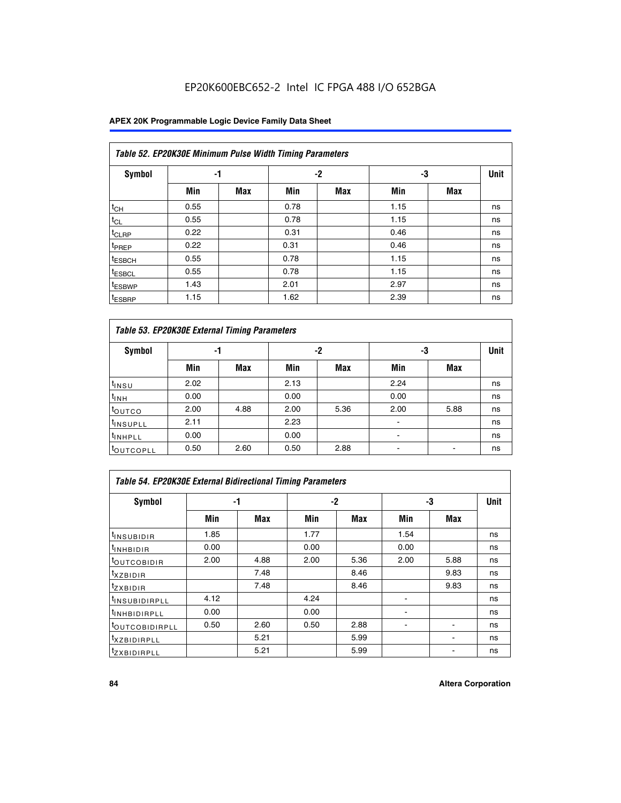## **APEX 20K Programmable Logic Device Family Data Sheet**

|                    | Table 52. EP20K30E Minimum Pulse Width Timing Parameters |            |      |            |      |            |             |  |  |  |  |  |
|--------------------|----------------------------------------------------------|------------|------|------------|------|------------|-------------|--|--|--|--|--|
| <b>Symbol</b>      | -1                                                       |            |      | $-2$<br>-3 |      |            | <b>Unit</b> |  |  |  |  |  |
|                    | Min                                                      | <b>Max</b> | Min  | <b>Max</b> | Min  | <b>Max</b> |             |  |  |  |  |  |
| $t_{CH}$           | 0.55                                                     |            | 0.78 |            | 1.15 |            | ns          |  |  |  |  |  |
| $t_{CL}$           | 0.55                                                     |            | 0.78 |            | 1.15 |            | ns          |  |  |  |  |  |
| $t_{CLRP}$         | 0.22                                                     |            | 0.31 |            | 0.46 |            | ns          |  |  |  |  |  |
| <sup>t</sup> PREP  | 0.22                                                     |            | 0.31 |            | 0.46 |            | ns          |  |  |  |  |  |
| <sup>t</sup> ESBCH | 0.55                                                     |            | 0.78 |            | 1.15 |            | ns          |  |  |  |  |  |
| <sup>t</sup> ESBCL | 0.55                                                     |            | 0.78 |            | 1.15 |            | ns          |  |  |  |  |  |
| <sup>t</sup> ESBWP | 1.43                                                     |            | 2.01 |            | 2.97 |            | ns          |  |  |  |  |  |
| <sup>t</sup> ESBRP | 1.15                                                     |            | 1.62 |            | 2.39 |            | ns          |  |  |  |  |  |

| Table 53. EP20K30E External Timing Parameters |      |            |      |            |                          |            |    |  |  |  |  |
|-----------------------------------------------|------|------------|------|------------|--------------------------|------------|----|--|--|--|--|
| <b>Symbol</b>                                 | -1   |            |      | -2         |                          | -3         |    |  |  |  |  |
|                                               | Min  | <b>Max</b> | Min  | <b>Max</b> | Min                      | <b>Max</b> |    |  |  |  |  |
| t <sub>INSU</sub>                             | 2.02 |            | 2.13 |            | 2.24                     |            | ns |  |  |  |  |
| $t_{\text{INH}}$                              | 0.00 |            | 0.00 |            | 0.00                     |            | ns |  |  |  |  |
| <sup>t</sup> outco                            | 2.00 | 4.88       | 2.00 | 5.36       | 2.00                     | 5.88       | ns |  |  |  |  |
| <sup>t</sup> INSUPLL                          | 2.11 |            | 2.23 |            |                          |            | ns |  |  |  |  |
| <sup>t</sup> INHPLL                           | 0.00 |            | 0.00 |            | $\overline{\phantom{a}}$ |            | ns |  |  |  |  |
| <b>LOUTCOPLL</b>                              | 0.50 | 2.60       | 0.50 | 2.88       | -                        |            | ns |  |  |  |  |

| Table 54. EP20K30E External Bidirectional Timing Parameters |      |      |      |      |                          |      |             |  |  |  |  |
|-------------------------------------------------------------|------|------|------|------|--------------------------|------|-------------|--|--|--|--|
| Symbol                                                      |      | -1   |      | $-2$ |                          | -3   | <b>Unit</b> |  |  |  |  |
|                                                             | Min  | Max  | Min  | Max  | Min                      | Max  |             |  |  |  |  |
| <sup>t</sup> INSUBIDIR                                      | 1.85 |      | 1.77 |      | 1.54                     |      | ns          |  |  |  |  |
| <b>INHBIDIR</b>                                             | 0.00 |      | 0.00 |      | 0.00                     |      | ns          |  |  |  |  |
| <b>LOUTCOBIDIR</b>                                          | 2.00 | 4.88 | 2.00 | 5.36 | 2.00                     | 5.88 | ns          |  |  |  |  |
| <sup>T</sup> XZBIDIR                                        |      | 7.48 |      | 8.46 |                          | 9.83 | ns          |  |  |  |  |
| <sup>t</sup> zxbidir                                        |      | 7.48 |      | 8.46 |                          | 9.83 | ns          |  |  |  |  |
| <sup>I</sup> INSUBIDIRPLL                                   | 4.12 |      | 4.24 |      | $\overline{\phantom{0}}$ |      | ns          |  |  |  |  |
| <b>INHBIDIRPLL</b>                                          | 0.00 |      | 0.00 |      |                          |      | ns          |  |  |  |  |
| <b><i>COUTCOBIDIRPLL</i></b>                                | 0.50 | 2.60 | 0.50 | 2.88 |                          |      | ns          |  |  |  |  |
| <sup>I</sup> XZBIDIRPLL                                     |      | 5.21 |      | 5.99 |                          |      | ns          |  |  |  |  |
| <sup>I</sup> ZXBIDIRPLL                                     |      | 5.21 |      | 5.99 |                          |      | ns          |  |  |  |  |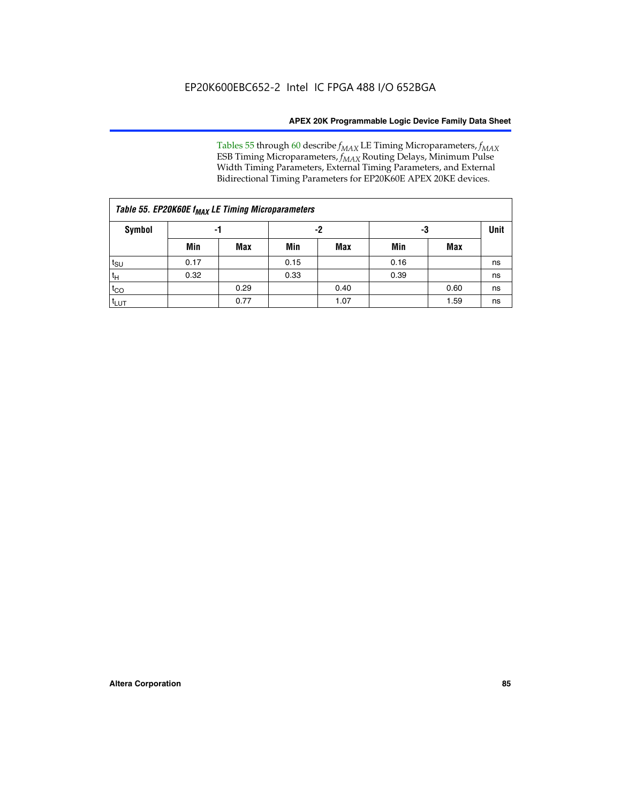Tables 55 through 60 describe *f<sub>MAX</sub>* LE Timing Microparameters, *f<sub>MAX</sub>* ESB Timing Microparameters, *f<sub>MAX</sub>* Routing Delays, Minimum Pulse Width Timing Parameters, External Timing Parameters, and External Bidirectional Timing Parameters for EP20K60E APEX 20KE devices.

| Table 55. EP20K60E f <sub>MAX</sub> LE Timing Microparameters |      |      |      |      |      |             |    |  |  |  |  |
|---------------------------------------------------------------|------|------|------|------|------|-------------|----|--|--|--|--|
| <b>Symbol</b>                                                 |      | -1   |      | -2   | -3   | <b>Unit</b> |    |  |  |  |  |
|                                                               | Min  | Max  | Min  | Max  | Min  | Max         |    |  |  |  |  |
| $t_{\text{SU}}$                                               | 0.17 |      | 0.15 |      | 0.16 |             | ns |  |  |  |  |
| $t_H$                                                         | 0.32 |      | 0.33 |      | 0.39 |             | ns |  |  |  |  |
| $t_{CO}$                                                      |      | 0.29 |      | 0.40 |      | 0.60        | ns |  |  |  |  |
| $t_{LUT}$                                                     |      | 0.77 |      | 1.07 |      | 1.59        | ns |  |  |  |  |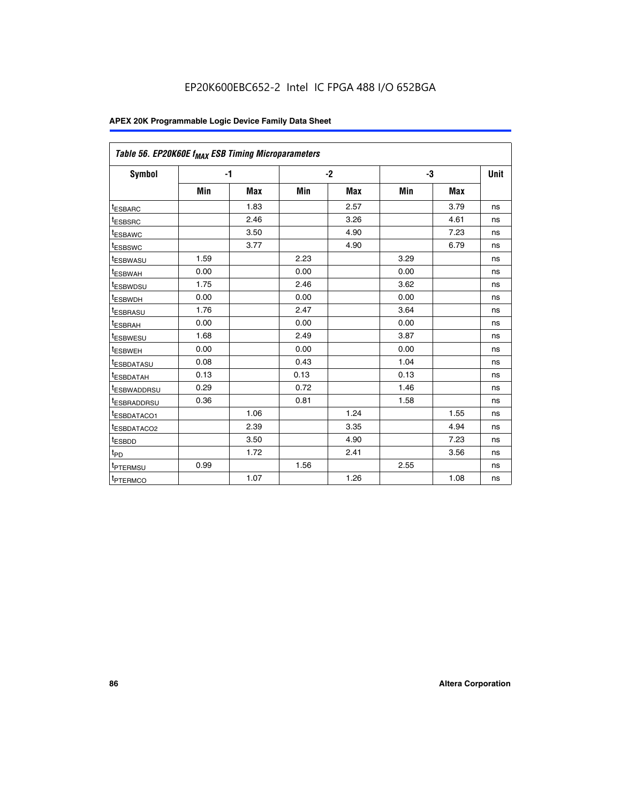| Table 56. EP20K60E f <sub>MAX</sub> ESB Timing Microparameters |      |            |      |            |      |            |      |
|----------------------------------------------------------------|------|------------|------|------------|------|------------|------|
| <b>Symbol</b>                                                  | $-1$ |            |      | $-2$       |      | -3         | Unit |
|                                                                | Min  | <b>Max</b> | Min  | <b>Max</b> | Min  | <b>Max</b> |      |
| t <sub>ESBARC</sub>                                            |      | 1.83       |      | 2.57       |      | 3.79       | ns   |
| t <sub>ESBSRC</sub>                                            |      | 2.46       |      | 3.26       |      | 4.61       | ns   |
| <sup>t</sup> ESBAWC                                            |      | 3.50       |      | 4.90       |      | 7.23       | ns   |
| t <sub>ESBSWC</sub>                                            |      | 3.77       |      | 4.90       |      | 6.79       | ns   |
| <sup>t</sup> ESBWASU                                           | 1.59 |            | 2.23 |            | 3.29 |            | ns   |
| t <sub>ESBWAH</sub>                                            | 0.00 |            | 0.00 |            | 0.00 |            | ns   |
| t <sub>ESBWDSU</sub>                                           | 1.75 |            | 2.46 |            | 3.62 |            | ns   |
| t <sub>ESBWDH</sub>                                            | 0.00 |            | 0.00 |            | 0.00 |            | ns   |
| t <sub>ESBRASU</sub>                                           | 1.76 |            | 2.47 |            | 3.64 |            | ns   |
| <sup>t</sup> ESBRAH                                            | 0.00 |            | 0.00 |            | 0.00 |            | ns   |
| t <sub>ESBWESU</sub>                                           | 1.68 |            | 2.49 |            | 3.87 |            | ns   |
| <sup>t</sup> ESBWEH                                            | 0.00 |            | 0.00 |            | 0.00 |            | ns   |
| <sup>t</sup> ESBDATASU                                         | 0.08 |            | 0.43 |            | 1.04 |            | ns   |
| <sup>t</sup> ESBDATAH                                          | 0.13 |            | 0.13 |            | 0.13 |            | ns   |
| <sup>t</sup> ESBWADDRSU                                        | 0.29 |            | 0.72 |            | 1.46 |            | ns   |
| <sup>t</sup> ESBRADDRSU                                        | 0.36 |            | 0.81 |            | 1.58 |            | ns   |
| <sup>I</sup> ESBDATACO1                                        |      | 1.06       |      | 1.24       |      | 1.55       | ns   |
| t <sub>ESBDATACO2</sub>                                        |      | 2.39       |      | 3.35       |      | 4.94       | ns   |
| <sup>t</sup> ESBDD                                             |      | 3.50       |      | 4.90       |      | 7.23       | ns   |
| t <sub>PD</sub>                                                |      | 1.72       |      | 2.41       |      | 3.56       | ns   |
| t <sub>PTERMSU</sub>                                           | 0.99 |            | 1.56 |            | 2.55 |            | ns   |
| t <sub>PTERMCO</sub>                                           |      | 1.07       |      | 1.26       |      | 1.08       | ns   |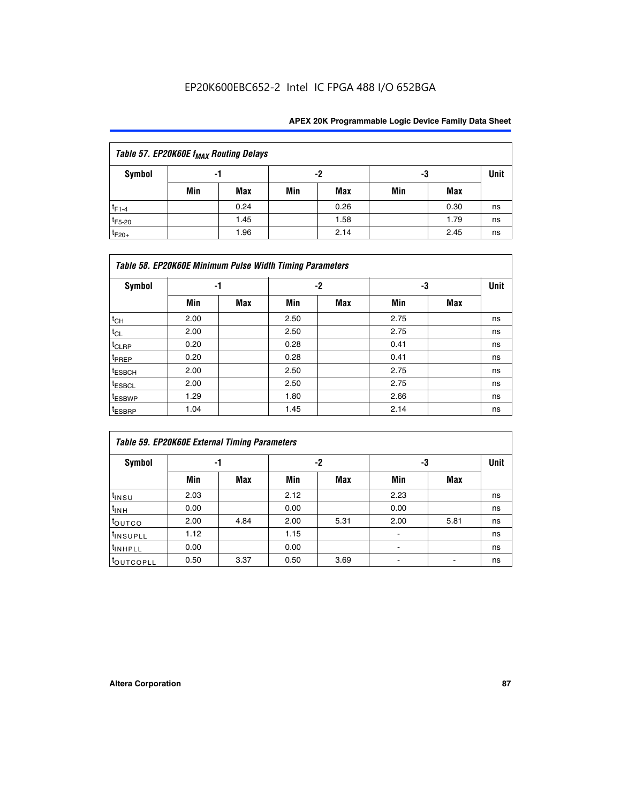| Table 57. EP20K60E f <sub>MAX</sub> Routing Delays |     |      |     |      |     |      |             |  |  |  |  |
|----------------------------------------------------|-----|------|-----|------|-----|------|-------------|--|--|--|--|
| Symbol                                             |     | -1   |     | -2   |     | -3   | <b>Unit</b> |  |  |  |  |
|                                                    | Min | Max  | Min | Max  | Min | Max  |             |  |  |  |  |
| $t_{F1-4}$                                         |     | 0.24 |     | 0.26 |     | 0.30 | ns          |  |  |  |  |
| $t_{F5-20}$                                        |     | 1.45 |     | 1.58 |     | 1.79 | ns          |  |  |  |  |
| $t_{F20+}$                                         |     | 1.96 |     | 2.14 |     | 2.45 | ns          |  |  |  |  |

|                    | Table 58. EP20K60E Minimum Pulse Width Timing Parameters |            |      |            |      |     |             |  |  |  |  |  |
|--------------------|----------------------------------------------------------|------------|------|------------|------|-----|-------------|--|--|--|--|--|
| Symbol             | -1                                                       |            |      | -2         |      | -3  | <b>Unit</b> |  |  |  |  |  |
|                    | Min                                                      | <b>Max</b> | Min  | <b>Max</b> | Min  | Max |             |  |  |  |  |  |
| $t_{CH}$           | 2.00                                                     |            | 2.50 |            | 2.75 |     | ns          |  |  |  |  |  |
| $t_{CL}$           | 2.00                                                     |            | 2.50 |            | 2.75 |     | ns          |  |  |  |  |  |
| t <sub>CLRP</sub>  | 0.20                                                     |            | 0.28 |            | 0.41 |     | ns          |  |  |  |  |  |
| t <sub>PREP</sub>  | 0.20                                                     |            | 0.28 |            | 0.41 |     | ns          |  |  |  |  |  |
| $t_{ESBCH}$        | 2.00                                                     |            | 2.50 |            | 2.75 |     | ns          |  |  |  |  |  |
| t <sub>ESBCL</sub> | 2.00                                                     |            | 2.50 |            | 2.75 |     | ns          |  |  |  |  |  |
| t <sub>ESBWP</sub> | 1.29                                                     |            | 1.80 |            | 2.66 |     | ns          |  |  |  |  |  |
| t <sub>ESBRP</sub> | 1.04                                                     |            | 1.45 |            | 2.14 |     | ns          |  |  |  |  |  |

|                      | <b>Table 59. EP20K60E External Timing Parameters</b> |      |      |      |      |      |      |  |  |  |  |  |
|----------------------|------------------------------------------------------|------|------|------|------|------|------|--|--|--|--|--|
| Symbol               | -1                                                   |      |      | -2   | -3   |      | Unit |  |  |  |  |  |
|                      | Min                                                  | Max  | Min  | Max  | Min  | Max  |      |  |  |  |  |  |
| $t_{INSU}$           | 2.03                                                 |      | 2.12 |      | 2.23 |      | ns   |  |  |  |  |  |
| $t_{INH}$            | 0.00                                                 |      | 0.00 |      | 0.00 |      | ns   |  |  |  |  |  |
| toutco               | 2.00                                                 | 4.84 | 2.00 | 5.31 | 2.00 | 5.81 | ns   |  |  |  |  |  |
| <sup>t</sup> INSUPLL | 1.12                                                 |      | 1.15 |      | ۰    |      | ns   |  |  |  |  |  |
| <sup>t</sup> INHPLL  | 0.00                                                 |      | 0.00 |      | ۰    |      | ns   |  |  |  |  |  |
| <b>COUTCOPLL</b>     | 0.50                                                 | 3.37 | 0.50 | 3.69 |      |      | ns   |  |  |  |  |  |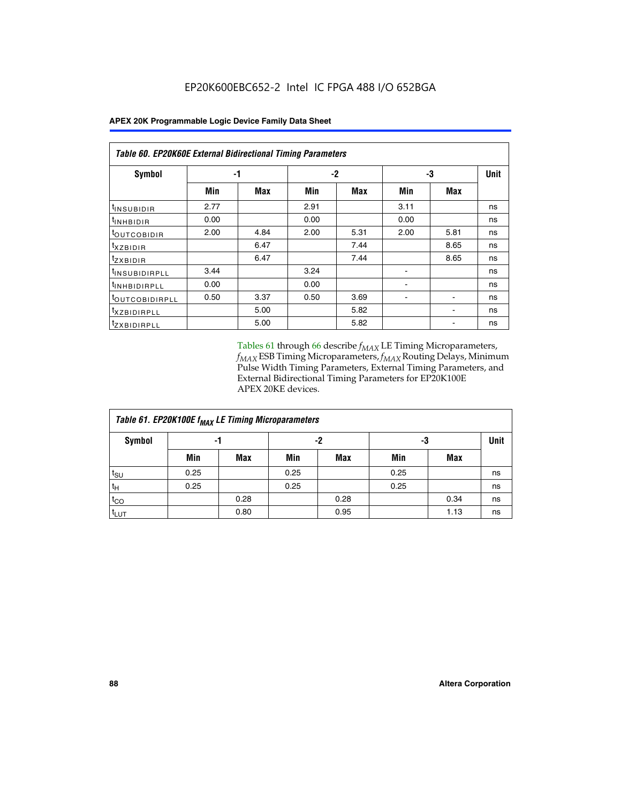| Table 60. EP20K60E External Bidirectional Timing Parameters |      |      |      |      |      |            |      |  |  |  |  |
|-------------------------------------------------------------|------|------|------|------|------|------------|------|--|--|--|--|
| Symbol                                                      |      | -1   |      | $-2$ |      | -3         | Unit |  |  |  |  |
|                                                             | Min  | Max  | Min  | Max  | Min  | <b>Max</b> |      |  |  |  |  |
| <sup>t</sup> INSUBIDIR                                      | 2.77 |      | 2.91 |      | 3.11 |            | ns   |  |  |  |  |
| <sup>t</sup> INHBIDIR                                       | 0.00 |      | 0.00 |      | 0.00 |            | ns   |  |  |  |  |
| <sup>t</sup> OUTCOBIDIR                                     | 2.00 | 4.84 | 2.00 | 5.31 | 2.00 | 5.81       | ns   |  |  |  |  |
| $t_{XZBIDIR}$                                               |      | 6.47 |      | 7.44 |      | 8.65       | ns   |  |  |  |  |
| $t_{ZXBIDIR}$                                               |      | 6.47 |      | 7.44 |      | 8.65       | ns   |  |  |  |  |
| <sup>t</sup> INSUBIDIRPLL                                   | 3.44 |      | 3.24 |      |      |            | ns   |  |  |  |  |
| <sup>t</sup> INHBIDIRPLL                                    | 0.00 |      | 0.00 |      | ۰    |            | ns   |  |  |  |  |
| <sup>t</sup> OUTCOBIDIRPLL                                  | 0.50 | 3.37 | 0.50 | 3.69 |      |            | ns   |  |  |  |  |
| <sup>t</sup> XZBIDIRPLL                                     |      | 5.00 |      | 5.82 |      |            | ns   |  |  |  |  |
| <sup>I</sup> ZXBIDIRPLL                                     |      | 5.00 |      | 5.82 |      |            | ns   |  |  |  |  |

Tables 61 through 66 describe  $f_{MAX}$  LE Timing Microparameters, *fMAX* ESB Timing Microparameters, *fMAX* Routing Delays, Minimum Pulse Width Timing Parameters, External Timing Parameters, and External Bidirectional Timing Parameters for EP20K100E APEX 20KE devices.

| Table 61. EP20K100E f <sub>MAX</sub> LE Timing Microparameters |      |      |      |            |      |             |    |  |  |  |  |
|----------------------------------------------------------------|------|------|------|------------|------|-------------|----|--|--|--|--|
| <b>Symbol</b>                                                  |      | -1   |      | -2         | -3   | <b>Unit</b> |    |  |  |  |  |
|                                                                | Min  | Max  | Min  | <b>Max</b> | Min  | <b>Max</b>  |    |  |  |  |  |
| t <sub>SU</sub>                                                | 0.25 |      | 0.25 |            | 0.25 |             | ns |  |  |  |  |
| tμ                                                             | 0.25 |      | 0.25 |            | 0.25 |             | ns |  |  |  |  |
| $t_{CO}$                                                       |      | 0.28 |      | 0.28       |      | 0.34        | ns |  |  |  |  |
| t <sub>LUT</sub>                                               |      | 0.80 |      | 0.95       |      | 1.13        | ns |  |  |  |  |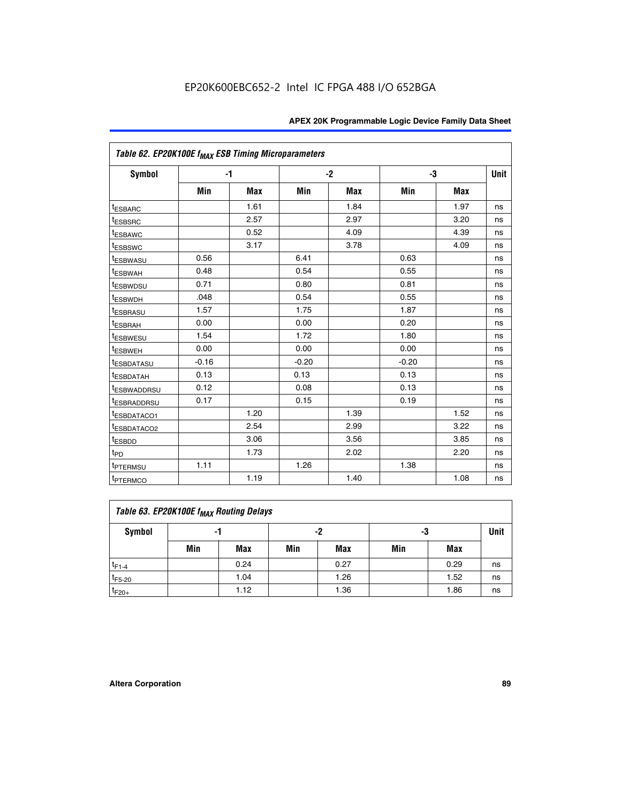| Table 62. EP20K100E f <sub>MAX</sub> ESB Timing Microparameters |         |      |         |      |         |      |             |
|-----------------------------------------------------------------|---------|------|---------|------|---------|------|-------------|
| <b>Symbol</b>                                                   | $-1$    |      | $-2$    |      |         | -3   | <b>Unit</b> |
|                                                                 | Min     | Max  | Min     | Max  | Min     | Max  |             |
| <sup>t</sup> ESBARC                                             |         | 1.61 |         | 1.84 |         | 1.97 | ns          |
| t <sub>ESBSRC</sub>                                             |         | 2.57 |         | 2.97 |         | 3.20 | ns          |
| <sup>t</sup> ESBAWC                                             |         | 0.52 |         | 4.09 |         | 4.39 | ns          |
| <sup>t</sup> ESBSWC                                             |         | 3.17 |         | 3.78 |         | 4.09 | ns          |
| <sup>t</sup> ESBWASU                                            | 0.56    |      | 6.41    |      | 0.63    |      | ns          |
| <sup>t</sup> ESBWAH                                             | 0.48    |      | 0.54    |      | 0.55    |      | ns          |
| t <sub>ESBWDSU</sub>                                            | 0.71    |      | 0.80    |      | 0.81    |      | ns          |
| t <sub>ESBWDH</sub>                                             | .048    |      | 0.54    |      | 0.55    |      | ns          |
| <sup>t</sup> ESBRASU                                            | 1.57    |      | 1.75    |      | 1.87    |      | ns          |
| <sup>t</sup> ESBRAH                                             | 0.00    |      | 0.00    |      | 0.20    |      | ns          |
| <i>t</i> <sub>ESBWESU</sub>                                     | 1.54    |      | 1.72    |      | 1.80    |      | ns          |
| t <sub>ESBWEH</sub>                                             | 0.00    |      | 0.00    |      | 0.00    |      | ns          |
| <sup>t</sup> ESBDATASU                                          | $-0.16$ |      | $-0.20$ |      | $-0.20$ |      | ns          |
| <sup>t</sup> ESBDATAH                                           | 0.13    |      | 0.13    |      | 0.13    |      | ns          |
| <sup>t</sup> ESBWADDRSU                                         | 0.12    |      | 0.08    |      | 0.13    |      | ns          |
| <sup>I</sup> ESBRADDRSU                                         | 0.17    |      | 0.15    |      | 0.19    |      | ns          |
| <sup>t</sup> ESBDATACO1                                         |         | 1.20 |         | 1.39 |         | 1.52 | ns          |
| <sup>t</sup> ESBDATACO2                                         |         | 2.54 |         | 2.99 |         | 3.22 | ns          |
| <sup>t</sup> ESBDD                                              |         | 3.06 |         | 3.56 |         | 3.85 | ns          |
| t <sub>PD</sub>                                                 |         | 1.73 |         | 2.02 |         | 2.20 | ns          |
| <sup>t</sup> PTERMSU                                            | 1.11    |      | 1.26    |      | 1.38    |      | ns          |
| t <sub>PTERMCO</sub>                                            |         | 1.19 |         | 1.40 |         | 1.08 | ns          |

| Table 63. EP20K100E f <sub>MAX</sub> Routing Delays |                |      |     |      |     |      |    |  |  |  |
|-----------------------------------------------------|----------------|------|-----|------|-----|------|----|--|--|--|
| <b>Symbol</b>                                       | -2<br>-3<br>-1 |      |     |      |     |      |    |  |  |  |
|                                                     | Min            | Max  | Min | Max  | Min | Max  |    |  |  |  |
| $t_{F1-4}$                                          |                | 0.24 |     | 0.27 |     | 0.29 | ns |  |  |  |
| $t_{F5-20}$                                         |                | 1.04 |     | 1.26 |     | 1.52 | ns |  |  |  |
| $t_{F20+}$                                          |                | 1.12 |     | 1.36 |     | 1.86 | ns |  |  |  |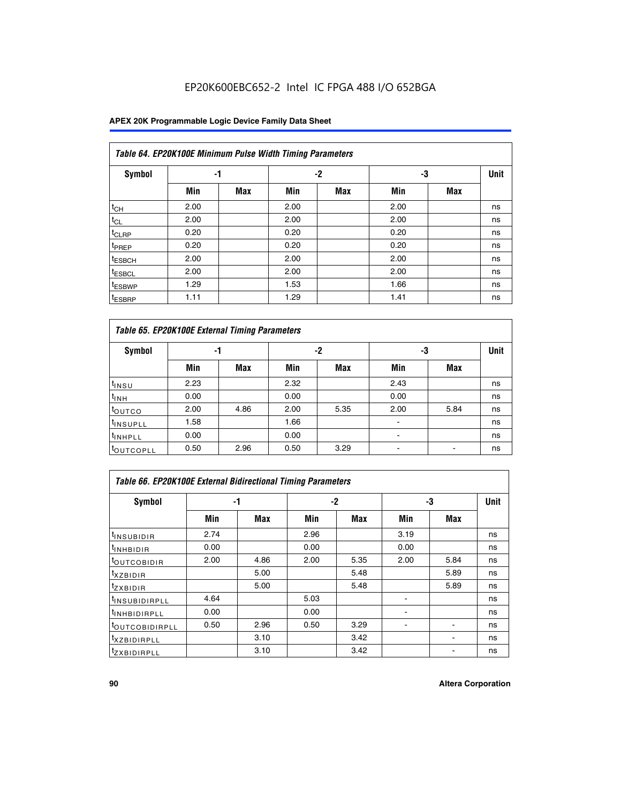## **APEX 20K Programmable Logic Device Family Data Sheet**

|                    | Table 64. EP20K100E Minimum Pulse Width Timing Parameters |            |      |            |      |            |             |  |  |  |  |  |
|--------------------|-----------------------------------------------------------|------------|------|------------|------|------------|-------------|--|--|--|--|--|
| <b>Symbol</b>      | -1                                                        |            |      | $-2$       | -3   |            | <b>Unit</b> |  |  |  |  |  |
|                    | Min                                                       | <b>Max</b> | Min  | <b>Max</b> | Min  | <b>Max</b> |             |  |  |  |  |  |
| $t_{CH}$           | 2.00                                                      |            | 2.00 |            | 2.00 |            | ns          |  |  |  |  |  |
| $t_{CL}$           | 2.00                                                      |            | 2.00 |            | 2.00 |            | ns          |  |  |  |  |  |
| t <sub>CLRP</sub>  | 0.20                                                      |            | 0.20 |            | 0.20 |            | ns          |  |  |  |  |  |
| t <sub>PREP</sub>  | 0.20                                                      |            | 0.20 |            | 0.20 |            | ns          |  |  |  |  |  |
| <sup>t</sup> ESBCH | 2.00                                                      |            | 2.00 |            | 2.00 |            | ns          |  |  |  |  |  |
| <sup>t</sup> ESBCL | 2.00                                                      |            | 2.00 |            | 2.00 |            | ns          |  |  |  |  |  |
| <sup>t</sup> ESBWP | 1.29                                                      |            | 1.53 |            | 1.66 |            | ns          |  |  |  |  |  |
| <sup>t</sup> ESBRP | 1.11                                                      |            | 1.29 |            | 1.41 |            | ns          |  |  |  |  |  |

|                      | Table 65. EP20K100E External Timing Parameters |            |      |            |                |            |             |  |  |  |  |  |
|----------------------|------------------------------------------------|------------|------|------------|----------------|------------|-------------|--|--|--|--|--|
| <b>Symbol</b>        | -1                                             |            |      | -2         | -3             |            | <b>Unit</b> |  |  |  |  |  |
|                      | Min                                            | <b>Max</b> | Min  | <b>Max</b> | Min            | <b>Max</b> |             |  |  |  |  |  |
| $t_{INSU}$           | 2.23                                           |            | 2.32 |            | 2.43           |            | ns          |  |  |  |  |  |
| $t_{\rm INH}$        | 0.00                                           |            | 0.00 |            | 0.00           |            | ns          |  |  |  |  |  |
| toutco               | 2.00                                           | 4.86       | 2.00 | 5.35       | 2.00           | 5.84       | ns          |  |  |  |  |  |
| <sup>t</sup> INSUPLL | 1.58                                           |            | 1.66 |            |                |            | ns          |  |  |  |  |  |
| <sup>t</sup> INHPLL  | 0.00                                           |            | 0.00 |            | $\blacksquare$ |            | ns          |  |  |  |  |  |
| <b>LOUTCOPLL</b>     | 0.50                                           | 2.96       | 0.50 | 3.29       | -              |            | ns          |  |  |  |  |  |

|                              | Table 66. EP20K100E External Bidirectional Timing Parameters |      |      |      |      |            |    |  |  |  |  |
|------------------------------|--------------------------------------------------------------|------|------|------|------|------------|----|--|--|--|--|
| Symbol                       |                                                              | -1   |      | $-2$ |      | -3         |    |  |  |  |  |
|                              | Min                                                          | Max  | Min  | Max  | Min  | <b>Max</b> |    |  |  |  |  |
| <sup>t</sup> INSUBIDIR       | 2.74                                                         |      | 2.96 |      | 3.19 |            | ns |  |  |  |  |
| <b>TINHBIDIR</b>             | 0.00                                                         |      | 0.00 |      | 0.00 |            | ns |  |  |  |  |
| <b>LOUTCOBIDIR</b>           | 2.00                                                         | 4.86 | 2.00 | 5.35 | 2.00 | 5.84       | ns |  |  |  |  |
| <sup>T</sup> XZBIDIR         |                                                              | 5.00 |      | 5.48 |      | 5.89       | ns |  |  |  |  |
| $I_{Z}$ XBIDIR               |                                                              | 5.00 |      | 5.48 |      | 5.89       | ns |  |  |  |  |
| <sup>t</sup> INSUBIDIRPLL    | 4.64                                                         |      | 5.03 |      |      |            | ns |  |  |  |  |
| <sup>I</sup> INHBIDIRPLL     | 0.00                                                         |      | 0.00 |      |      |            | ns |  |  |  |  |
| <b><i>COUTCOBIDIRPLL</i></b> | 0.50                                                         | 2.96 | 0.50 | 3.29 |      |            | ns |  |  |  |  |
| <sup>I</sup> XZBIDIRPLL      |                                                              | 3.10 |      | 3.42 |      |            | ns |  |  |  |  |
| <sup>I</sup> ZXBIDIRPLL      |                                                              | 3.10 |      | 3.42 |      |            | ns |  |  |  |  |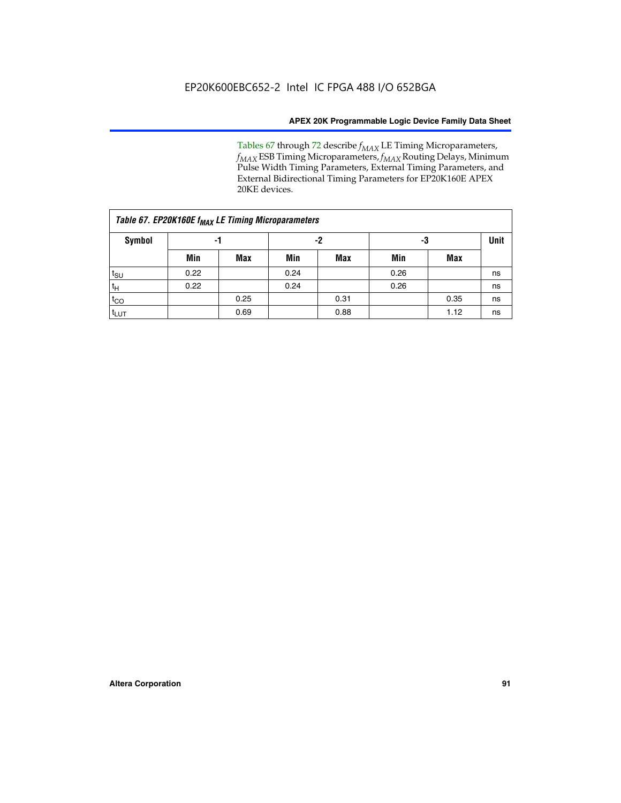Tables 67 through 72 describe *f<sub>MAX</sub>* LE Timing Microparameters, *f<sub>MAX</sub>* ESB Timing Microparameters, *f<sub>MAX</sub>* Routing Delays, Minimum Pulse Width Timing Parameters, External Timing Parameters, and External Bidirectional Timing Parameters for EP20K160E APEX 20KE devices.

|                  | Table 67. EP20K160E f <sub>MAX</sub> LE Timing Microparameters |            |      |            |      |      |    |  |  |  |  |  |
|------------------|----------------------------------------------------------------|------------|------|------------|------|------|----|--|--|--|--|--|
| Symbol           | -1                                                             |            |      | -2         |      | -3   |    |  |  |  |  |  |
|                  | Min                                                            | <b>Max</b> | Min  | <b>Max</b> | Min  | Max  |    |  |  |  |  |  |
| $t_{\text{SU}}$  | 0.22                                                           |            | 0.24 |            | 0.26 |      | ns |  |  |  |  |  |
| $t_H$            | 0.22                                                           |            | 0.24 |            | 0.26 |      | ns |  |  |  |  |  |
| $t_{CO}$         |                                                                | 0.25       |      | 0.31       |      | 0.35 | ns |  |  |  |  |  |
| t <sub>lut</sub> |                                                                | 0.69       |      | 0.88       |      | 1.12 | ns |  |  |  |  |  |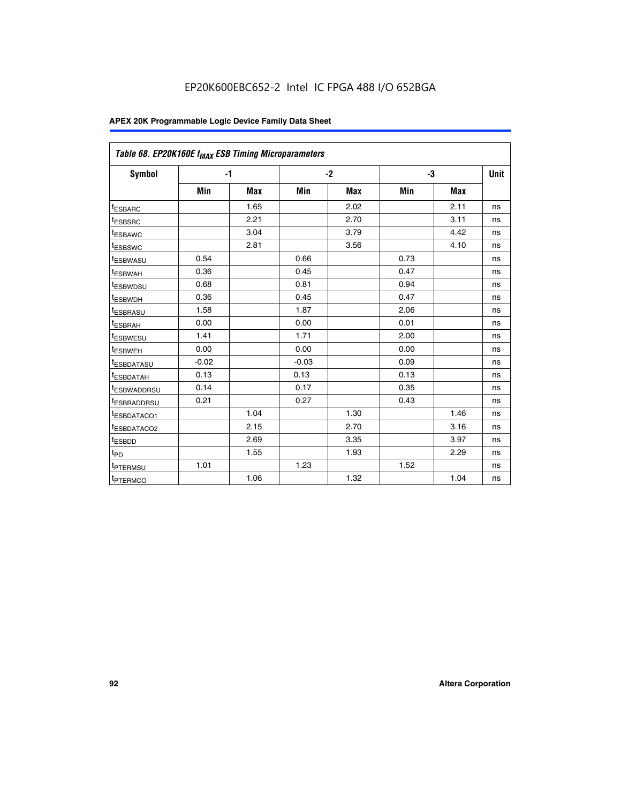| Table 68. EP20K160E f <sub>MAX</sub> ESB Timing Microparameters |         |            |         |            |      |      |             |
|-----------------------------------------------------------------|---------|------------|---------|------------|------|------|-------------|
| <b>Symbol</b>                                                   |         | $-1$       |         | $-2$       |      | -3   | <b>Unit</b> |
|                                                                 | Min     | <b>Max</b> | Min     | <b>Max</b> | Min  | Max  |             |
| <sup>t</sup> ESBARC                                             |         | 1.65       |         | 2.02       |      | 2.11 | ns          |
| t <sub>ESBSRC</sub>                                             |         | 2.21       |         | 2.70       |      | 3.11 | ns          |
| <sup>t</sup> ESBAWC                                             |         | 3.04       |         | 3.79       |      | 4.42 | ns          |
| <sup>t</sup> ESBSWC                                             |         | 2.81       |         | 3.56       |      | 4.10 | ns          |
| t <sub>ESBWASU</sub>                                            | 0.54    |            | 0.66    |            | 0.73 |      | ns          |
| <sup>t</sup> ESBWAH                                             | 0.36    |            | 0.45    |            | 0.47 |      | ns          |
| t <sub>ESBWDSU</sub>                                            | 0.68    |            | 0.81    |            | 0.94 |      | ns          |
| t <sub>ESBWDH</sub>                                             | 0.36    |            | 0.45    |            | 0.47 |      | ns          |
| t <sub>ESBRASU</sub>                                            | 1.58    |            | 1.87    |            | 2.06 |      | ns          |
| <sup>t</sup> ESBRAH                                             | 0.00    |            | 0.00    |            | 0.01 |      | ns          |
| <sup>t</sup> ESBWESU                                            | 1.41    |            | 1.71    |            | 2.00 |      | ns          |
| <sup>t</sup> ESBWEH                                             | 0.00    |            | 0.00    |            | 0.00 |      | ns          |
| <sup>t</sup> ESBDATASU                                          | $-0.02$ |            | $-0.03$ |            | 0.09 |      | ns          |
| t <sub>esbdatah</sub>                                           | 0.13    |            | 0.13    |            | 0.13 |      | ns          |
| t <sub>ESBWADDRSU</sub>                                         | 0.14    |            | 0.17    |            | 0.35 |      | ns          |
| <sup>t</sup> ESBRADDRSU                                         | 0.21    |            | 0.27    |            | 0.43 |      | ns          |
| t <sub>ESBDATACO1</sub>                                         |         | 1.04       |         | 1.30       |      | 1.46 | ns          |
| t <sub>ESBDATACO2</sub>                                         |         | 2.15       |         | 2.70       |      | 3.16 | ns          |
| <sup>t</sup> ESBDD                                              |         | 2.69       |         | 3.35       |      | 3.97 | ns          |
| t <sub>PD</sub>                                                 |         | 1.55       |         | 1.93       |      | 2.29 | ns          |
| t <sub>PTERMSU</sub>                                            | 1.01    |            | 1.23    |            | 1.52 |      | ns          |
| t <sub>PTERMCO</sub>                                            |         | 1.06       |         | 1.32       |      | 1.04 | ns          |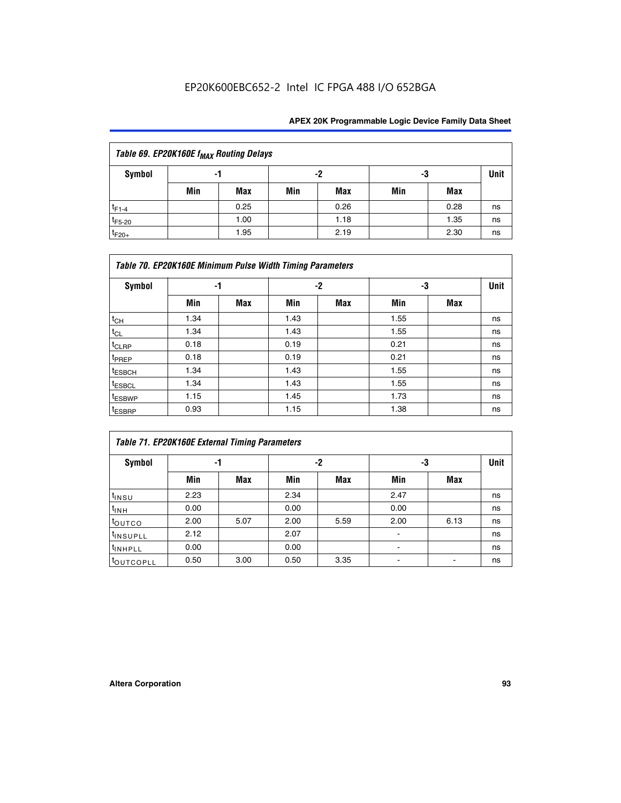| Table 69. EP20K160E f <sub>MAX</sub> Routing Delays |     |                |     |      |     |      |    |             |  |  |
|-----------------------------------------------------|-----|----------------|-----|------|-----|------|----|-------------|--|--|
| Symbol                                              |     | -2<br>-3<br>-1 |     |      |     |      |    | <b>Unit</b> |  |  |
|                                                     | Min | Max            | Min | Max  | Min | Max  |    |             |  |  |
| $t_{F1-4}$                                          |     | 0.25           |     | 0.26 |     | 0.28 | ns |             |  |  |
| $t_{F5-20}$                                         |     | 1.00           |     | 1.18 |     | 1.35 | ns |             |  |  |
| $t_{F20+}$                                          |     | 1.95           |     | 2.19 |     | 2.30 | ns |             |  |  |

|                    | Table 70. EP20K160E Minimum Pulse Width Timing Parameters |            |      |            |      |     |             |  |  |  |  |
|--------------------|-----------------------------------------------------------|------------|------|------------|------|-----|-------------|--|--|--|--|
| <b>Symbol</b>      |                                                           | -1         |      | -2         |      | -3  | <b>Unit</b> |  |  |  |  |
|                    | Min                                                       | <b>Max</b> | Min  | <b>Max</b> | Min  | Max |             |  |  |  |  |
| $t_{CH}$           | 1.34                                                      |            | 1.43 |            | 1.55 |     | ns          |  |  |  |  |
| $t_{CL}$           | 1.34                                                      |            | 1.43 |            | 1.55 |     | ns          |  |  |  |  |
| $t_{CLRP}$         | 0.18                                                      |            | 0.19 |            | 0.21 |     | ns          |  |  |  |  |
| t <sub>PREP</sub>  | 0.18                                                      |            | 0.19 |            | 0.21 |     | ns          |  |  |  |  |
| <sup>t</sup> ESBCH | 1.34                                                      |            | 1.43 |            | 1.55 |     | ns          |  |  |  |  |
| <sup>t</sup> ESBCL | 1.34                                                      |            | 1.43 |            | 1.55 |     | ns          |  |  |  |  |
| <sup>t</sup> ESBWP | 1.15                                                      |            | 1.45 |            | 1.73 |     | ns          |  |  |  |  |
| <sup>t</sup> ESBRP | 0.93                                                      |            | 1.15 |            | 1.38 |     | ns          |  |  |  |  |

|                      | Table 71. EP20K160E External Timing Parameters |      |      |      |                |      |    |  |  |  |  |  |
|----------------------|------------------------------------------------|------|------|------|----------------|------|----|--|--|--|--|--|
| Symbol               | -1                                             |      |      | -2   | -3             | Unit |    |  |  |  |  |  |
|                      | Min                                            | Max  | Min  | Max  | Min            | Max  |    |  |  |  |  |  |
| $t_{INSU}$           | 2.23                                           |      | 2.34 |      | 2.47           |      | ns |  |  |  |  |  |
| $t_{INH}$            | 0.00                                           |      | 0.00 |      | 0.00           |      | ns |  |  |  |  |  |
| toutco               | 2.00                                           | 5.07 | 2.00 | 5.59 | 2.00           | 6.13 | ns |  |  |  |  |  |
| <sup>t</sup> INSUPLL | 2.12                                           |      | 2.07 |      | $\blacksquare$ |      | ns |  |  |  |  |  |
| <sup>t</sup> INHPLL  | 0.00                                           |      | 0.00 |      | ۰              |      | ns |  |  |  |  |  |
| toutcopll            | 0.50                                           | 3.00 | 0.50 | 3.35 |                |      | ns |  |  |  |  |  |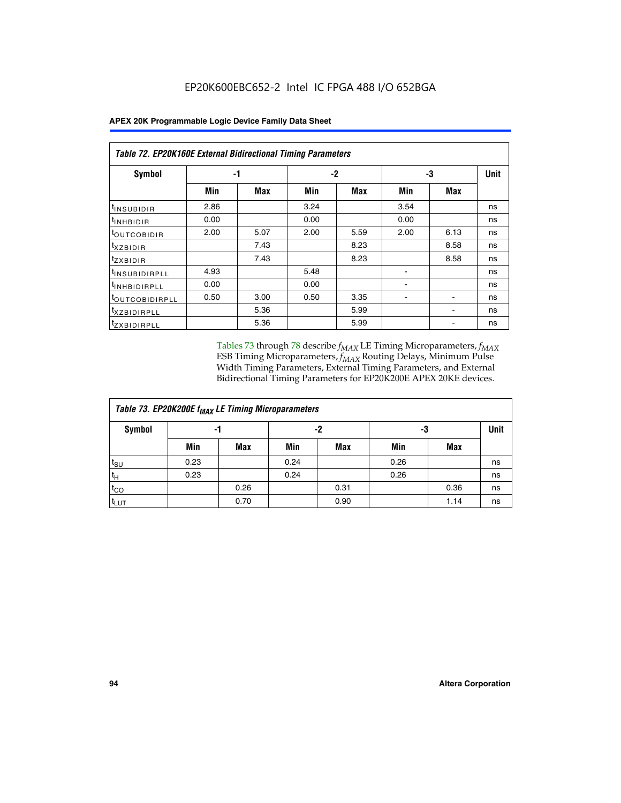|                                | Table 72. EP20K160E External Bidirectional Timing Parameters |      |      |      |      |      |    |  |  |  |  |
|--------------------------------|--------------------------------------------------------------|------|------|------|------|------|----|--|--|--|--|
| Symbol                         |                                                              | -1   |      | -2   |      | -3   |    |  |  |  |  |
|                                | Min                                                          | Max  | Min  | Max  | Min  | Max  |    |  |  |  |  |
| <sup>t</sup> INSUB <u>IDIR</u> | 2.86                                                         |      | 3.24 |      | 3.54 |      | ns |  |  |  |  |
| <sup>I</sup> INHBIDIR          | 0.00                                                         |      | 0.00 |      | 0.00 |      | ns |  |  |  |  |
| <b>LOUTCOBIDIR</b>             | 2.00                                                         | 5.07 | 2.00 | 5.59 | 2.00 | 6.13 | ns |  |  |  |  |
| <sup>T</sup> XZBIDIR           |                                                              | 7.43 |      | 8.23 |      | 8.58 | ns |  |  |  |  |
| <sup>t</sup> zxbidir           |                                                              | 7.43 |      | 8.23 |      | 8.58 | ns |  |  |  |  |
| <sup>I</sup> INSUBIDIRPLL      | 4.93                                                         |      | 5.48 |      |      |      | ns |  |  |  |  |
| <b>INHBIDIRPLL</b>             | 0.00                                                         |      | 0.00 |      |      |      | ns |  |  |  |  |
| <b><i>LOUTCOBIDIRPLL</i></b>   | 0.50                                                         | 3.00 | 0.50 | 3.35 |      |      | ns |  |  |  |  |
| <sup>T</sup> XZBIDIRPLL        |                                                              | 5.36 |      | 5.99 |      |      | ns |  |  |  |  |
| <sup>t</sup> ZXBIDIRPLL        |                                                              | 5.36 |      | 5.99 |      |      | ns |  |  |  |  |

Tables 73 through 78 describe  $f_{MAX}$  LE Timing Microparameters,  $f_{MAX}$ ESB Timing Microparameters, *f<sub>MAX</sub>* Routing Delays, Minimum Pulse Width Timing Parameters, External Timing Parameters, and External Bidirectional Timing Parameters for EP20K200E APEX 20KE devices.

| Table 73. EP20K200E f <sub>MAX</sub> LE Timing Microparameters |      |      |      |          |      |      |             |  |  |  |  |
|----------------------------------------------------------------|------|------|------|----------|------|------|-------------|--|--|--|--|
| <b>Symbol</b>                                                  | -1   |      |      | -2<br>-3 |      |      | <b>Unit</b> |  |  |  |  |
|                                                                | Min  | Max  | Min  | Max      | Min  | Max  |             |  |  |  |  |
| $t_{\text{SU}}$                                                | 0.23 |      | 0.24 |          | 0.26 |      | ns          |  |  |  |  |
| $t_H$                                                          | 0.23 |      | 0.24 |          | 0.26 |      | ns          |  |  |  |  |
| $t_{CO}$                                                       |      | 0.26 |      | 0.31     |      | 0.36 | ns          |  |  |  |  |
| t <sub>LUT</sub>                                               |      | 0.70 |      | 0.90     |      | 1.14 | ns          |  |  |  |  |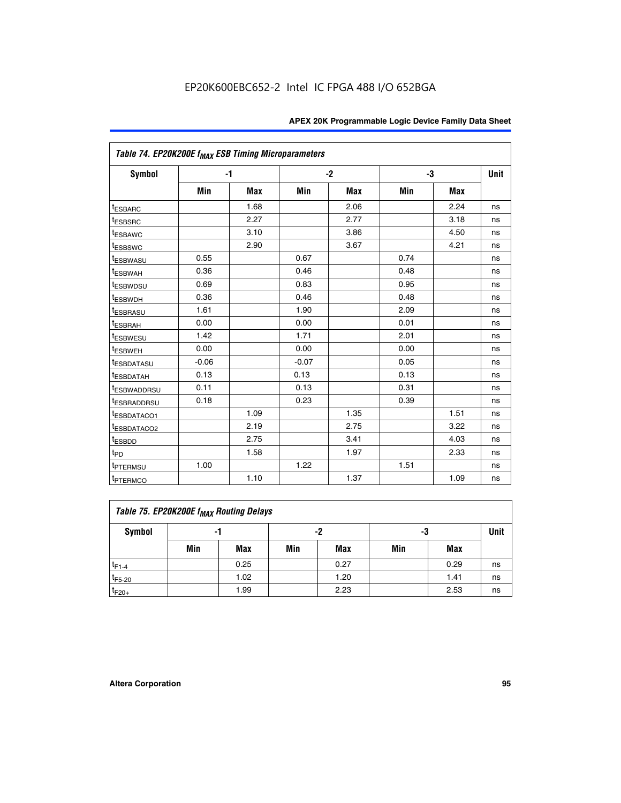|                                     | Table 74. EP20K200E f <sub>MAX</sub> ESB Timing Microparameters |            |         |            |      |            |      |  |  |  |
|-------------------------------------|-----------------------------------------------------------------|------------|---------|------------|------|------------|------|--|--|--|
| Symbol                              |                                                                 | $-1$       |         | $-2$       |      | -3         | Unit |  |  |  |
|                                     | Min                                                             | <b>Max</b> | Min     | <b>Max</b> | Min  | <b>Max</b> |      |  |  |  |
| <sup>t</sup> ESBARC                 |                                                                 | 1.68       |         | 2.06       |      | 2.24       | ns   |  |  |  |
| <sup>t</sup> ESBSRC                 |                                                                 | 2.27       |         | 2.77       |      | 3.18       | ns   |  |  |  |
| t <sub>ESBAWC</sub>                 |                                                                 | 3.10       |         | 3.86       |      | 4.50       | ns   |  |  |  |
| <sup>t</sup> ESBSWC                 |                                                                 | 2.90       |         | 3.67       |      | 4.21       | ns   |  |  |  |
| t <sub>ESBWASU</sub>                | 0.55                                                            |            | 0.67    |            | 0.74 |            | ns   |  |  |  |
| <sup>t</sup> ESBWAH                 | 0.36                                                            |            | 0.46    |            | 0.48 |            | ns   |  |  |  |
| <sup>t</sup> ESBWDSU                | 0.69                                                            |            | 0.83    |            | 0.95 |            | ns   |  |  |  |
| t <sub>ESBWDH</sub>                 | 0.36                                                            |            | 0.46    |            | 0.48 |            | ns   |  |  |  |
| <sup>t</sup> ESBRASU                | 1.61                                                            |            | 1.90    |            | 2.09 |            | ns   |  |  |  |
| <sup>t</sup> ESBRAH                 | 0.00                                                            |            | 0.00    |            | 0.01 |            | ns   |  |  |  |
| <i>t</i> ESBWESU                    | 1.42                                                            |            | 1.71    |            | 2.01 |            | ns   |  |  |  |
| <sup>t</sup> ESBWEH                 | 0.00                                                            |            | 0.00    |            | 0.00 |            | ns   |  |  |  |
| <sup>t</sup> ESBDATASU              | $-0.06$                                                         |            | $-0.07$ |            | 0.05 |            | ns   |  |  |  |
| <sup>I</sup> ESBDATAH               | 0.13                                                            |            | 0.13    |            | 0.13 |            | ns   |  |  |  |
| <sup>t</sup> ESBWADDRSU             | 0.11                                                            |            | 0.13    |            | 0.31 |            | ns   |  |  |  |
| <sup>t</sup> ESBRADDRSU             | 0.18                                                            |            | 0.23    |            | 0.39 |            | ns   |  |  |  |
| <sup>t</sup> ESBDATACO1             |                                                                 | 1.09       |         | 1.35       |      | 1.51       | ns   |  |  |  |
| <sup>t</sup> ESBDATACO <sub>2</sub> |                                                                 | 2.19       |         | 2.75       |      | 3.22       | ns   |  |  |  |
| t <sub>ESBDD</sub>                  |                                                                 | 2.75       |         | 3.41       |      | 4.03       | ns   |  |  |  |
| $t_{\text{PD}}$                     |                                                                 | 1.58       |         | 1.97       |      | 2.33       | ns   |  |  |  |
| <sup>t</sup> PTERMSU                | 1.00                                                            |            | 1.22    |            | 1.51 |            | ns   |  |  |  |
| t <sub>PTERMCO</sub>                |                                                                 | 1.10       |         | 1.37       |      | 1.09       | ns   |  |  |  |

| Table 75. EP20K200E f <sub>MAX</sub> Routing Delays |     |      |     |      |     |      |             |  |  |  |
|-----------------------------------------------------|-----|------|-----|------|-----|------|-------------|--|--|--|
| <b>Symbol</b>                                       |     | -1   |     | -2   | -3  |      | <b>Unit</b> |  |  |  |
|                                                     | Min | Max  | Min | Max  | Min | Max  |             |  |  |  |
| $t_{F1-4}$                                          |     | 0.25 |     | 0.27 |     | 0.29 | ns          |  |  |  |
| $t_{F5-20}$                                         |     | 1.02 |     | 1.20 |     | 1.41 | ns          |  |  |  |
| $t_{F20+}$                                          |     | 1.99 |     | 2.23 |     | 2.53 | ns          |  |  |  |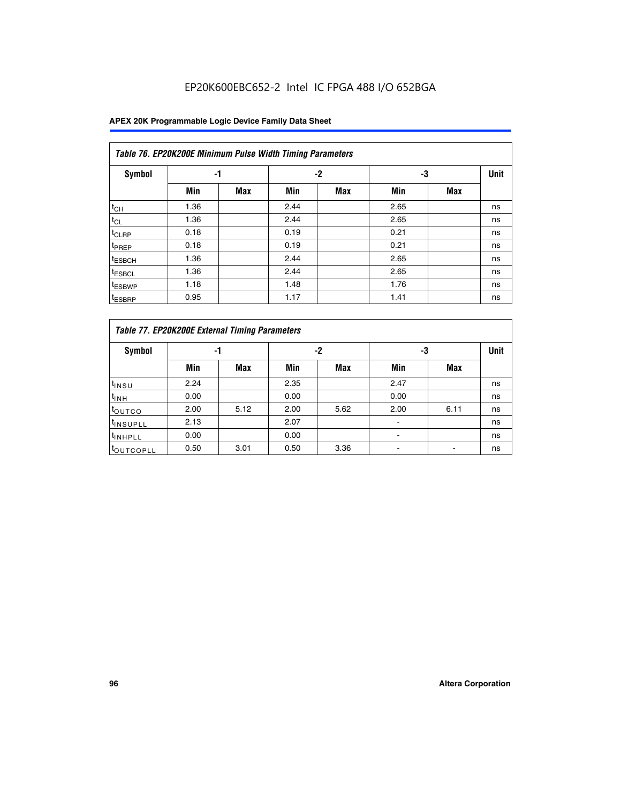|                    | Table 76. EP20K200E Minimum Pulse Width Timing Parameters |            |      |            |      |            |             |  |  |  |  |  |
|--------------------|-----------------------------------------------------------|------------|------|------------|------|------------|-------------|--|--|--|--|--|
| <b>Symbol</b>      | -1                                                        |            |      | $-2$       | -3   |            | <b>Unit</b> |  |  |  |  |  |
|                    | Min                                                       | <b>Max</b> | Min  | <b>Max</b> | Min  | <b>Max</b> |             |  |  |  |  |  |
| $t_{CH}$           | 1.36                                                      |            | 2.44 |            | 2.65 |            | ns          |  |  |  |  |  |
| $t_{CL}$           | 1.36                                                      |            | 2.44 |            | 2.65 |            | ns          |  |  |  |  |  |
| $t_{CLRP}$         | 0.18                                                      |            | 0.19 |            | 0.21 |            | ns          |  |  |  |  |  |
| t <sub>PREP</sub>  | 0.18                                                      |            | 0.19 |            | 0.21 |            | ns          |  |  |  |  |  |
| <sup>t</sup> ESBCH | 1.36                                                      |            | 2.44 |            | 2.65 |            | ns          |  |  |  |  |  |
| t <sub>ESBCL</sub> | 1.36                                                      |            | 2.44 |            | 2.65 |            | ns          |  |  |  |  |  |
| <sup>t</sup> ESBWP | 1.18                                                      |            | 1.48 |            | 1.76 |            | ns          |  |  |  |  |  |
| <sup>t</sup> ESBRP | 0.95                                                      |            | 1.17 |            | 1.41 |            | ns          |  |  |  |  |  |

|                       | Table 77. EP20K200E External Timing Parameters |            |      |            |      |      |             |  |  |  |  |
|-----------------------|------------------------------------------------|------------|------|------------|------|------|-------------|--|--|--|--|
| <b>Symbol</b>         |                                                | -1         |      | -2         |      | -3   | <b>Unit</b> |  |  |  |  |
|                       | Min                                            | <b>Max</b> | Min  | <b>Max</b> | Min  | Max  |             |  |  |  |  |
| t <sub>INSU</sub>     | 2.24                                           |            | 2.35 |            | 2.47 |      | ns          |  |  |  |  |
| $t_{\text{INH}}$      | 0.00                                           |            | 0.00 |            | 0.00 |      | ns          |  |  |  |  |
| toutco                | 2.00                                           | 5.12       | 2.00 | 5.62       | 2.00 | 6.11 | ns          |  |  |  |  |
| <sup>t</sup> INSUPLL  | 2.13                                           |            | 2.07 |            |      |      | ns          |  |  |  |  |
| <sup>t</sup> INHPLL   | 0.00                                           |            | 0.00 |            |      |      | ns          |  |  |  |  |
| <sup>I</sup> OUTCOPLL | 0.50                                           | 3.01       | 0.50 | 3.36       |      |      | ns          |  |  |  |  |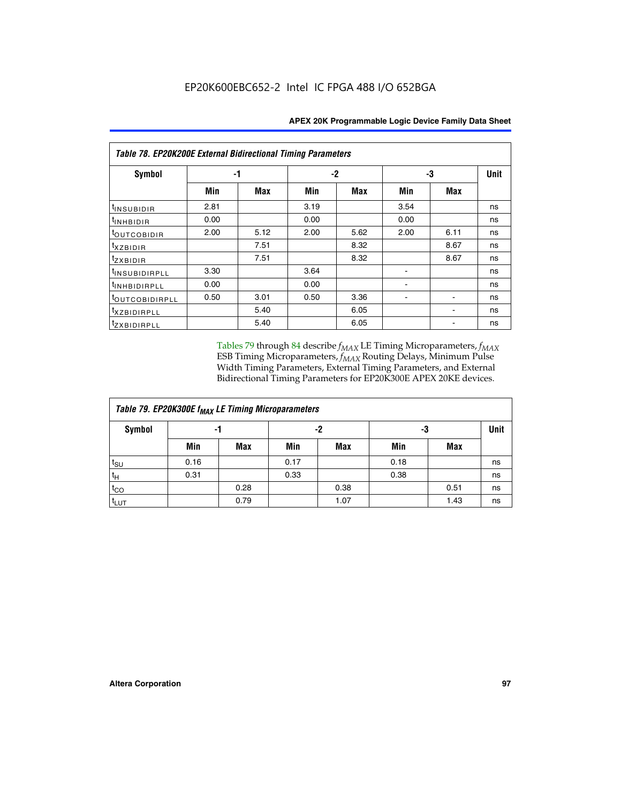| Table 78. EP20K200E External Bidirectional Timing Parameters |      |      |      |      |      |             |    |  |  |  |  |
|--------------------------------------------------------------|------|------|------|------|------|-------------|----|--|--|--|--|
| Symbol                                                       | -1   |      | $-2$ |      | -3   | <b>Unit</b> |    |  |  |  |  |
|                                                              | Min  | Max  | Min  | Max  | Min  | Max         |    |  |  |  |  |
| $t_{INSUBIDIR}$                                              | 2.81 |      | 3.19 |      | 3.54 |             | ns |  |  |  |  |
| $t_{INHBIDIR}$                                               | 0.00 |      | 0.00 |      | 0.00 |             | ns |  |  |  |  |
| t <sub>OUTCOBIDIR</sub>                                      | 2.00 | 5.12 | 2.00 | 5.62 | 2.00 | 6.11        | ns |  |  |  |  |
| <i>txzbidir</i>                                              |      | 7.51 |      | 8.32 |      | 8.67        | ns |  |  |  |  |
| tzxbidir                                                     |      | 7.51 |      | 8.32 |      | 8.67        | ns |  |  |  |  |
| <sup>t</sup> INSUBIDIRPLL                                    | 3.30 |      | 3.64 |      |      |             | ns |  |  |  |  |
| t <sub>INHBIDIRPLL</sub>                                     | 0.00 |      | 0.00 |      |      |             | ns |  |  |  |  |
| <sup>t</sup> OUTCOBIDIRPLL                                   | 0.50 | 3.01 | 0.50 | 3.36 |      |             | ns |  |  |  |  |
| <i>txzBIDIRPLL</i>                                           |      | 5.40 |      | 6.05 |      |             | ns |  |  |  |  |
| tzxBIDIRPLL                                                  |      | 5.40 |      | 6.05 |      |             | ns |  |  |  |  |

Tables 79 through 84 describe  $f_{MAX}$  LE Timing Microparameters,  $f_{MAX}$ ESB Timing Microparameters, *f<sub>MAX</sub>* Routing Delays, Minimum Pulse Width Timing Parameters, External Timing Parameters, and External Bidirectional Timing Parameters for EP20K300E APEX 20KE devices.

| Table 79. EP20K300E f <sub>MAX</sub> LE Timing Microparameters |      |            |      |            |      |            |    |  |  |  |
|----------------------------------------------------------------|------|------------|------|------------|------|------------|----|--|--|--|
| <b>Symbol</b>                                                  |      | -1         |      | -2         |      | -3         |    |  |  |  |
|                                                                | Min  | <b>Max</b> | Min  | <b>Max</b> | Min  | <b>Max</b> |    |  |  |  |
| $t_{\text{SU}}$                                                | 0.16 |            | 0.17 |            | 0.18 |            | ns |  |  |  |
| $t_H$                                                          | 0.31 |            | 0.33 |            | 0.38 |            | ns |  |  |  |
| $t_{CO}$                                                       |      | 0.28       |      | 0.38       |      | 0.51       | ns |  |  |  |
| t <sub>LUT</sub>                                               |      | 0.79       |      | 1.07       |      | 1.43       | ns |  |  |  |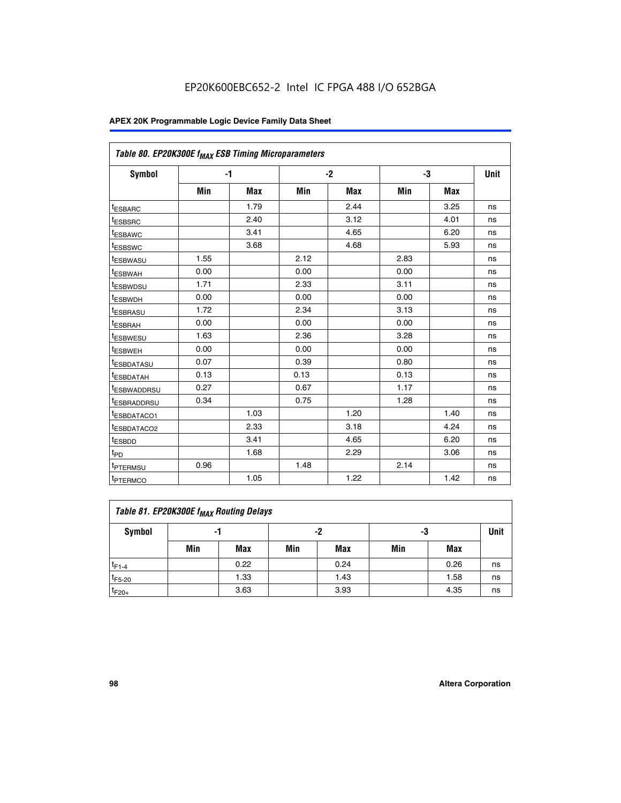| Table 80. EP20K300E f <sub>MAX</sub> ESB Timing Microparameters |      |            |      |            |      |            |      |
|-----------------------------------------------------------------|------|------------|------|------------|------|------------|------|
| <b>Symbol</b>                                                   |      | -1         |      | $-2$       |      | -3         | Unit |
|                                                                 | Min  | <b>Max</b> | Min  | <b>Max</b> | Min  | <b>Max</b> |      |
| t <sub>ESBARC</sub>                                             |      | 1.79       |      | 2.44       |      | 3.25       | ns   |
| t <sub>ESBSRC</sub>                                             |      | 2.40       |      | 3.12       |      | 4.01       | ns   |
| t <sub>ESBAWC</sub>                                             |      | 3.41       |      | 4.65       |      | 6.20       | ns   |
| t <sub>ESBSWC</sub>                                             |      | 3.68       |      | 4.68       |      | 5.93       | ns   |
| <sup>I</sup> ESBWASU                                            | 1.55 |            | 2.12 |            | 2.83 |            | ns   |
| <sup>t</sup> ESBWAH                                             | 0.00 |            | 0.00 |            | 0.00 |            | ns   |
| <sup>I</sup> ESBWDSU                                            | 1.71 |            | 2.33 |            | 3.11 |            | ns   |
| <sup>t</sup> ESBWDH                                             | 0.00 |            | 0.00 |            | 0.00 |            | ns   |
| <sup>t</sup> ESBRASU                                            | 1.72 |            | 2.34 |            | 3.13 |            | ns   |
| t <sub>ESBRAH</sub>                                             | 0.00 |            | 0.00 |            | 0.00 |            | ns   |
| <sup>t</sup> ESBWESU                                            | 1.63 |            | 2.36 |            | 3.28 |            | ns   |
| <sup>t</sup> ESBWEH                                             | 0.00 |            | 0.00 |            | 0.00 |            | ns   |
| t <sub>ESBDATASU</sub>                                          | 0.07 |            | 0.39 |            | 0.80 |            | ns   |
| <sup>t</sup> ESBDATAH                                           | 0.13 |            | 0.13 |            | 0.13 |            | ns   |
| <sup>t</sup> ESBWADDRSU                                         | 0.27 |            | 0.67 |            | 1.17 |            | ns   |
| <sup>t</sup> ESBRADDRSU                                         | 0.34 |            | 0.75 |            | 1.28 |            | ns   |
| <sup>I</sup> ESBDATACO1                                         |      | 1.03       |      | 1.20       |      | 1.40       | ns   |
| <sup>t</sup> ESBDATACO2                                         |      | 2.33       |      | 3.18       |      | 4.24       | ns   |
| <sup>t</sup> ESBDD                                              |      | 3.41       |      | 4.65       |      | 6.20       | ns   |
| t <sub>PD</sub>                                                 |      | 1.68       |      | 2.29       |      | 3.06       | ns   |
| t <sub>PTERMSU</sub>                                            | 0.96 |            | 1.48 |            | 2.14 |            | ns   |
| t <sub>PTERMCO</sub>                                            |      | 1.05       |      | 1.22       |      | 1.42       | ns   |

| Table 81. EP20K300E f <sub>MAX</sub> Routing Delays |                |      |     |      |     |      |             |  |  |  |
|-----------------------------------------------------|----------------|------|-----|------|-----|------|-------------|--|--|--|
| Symbol                                              | -2<br>-3<br>-1 |      |     |      |     |      | <b>Unit</b> |  |  |  |
|                                                     | Min            | Max  | Min | Max  | Min | Max  |             |  |  |  |
| $t_{F1-4}$                                          |                | 0.22 |     | 0.24 |     | 0.26 | ns          |  |  |  |
| $t_{F5-20}$                                         |                | 1.33 |     | 1.43 |     | 1.58 | ns          |  |  |  |
| $t_{F20+}$                                          |                | 3.63 |     | 3.93 |     | 4.35 | ns          |  |  |  |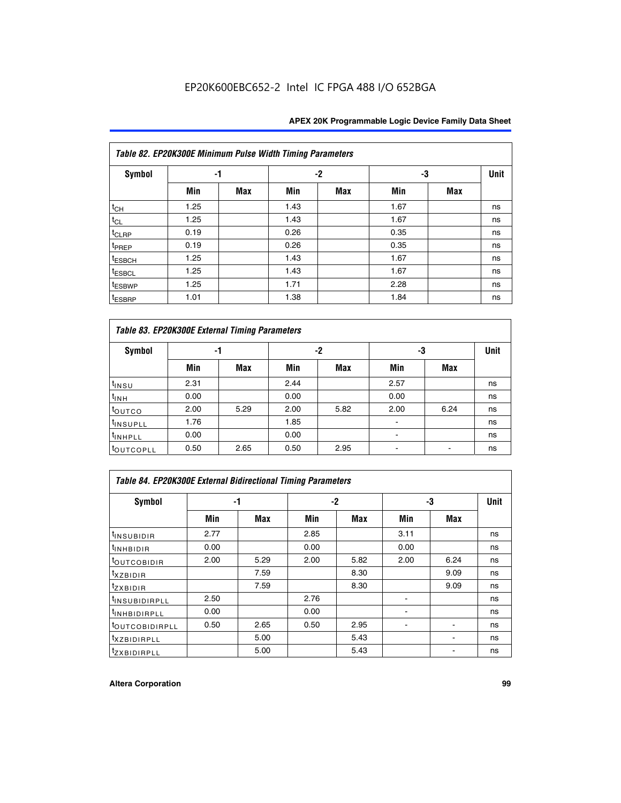|                    | Table 82. EP20K300E Minimum Pulse Width Timing Parameters |            |      |     |      |     |      |  |  |  |  |  |
|--------------------|-----------------------------------------------------------|------------|------|-----|------|-----|------|--|--|--|--|--|
| <b>Symbol</b>      | -1                                                        |            |      | -2  |      | -3  | Unit |  |  |  |  |  |
|                    | Min                                                       | <b>Max</b> | Min  | Max | Min  | Max |      |  |  |  |  |  |
| $t_{CH}$           | 1.25                                                      |            | 1.43 |     | 1.67 |     | ns   |  |  |  |  |  |
| $t_{CL}$           | 1.25                                                      |            | 1.43 |     | 1.67 |     | ns   |  |  |  |  |  |
| t <sub>CLRP</sub>  | 0.19                                                      |            | 0.26 |     | 0.35 |     | ns   |  |  |  |  |  |
| t <sub>PREP</sub>  | 0.19                                                      |            | 0.26 |     | 0.35 |     | ns   |  |  |  |  |  |
| t <sub>ESBCH</sub> | 1.25                                                      |            | 1.43 |     | 1.67 |     | ns   |  |  |  |  |  |
| <sup>t</sup> ESBCL | 1.25                                                      |            | 1.43 |     | 1.67 |     | ns   |  |  |  |  |  |
| <sup>t</sup> ESBWP | 1.25                                                      |            | 1.71 |     | 2.28 |     | ns   |  |  |  |  |  |
| <sup>t</sup> ESBRP | 1.01                                                      |            | 1.38 |     | 1.84 |     | ns   |  |  |  |  |  |

|                       | Table 83. EP20K300E External Timing Parameters |      |      |      |      |            |    |  |  |  |  |  |
|-----------------------|------------------------------------------------|------|------|------|------|------------|----|--|--|--|--|--|
| Symbol                |                                                | -1   |      | -2   |      | -3         |    |  |  |  |  |  |
|                       | Min                                            | Max  | Min  | Max  | Min  | <b>Max</b> |    |  |  |  |  |  |
| t <sub>insu</sub>     | 2.31                                           |      | 2.44 |      | 2.57 |            | ns |  |  |  |  |  |
| $t_{INH}$             | 0.00                                           |      | 0.00 |      | 0.00 |            | ns |  |  |  |  |  |
| toutco                | 2.00                                           | 5.29 | 2.00 | 5.82 | 2.00 | 6.24       | ns |  |  |  |  |  |
| <sup>t</sup> INSUPLL  | 1.76                                           |      | 1.85 |      |      |            | ns |  |  |  |  |  |
| <sup>t</sup> INHPLL   | 0.00                                           |      | 0.00 |      |      |            | ns |  |  |  |  |  |
| <sup>t</sup> OUTCOPLL | 0.50                                           | 2.65 | 0.50 | 2.95 |      |            | ns |  |  |  |  |  |

| <b>Table 84. EP20K300E External Bidirectional Timing Parameters</b> |      |      |      |      |      |      |    |  |  |  |  |
|---------------------------------------------------------------------|------|------|------|------|------|------|----|--|--|--|--|
| Symbol                                                              | -1   |      | -2   |      | -3   | Unit |    |  |  |  |  |
|                                                                     | Min  | Max  | Min  | Max  | Min  | Max  |    |  |  |  |  |
| <b>INSUBIDIR</b>                                                    | 2.77 |      | 2.85 |      | 3.11 |      | ns |  |  |  |  |
| <sup>t</sup> INHBIDIR                                               | 0.00 |      | 0.00 |      | 0.00 |      | ns |  |  |  |  |
| <sup>t</sup> OUTCOBIDIR                                             | 2.00 | 5.29 | 2.00 | 5.82 | 2.00 | 6.24 | ns |  |  |  |  |
| txzBIDIR                                                            |      | 7.59 |      | 8.30 |      | 9.09 | ns |  |  |  |  |
| $t_{Z}$ <i>x</i> BIDIR                                              |      | 7.59 |      | 8.30 |      | 9.09 | ns |  |  |  |  |
| <sup>t</sup> INSUBIDIRPLL                                           | 2.50 |      | 2.76 |      |      |      | ns |  |  |  |  |
| <sup>t</sup> INHBIDIRPLL                                            | 0.00 |      | 0.00 |      |      |      | ns |  |  |  |  |
| <b><i>LOUTCOBIDIRPLL</i></b>                                        | 0.50 | 2.65 | 0.50 | 2.95 |      |      | ns |  |  |  |  |
| <sup>T</sup> XZBIDIRPLL                                             |      | 5.00 |      | 5.43 |      |      | ns |  |  |  |  |
| <sup>t</sup> ZXBIDIRPLL                                             |      | 5.00 |      | 5.43 |      |      | ns |  |  |  |  |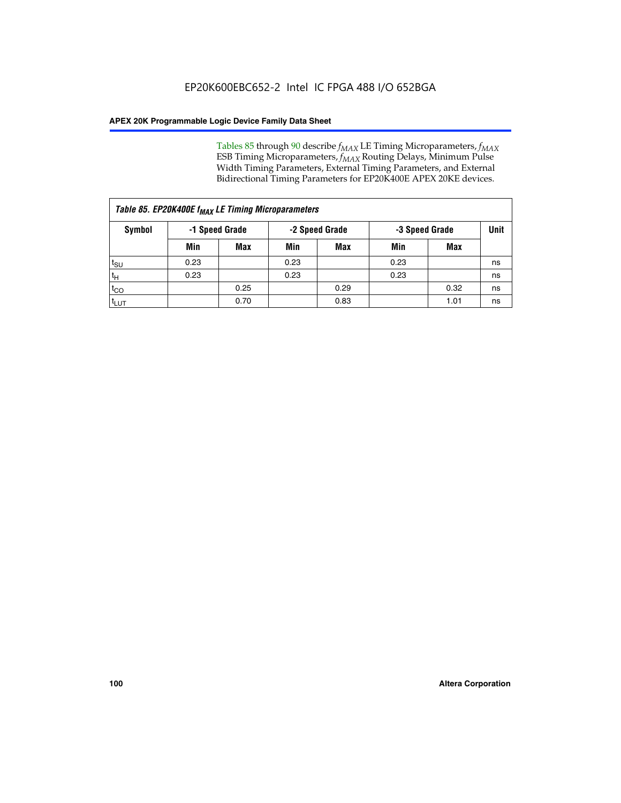Tables 85 through 90 describe  $f_{MAX}$  LE Timing Microparameters,  $f_{MAX}$ ESB Timing Microparameters, *f<sub>MAX</sub>* Routing Delays, Minimum Pulse Width Timing Parameters, External Timing Parameters, and External Bidirectional Timing Parameters for EP20K400E APEX 20KE devices.

|                    | Table 85. EP20K400E f <sub>MAX</sub> LE Timing Microparameters |                |      |                |      |                |             |  |  |  |  |
|--------------------|----------------------------------------------------------------|----------------|------|----------------|------|----------------|-------------|--|--|--|--|
| Symbol             |                                                                | -1 Speed Grade |      | -2 Speed Grade |      | -3 Speed Grade | <b>Unit</b> |  |  |  |  |
|                    | Min                                                            | <b>Max</b>     | Min  | <b>Max</b>     | Min  | Max            |             |  |  |  |  |
| $t_{\text{SU}}$    | 0.23                                                           |                | 0.23 |                | 0.23 |                | ns          |  |  |  |  |
| $t_H$              | 0.23                                                           |                | 0.23 |                | 0.23 |                | ns          |  |  |  |  |
| $t_{CO}$           |                                                                | 0.25           |      | 0.29           |      | 0.32           | ns          |  |  |  |  |
| ι <sup>t</sup> ιυτ |                                                                | 0.70           |      | 0.83           |      | 1.01           | ns          |  |  |  |  |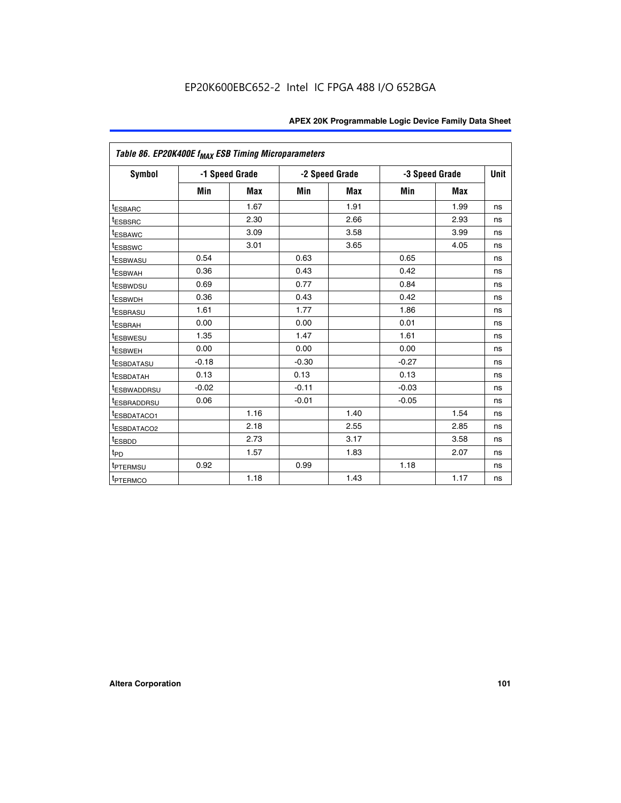| Table 86. EP20K400E f <sub>MAX</sub> ESB Timing Microparameters |         |                |         |                |         |                |             |
|-----------------------------------------------------------------|---------|----------------|---------|----------------|---------|----------------|-------------|
| Symbol                                                          |         | -1 Speed Grade |         | -2 Speed Grade |         | -3 Speed Grade | <b>Unit</b> |
|                                                                 | Min     | <b>Max</b>     | Min     | <b>Max</b>     | Min     | <b>Max</b>     |             |
| <sup>t</sup> ESBARC                                             |         | 1.67           |         | 1.91           |         | 1.99           | ns          |
| <sup>t</sup> ESBSRC                                             |         | 2.30           |         | 2.66           |         | 2.93           | ns          |
| <sup>t</sup> ESBAWC                                             |         | 3.09           |         | 3.58           |         | 3.99           | ns          |
| <sup>t</sup> ESBSWC                                             |         | 3.01           |         | 3.65           |         | 4.05           | ns          |
| <sup>t</sup> ESBWASU                                            | 0.54    |                | 0.63    |                | 0.65    |                | ns          |
| t <sub>ESBWAH</sub>                                             | 0.36    |                | 0.43    |                | 0.42    |                | ns          |
| <sup>t</sup> ESBWDSU                                            | 0.69    |                | 0.77    |                | 0.84    |                | ns          |
| <sup>t</sup> ESBWDH                                             | 0.36    |                | 0.43    |                | 0.42    |                | ns          |
| <sup>t</sup> ESBRASU                                            | 1.61    |                | 1.77    |                | 1.86    |                | ns          |
| <sup>t</sup> ESBRAH                                             | 0.00    |                | 0.00    |                | 0.01    |                | ns          |
| t <sub>ESBWESU</sub>                                            | 1.35    |                | 1.47    |                | 1.61    |                | ns          |
| t <sub>ESBWEH</sub>                                             | 0.00    |                | 0.00    |                | 0.00    |                | ns          |
| <sup>I</sup> ESBDATASU                                          | $-0.18$ |                | $-0.30$ |                | $-0.27$ |                | ns          |
| <b>ESBDATAH</b>                                                 | 0.13    |                | 0.13    |                | 0.13    |                | ns          |
| <sup>t</sup> ESBWADDRSU                                         | $-0.02$ |                | $-0.11$ |                | $-0.03$ |                | ns          |
| t <sub>ESBRADDRSU</sub>                                         | 0.06    |                | $-0.01$ |                | $-0.05$ |                | ns          |
| <sup>t</sup> ESBDATACO1                                         |         | 1.16           |         | 1.40           |         | 1.54           | ns          |
| <sup>I</sup> ESBDATACO2                                         |         | 2.18           |         | 2.55           |         | 2.85           | ns          |
| <sup>t</sup> ESBDD                                              |         | 2.73           |         | 3.17           |         | 3.58           | ns          |
| $t_{\mathsf{PD}}$                                               |         | 1.57           |         | 1.83           |         | 2.07           | ns          |
| t <sub>PTERMSU</sub>                                            | 0.92    |                | 0.99    |                | 1.18    |                | ns          |
| <sup>t</sup> PTERMCO                                            |         | 1.18           |         | 1.43           |         | 1.17           | ns          |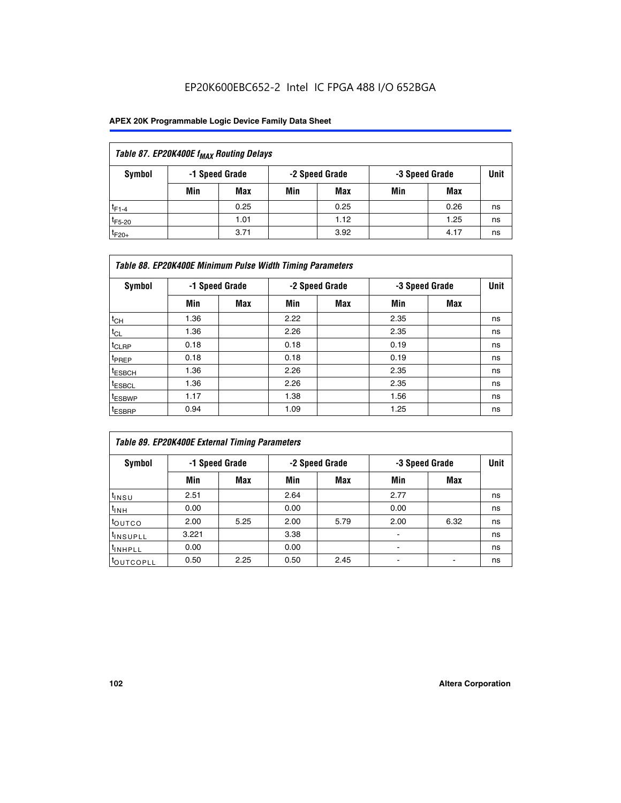| Table 87. EP20K400E f <sub>MAX</sub> Routing Delays |                                                    |            |     |      |     |      |             |  |  |  |
|-----------------------------------------------------|----------------------------------------------------|------------|-----|------|-----|------|-------------|--|--|--|
| Symbol                                              | -2 Speed Grade<br>-1 Speed Grade<br>-3 Speed Grade |            |     |      |     |      | <b>Unit</b> |  |  |  |
|                                                     | Min                                                | <b>Max</b> | Min | Max  | Min | Max  |             |  |  |  |
| $t_{F1-4}$                                          |                                                    | 0.25       |     | 0.25 |     | 0.26 | ns          |  |  |  |
| $t_{F5-20}$                                         |                                                    | 1.01       |     | 1.12 |     | 1.25 | ns          |  |  |  |
| $t_{F20+}$                                          |                                                    | 3.71       |     | 3.92 |     | 4.17 | ns          |  |  |  |

|                    | Table 88. EP20K400E Minimum Pulse Width Timing Parameters |                |      |                |      |                |             |  |  |  |  |
|--------------------|-----------------------------------------------------------|----------------|------|----------------|------|----------------|-------------|--|--|--|--|
| Symbol             |                                                           | -1 Speed Grade |      | -2 Speed Grade |      | -3 Speed Grade | <b>Unit</b> |  |  |  |  |
|                    | Min                                                       | <b>Max</b>     | Min  | <b>Max</b>     | Min  | Max            |             |  |  |  |  |
| $t_{CH}$           | 1.36                                                      |                | 2.22 |                | 2.35 |                | ns          |  |  |  |  |
| $t_{\rm CL}$       | 1.36                                                      |                | 2.26 |                | 2.35 |                | ns          |  |  |  |  |
| $t_{CLRP}$         | 0.18                                                      |                | 0.18 |                | 0.19 |                | ns          |  |  |  |  |
| <sup>t</sup> PREP  | 0.18                                                      |                | 0.18 |                | 0.19 |                | ns          |  |  |  |  |
| <sup>t</sup> ESBCH | 1.36                                                      |                | 2.26 |                | 2.35 |                | ns          |  |  |  |  |
| <sup>t</sup> ESBCL | 1.36                                                      |                | 2.26 |                | 2.35 |                | ns          |  |  |  |  |
| <sup>t</sup> ESBWP | 1.17                                                      |                | 1.38 |                | 1.56 |                | ns          |  |  |  |  |
| <sup>t</sup> ESBRP | 0.94                                                      |                | 1.09 |                | 1.25 |                | ns          |  |  |  |  |

| Table 89. EP20K400E External Timing Parameters |                |            |      |                |                        |      |    |  |  |  |
|------------------------------------------------|----------------|------------|------|----------------|------------------------|------|----|--|--|--|
| Symbol                                         | -1 Speed Grade |            |      | -2 Speed Grade | Unit<br>-3 Speed Grade |      |    |  |  |  |
|                                                | Min            | <b>Max</b> | Min  | <b>Max</b>     | Min                    | Max  |    |  |  |  |
| $t_{INSU}$                                     | 2.51           |            | 2.64 |                | 2.77                   |      | ns |  |  |  |
| $t_{INH}$                                      | 0.00           |            | 0.00 |                | 0.00                   |      | ns |  |  |  |
| t <sub>outco</sub>                             | 2.00           | 5.25       | 2.00 | 5.79           | 2.00                   | 6.32 | ns |  |  |  |
| <sup>t</sup> INSUPLL                           | 3.221          |            | 3.38 |                |                        |      | ns |  |  |  |
| <sup>t</sup> INHPLL                            | 0.00           |            | 0.00 |                | -                      |      | ns |  |  |  |
| toutcopll                                      | 0.50           | 2.25       | 0.50 | 2.45           |                        |      | ns |  |  |  |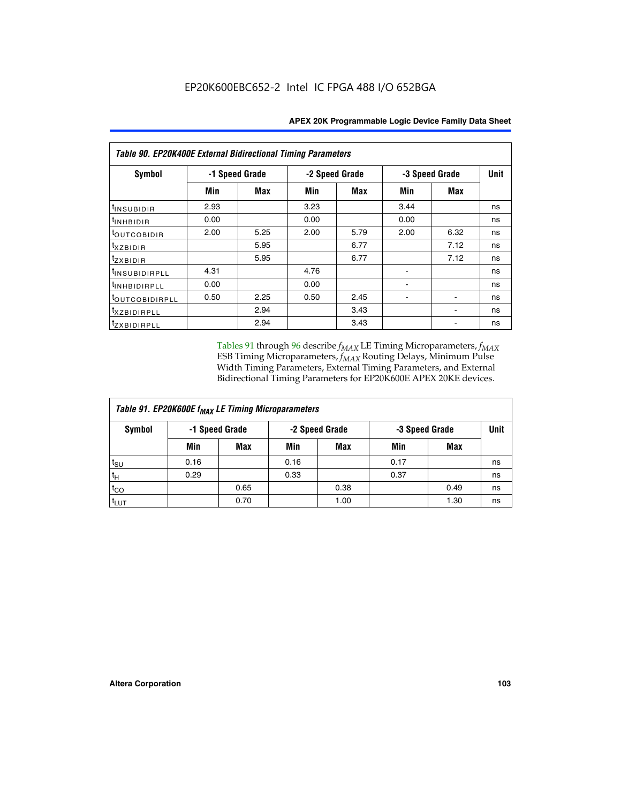| <b>Table 90. EP20K400E External Bidirectional Timing Parameters</b> |      |                |                |      |                |             |    |  |  |
|---------------------------------------------------------------------|------|----------------|----------------|------|----------------|-------------|----|--|--|
| Symbol                                                              |      | -1 Speed Grade | -2 Speed Grade |      | -3 Speed Grade | <b>Unit</b> |    |  |  |
|                                                                     | Min  | <b>Max</b>     | Min            | Max  | Min            | Max         |    |  |  |
| tINSUBIDIR                                                          | 2.93 |                | 3.23           |      | 3.44           |             | ns |  |  |
| t <sub>INHBIDIR</sub>                                               | 0.00 |                | 0.00           |      | 0.00           |             | ns |  |  |
| t <sub>outcobidir</sub>                                             | 2.00 | 5.25           | 2.00           | 5.79 | 2.00           | 6.32        | ns |  |  |
| <i>txzbidir</i>                                                     |      | 5.95           |                | 6.77 |                | 7.12        | ns |  |  |
| tzxbidir                                                            |      | 5.95           |                | 6.77 |                | 7.12        | ns |  |  |
| <sup>t</sup> INSUBIDIRPLL                                           | 4.31 |                | 4.76           |      |                |             | ns |  |  |
| t <sub>INHBIDIRPLL</sub>                                            | 0.00 |                | 0.00           |      |                |             | ns |  |  |
| <sup>t</sup> OUTCOBIDIRPLL                                          | 0.50 | 2.25           | 0.50           | 2.45 |                |             | ns |  |  |
| <i>txzBIDIRPLL</i>                                                  |      | 2.94           |                | 3.43 |                |             | ns |  |  |
| tzxBIDIRPLL                                                         |      | 2.94           |                | 3.43 |                |             | ns |  |  |

Tables 91 through 96 describe  $f_{MAX}$  LE Timing Microparameters,  $f_{MAX}$ ESB Timing Microparameters, *f<sub>MAX</sub>* Routing Delays, Minimum Pulse Width Timing Parameters, External Timing Parameters, and External Bidirectional Timing Parameters for EP20K600E APEX 20KE devices.

| Table 91. EP20K600E f <sub>MAX</sub> LE Timing Microparameters |                                                    |            |      |             |      |      |    |  |  |
|----------------------------------------------------------------|----------------------------------------------------|------------|------|-------------|------|------|----|--|--|
| Symbol                                                         | -2 Speed Grade<br>-1 Speed Grade<br>-3 Speed Grade |            |      | <b>Unit</b> |      |      |    |  |  |
|                                                                | Min                                                | <b>Max</b> | Min  | <b>Max</b>  | Min  | Max  |    |  |  |
| $t_{\text{SU}}$                                                | 0.16                                               |            | 0.16 |             | 0.17 |      | ns |  |  |
| $t_H$                                                          | 0.29                                               |            | 0.33 |             | 0.37 |      | ns |  |  |
| $t_{CO}$                                                       |                                                    | 0.65       |      | 0.38        |      | 0.49 | ns |  |  |
| <sup>t</sup> LUT                                               |                                                    | 0.70       |      | 1.00        |      | 1.30 | ns |  |  |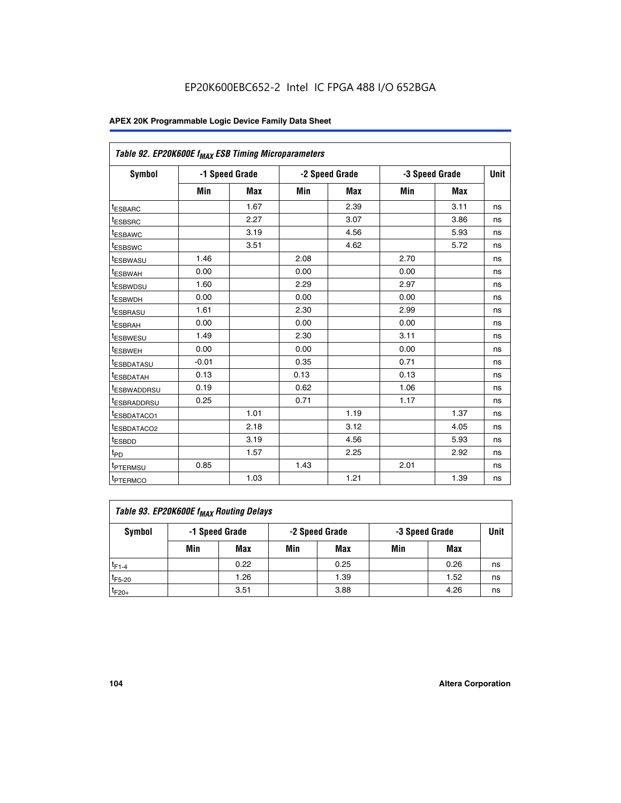| Table 92. EP20K600E f <sub>MAX</sub> ESB Timing Microparameters |         |                |      |                |      |                |      |
|-----------------------------------------------------------------|---------|----------------|------|----------------|------|----------------|------|
| <b>Symbol</b>                                                   |         | -1 Speed Grade |      | -2 Speed Grade |      | -3 Speed Grade | Unit |
|                                                                 | Min     | <b>Max</b>     | Min  | <b>Max</b>     | Min  | <b>Max</b>     |      |
| t <sub>ESBARC</sub>                                             |         | 1.67           |      | 2.39           |      | 3.11           | ns   |
| t <sub>ESBSRC</sub>                                             |         | 2.27           |      | 3.07           |      | 3.86           | ns   |
| <sup>t</sup> ESBAWC                                             |         | 3.19           |      | 4.56           |      | 5.93           | ns   |
| t <sub>ESBSWC</sub>                                             |         | 3.51           |      | 4.62           |      | 5.72           | ns   |
| <sup>t</sup> ESBWASU                                            | 1.46    |                | 2.08 |                | 2.70 |                | ns   |
| t <sub>ESBWAH</sub>                                             | 0.00    |                | 0.00 |                | 0.00 |                | ns   |
| t <sub>ESBWDSU</sub>                                            | 1.60    |                | 2.29 |                | 2.97 |                | ns   |
| <sup>t</sup> ESBWDH                                             | 0.00    |                | 0.00 |                | 0.00 |                | ns   |
| <sup>t</sup> ESBRASU                                            | 1.61    |                | 2.30 |                | 2.99 |                | ns   |
| t <sub>ESBRAH</sub>                                             | 0.00    |                | 0.00 |                | 0.00 |                | ns   |
| t <sub>ESBWESU</sub>                                            | 1.49    |                | 2.30 |                | 3.11 |                | ns   |
| <sup>t</sup> ESBWEH                                             | 0.00    |                | 0.00 |                | 0.00 |                | ns   |
| <sup>t</sup> ESBDATASU                                          | $-0.01$ |                | 0.35 |                | 0.71 |                | ns   |
| <sup>t</sup> ESBDATAH                                           | 0.13    |                | 0.13 |                | 0.13 |                | ns   |
| <sup>t</sup> ESBWADDRSU                                         | 0.19    |                | 0.62 |                | 1.06 |                | ns   |
| <sup>t</sup> ESBRADDRSU                                         | 0.25    |                | 0.71 |                | 1.17 |                | ns   |
| <sup>I</sup> ESBDATACO1                                         |         | 1.01           |      | 1.19           |      | 1.37           | ns   |
| <sup>t</sup> ESBDATACO2                                         |         | 2.18           |      | 3.12           |      | 4.05           | ns   |
| <sup>t</sup> ESBDD                                              |         | 3.19           |      | 4.56           |      | 5.93           | ns   |
| t <sub>PD</sub>                                                 |         | 1.57           |      | 2.25           |      | 2.92           | ns   |
| <b>TPTERMSU</b>                                                 | 0.85    |                | 1.43 |                | 2.01 |                | ns   |
| t <sub>PTERMCO</sub>                                            |         | 1.03           |      | 1.21           |      | 1.39           | ns   |

| Table 93. EP20K600E f <sub>MAX</sub> Routing Delays |     |                                                    |     |      |     |      |    |  |  |  |
|-----------------------------------------------------|-----|----------------------------------------------------|-----|------|-----|------|----|--|--|--|
| Symbol                                              |     | -2 Speed Grade<br>-1 Speed Grade<br>-3 Speed Grade |     |      |     | Unit |    |  |  |  |
|                                                     | Min | Max                                                | Min | Max  | Min | Max  |    |  |  |  |
| $t_{F1-4}$                                          |     | 0.22                                               |     | 0.25 |     | 0.26 | ns |  |  |  |
| $t_{F5-20}$                                         |     | 1.26                                               |     | 1.39 |     | 1.52 | ns |  |  |  |
| $t_{F20+}$                                          |     | 3.51                                               |     | 3.88 |     | 4.26 | ns |  |  |  |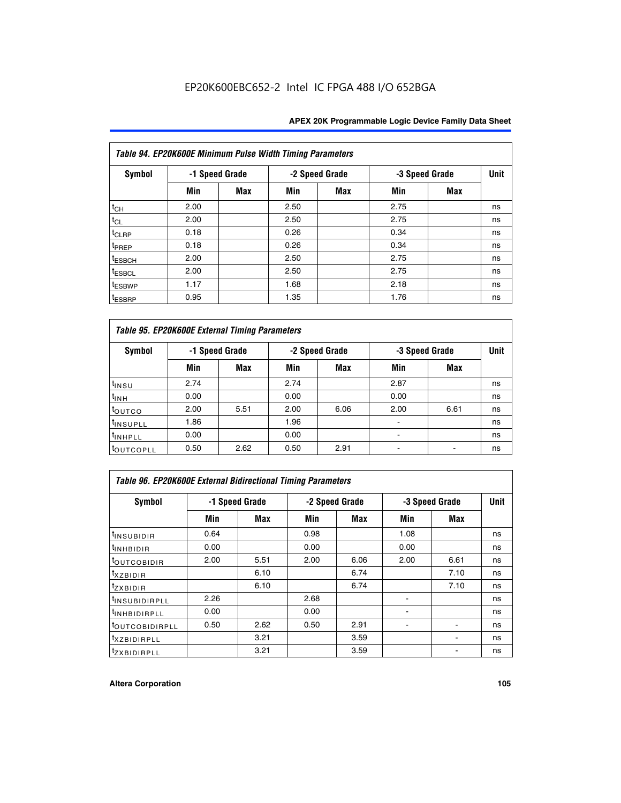| Table 94. EP20K600E Minimum Pulse Width Timing Parameters |      |                |      |                |                |            |             |  |  |
|-----------------------------------------------------------|------|----------------|------|----------------|----------------|------------|-------------|--|--|
| <b>Symbol</b>                                             |      | -1 Speed Grade |      | -2 Speed Grade | -3 Speed Grade |            | <b>Unit</b> |  |  |
|                                                           | Min  | Max            | Min  | Max            | Min            | <b>Max</b> |             |  |  |
| $t_{CH}$                                                  | 2.00 |                | 2.50 |                | 2.75           |            | ns          |  |  |
| $t_{CL}$                                                  | 2.00 |                | 2.50 |                | 2.75           |            | ns          |  |  |
| $t_{CLRP}$                                                | 0.18 |                | 0.26 |                | 0.34           |            | ns          |  |  |
| t <sub>PREP</sub>                                         | 0.18 |                | 0.26 |                | 0.34           |            | ns          |  |  |
| <sup>t</sup> ESBCH                                        | 2.00 |                | 2.50 |                | 2.75           |            | ns          |  |  |
| <sup>t</sup> ESBCL                                        | 2.00 |                | 2.50 |                | 2.75           |            | ns          |  |  |
| <sup>t</sup> ESBWP                                        | 1.17 |                | 1.68 |                | 2.18           |            | ns          |  |  |
| <sup>t</sup> ESBRP                                        | 0.95 |                | 1.35 |                | 1.76           |            | ns          |  |  |

| Table 95. EP20K600E External Timing Parameters |      |                |      |                |                          |      |    |  |  |  |
|------------------------------------------------|------|----------------|------|----------------|--------------------------|------|----|--|--|--|
| Symbol                                         |      | -1 Speed Grade |      | -2 Speed Grade | Unit<br>-3 Speed Grade   |      |    |  |  |  |
|                                                | Min  | Max            | Min  | <b>Max</b>     | Min                      | Max  |    |  |  |  |
| t <sub>insu</sub>                              | 2.74 |                | 2.74 |                | 2.87                     |      | ns |  |  |  |
| $t_{INH}$                                      | 0.00 |                | 0.00 |                | 0.00                     |      | ns |  |  |  |
| toutco                                         | 2.00 | 5.51           | 2.00 | 6.06           | 2.00                     | 6.61 | ns |  |  |  |
| <sup>t</sup> INSUPLL                           | 1.86 |                | 1.96 |                |                          |      | ns |  |  |  |
| <sup>t</sup> INHPLL                            | 0.00 |                | 0.00 |                | $\overline{\phantom{a}}$ |      | ns |  |  |  |
| <b>LOUTCOPLL</b>                               | 0.50 | 2.62           | 0.50 | 2.91           |                          |      | ns |  |  |  |

| <b>Table 96. EP20K600E External Bidirectional Timing Parameters</b> |                |      |      |                |      |                |             |  |  |
|---------------------------------------------------------------------|----------------|------|------|----------------|------|----------------|-------------|--|--|
| Symbol                                                              | -1 Speed Grade |      |      | -2 Speed Grade |      | -3 Speed Grade | <b>Unit</b> |  |  |
|                                                                     | Min            | Max  | Min  | Max            | Min  | Max            |             |  |  |
| <sup>t</sup> INSUBIDIR                                              | 0.64           |      | 0.98 |                | 1.08 |                | ns          |  |  |
| $t_{\rm INHBIDIR}$                                                  | 0.00           |      | 0.00 |                | 0.00 |                | ns          |  |  |
| <sup>t</sup> OUTCOBIDIR                                             | 2.00           | 5.51 | 2.00 | 6.06           | 2.00 | 6.61           | ns          |  |  |
| $t_{XZBIDIR}$                                                       |                | 6.10 |      | 6.74           |      | 7.10           | ns          |  |  |
| $t_{ZXBIDIR}$                                                       |                | 6.10 |      | 6.74           |      | 7.10           | ns          |  |  |
| <sup>t</sup> INSUBIDIRPLL                                           | 2.26           |      | 2.68 |                |      |                | ns          |  |  |
| <sup>t</sup> INHBIDIRPLL                                            | 0.00           |      | 0.00 |                |      |                | ns          |  |  |
| <b><i>LOUTCOBIDIRPLL</i></b>                                        | 0.50           | 2.62 | 0.50 | 2.91           |      |                | ns          |  |  |
| <sup>t</sup> XZBIDIRPLL                                             |                | 3.21 |      | 3.59           |      |                | ns          |  |  |
| <sup>t</sup> zxbidirpll                                             |                | 3.21 |      | 3.59           |      |                | ns          |  |  |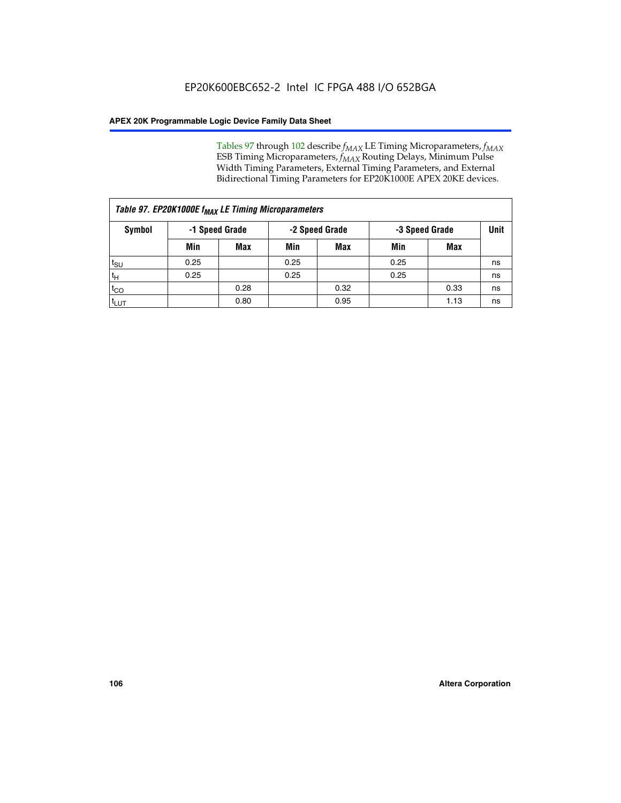Tables 97 through 102 describe  $f_{MAX}$  LE Timing Microparameters,  $f_{MAX}$ ESB Timing Microparameters, *f<sub>MAX</sub>* Routing Delays, Minimum Pulse Width Timing Parameters, External Timing Parameters, and External Bidirectional Timing Parameters for EP20K1000E APEX 20KE devices.

| Table 97. EP20K1000E f <sub>MAX</sub> LE Timing Microparameters |      |                |      |                |      |                |    |  |  |
|-----------------------------------------------------------------|------|----------------|------|----------------|------|----------------|----|--|--|
| Symbol                                                          |      | -1 Speed Grade |      | -2 Speed Grade |      | -3 Speed Grade |    |  |  |
|                                                                 | Min  | <b>Max</b>     | Min  | <b>Max</b>     | Min  | Max            |    |  |  |
| $t_{\text{SU}}$                                                 | 0.25 |                | 0.25 |                | 0.25 |                | ns |  |  |
| $t_H$                                                           | 0.25 |                | 0.25 |                | 0.25 |                | ns |  |  |
| $t_{CO}$                                                        |      | 0.28           |      | 0.32           |      | 0.33           | ns |  |  |
| t <sub>LUT</sub>                                                |      | 0.80           |      | 0.95           |      | 1.13           | ns |  |  |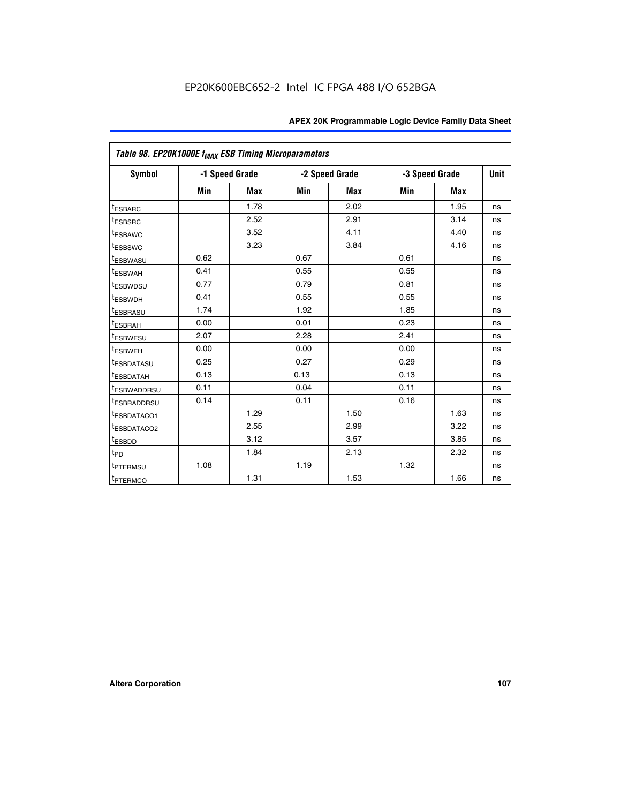| Table 98. EP20K1000E f <sub>MAX</sub> ESB Timing Microparameters |      |                |      |                |      |                |             |
|------------------------------------------------------------------|------|----------------|------|----------------|------|----------------|-------------|
| Symbol                                                           |      | -1 Speed Grade |      | -2 Speed Grade |      | -3 Speed Grade | <b>Unit</b> |
|                                                                  | Min  | <b>Max</b>     | Min  | <b>Max</b>     | Min  | <b>Max</b>     |             |
| <sup>t</sup> ESBARC                                              |      | 1.78           |      | 2.02           |      | 1.95           | ns          |
| <sup>t</sup> ESBSRC                                              |      | 2.52           |      | 2.91           |      | 3.14           | ns          |
| t <sub>ESBAWC</sub>                                              |      | 3.52           |      | 4.11           |      | 4.40           | ns          |
| t <sub>ESBSWC</sub>                                              |      | 3.23           |      | 3.84           |      | 4.16           | ns          |
| <sup>t</sup> ESBWASU                                             | 0.62 |                | 0.67 |                | 0.61 |                | ns          |
| <sup>t</sup> ESBWAH                                              | 0.41 |                | 0.55 |                | 0.55 |                | ns          |
| <sup>t</sup> ESBWDSU                                             | 0.77 |                | 0.79 |                | 0.81 |                | ns          |
| <sup>t</sup> ESBWDH                                              | 0.41 |                | 0.55 |                | 0.55 |                | ns          |
| <sup>t</sup> ESBRASU                                             | 1.74 |                | 1.92 |                | 1.85 |                | ns          |
| t <sub>ESBRAH</sub>                                              | 0.00 |                | 0.01 |                | 0.23 |                | ns          |
| t <sub>ESBWESU</sub>                                             | 2.07 |                | 2.28 |                | 2.41 |                | ns          |
| t <sub>ESBWEH</sub>                                              | 0.00 |                | 0.00 |                | 0.00 |                | ns          |
| <sup>I</sup> ESBDATASU                                           | 0.25 |                | 0.27 |                | 0.29 |                | ns          |
| t <sub>ESBDATAH</sub>                                            | 0.13 |                | 0.13 |                | 0.13 |                | ns          |
| <sup>I</sup> ESBWADDRSU                                          | 0.11 |                | 0.04 |                | 0.11 |                | ns          |
| <sup>t</sup> ESBRADDRSU                                          | 0.14 |                | 0.11 |                | 0.16 |                | ns          |
| <sup>t</sup> ESBDATACO1                                          |      | 1.29           |      | 1.50           |      | 1.63           | ns          |
| <sup>I</sup> ESBDATACO2                                          |      | 2.55           |      | 2.99           |      | 3.22           | ns          |
| <sup>t</sup> ESBDD                                               |      | 3.12           |      | 3.57           |      | 3.85           | ns          |
| $t_{\mathsf{PD}}$                                                |      | 1.84           |      | 2.13           |      | 2.32           | ns          |
| t <sub>PTERMSU</sub>                                             | 1.08 |                | 1.19 |                | 1.32 |                | ns          |
| <sup>t</sup> PTERMCO                                             |      | 1.31           |      | 1.53           |      | 1.66           | ns          |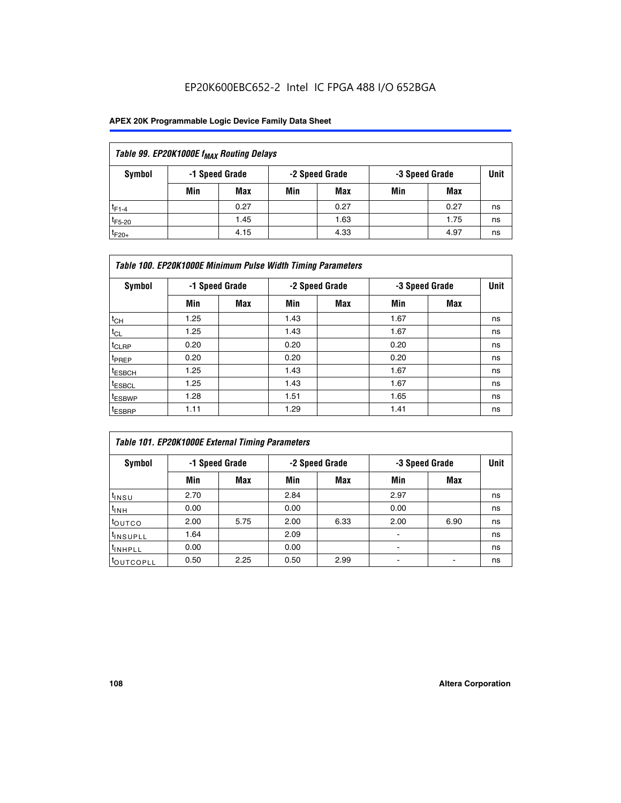## EP20K600EBC652-2 Intel IC FPGA 488 I/O 652BGA

### **APEX 20K Programmable Logic Device Family Data Sheet**

| Table 99. EP20K1000E f <sub>MAX</sub> Routing Delays |                                                    |            |     |      |     |      |    |  |  |  |  |
|------------------------------------------------------|----------------------------------------------------|------------|-----|------|-----|------|----|--|--|--|--|
| Symbol                                               | -1 Speed Grade<br>-2 Speed Grade<br>-3 Speed Grade |            |     |      |     |      |    |  |  |  |  |
|                                                      | Min                                                | <b>Max</b> | Min | Max  | Min | Max  |    |  |  |  |  |
| $t_{F1-4}$                                           |                                                    | 0.27       |     | 0.27 |     | 0.27 | ns |  |  |  |  |
| $t_{F5-20}$                                          |                                                    | 1.45       |     | 1.63 |     | 1.75 | ns |  |  |  |  |
| $t_{F20+}$                                           |                                                    | 4.15       |     | 4.33 |     | 4.97 | ns |  |  |  |  |

|                    | Table 100. EP20K1000E Minimum Pulse Width Timing Parameters |            |      |                |      |                |             |  |  |  |  |  |
|--------------------|-------------------------------------------------------------|------------|------|----------------|------|----------------|-------------|--|--|--|--|--|
| Symbol             | -1 Speed Grade                                              |            |      | -2 Speed Grade |      | -3 Speed Grade | <b>Unit</b> |  |  |  |  |  |
|                    | Min                                                         | <b>Max</b> | Min  | Max            | Min  | Max            |             |  |  |  |  |  |
| $t_{CH}$           | 1.25                                                        |            | 1.43 |                | 1.67 |                | ns          |  |  |  |  |  |
| $t_{CL}$           | 1.25                                                        |            | 1.43 |                | 1.67 |                | ns          |  |  |  |  |  |
| t <sub>CLRP</sub>  | 0.20                                                        |            | 0.20 |                | 0.20 |                | ns          |  |  |  |  |  |
| <sup>t</sup> PREP  | 0.20                                                        |            | 0.20 |                | 0.20 |                | ns          |  |  |  |  |  |
| <sup>t</sup> ESBCH | 1.25                                                        |            | 1.43 |                | 1.67 |                | ns          |  |  |  |  |  |
| <sup>t</sup> ESBCL | 1.25                                                        |            | 1.43 |                | 1.67 |                | ns          |  |  |  |  |  |
| <sup>t</sup> ESBWP | 1.28                                                        |            | 1.51 |                | 1.65 |                | ns          |  |  |  |  |  |
| <sup>t</sup> ESBRP | 1.11                                                        |            | 1.29 |                | 1.41 |                | ns          |  |  |  |  |  |

| Table 101. EP20K1000E External Timing Parameters |                |      |      |                |                          |      |             |  |  |  |  |  |
|--------------------------------------------------|----------------|------|------|----------------|--------------------------|------|-------------|--|--|--|--|--|
| Symbol                                           | -1 Speed Grade |      |      | -2 Speed Grade | -3 Speed Grade           |      | <b>Unit</b> |  |  |  |  |  |
|                                                  | Min            | Max  | Min  | <b>Max</b>     | Min                      | Max  |             |  |  |  |  |  |
| t <sub>INSU</sub>                                | 2.70           |      | 2.84 |                | 2.97                     |      | ns          |  |  |  |  |  |
| $t_{INH}$                                        | 0.00           |      | 0.00 |                | 0.00                     |      | ns          |  |  |  |  |  |
| toutco                                           | 2.00           | 5.75 | 2.00 | 6.33           | 2.00                     | 6.90 | ns          |  |  |  |  |  |
| <sup>t</sup> INSUPLL                             | 1.64           |      | 2.09 |                | ۰                        |      | ns          |  |  |  |  |  |
| I <sup>t</sup> INHPLL                            | 0.00           |      | 0.00 |                | $\overline{\phantom{a}}$ |      | ns          |  |  |  |  |  |
| toutcopll                                        | 0.50           | 2.25 | 0.50 | 2.99           | -                        |      | ns          |  |  |  |  |  |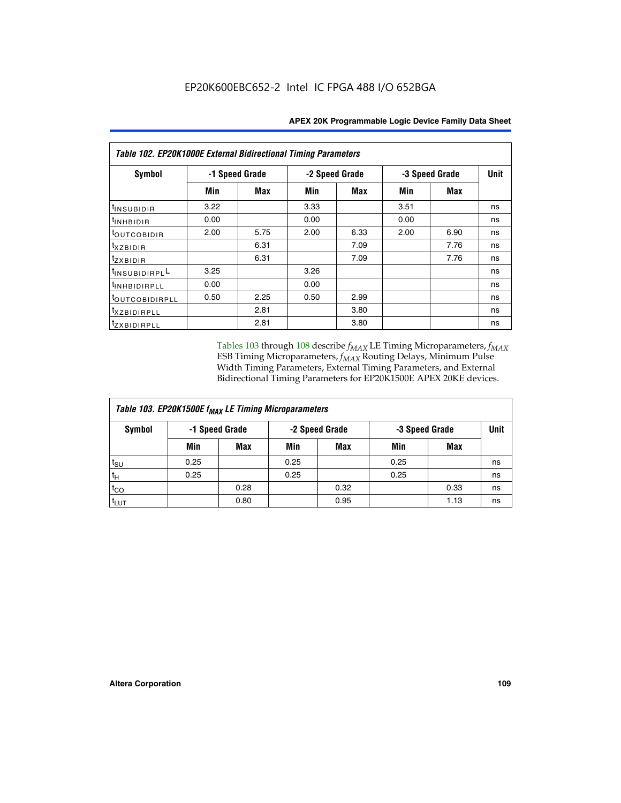| Table 102. EP20K1000E External Bidirectional Timing Parameters |      |                |      |                |                |      |    |  |  |  |
|----------------------------------------------------------------|------|----------------|------|----------------|----------------|------|----|--|--|--|
| Symbol                                                         |      | -1 Speed Grade |      | -2 Speed Grade | -3 Speed Grade | Unit |    |  |  |  |
|                                                                | Min  | Max            | Min  | Max            | Min            | Max  |    |  |  |  |
| t <sub>INSUBIDIR</sub>                                         | 3.22 |                | 3.33 |                | 3.51           |      | ns |  |  |  |
| $t_{INHBIDIR}$                                                 | 0.00 |                | 0.00 |                | 0.00           |      | ns |  |  |  |
| <sup>t</sup> OUTCOBIDIR                                        | 2.00 | 5.75           | 2.00 | 6.33           | 2.00           | 6.90 | ns |  |  |  |
| $t_{XZBIDIR}$                                                  |      | 6.31           |      | 7.09           |                | 7.76 | ns |  |  |  |
| tzxbidir                                                       |      | 6.31           |      | 7.09           |                | 7.76 | ns |  |  |  |
| $t_{INSUBIDIRPL}$                                              | 3.25 |                | 3.26 |                |                |      | ns |  |  |  |
| <sup>t</sup> INHBIDIRPLL                                       | 0.00 |                | 0.00 |                |                |      | ns |  |  |  |
| <sup>t</sup> OUTCOBIDIRPLL                                     | 0.50 | 2.25           | 0.50 | 2.99           |                |      | ns |  |  |  |
| txzBIDIRPLL                                                    |      | 2.81           |      | 3.80           |                |      | ns |  |  |  |
| <sup>t</sup> zxbidirpll                                        |      | 2.81           |      | 3.80           |                |      | ns |  |  |  |

Tables 103 through 108 describe  $f_{MAX}$  LE Timing Microparameters,  $f_{MAX}$ ESB Timing Microparameters, *f<sub>MAX</sub>* Routing Delays, Minimum Pulse Width Timing Parameters, External Timing Parameters, and External Bidirectional Timing Parameters for EP20K1500E APEX 20KE devices.

| Table 103. EP20K1500E f <sub>MAX</sub> LE Timing Microparameters |      |                |      |                |      |                |    |  |  |  |  |
|------------------------------------------------------------------|------|----------------|------|----------------|------|----------------|----|--|--|--|--|
| Symbol                                                           |      | -1 Speed Grade |      | -2 Speed Grade |      | -3 Speed Grade |    |  |  |  |  |
|                                                                  | Min  | <b>Max</b>     | Min  | <b>Max</b>     | Min  | Max            |    |  |  |  |  |
| $t_{\text{SU}}$                                                  | 0.25 |                | 0.25 |                | 0.25 |                | ns |  |  |  |  |
| $t_H$                                                            | 0.25 |                | 0.25 |                | 0.25 |                | ns |  |  |  |  |
| $t_{CO}$                                                         |      | 0.28           |      | 0.32           |      | 0.33           | ns |  |  |  |  |
| t <sub>lut</sub>                                                 |      | 0.80           |      | 0.95           |      | 1.13           | ns |  |  |  |  |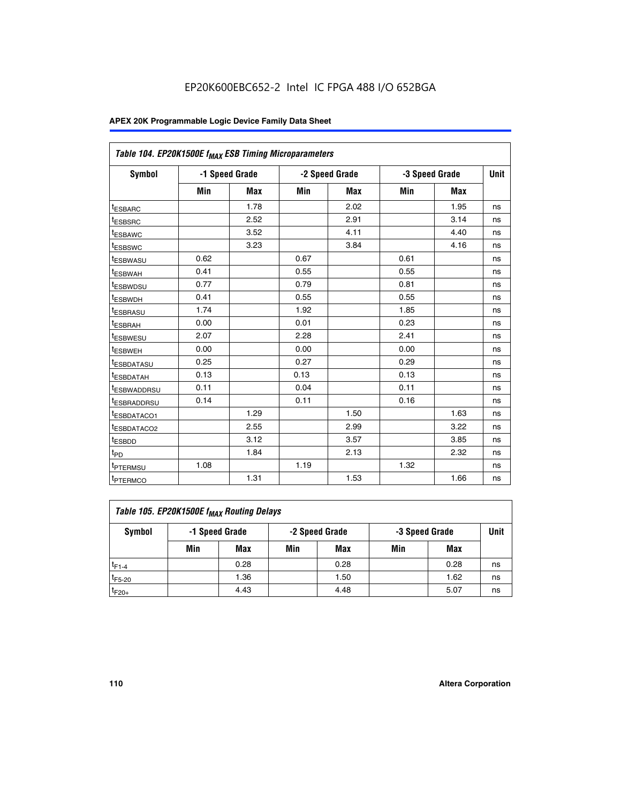|                         | Table 104. EP20K1500E f <sub>MAX</sub> ESB Timing Microparameters |            |            |                |      |                |             |  |  |  |  |  |
|-------------------------|-------------------------------------------------------------------|------------|------------|----------------|------|----------------|-------------|--|--|--|--|--|
| <b>Symbol</b>           | -1 Speed Grade                                                    |            |            | -2 Speed Grade |      | -3 Speed Grade | <b>Unit</b> |  |  |  |  |  |
|                         | Min                                                               | <b>Max</b> | <b>Min</b> | Max            | Min  | Max            |             |  |  |  |  |  |
| <sup>t</sup> ESBARC     |                                                                   | 1.78       |            | 2.02           |      | 1.95           | ns          |  |  |  |  |  |
| t <sub>ESBSRC</sub>     |                                                                   | 2.52       |            | 2.91           |      | 3.14           | ns          |  |  |  |  |  |
| <sup>t</sup> ESBAWC     |                                                                   | 3.52       |            | 4.11           |      | 4.40           | ns          |  |  |  |  |  |
| t <sub>ESBSWC</sub>     |                                                                   | 3.23       |            | 3.84           |      | 4.16           | ns          |  |  |  |  |  |
| t <sub>ESBWASU</sub>    | 0.62                                                              |            | 0.67       |                | 0.61 |                | ns          |  |  |  |  |  |
| t <sub>ESBWAH</sub>     | 0.41                                                              |            | 0.55       |                | 0.55 |                | ns          |  |  |  |  |  |
| <sup>t</sup> ESBWDSU    | 0.77                                                              |            | 0.79       |                | 0.81 |                | ns          |  |  |  |  |  |
| t <sub>ESBWDH</sub>     | 0.41                                                              |            | 0.55       |                | 0.55 |                | ns          |  |  |  |  |  |
| <sup>t</sup> ESBRASU    | 1.74                                                              |            | 1.92       |                | 1.85 |                | ns          |  |  |  |  |  |
| <sup>t</sup> ESBRAH     | 0.00                                                              |            | 0.01       |                | 0.23 |                | ns          |  |  |  |  |  |
| <sup>t</sup> ESBWESU    | 2.07                                                              |            | 2.28       |                | 2.41 |                | ns          |  |  |  |  |  |
| <sup>t</sup> ESBWEH     | 0.00                                                              |            | 0.00       |                | 0.00 |                | ns          |  |  |  |  |  |
| <sup>t</sup> ESBDATASU  | 0.25                                                              |            | 0.27       |                | 0.29 |                | ns          |  |  |  |  |  |
| <sup>t</sup> ESBDATAH   | 0.13                                                              |            | 0.13       |                | 0.13 |                | ns          |  |  |  |  |  |
| <sup>t</sup> ESBWADDRSU | 0.11                                                              |            | 0.04       |                | 0.11 |                | ns          |  |  |  |  |  |
| t <sub>ESBRADDRSU</sub> | 0.14                                                              |            | 0.11       |                | 0.16 |                | ns          |  |  |  |  |  |
| <sup>I</sup> ESBDATACO1 |                                                                   | 1.29       |            | 1.50           |      | 1.63           | ns          |  |  |  |  |  |
| <sup>t</sup> ESBDATACO2 |                                                                   | 2.55       |            | 2.99           |      | 3.22           | ns          |  |  |  |  |  |
| <sup>t</sup> ESBDD      |                                                                   | 3.12       |            | 3.57           |      | 3.85           | ns          |  |  |  |  |  |
| t <sub>PD</sub>         |                                                                   | 1.84       |            | 2.13           |      | 2.32           | ns          |  |  |  |  |  |
| t <sub>PTERMSU</sub>    | 1.08                                                              |            | 1.19       |                | 1.32 |                | ns          |  |  |  |  |  |
| t <sub>PTERMCO</sub>    |                                                                   | 1.31       |            | 1.53           |      | 1.66           | ns          |  |  |  |  |  |

| Table 105. EP20K1500E f <sub>MAX</sub> Routing Delays |                                                    |      |     |      |     |      |    |  |  |  |
|-------------------------------------------------------|----------------------------------------------------|------|-----|------|-----|------|----|--|--|--|
| Symbol                                                | -1 Speed Grade<br>-2 Speed Grade<br>-3 Speed Grade |      |     |      |     |      |    |  |  |  |
|                                                       | Min                                                | Max  | Min | Max  | Min | Max  |    |  |  |  |
| $t_{F1-4}$                                            |                                                    | 0.28 |     | 0.28 |     | 0.28 | ns |  |  |  |
| $t_{F5-20}$                                           |                                                    | 1.36 |     | 1.50 |     | 1.62 | ns |  |  |  |
| $t_{F20+}$                                            |                                                    | 4.43 |     | 4.48 |     | 5.07 | ns |  |  |  |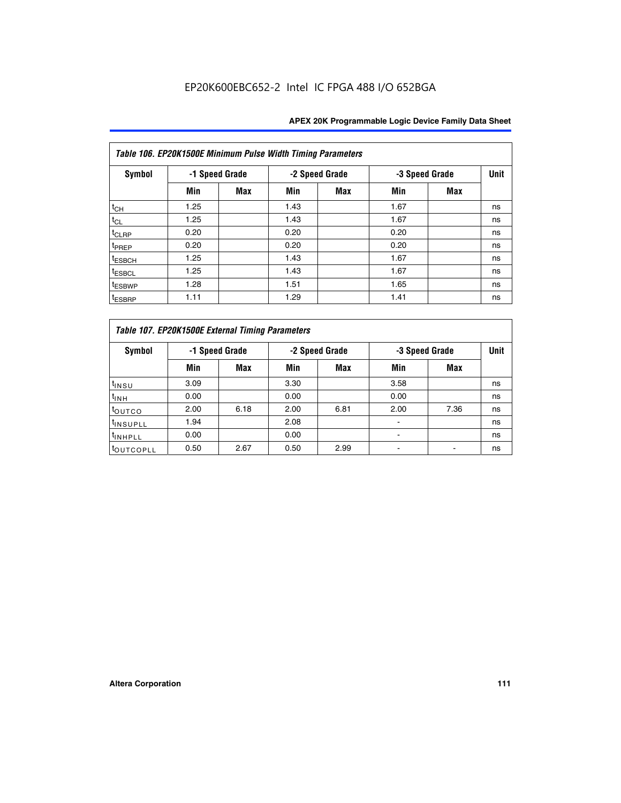|                    | Table 106. EP20K1500E Minimum Pulse Width Timing Parameters |                |      |                |                |            |             |  |  |  |  |  |
|--------------------|-------------------------------------------------------------|----------------|------|----------------|----------------|------------|-------------|--|--|--|--|--|
| Symbol             |                                                             | -1 Speed Grade |      | -2 Speed Grade | -3 Speed Grade |            | <b>Unit</b> |  |  |  |  |  |
|                    | Min                                                         | <b>Max</b>     | Min  | Max            | Min            | <b>Max</b> |             |  |  |  |  |  |
| $t_{CH}$           | 1.25                                                        |                | 1.43 |                | 1.67           |            | ns          |  |  |  |  |  |
| $t_{CL}$           | 1.25                                                        |                | 1.43 |                | 1.67           |            | ns          |  |  |  |  |  |
| t <sub>CLRP</sub>  | 0.20                                                        |                | 0.20 |                | 0.20           |            | ns          |  |  |  |  |  |
| <sup>t</sup> PREP  | 0.20                                                        |                | 0.20 |                | 0.20           |            | ns          |  |  |  |  |  |
| <sup>t</sup> ESBCH | 1.25                                                        |                | 1.43 |                | 1.67           |            | ns          |  |  |  |  |  |
| <sup>t</sup> ESBCL | 1.25                                                        |                | 1.43 |                | 1.67           |            | ns          |  |  |  |  |  |
| <sup>t</sup> ESBWP | 1.28                                                        |                | 1.51 |                | 1.65           |            | ns          |  |  |  |  |  |
| <sup>t</sup> ESBRP | 1.11                                                        |                | 1.29 |                | 1.41           |            | ns          |  |  |  |  |  |

|                       | Table 107. EP20K1500E External Timing Parameters |            |      |                |      |                |             |  |  |  |  |  |
|-----------------------|--------------------------------------------------|------------|------|----------------|------|----------------|-------------|--|--|--|--|--|
| Symbol                | -1 Speed Grade                                   |            |      | -2 Speed Grade |      | -3 Speed Grade | <b>Unit</b> |  |  |  |  |  |
|                       | Min                                              | <b>Max</b> | Min  | <b>Max</b>     | Min  | Max            |             |  |  |  |  |  |
| t <sub>insu</sub>     | 3.09                                             |            | 3.30 |                | 3.58 |                | ns          |  |  |  |  |  |
| $t_{INH}$             | 0.00                                             |            | 0.00 |                | 0.00 |                | ns          |  |  |  |  |  |
| toutco                | 2.00                                             | 6.18       | 2.00 | 6.81           | 2.00 | 7.36           | ns          |  |  |  |  |  |
| <sup>t</sup> INSUPLL  | 1.94                                             |            | 2.08 |                |      |                | ns          |  |  |  |  |  |
| <sup>t</sup> INHPLL   | 0.00                                             |            | 0.00 |                |      |                | ns          |  |  |  |  |  |
| <sup>t</sup> OUTCOPLL | 0.50                                             | 2.67       | 0.50 | 2.99           |      |                | ns          |  |  |  |  |  |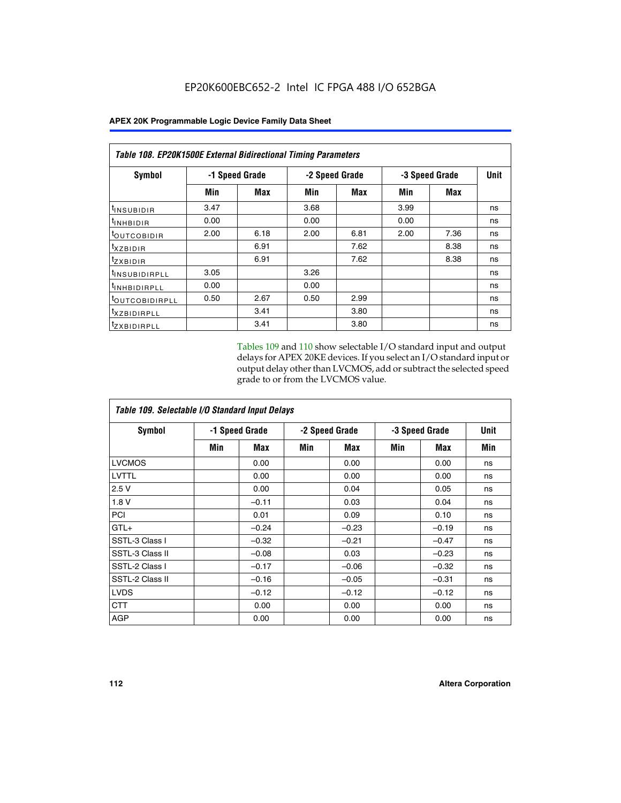|                            | <b>Table 108. EP20K1500E External Bidirectional Timing Parameters</b> |                |                |      |                |            |    |  |  |  |  |
|----------------------------|-----------------------------------------------------------------------|----------------|----------------|------|----------------|------------|----|--|--|--|--|
| Symbol                     |                                                                       | -1 Speed Grade | -2 Speed Grade |      | -3 Speed Grade | Unit       |    |  |  |  |  |
|                            | Min                                                                   | Max            | Min            | Max  | Min            | <b>Max</b> |    |  |  |  |  |
| <sup>t</sup> INSUBIDIR     | 3.47                                                                  |                | 3.68           |      | 3.99           |            | ns |  |  |  |  |
| <sup>t</sup> INHBIDIR      | 0.00                                                                  |                | 0.00           |      | 0.00           |            | ns |  |  |  |  |
| <sup>t</sup> OUTCOBIDIR    | 2.00                                                                  | 6.18           | 2.00           | 6.81 | 2.00           | 7.36       | ns |  |  |  |  |
| txzBIDIR                   |                                                                       | 6.91           |                | 7.62 |                | 8.38       | ns |  |  |  |  |
| <sup>t</sup> zxbidir       |                                                                       | 6.91           |                | 7.62 |                | 8.38       | ns |  |  |  |  |
| <sup>t</sup> INSUBIDIRPLL  | 3.05                                                                  |                | 3.26           |      |                |            | ns |  |  |  |  |
| <sup>t</sup> INHBIDIRPLL   | 0.00                                                                  |                | 0.00           |      |                |            | ns |  |  |  |  |
| <sup>t</sup> OUTCOBIDIRPLL | 0.50                                                                  | 2.67           | 0.50           | 2.99 |                |            | ns |  |  |  |  |
| <sup>t</sup> XZBIDIRPLL    |                                                                       | 3.41           |                | 3.80 |                |            | ns |  |  |  |  |
| <sup>t</sup> zxbidirpll    |                                                                       | 3.41           |                | 3.80 |                |            | ns |  |  |  |  |

Tables 109 and 110 show selectable I/O standard input and output delays for APEX 20KE devices. If you select an I/O standard input or output delay other than LVCMOS, add or subtract the selected speed grade to or from the LVCMOS value.

| Table 109. Selectable I/O Standard Input Delays |     |                |     |                |     |                |     |  |  |  |
|-------------------------------------------------|-----|----------------|-----|----------------|-----|----------------|-----|--|--|--|
| <b>Symbol</b>                                   |     | -1 Speed Grade |     | -2 Speed Grade |     | -3 Speed Grade |     |  |  |  |
|                                                 | Min | Max            | Min | Max            | Min | Max            | Min |  |  |  |
| <b>LVCMOS</b>                                   |     | 0.00           |     | 0.00           |     | 0.00           | ns  |  |  |  |
| <b>LVTTL</b>                                    |     | 0.00           |     | 0.00           |     | 0.00           | ns  |  |  |  |
| 2.5V                                            |     | 0.00           |     | 0.04           |     | 0.05           | ns  |  |  |  |
| 1.8V                                            |     | $-0.11$        |     | 0.03           |     | 0.04           | ns  |  |  |  |
| PCI                                             |     | 0.01           |     | 0.09           |     | 0.10           | ns  |  |  |  |
| $GTL+$                                          |     | $-0.24$        |     | $-0.23$        |     | $-0.19$        | ns  |  |  |  |
| SSTL-3 Class I                                  |     | $-0.32$        |     | $-0.21$        |     | $-0.47$        | ns  |  |  |  |
| SSTL-3 Class II                                 |     | $-0.08$        |     | 0.03           |     | $-0.23$        | ns  |  |  |  |
| SSTL-2 Class I                                  |     | $-0.17$        |     | $-0.06$        |     | $-0.32$        | ns  |  |  |  |
| SSTL-2 Class II                                 |     | $-0.16$        |     | $-0.05$        |     | $-0.31$        | ns  |  |  |  |
| <b>LVDS</b>                                     |     | $-0.12$        |     | $-0.12$        |     | $-0.12$        | ns  |  |  |  |
| <b>CTT</b>                                      |     | 0.00           |     | 0.00           |     | 0.00           | ns  |  |  |  |
| <b>AGP</b>                                      |     | 0.00           |     | 0.00           |     | 0.00           | ns  |  |  |  |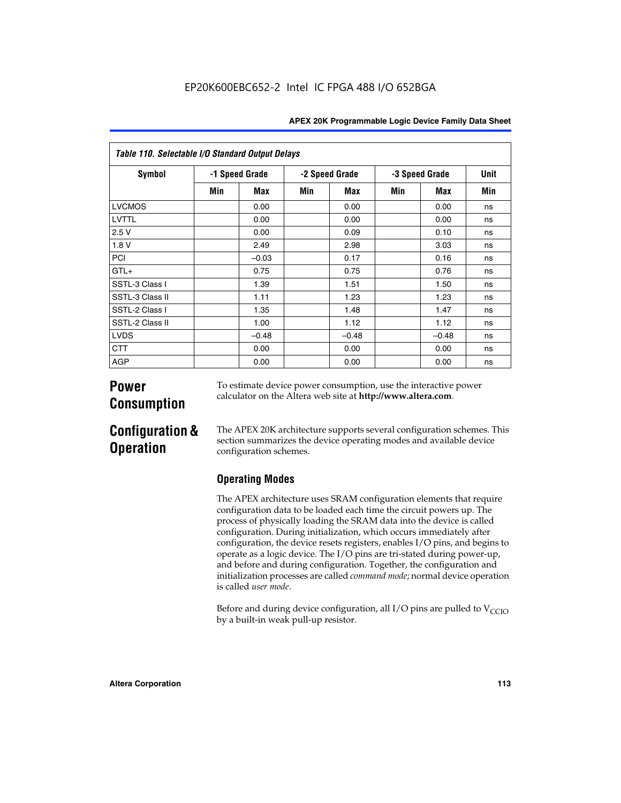| Table 110. Selectable I/O Standard Output Delays |     |                |     |                |                |         |      |  |  |  |  |
|--------------------------------------------------|-----|----------------|-----|----------------|----------------|---------|------|--|--|--|--|
| <b>Symbol</b>                                    |     | -1 Speed Grade |     | -2 Speed Grade | -3 Speed Grade |         | Unit |  |  |  |  |
|                                                  | Min | Max            | Min | Max            | Min            | Max     | Min  |  |  |  |  |
| <b>LVCMOS</b>                                    |     | 0.00           |     | 0.00           |                | 0.00    | ns   |  |  |  |  |
| LVTTL                                            |     | 0.00           |     | 0.00           |                | 0.00    | ns   |  |  |  |  |
| 2.5V                                             |     | 0.00           |     | 0.09           |                | 0.10    | ns   |  |  |  |  |
| 1.8V                                             |     | 2.49           |     | 2.98           |                | 3.03    | ns   |  |  |  |  |
| <b>PCI</b>                                       |     | $-0.03$        |     | 0.17           |                | 0.16    | ns   |  |  |  |  |
| $GTL+$                                           |     | 0.75           |     | 0.75           |                | 0.76    | ns   |  |  |  |  |
| SSTL-3 Class I                                   |     | 1.39           |     | 1.51           |                | 1.50    | ns   |  |  |  |  |
| SSTL-3 Class II                                  |     | 1.11           |     | 1.23           |                | 1.23    | ns   |  |  |  |  |
| SSTL-2 Class I                                   |     | 1.35           |     | 1.48           |                | 1.47    | ns   |  |  |  |  |
| SSTL-2 Class II                                  |     | 1.00           |     | 1.12           |                | 1.12    | ns   |  |  |  |  |
| <b>LVDS</b>                                      |     | $-0.48$        |     | $-0.48$        |                | $-0.48$ | ns   |  |  |  |  |
| <b>CTT</b>                                       |     | 0.00           |     | 0.00           |                | 0.00    | ns   |  |  |  |  |
| AGP                                              |     | 0.00           |     | 0.00           |                | 0.00    | ns   |  |  |  |  |

# **Power Consumption**

To estimate device power consumption, use the interactive power calculator on the Altera web site at **http://www.altera.com**.

# **Configuration & Operation**

The APEX 20K architecture supports several configuration schemes. This section summarizes the device operating modes and available device configuration schemes.

## **Operating Modes**

The APEX architecture uses SRAM configuration elements that require configuration data to be loaded each time the circuit powers up. The process of physically loading the SRAM data into the device is called configuration. During initialization, which occurs immediately after configuration, the device resets registers, enables I/O pins, and begins to operate as a logic device. The I/O pins are tri-stated during power-up, and before and during configuration. Together, the configuration and initialization processes are called *command mode*; normal device operation is called *user mode*.

Before and during device configuration, all I/O pins are pulled to  $V_{\text{CCIO}}$ by a built-in weak pull-up resistor.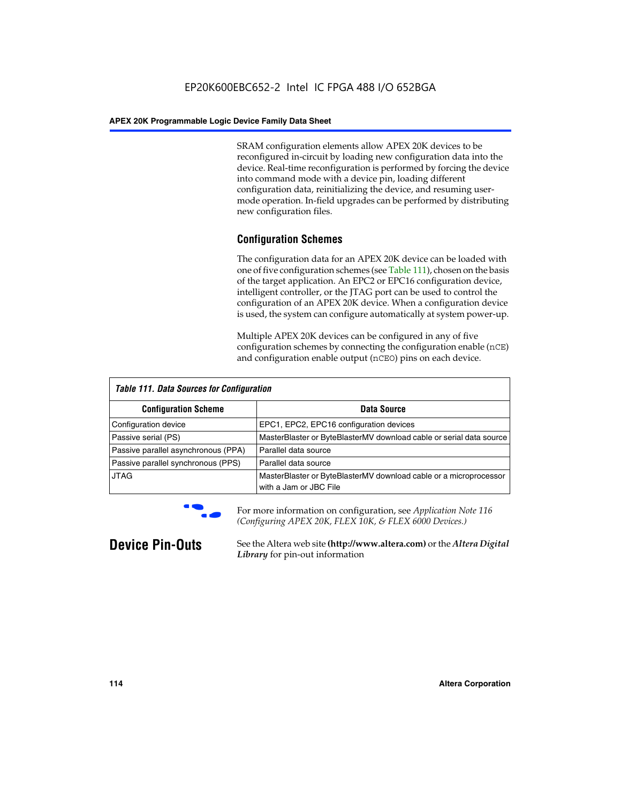SRAM configuration elements allow APEX 20K devices to be reconfigured in-circuit by loading new configuration data into the device. Real-time reconfiguration is performed by forcing the device into command mode with a device pin, loading different configuration data, reinitializing the device, and resuming usermode operation. In-field upgrades can be performed by distributing new configuration files.

## **Configuration Schemes**

The configuration data for an APEX 20K device can be loaded with one of five configuration schemes (see Table 111), chosen on the basis of the target application. An EPC2 or EPC16 configuration device, intelligent controller, or the JTAG port can be used to control the configuration of an APEX 20K device. When a configuration device is used, the system can configure automatically at system power-up.

Multiple APEX 20K devices can be configured in any of five configuration schemes by connecting the configuration enable (nCE) and configuration enable output (nCEO) pins on each device.

| <b>Table 111. Data Sources for Configuration</b> |                                                                                             |
|--------------------------------------------------|---------------------------------------------------------------------------------------------|
| <b>Configuration Scheme</b>                      | Data Source                                                                                 |
| Configuration device                             | EPC1, EPC2, EPC16 configuration devices                                                     |
| Passive serial (PS)                              | MasterBlaster or ByteBlasterMV download cable or serial data source                         |
| Passive parallel asynchronous (PPA)              | Parallel data source                                                                        |
| Passive parallel synchronous (PPS)               | Parallel data source                                                                        |
| <b>JTAG</b>                                      | MasterBlaster or ByteBlasterMV download cable or a microprocessor<br>with a Jam or JBC File |



**For more information on configuration, see Application Note 116** *(Configuring APEX 20K, FLEX 10K, & FLEX 6000 Devices.)*

**Device Pin-Outs** See the Altera web site **(http://www.altera.com)** or the *Altera Digital Library* for pin-out information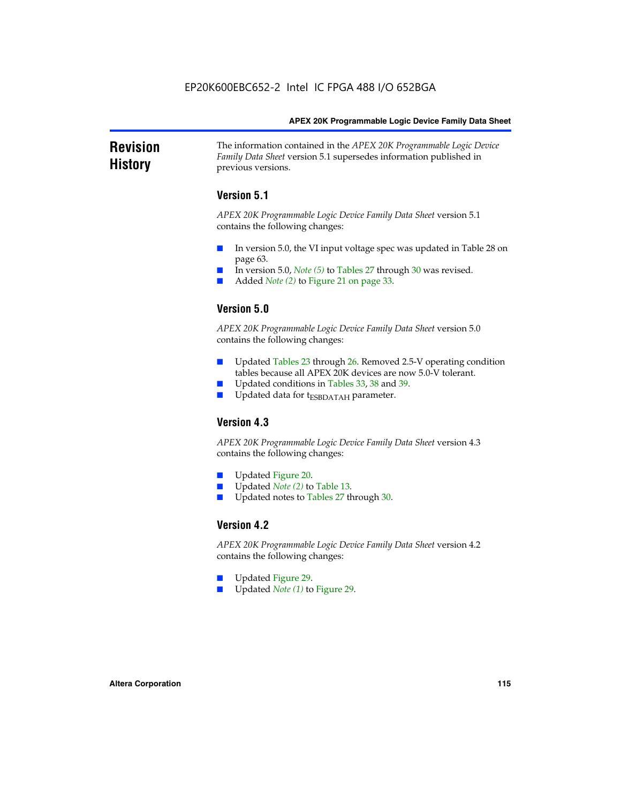### **Revision History** The information contained in the *APEX 20K Programmable Logic Device Family Data Sheet* version 5.1 supersedes information published in previous versions.

## **Version 5.1**

*APEX 20K Programmable Logic Device Family Data Sheet* version 5.1 contains the following changes:

- In version 5.0, the VI input voltage spec was updated in Table 28 on page 63.
- In version 5.0, *Note* (5) to Tables 27 through 30 was revised.
- Added *Note* (2) to Figure 21 on page 33.

## **Version 5.0**

*APEX 20K Programmable Logic Device Family Data Sheet* version 5.0 contains the following changes:

- Updated Tables 23 through 26. Removed 2.5-V operating condition tables because all APEX 20K devices are now 5.0-V tolerant.
- Updated conditions in Tables 33, 38 and 39.
- Updated data for t<sub>ESBDATAH</sub> parameter.

## **Version 4.3**

*APEX 20K Programmable Logic Device Family Data Sheet* version 4.3 contains the following changes:

- Updated Figure 20.
- Updated *Note (2)* to Table 13.
- Updated notes to Tables 27 through 30.

## **Version 4.2**

*APEX 20K Programmable Logic Device Family Data Sheet* version 4.2 contains the following changes:

- Updated Figure 29.
- Updated *Note (1)* to Figure 29.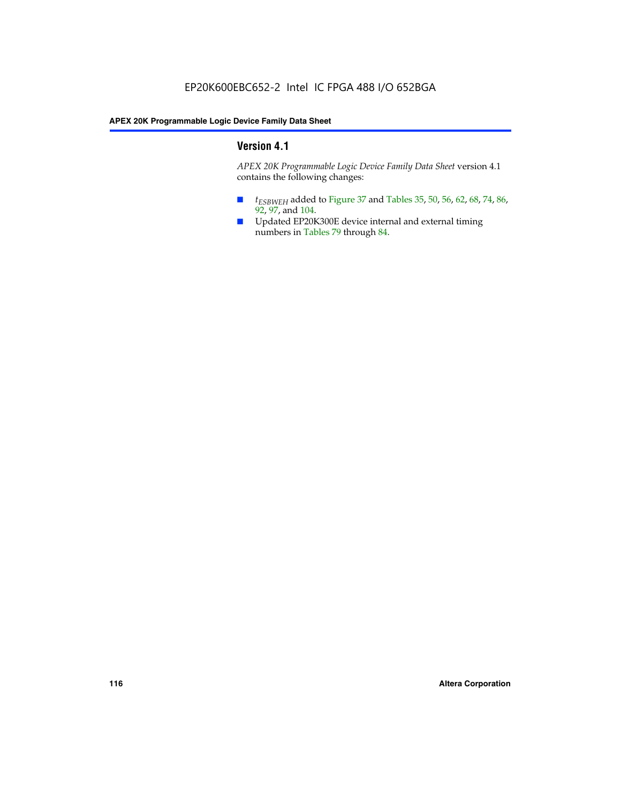## **Version 4.1**

*APEX 20K Programmable Logic Device Family Data Sheet* version 4.1 contains the following changes:

- *t<sub>ESBWEH</sub>* added to Figure 37 and Tables 35, 50, 56, 62, 68, 74, 86, 92, 97, and 104.
- Updated EP20K300E device internal and external timing numbers in Tables 79 through 84.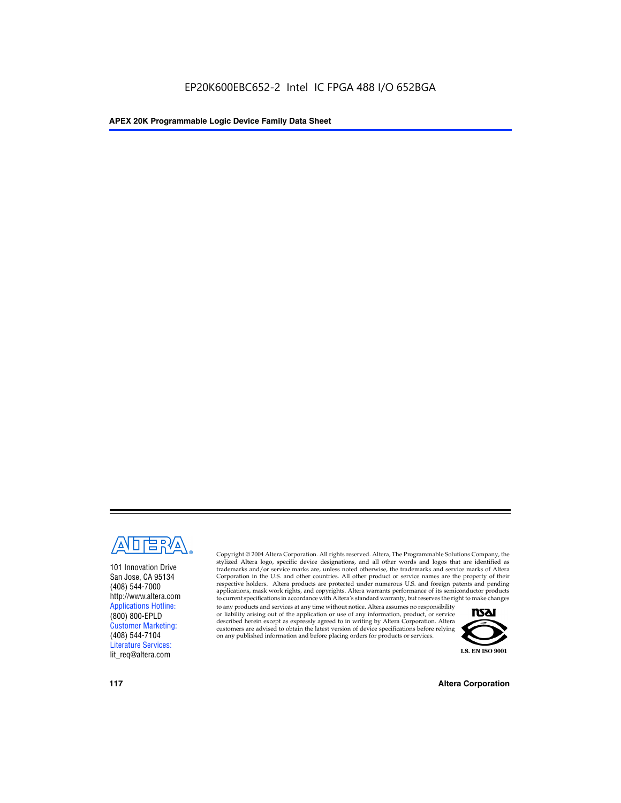

101 Innovation Drive San Jose, CA 95134 (408) 544-7000 http://www.altera.com Applications Hotline: (800) 800-EPLD Customer Marketing: (408) 544-7104 Literature Services: lit\_req@altera.com

Copyright © 2004 Altera Corporation. All rights reserved. Altera, The Programmable Solutions Company, the stylized Altera logo, specific device designations, and all other words and logos that are identified as trademarks and/or service marks are, unless noted otherwise, the trademarks and service marks of Altera Corporation in the U.S. and other countries. All other product or service names are the property of their respective holders. Altera products are protected under numerous U.S. and foreign patents and pending applications, mask work rights, and copyrights. Altera warrants performance of its semiconductor products to current specifications in accordance with Altera's standard warranty, but reserves the right to make changes

to any products and services at any time without notice. Altera assumes no responsibility or liability arising out of the application or use of any information, product, or service described herein except as expressly agreed to in writing by Altera Corporation. Altera customers are advised to obtain the latest version of device specifications before relying on any published information and before placing orders for products or services.



**117 Altera Corporation**